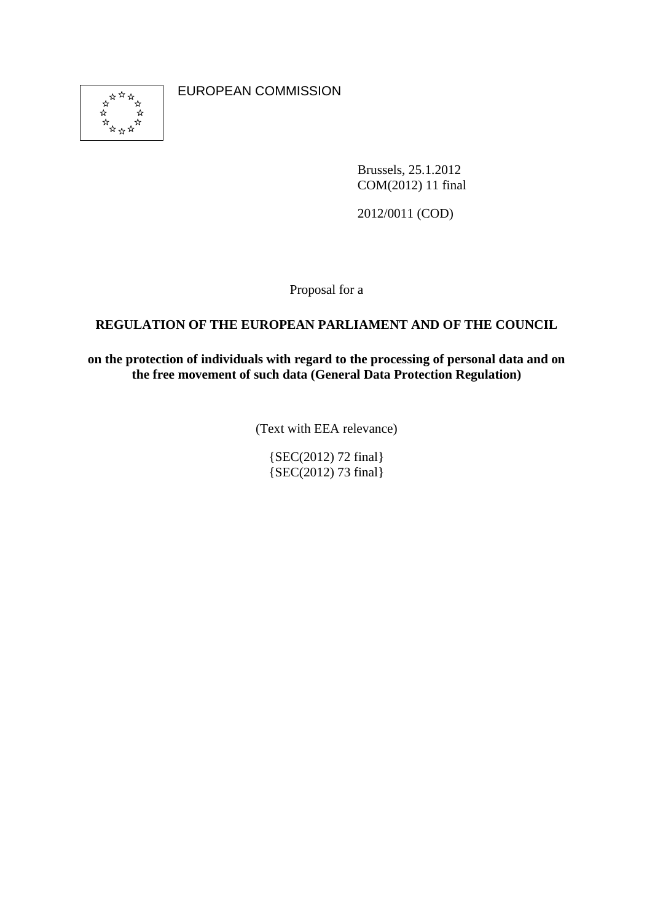

EUROPEAN COMMISSION

Brussels, 25.1.2012 COM(2012) 11 final

2012/0011 (COD)

Proposal for a

### **REGULATION OF THE EUROPEAN PARLIAMENT AND OF THE COUNCIL**

**on the protection of individuals with regard to the processing of personal data and on the free movement of such data (General Data Protection Regulation)** 

(Text with EEA relevance)

{SEC(2012) 72 final} {SEC(2012) 73 final}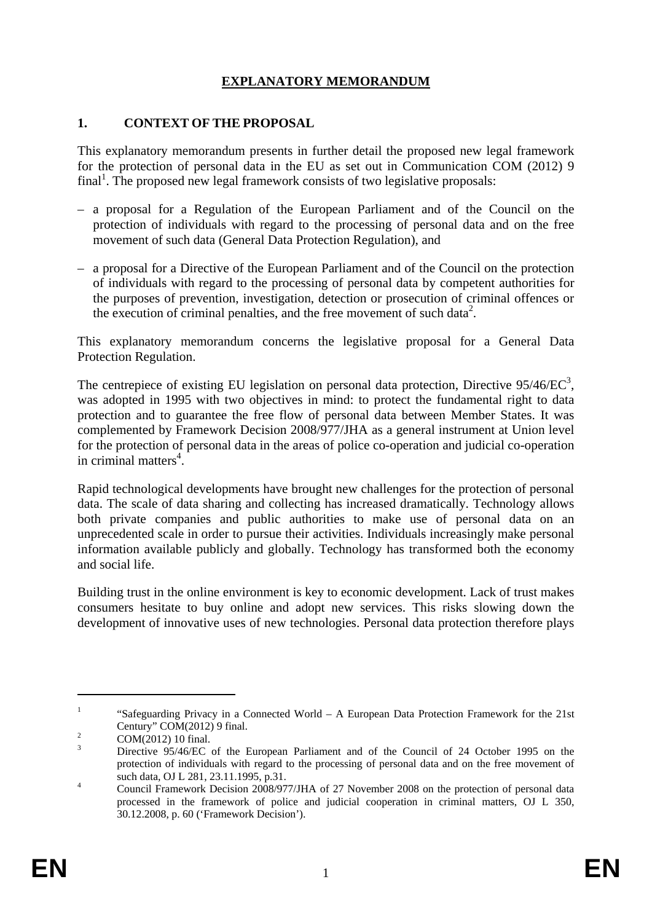## **EXPLANATORY MEMORANDUM**

#### **1. CONTEXT OF THE PROPOSAL**

This explanatory memorandum presents in further detail the proposed new legal framework for the protection of personal data in the EU as set out in Communication COM (2012) 9  $final<sup>1</sup>$ . The proposed new legal framework consists of two legislative proposals:

- a proposal for a Regulation of the European Parliament and of the Council on the protection of individuals with regard to the processing of personal data and on the free movement of such data (General Data Protection Regulation), and
- a proposal for a Directive of the European Parliament and of the Council on the protection of individuals with regard to the processing of personal data by competent authorities for the purposes of prevention, investigation, detection or prosecution of criminal offences or the execution of criminal penalties, and the free movement of such data<sup>2</sup>.

This explanatory memorandum concerns the legislative proposal for a General Data Protection Regulation.

The centrepiece of existing EU legislation on personal data protection, Directive  $95/46/EC^3$ , was adopted in 1995 with two objectives in mind: to protect the fundamental right to data protection and to guarantee the free flow of personal data between Member States. It was complemented by Framework Decision 2008/977/JHA as a general instrument at Union level for the protection of personal data in the areas of police co-operation and judicial co-operation in criminal matters<sup>4</sup>.

Rapid technological developments have brought new challenges for the protection of personal data. The scale of data sharing and collecting has increased dramatically. Technology allows both private companies and public authorities to make use of personal data on an unprecedented scale in order to pursue their activities. Individuals increasingly make personal information available publicly and globally. Technology has transformed both the economy and social life.

Building trust in the online environment is key to economic development. Lack of trust makes consumers hesitate to buy online and adopt new services. This risks slowing down the development of innovative uses of new technologies. Personal data protection therefore plays

<sup>1</sup> "Safeguarding Privacy in a Connected World – A European Data Protection Framework for the 21st Century" COM(2012) 9 final.

COM(2012) 10 final.

<sup>3</sup> Directive 95/46/EC of the European Parliament and of the Council of 24 October 1995 on the protection of individuals with regard to the processing of personal data and on the free movement of such data, OJ L 281, 23.11.1995, p.31.

Council Framework Decision 2008/977/JHA of 27 November 2008 on the protection of personal data processed in the framework of police and judicial cooperation in criminal matters, OJ L 350, 30.12.2008, p. 60 ('Framework Decision').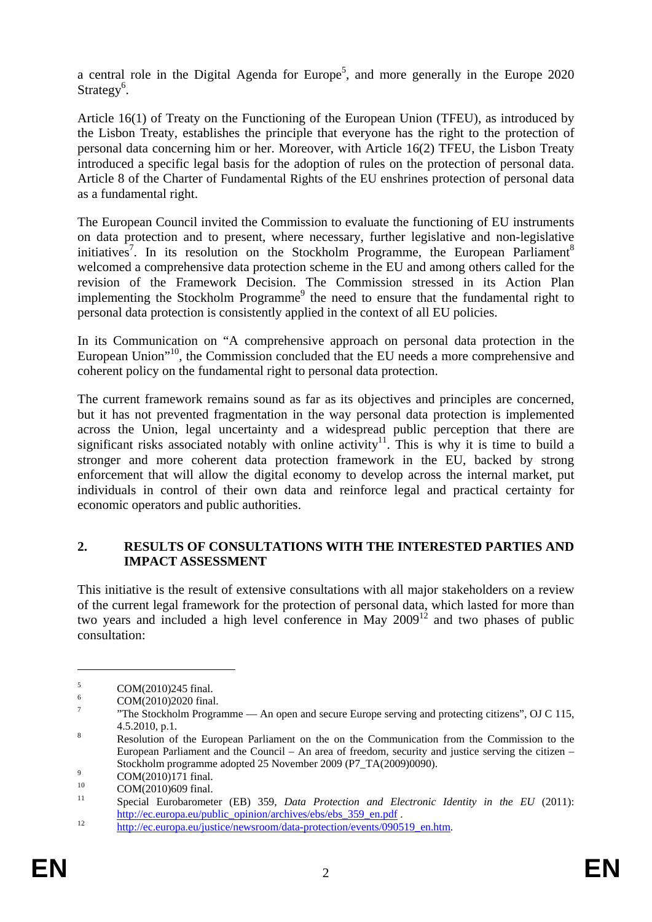a central role in the Digital Agenda for Europe<sup>5</sup>, and more generally in the Europe  $2020$ Strategy<sup>6</sup>.

Article 16(1) of Treaty on the Functioning of the European Union (TFEU), as introduced by the Lisbon Treaty, establishes the principle that everyone has the right to the protection of personal data concerning him or her. Moreover, with Article 16(2) TFEU, the Lisbon Treaty introduced a specific legal basis for the adoption of rules on the protection of personal data. Article 8 of the Charter of Fundamental Rights of the EU enshrines protection of personal data as a fundamental right.

The European Council invited the Commission to evaluate the functioning of EU instruments on data protection and to present, where necessary, further legislative and non-legislative initiatives<sup>7</sup>. In its resolution on the Stockholm Programme, the European Parliament<sup>8</sup> welcomed a comprehensive data protection scheme in the EU and among others called for the revision of the Framework Decision. The Commission stressed in its Action Plan implementing the Stockholm Programme<sup>9</sup> the need to ensure that the fundamental right to personal data protection is consistently applied in the context of all EU policies.

In its Communication on "A comprehensive approach on personal data protection in the European Union"<sup>10</sup>, the Commission concluded that the EU needs a more comprehensive and coherent policy on the fundamental right to personal data protection.

The current framework remains sound as far as its objectives and principles are concerned, but it has not prevented fragmentation in the way personal data protection is implemented across the Union, legal uncertainty and a widespread public perception that there are significant risks associated notably with online activity<sup>11</sup>. This is why it is time to build a stronger and more coherent data protection framework in the EU, backed by strong enforcement that will allow the digital economy to develop across the internal market, put individuals in control of their own data and reinforce legal and practical certainty for economic operators and public authorities.

### **2. RESULTS OF CONSULTATIONS WITH THE INTERESTED PARTIES AND IMPACT ASSESSMENT**

This initiative is the result of extensive consultations with all major stakeholders on a review of the current legal framework for the protection of personal data, which lasted for more than two years and included a high level conference in May  $2009^{12}$  and two phases of public consultation:

<sup>5</sup> COM(2010)245 final.

<sup>6</sup> COM(2010)2020 final.

<sup>7</sup> "The Stockholm Programme — An open and secure Europe serving and protecting citizens", OJ C 115,  $4.5.2010, p.1.$ 

Resolution of the European Parliament on the on the Communication from the Commission to the European Parliament and the Council – An area of freedom, security and justice serving the citizen – Stockholm programme adopted 25 November 2009 (P7\_TA(2009)0090).

<sup>&</sup>lt;sup>9</sup> COM(2010)171 final.

 $10$  COM(2010)609 final. 11 Special Eurobarometer (EB) 359, *Data Protection and Electronic Identity in the EU* (2011): [http://ec.europa.eu/public\\_opinion/archives/ebs/ebs\\_359\\_en.](http://ec.europa.eu/public_opinion/archives/ebs/ebs_359_en.pdf)pdf .<br>
http://ec.europa.eu/justice/newsroom/data-protection/events/090519\_en.htm.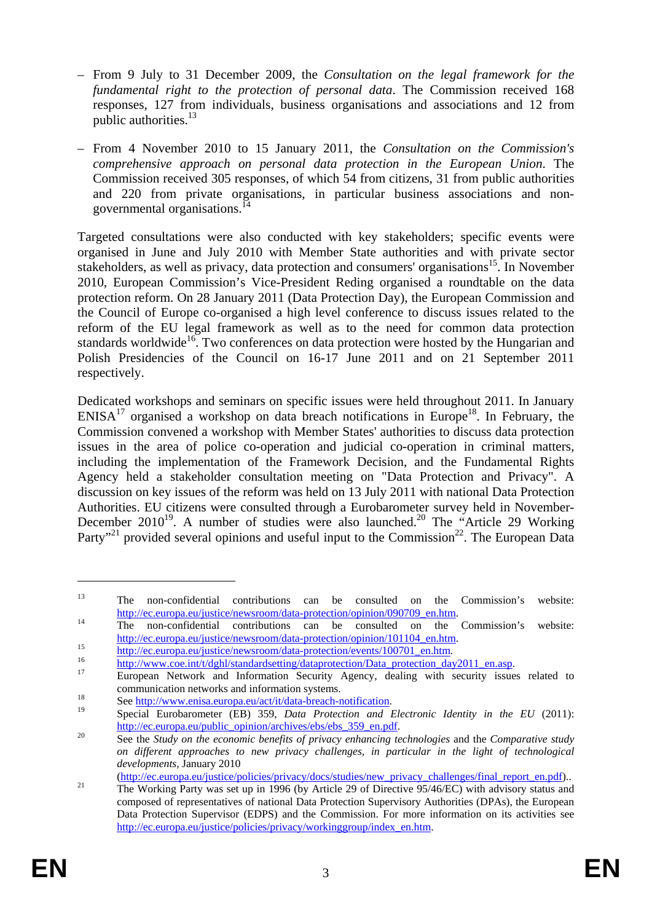- From 9 July to 31 December 2009, the *Consultation on the legal framework for the fundamental right to the protection of personal data*. The Commission received 168 responses, 127 from individuals, business organisations and associations and 12 from public authorities. $^{13}$
- From 4 November 2010 to 15 January 2011, the *Consultation on the Commission's comprehensive approach on personal data protection in the European Union*. The Commission received 305 responses, of which 54 from citizens, 31 from public authorities and 220 from private organisations, in particular business associations and nongovernmental organisations.14

Targeted consultations were also conducted with key stakeholders; specific events were organised in June and July 2010 with Member State authorities and with private sector stakeholders, as well as privacy, data protection and consumers' organisations<sup>15</sup>. In November 2010, European Commission's Vice-President Reding organised a roundtable on the data protection reform. On 28 January 2011 (Data Protection Day), the European Commission and the Council of Europe co-organised a high level conference to discuss issues related to the reform of the EU legal framework as well as to the need for common data protection standards worldwide<sup>16</sup>. Two conferences on data protection were hosted by the Hungarian and Polish Presidencies of the Council on 16-17 June 2011 and on 21 September 2011 respectively.

Dedicated workshops and seminars on specific issues were held throughout 2011. In January  $ENISA<sup>17</sup>$  organised a workshop on data breach notifications in Europe<sup>18</sup>. In February, the Commission convened a workshop with Member States' authorities to discuss data protection issues in the area of police co-operation and judicial co-operation in criminal matters, including the implementation of the Framework Decision, and the Fundamental Rights Agency held a stakeholder consultation meeting on "Data Protection and Privacy". A discussion on key issues of the reform was held on 13 July 2011 with national Data Protection Authorities. EU citizens were consulted through a Eurobarometer survey held in November-December 2010<sup>19</sup>. A number of studies were also launched.<sup>20</sup> The "Article 29 Working Party"<sup>21</sup> provided several opinions and useful input to the Commission<sup>22</sup>. The European Data

<sup>13</sup> The non-confidential contributions can be consulted on the Commission's website: [http://ec.europa.e](http://ec.europa.eu/justice/newsroom/data-protection/opinion/090709_en.htm)u/justice/newsroom/data-protection/opinion/090709\_en.htm.<br>[The non-confid](http://ec.europa.eu/justice/newsroom/data-protection/opinion/090709_en.htm)ential contributions can be consulted on the Commission's website:

http://ec.europa.eu/justice/newsroom/data-protection/opinion/101104\_en.html<br>http://ec.europa.eu/justice/newsroom/data-protection/events/100701\_en.html<br>http://www.coe.int/t/dghl/standardsetting/dataprotection/Data protectio

communication networks and information systems.<br>
18 See <u>http://www.enisa.europa.eu/act/it/data-breach-notification</u>.<br>
19 Special Eurobarometer (EB) 359, *Data Protection and Electronic Identity in the EU* (2011):<br>
http://

<sup>&</sup>lt;sup>20</sup> [See the](http://ec.europa.eu/public_opinion/archives/ebs/ebs_359_en.pdf) *Study on the economic benefits of privacy e[nhancing technologies](http://ec.europa.eu/justice/data-protection/article-29/documentation/index_en.htm)* and the *Comparative study See the <i>Study on the economic benefits of privacy enhancing technologies* and the *Comparative study [on different approaches to new](http://ec.europa.eu/justice/data-protection/article-29/documentation/index_en.htm) privacy challenges, in particular in the light of technological developments, January 2010*<br>(http://ec.europa.eu/justice/policies/privacy/docs/studies/new privacy challenges/final report en.pdf)..

<sup>&</sup>lt;sup>21</sup> [The Working Party was set up in 1996 \(by Article 29 of Directive 95/46/EC\) with advisory status an](http://ec.europa.eu/justice/policies/privacy/docs/studies/new_privacy_challenges/final_report_en.pdf)d composed of representatives of national Data Protection Supervisory Authorities (DPAs), the European Data Protection Supervisor (EDPS) and the Commission. For more information on its activities see [http://ec.europa.eu/justice/policies/privacy/workinggroup/index\\_en.htm.](http://ec.europa.eu/justice/policies/privacy/workinggroup/index_en.htm)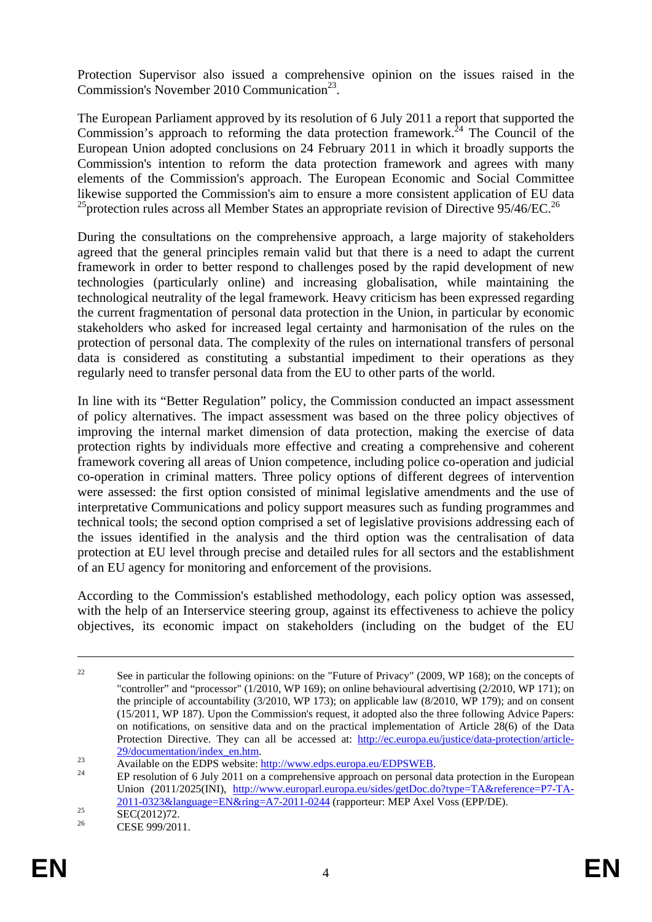Protection Supervisor also issued a comprehensive opinion on the issues raised in the Commission's November 2010 Communication<sup>23</sup>.

The European Parliament approved by its resolution of 6 July 2011 a report that supported the Commission's approach to reforming the data protection framework.<sup>24</sup> The Council of the European Union adopted conclusions on 24 February 2011 in which it broadly supports the Commission's intention to reform the data protection framework and agrees with many elements of the Commission's approach. The European Economic and Social Committee likewise supported the Commission's aim to ensure a more consistent application of EU data  $^{25}$ protection rules across all Member States an appropriate revision of Directive 95/46/EC.<sup>26</sup>

During the consultations on the comprehensive approach, a large majority of stakeholders agreed that the general principles remain valid but that there is a need to adapt the current framework in order to better respond to challenges posed by the rapid development of new technologies (particularly online) and increasing globalisation, while maintaining the technological neutrality of the legal framework. Heavy criticism has been expressed regarding the current fragmentation of personal data protection in the Union, in particular by economic stakeholders who asked for increased legal certainty and harmonisation of the rules on the protection of personal data. The complexity of the rules on international transfers of personal data is considered as constituting a substantial impediment to their operations as they regularly need to transfer personal data from the EU to other parts of the world.

In line with its "Better Regulation" policy, the Commission conducted an impact assessment of policy alternatives. The impact assessment was based on the three policy objectives of improving the internal market dimension of data protection, making the exercise of data protection rights by individuals more effective and creating a comprehensive and coherent framework covering all areas of Union competence, including police co-operation and judicial co-operation in criminal matters. Three policy options of different degrees of intervention were assessed: the first option consisted of minimal legislative amendments and the use of interpretative Communications and policy support measures such as funding programmes and technical tools; the second option comprised a set of legislative provisions addressing each of the issues identified in the analysis and the third option was the centralisation of data protection at EU level through precise and detailed rules for all sectors and the establishment of an EU agency for monitoring and enforcement of the provisions.

According to the Commission's established methodology, each policy option was assessed, with the help of an Interservice steering group, against its effectiveness to achieve the policy objectives, its economic impact on stakeholders (including on the budget of the EU

<sup>&</sup>lt;sup>22</sup> See in particular the following opinions: on the "Future of Privacy" (2009, WP 168); on the concepts of "controller" and "processor" (1/2010, WP 169); on online behavioural advertising (2/2010, WP 171); on the principle of accountability (3/2010, WP 173); on applicable law (8/2010, WP 179); and on consent (15/2011, WP 187). Upon the Commission's request, it adopted also the three following Advice Papers: on notifications, on sensitive data and on the practical implementation of Article 28(6) of the Data Protection Directive. They can all be accessed at: http://ec.europa.eu/justice/data-protection/article-

<sup>29/</sup>documentation/index\_en.htm.<br>
23 Available on the EDPS website[: http://www.edps](http://www.edps.europa.eu/EDPSWEB/).europa.eu/EDPSWEB.<br>
24 EP resolution of 6 July 2011 o[n a comprehensive](http://www.edps.europa.eu/EDPSWEB/) approach on personal data protection in the European Union (2011/2025(INI), [http://www.europarl.europa.eu/sides/getDoc.do?type=TA&reference=P7-TA-](http://www.europarl.europa.eu/sides/getDoc.do?type=TA&reference=P7-TA-2011-0323&language=EN&ring=A7-2011-0244)[2011-0323&language=EN&ring=A7-2011-0244 \(](http://www.europarl.europa.eu/sides/getDoc.do?type=TA&reference=P7-TA-2011-0323&language=EN&ring=A7-2011-0244)rapporteur: MEP Axel Voss (EPP/DE).<br>SEC(2012)72.<br>26 SEC(2012)11-0244 (rapporteur: MEP Axel Voss (EPP/DE).

CESE 999/2011.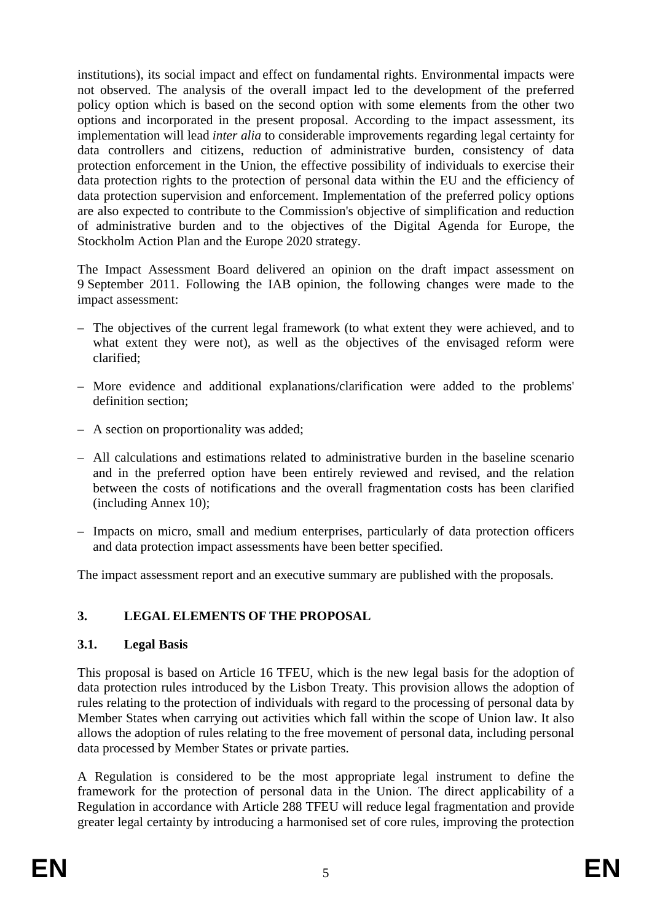institutions), its social impact and effect on fundamental rights. Environmental impacts were not observed. The analysis of the overall impact led to the development of the preferred policy option which is based on the second option with some elements from the other two options and incorporated in the present proposal. According to the impact assessment, its implementation will lead *inter alia* to considerable improvements regarding legal certainty for data controllers and citizens, reduction of administrative burden, consistency of data protection enforcement in the Union, the effective possibility of individuals to exercise their data protection rights to the protection of personal data within the EU and the efficiency of data protection supervision and enforcement. Implementation of the preferred policy options are also expected to contribute to the Commission's objective of simplification and reduction of administrative burden and to the objectives of the Digital Agenda for Europe, the Stockholm Action Plan and the Europe 2020 strategy.

The Impact Assessment Board delivered an opinion on the draft impact assessment on 9 September 2011. Following the IAB opinion, the following changes were made to the impact assessment:

- The objectives of the current legal framework (to what extent they were achieved, and to what extent they were not), as well as the objectives of the envisaged reform were clarified;
- More evidence and additional explanations/clarification were added to the problems' definition section;
- A section on proportionality was added;
- All calculations and estimations related to administrative burden in the baseline scenario and in the preferred option have been entirely reviewed and revised, and the relation between the costs of notifications and the overall fragmentation costs has been clarified (including Annex 10);
- Impacts on micro, small and medium enterprises, particularly of data protection officers and data protection impact assessments have been better specified.

The impact assessment report and an executive summary are published with the proposals.

## **3. LEGAL ELEMENTS OF THE PROPOSAL**

### **3.1. Legal Basis**

This proposal is based on Article 16 TFEU, which is the new legal basis for the adoption of data protection rules introduced by the Lisbon Treaty. This provision allows the adoption of rules relating to the protection of individuals with regard to the processing of personal data by Member States when carrying out activities which fall within the scope of Union law. It also allows the adoption of rules relating to the free movement of personal data, including personal data processed by Member States or private parties.

A Regulation is considered to be the most appropriate legal instrument to define the framework for the protection of personal data in the Union. The direct applicability of a Regulation in accordance with Article 288 TFEU will reduce legal fragmentation and provide greater legal certainty by introducing a harmonised set of core rules, improving the protection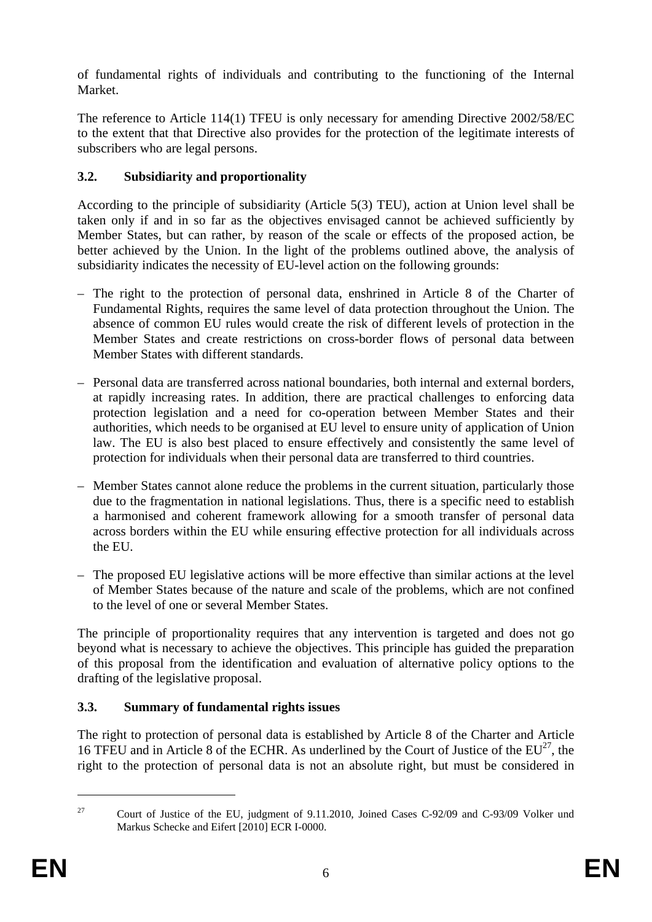of fundamental rights of individuals and contributing to the functioning of the Internal Market.

The reference to Article 114(1) TFEU is only necessary for amending Directive 2002/58/EC to the extent that that Directive also provides for the protection of the legitimate interests of subscribers who are legal persons.

## **3.2. Subsidiarity and proportionality**

According to the principle of subsidiarity (Article 5(3) TEU), action at Union level shall be taken only if and in so far as the objectives envisaged cannot be achieved sufficiently by Member States, but can rather, by reason of the scale or effects of the proposed action, be better achieved by the Union. In the light of the problems outlined above, the analysis of subsidiarity indicates the necessity of EU-level action on the following grounds:

- The right to the protection of personal data, enshrined in Article 8 of the Charter of Fundamental Rights, requires the same level of data protection throughout the Union. The absence of common EU rules would create the risk of different levels of protection in the Member States and create restrictions on cross-border flows of personal data between Member States with different standards.
- Personal data are transferred across national boundaries, both internal and external borders, at rapidly increasing rates. In addition, there are practical challenges to enforcing data protection legislation and a need for co-operation between Member States and their authorities, which needs to be organised at EU level to ensure unity of application of Union law. The EU is also best placed to ensure effectively and consistently the same level of protection for individuals when their personal data are transferred to third countries.
- Member States cannot alone reduce the problems in the current situation, particularly those due to the fragmentation in national legislations. Thus, there is a specific need to establish a harmonised and coherent framework allowing for a smooth transfer of personal data across borders within the EU while ensuring effective protection for all individuals across the EU.
- The proposed EU legislative actions will be more effective than similar actions at the level of Member States because of the nature and scale of the problems, which are not confined to the level of one or several Member States.

The principle of proportionality requires that any intervention is targeted and does not go beyond what is necessary to achieve the objectives. This principle has guided the preparation of this proposal from the identification and evaluation of alternative policy options to the drafting of the legislative proposal.

# **3.3. Summary of fundamental rights issues**

The right to protection of personal data is established by Article 8 of the Charter and Article 16 TFEU and in Article 8 of the ECHR. As underlined by the Court of Justice of the  $EU^{27}$ , the right to the protection of personal data is not an absolute right, but must be considered in

<u>.</u>

<sup>&</sup>lt;sup>27</sup> Court of Justice of the EU, judgment of 9.11.2010, Joined Cases C-92/09 and C-93/09 Volker und Markus Schecke and Eifert [2010] ECR I-0000.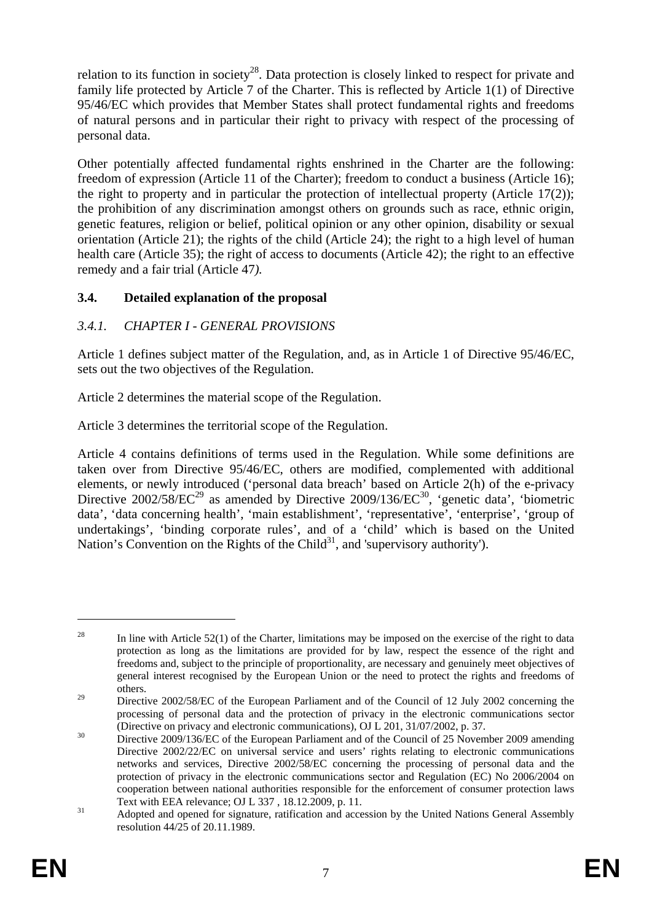relation to its function in society<sup>28</sup>. Data protection is closely linked to respect for private and family life protected by Article 7 of the Charter. This is reflected by Article 1(1) of Directive 95/46/EC which provides that Member States shall protect fundamental rights and freedoms of natural persons and in particular their right to privacy with respect of the processing of personal data.

Other potentially affected fundamental rights enshrined in the Charter are the following: freedom of expression (Article 11 of the Charter); freedom to conduct a business (Article 16); the right to property and in particular the protection of intellectual property (Article 17(2)); the prohibition of any discrimination amongst others on grounds such as race, ethnic origin, genetic features, religion or belief, political opinion or any other opinion, disability or sexual orientation (Article 21); the rights of the child (Article 24); the right to a high level of human health care (Article 35); the right of access to documents (Article 42); the right to an effective remedy and a fair trial (Article 47*).* 

### **3.4. Detailed explanation of the proposal**

### *3.4.1. CHAPTER I - GENERAL PROVISIONS*

Article 1 defines subject matter of the Regulation, and, as in Article 1 of Directive 95/46/EC, sets out the two objectives of the Regulation.

Article 2 determines the material scope of the Regulation.

Article 3 determines the territorial scope of the Regulation.

Article 4 contains definitions of terms used in the Regulation. While some definitions are taken over from Directive 95/46/EC, others are modified, complemented with additional elements, or newly introduced ('personal data breach' based on Article 2(h) of the e-privacy Directive 2002/58/EC<sup>29</sup> as amended by Directive 2009/136/EC<sup>30</sup>, 'genetic data', 'biometric data', 'data concerning health', 'main establishment', 'representative', 'enterprise', 'group of undertakings', 'binding corporate rules', and of a 'child' which is based on the United Nation's Convention on the Rights of the Child<sup>31</sup>, and 'supervisory authority').

<sup>&</sup>lt;sup>28</sup> In line with Article 52(1) of the Charter, limitations may be imposed on the exercise of the right to data protection as long as the limitations are provided for by law, respect the essence of the right and freedoms and, subject to the principle of proportionality, are necessary and genuinely meet objectives of general interest recognised by the European Union or the need to protect the rights and freedoms of others.

<sup>&</sup>lt;sup>29</sup> Directive 2002/58/EC of the European Parliament and of the Council of 12 July 2002 concerning the processing of personal data and the protection of privacy in the electronic communications sector

<sup>(</sup>Directive on privacy and electronic communications), OJ L 201, 31/07/2002, p. 37.<br>30 Directive 2009/136/EC of the European Parliament and of the Council of 25 November 2009 amending Directive 2002/22/EC on universal service and users' rights relating to electronic communications networks and services, Directive 2002/58/EC concerning the processing of personal data and the protection of privacy in the electronic communications sector and Regulation (EC) No 2006/2004 on cooperation between national authorities responsible for the enforcement of consumer protection laws Text with EEA relevance; OJ L 337, 18.12.2009, p. 11.<br>
Adopted and opened for signature, ratification and accession by the United Nations General Assembly

resolution 44/25 of 20.11.1989.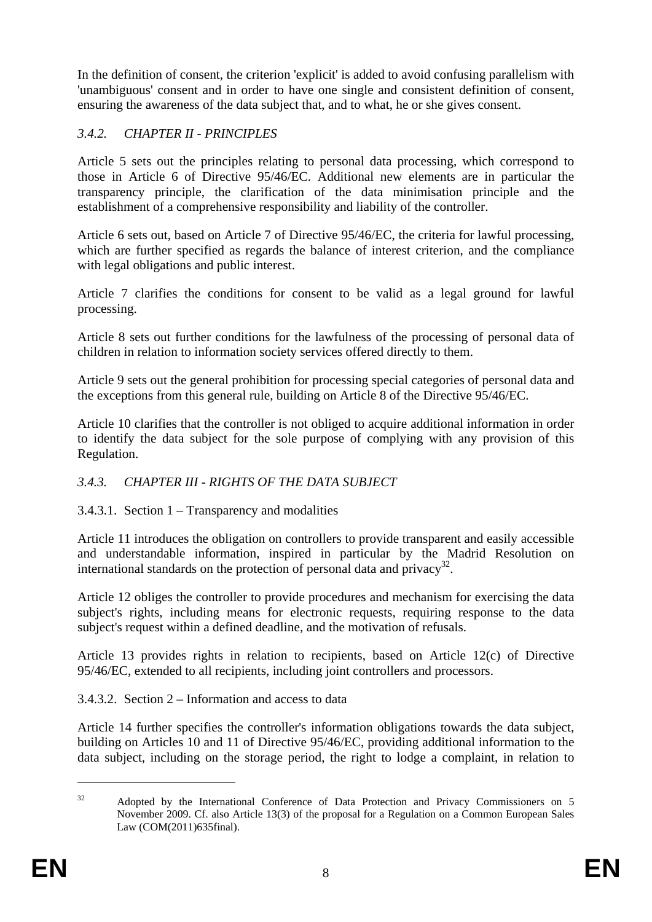In the definition of consent, the criterion 'explicit' is added to avoid confusing parallelism with 'unambiguous' consent and in order to have one single and consistent definition of consent, ensuring the awareness of the data subject that, and to what, he or she gives consent.

## *3.4.2. CHAPTER II - PRINCIPLES*

Article 5 sets out the principles relating to personal data processing, which correspond to those in Article 6 of Directive 95/46/EC. Additional new elements are in particular the transparency principle, the clarification of the data minimisation principle and the establishment of a comprehensive responsibility and liability of the controller.

Article 6 sets out, based on Article 7 of Directive 95/46/EC, the criteria for lawful processing, which are further specified as regards the balance of interest criterion, and the compliance with legal obligations and public interest.

Article 7 clarifies the conditions for consent to be valid as a legal ground for lawful processing.

Article 8 sets out further conditions for the lawfulness of the processing of personal data of children in relation to information society services offered directly to them.

Article 9 sets out the general prohibition for processing special categories of personal data and the exceptions from this general rule, building on Article 8 of the Directive 95/46/EC.

Article 10 clarifies that the controller is not obliged to acquire additional information in order to identify the data subject for the sole purpose of complying with any provision of this Regulation.

### *3.4.3. CHAPTER III - RIGHTS OF THE DATA SUBJECT*

#### 3.4.3.1. Section 1 – Transparency and modalities

Article 11 introduces the obligation on controllers to provide transparent and easily accessible and understandable information, inspired in particular by the Madrid Resolution on international standards on the protection of personal data and privacy<sup>32</sup>.

Article 12 obliges the controller to provide procedures and mechanism for exercising the data subject's rights, including means for electronic requests, requiring response to the data subject's request within a defined deadline, and the motivation of refusals.

Article 13 provides rights in relation to recipients, based on Article 12(c) of Directive 95/46/EC, extended to all recipients, including joint controllers and processors.

3.4.3.2. Section 2 – Information and access to data

Article 14 further specifies the controller's information obligations towards the data subject, building on Articles 10 and 11 of Directive 95/46/EC, providing additional information to the data subject, including on the storage period, the right to lodge a complaint, in relation to

<sup>&</sup>lt;sup>32</sup> Adopted by the International Conference of Data Protection and Privacy Commissioners on 5 November 2009. Cf. also Article 13(3) of the proposal for a Regulation on a Common European Sales Law (COM(2011)635final).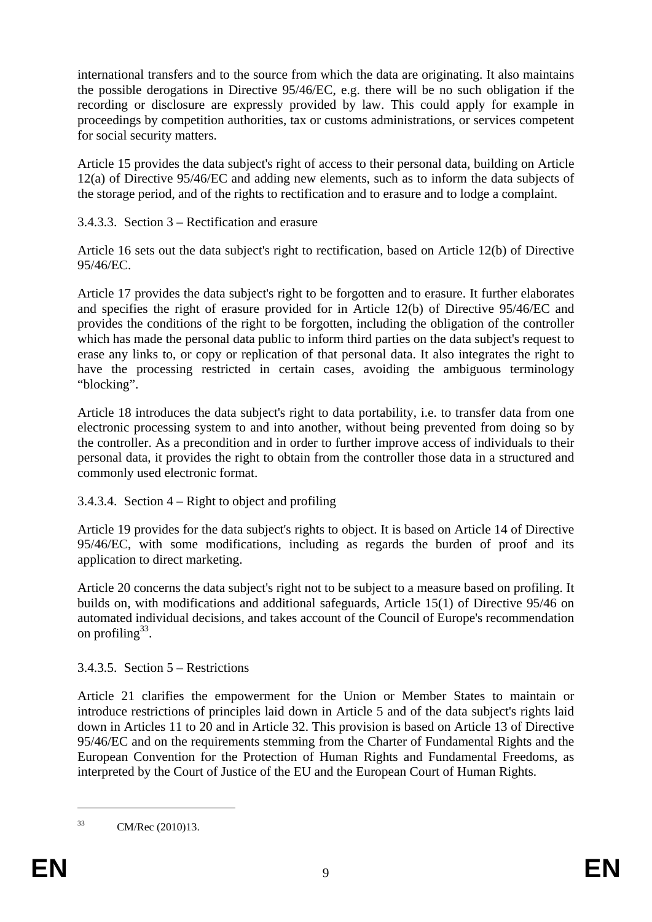international transfers and to the source from which the data are originating. It also maintains the possible derogations in Directive 95/46/EC, e.g. there will be no such obligation if the recording or disclosure are expressly provided by law. This could apply for example in proceedings by competition authorities, tax or customs administrations, or services competent for social security matters.

Article 15 provides the data subject's right of access to their personal data, building on Article 12(a) of Directive 95/46/EC and adding new elements, such as to inform the data subjects of the storage period, and of the rights to rectification and to erasure and to lodge a complaint.

3.4.3.3. Section 3 – Rectification and erasure

Article 16 sets out the data subject's right to rectification, based on Article 12(b) of Directive 95/46/EC.

Article 17 provides the data subject's right to be forgotten and to erasure. It further elaborates and specifies the right of erasure provided for in Article 12(b) of Directive 95/46/EC and provides the conditions of the right to be forgotten, including the obligation of the controller which has made the personal data public to inform third parties on the data subject's request to erase any links to, or copy or replication of that personal data. It also integrates the right to have the processing restricted in certain cases, avoiding the ambiguous terminology "blocking".

Article 18 introduces the data subject's right to data portability, i.e. to transfer data from one electronic processing system to and into another, without being prevented from doing so by the controller. As a precondition and in order to further improve access of individuals to their personal data, it provides the right to obtain from the controller those data in a structured and commonly used electronic format.

3.4.3.4. Section 4 – Right to object and profiling

Article 19 provides for the data subject's rights to object. It is based on Article 14 of Directive 95/46/EC, with some modifications, including as regards the burden of proof and its application to direct marketing.

Article 20 concerns the data subject's right not to be subject to a measure based on profiling. It builds on, with modifications and additional safeguards, Article 15(1) of Directive 95/46 on automated individual decisions, and takes account of the Council of Europe's recommendation on profiling  $33$ .

## 3.4.3.5. Section 5 – Restrictions

Article 21 clarifies the empowerment for the Union or Member States to maintain or introduce restrictions of principles laid down in Article 5 and of the data subject's rights laid down in Articles 11 to 20 and in Article 32. This provision is based on Article 13 of Directive 95/46/EC and on the requirements stemming from the Charter of Fundamental Rights and the European Convention for the Protection of Human Rights and Fundamental Freedoms, as interpreted by the Court of Justice of the EU and the European Court of Human Rights.

<sup>33</sup> CM/Rec (2010)13.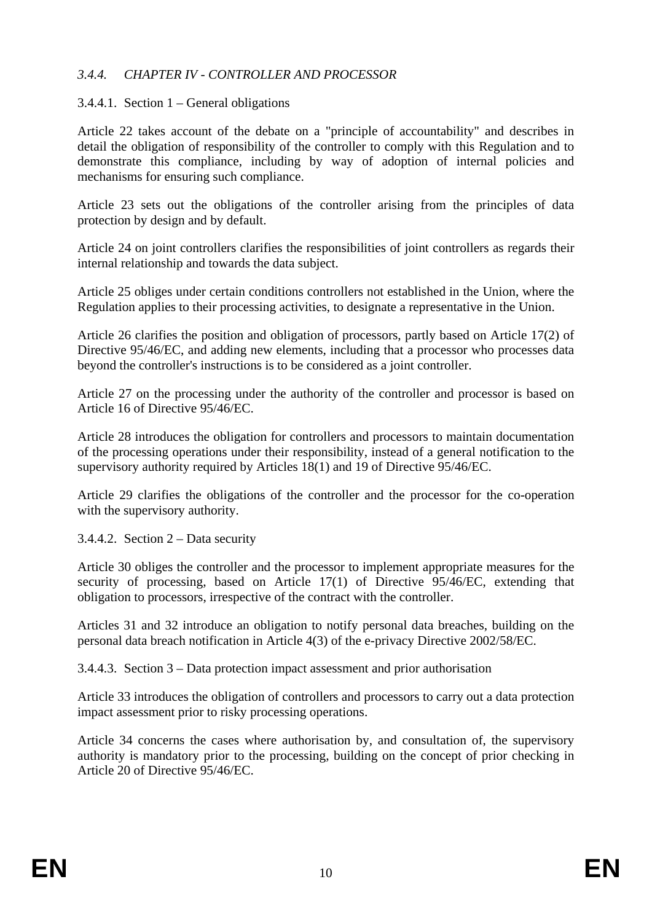### *3.4.4. CHAPTER IV - CONTROLLER AND PROCESSOR*

### 3.4.4.1. Section 1 – General obligations

Article 22 takes account of the debate on a "principle of accountability" and describes in detail the obligation of responsibility of the controller to comply with this Regulation and to demonstrate this compliance, including by way of adoption of internal policies and mechanisms for ensuring such compliance.

Article 23 sets out the obligations of the controller arising from the principles of data protection by design and by default.

Article 24 on joint controllers clarifies the responsibilities of joint controllers as regards their internal relationship and towards the data subject.

Article 25 obliges under certain conditions controllers not established in the Union, where the Regulation applies to their processing activities, to designate a representative in the Union.

Article 26 clarifies the position and obligation of processors, partly based on Article 17(2) of Directive 95/46/EC, and adding new elements, including that a processor who processes data beyond the controller's instructions is to be considered as a joint controller.

Article 27 on the processing under the authority of the controller and processor is based on Article 16 of Directive 95/46/EC.

Article 28 introduces the obligation for controllers and processors to maintain documentation of the processing operations under their responsibility, instead of a general notification to the supervisory authority required by Articles 18(1) and 19 of Directive 95/46/EC.

Article 29 clarifies the obligations of the controller and the processor for the co-operation with the supervisory authority.

3.4.4.2. Section  $2 - Data$  security

Article 30 obliges the controller and the processor to implement appropriate measures for the security of processing, based on Article 17(1) of Directive 95/46/EC, extending that obligation to processors, irrespective of the contract with the controller.

Articles 31 and 32 introduce an obligation to notify personal data breaches, building on the personal data breach notification in Article 4(3) of the e-privacy Directive 2002/58/EC.

3.4.4.3. Section 3 – Data protection impact assessment and prior authorisation

Article 33 introduces the obligation of controllers and processors to carry out a data protection impact assessment prior to risky processing operations.

Article 34 concerns the cases where authorisation by, and consultation of, the supervisory authority is mandatory prior to the processing, building on the concept of prior checking in Article 20 of Directive 95/46/EC.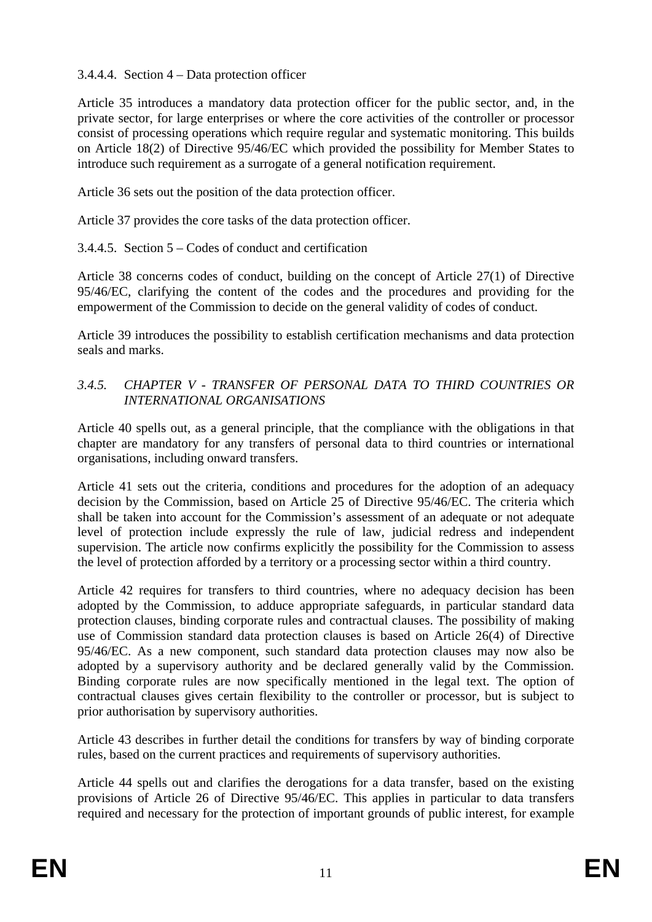3.4.4.4. Section 4 – Data protection officer

Article 35 introduces a mandatory data protection officer for the public sector, and, in the private sector, for large enterprises or where the core activities of the controller or processor consist of processing operations which require regular and systematic monitoring. This builds on Article 18(2) of Directive 95/46/EC which provided the possibility for Member States to introduce such requirement as a surrogate of a general notification requirement.

Article 36 sets out the position of the data protection officer.

Article 37 provides the core tasks of the data protection officer.

3.4.4.5. Section 5 – Codes of conduct and certification

Article 38 concerns codes of conduct, building on the concept of Article 27(1) of Directive 95/46/EC, clarifying the content of the codes and the procedures and providing for the empowerment of the Commission to decide on the general validity of codes of conduct.

Article 39 introduces the possibility to establish certification mechanisms and data protection seals and marks.

#### *3.4.5. CHAPTER V - TRANSFER OF PERSONAL DATA TO THIRD COUNTRIES OR INTERNATIONAL ORGANISATIONS*

Article 40 spells out, as a general principle, that the compliance with the obligations in that chapter are mandatory for any transfers of personal data to third countries or international organisations, including onward transfers.

Article 41 sets out the criteria, conditions and procedures for the adoption of an adequacy decision by the Commission, based on Article 25 of Directive 95/46/EC. The criteria which shall be taken into account for the Commission's assessment of an adequate or not adequate level of protection include expressly the rule of law, judicial redress and independent supervision. The article now confirms explicitly the possibility for the Commission to assess the level of protection afforded by a territory or a processing sector within a third country.

Article 42 requires for transfers to third countries, where no adequacy decision has been adopted by the Commission, to adduce appropriate safeguards, in particular standard data protection clauses, binding corporate rules and contractual clauses. The possibility of making use of Commission standard data protection clauses is based on Article 26(4) of Directive 95/46/EC. As a new component, such standard data protection clauses may now also be adopted by a supervisory authority and be declared generally valid by the Commission. Binding corporate rules are now specifically mentioned in the legal text. The option of contractual clauses gives certain flexibility to the controller or processor, but is subject to prior authorisation by supervisory authorities.

Article 43 describes in further detail the conditions for transfers by way of binding corporate rules, based on the current practices and requirements of supervisory authorities.

Article 44 spells out and clarifies the derogations for a data transfer, based on the existing provisions of Article 26 of Directive 95/46/EC. This applies in particular to data transfers required and necessary for the protection of important grounds of public interest, for example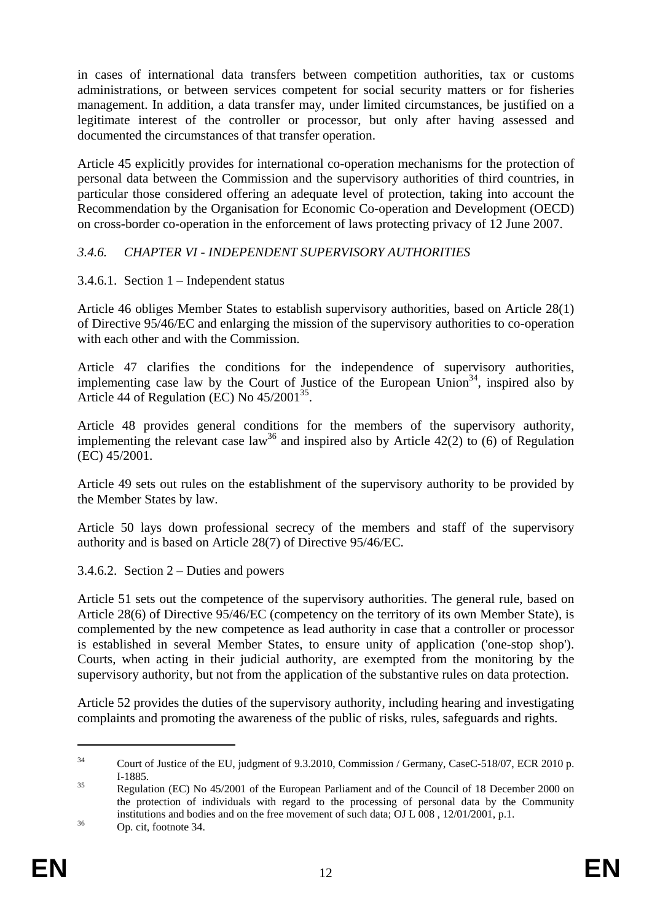in cases of international data transfers between competition authorities, tax or customs administrations, or between services competent for social security matters or for fisheries management. In addition, a data transfer may, under limited circumstances, be justified on a legitimate interest of the controller or processor, but only after having assessed and documented the circumstances of that transfer operation.

Article 45 explicitly provides for international co-operation mechanisms for the protection of personal data between the Commission and the supervisory authorities of third countries, in particular those considered offering an adequate level of protection, taking into account the Recommendation by the Organisation for Economic Co-operation and Development (OECD) on cross-border co-operation in the enforcement of laws protecting privacy of 12 June 2007.

### *3.4.6. CHAPTER VI - INDEPENDENT SUPERVISORY AUTHORITIES*

### 3.4.6.1. Section 1 – Independent status

Article 46 obliges Member States to establish supervisory authorities, based on Article 28(1) of Directive 95/46/EC and enlarging the mission of the supervisory authorities to co-operation with each other and with the Commission.

Article 47 clarifies the conditions for the independence of supervisory authorities, implementing case law by the Court of Justice of the European Union<sup>34</sup>, inspired also by Article 44 of Regulation (EC) No  $45/2001^{35}$ .

Article 48 provides general conditions for the members of the supervisory authority, implementing the relevant case law<sup>36</sup> and inspired also by Article 42(2) to (6) of Regulation (EC) 45/2001.

Article 49 sets out rules on the establishment of the supervisory authority to be provided by the Member States by law.

Article 50 lays down professional secrecy of the members and staff of the supervisory authority and is based on Article 28(7) of Directive 95/46/EC.

3.4.6.2. Section 2 – Duties and powers

Article 51 sets out the competence of the supervisory authorities. The general rule, based on Article 28(6) of Directive 95/46/EC (competency on the territory of its own Member State), is complemented by the new competence as lead authority in case that a controller or processor is established in several Member States, to ensure unity of application ('one-stop shop'). Courts, when acting in their judicial authority, are exempted from the monitoring by the supervisory authority, but not from the application of the substantive rules on data protection.

Article 52 provides the duties of the supervisory authority, including hearing and investigating complaints and promoting the awareness of the public of risks, rules, safeguards and rights.

<sup>&</sup>lt;sup>34</sup> Court of Justice of the EU, judgment of 9.3.2010, Commission / Germany, CaseC-518/07, ECR 2010 p. I-1885. 35 Regulation (EC) No 45/2001 of the European Parliament and of the Council of 18 December 2000 on

the protection of individuals with regard to the processing of personal data by the Community institutions and bodies and on the free movement of such data; OJ L 008 , 12/01/2001, p.1. 36 Op. cit, footnote 34.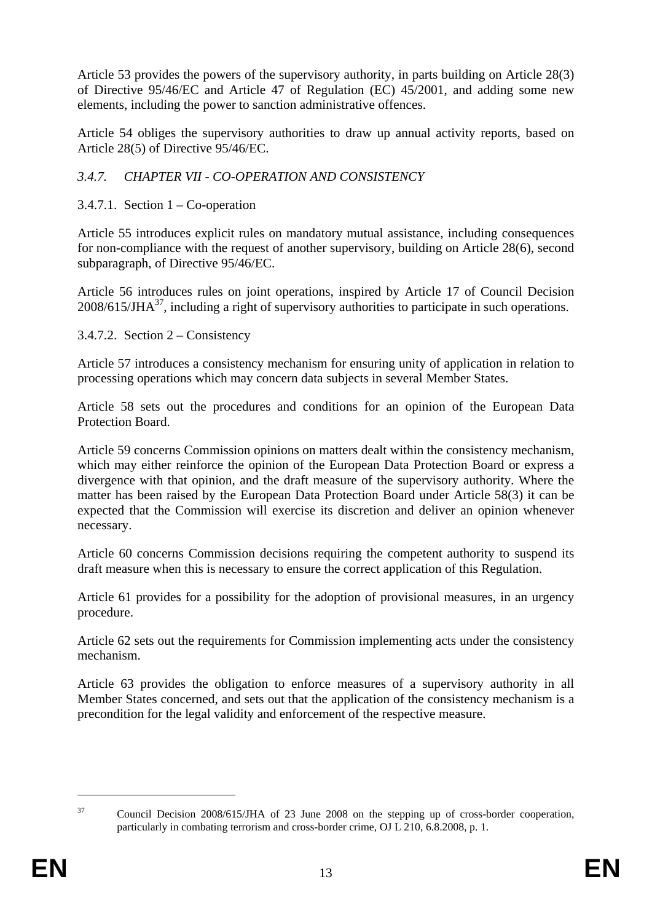Article 53 provides the powers of the supervisory authority, in parts building on Article 28(3) of Directive 95/46/EC and Article 47 of Regulation (EC) 45/2001, and adding some new elements, including the power to sanction administrative offences.

Article 54 obliges the supervisory authorities to draw up annual activity reports, based on Article 28(5) of Directive 95/46/EC.

### *3.4.7. CHAPTER VII - CO-OPERATION AND CONSISTENCY*

3.4.7.1. Section  $1 - Co-operation$ 

Article 55 introduces explicit rules on mandatory mutual assistance, including consequences for non-compliance with the request of another supervisory, building on Article 28(6), second subparagraph, of Directive 95/46/EC.

Article 56 introduces rules on joint operations, inspired by Article 17 of Council Decision  $2008/615/JHA^{37}$ , including a right of supervisory authorities to participate in such operations.

3.4.7.2. Section 2 – Consistency

Article 57 introduces a consistency mechanism for ensuring unity of application in relation to processing operations which may concern data subjects in several Member States.

Article 58 sets out the procedures and conditions for an opinion of the European Data Protection Board.

Article 59 concerns Commission opinions on matters dealt within the consistency mechanism, which may either reinforce the opinion of the European Data Protection Board or express a divergence with that opinion, and the draft measure of the supervisory authority. Where the matter has been raised by the European Data Protection Board under Article 58(3) it can be expected that the Commission will exercise its discretion and deliver an opinion whenever necessary.

Article 60 concerns Commission decisions requiring the competent authority to suspend its draft measure when this is necessary to ensure the correct application of this Regulation.

Article 61 provides for a possibility for the adoption of provisional measures, in an urgency procedure.

Article 62 sets out the requirements for Commission implementing acts under the consistency mechanism.

Article 63 provides the obligation to enforce measures of a supervisory authority in all Member States concerned, and sets out that the application of the consistency mechanism is a precondition for the legal validity and enforcement of the respective measure.

<u>.</u>

<sup>&</sup>lt;sup>37</sup> Council Decision 2008/615/JHA of 23 June 2008 on the stepping up of cross-border cooperation, particularly in combating terrorism and cross-border crime, OJ L 210, 6.8.2008, p. 1.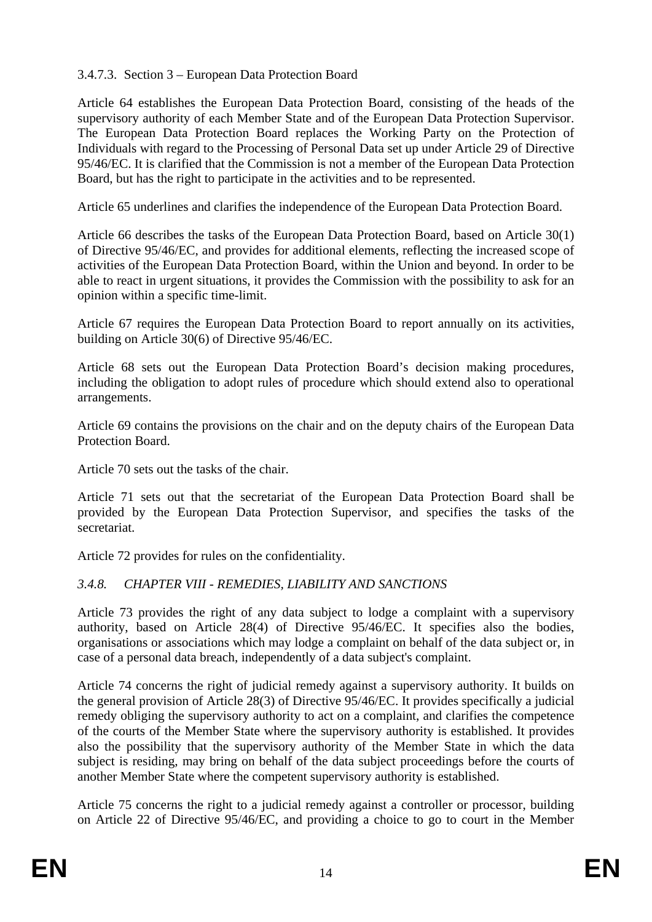3.4.7.3. Section 3 – European Data Protection Board

Article 64 establishes the European Data Protection Board, consisting of the heads of the supervisory authority of each Member State and of the European Data Protection Supervisor. The European Data Protection Board replaces the Working Party on the Protection of Individuals with regard to the Processing of Personal Data set up under Article 29 of Directive 95/46/EC. It is clarified that the Commission is not a member of the European Data Protection Board, but has the right to participate in the activities and to be represented.

Article 65 underlines and clarifies the independence of the European Data Protection Board.

Article 66 describes the tasks of the European Data Protection Board, based on Article 30(1) of Directive 95/46/EC, and provides for additional elements, reflecting the increased scope of activities of the European Data Protection Board, within the Union and beyond. In order to be able to react in urgent situations, it provides the Commission with the possibility to ask for an opinion within a specific time-limit.

Article 67 requires the European Data Protection Board to report annually on its activities, building on Article 30(6) of Directive 95/46/EC.

Article 68 sets out the European Data Protection Board's decision making procedures, including the obligation to adopt rules of procedure which should extend also to operational arrangements.

Article 69 contains the provisions on the chair and on the deputy chairs of the European Data Protection Board.

Article 70 sets out the tasks of the chair.

Article 71 sets out that the secretariat of the European Data Protection Board shall be provided by the European Data Protection Supervisor, and specifies the tasks of the secretariat.

Article 72 provides for rules on the confidentiality.

### *3.4.8. CHAPTER VIII - REMEDIES, LIABILITY AND SANCTIONS*

Article 73 provides the right of any data subject to lodge a complaint with a supervisory authority, based on Article 28(4) of Directive 95/46/EC. It specifies also the bodies, organisations or associations which may lodge a complaint on behalf of the data subject or, in case of a personal data breach, independently of a data subject's complaint.

Article 74 concerns the right of judicial remedy against a supervisory authority. It builds on the general provision of Article 28(3) of Directive 95/46/EC. It provides specifically a judicial remedy obliging the supervisory authority to act on a complaint, and clarifies the competence of the courts of the Member State where the supervisory authority is established. It provides also the possibility that the supervisory authority of the Member State in which the data subject is residing, may bring on behalf of the data subject proceedings before the courts of another Member State where the competent supervisory authority is established.

Article 75 concerns the right to a judicial remedy against a controller or processor, building on Article 22 of Directive 95/46/EC, and providing a choice to go to court in the Member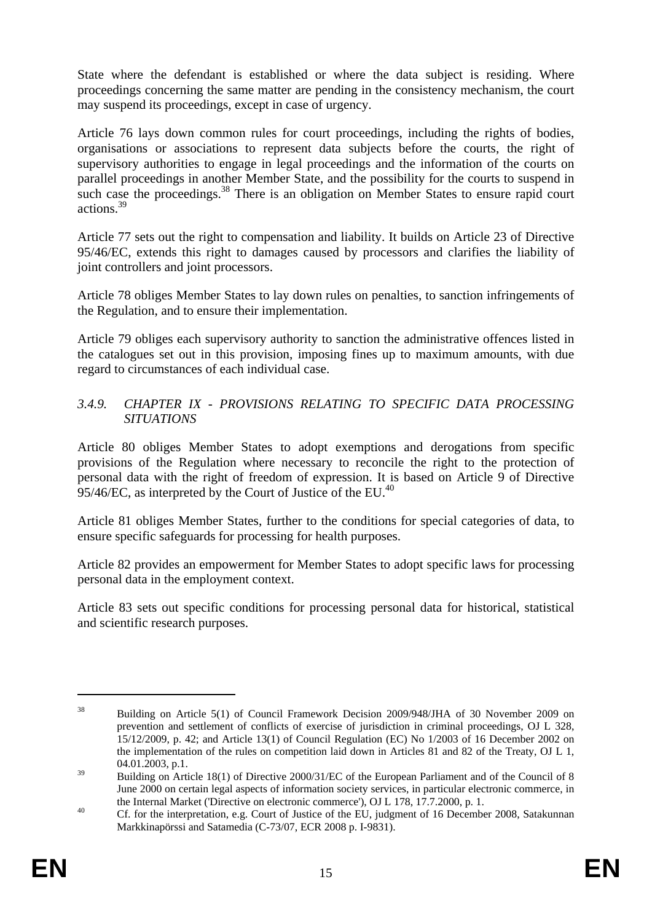State where the defendant is established or where the data subject is residing. Where proceedings concerning the same matter are pending in the consistency mechanism, the court may suspend its proceedings, except in case of urgency.

Article 76 lays down common rules for court proceedings, including the rights of bodies, organisations or associations to represent data subjects before the courts, the right of supervisory authorities to engage in legal proceedings and the information of the courts on parallel proceedings in another Member State, and the possibility for the courts to suspend in such case the proceedings.<sup>38</sup> There is an obligation on Member States to ensure rapid court actions.39

Article 77 sets out the right to compensation and liability. It builds on Article 23 of Directive 95/46/EC, extends this right to damages caused by processors and clarifies the liability of joint controllers and joint processors.

Article 78 obliges Member States to lay down rules on penalties, to sanction infringements of the Regulation, and to ensure their implementation.

Article 79 obliges each supervisory authority to sanction the administrative offences listed in the catalogues set out in this provision, imposing fines up to maximum amounts, with due regard to circumstances of each individual case.

#### *3.4.9. CHAPTER IX - PROVISIONS RELATING TO SPECIFIC DATA PROCESSING SITUATIONS*

Article 80 obliges Member States to adopt exemptions and derogations from specific provisions of the Regulation where necessary to reconcile the right to the protection of personal data with the right of freedom of expression. It is based on Article 9 of Directive 95/46/EC, as interpreted by the Court of Justice of the EU.<sup>40</sup>

Article 81 obliges Member States, further to the conditions for special categories of data, to ensure specific safeguards for processing for health purposes.

Article 82 provides an empowerment for Member States to adopt specific laws for processing personal data in the employment context.

Article 83 sets out specific conditions for processing personal data for historical, statistical and scientific research purposes.

<sup>&</sup>lt;sup>38</sup> Building on Article 5(1) of Council Framework Decision 2009/948/JHA of 30 November 2009 on prevention and settlement of conflicts of exercise of jurisdiction in criminal proceedings, OJ L 328, 15/12/2009, p. 42; and Article 13(1) of Council Regulation (EC) No 1/2003 of 16 December 2002 on the implementation of the rules on competition laid down in Articles 81 and 82 of the Treaty, OJ L 1, 04.01.2003, p.1.

<sup>&</sup>lt;sup>39</sup> Building on Article 18(1) of Directive 2000/31/EC of the European Parliament and of the Council of 8 June 2000 on certain legal aspects of information society services, in particular electronic commerce, in

the Internal Market ('Directive on electronic commerce'), OJ L 178, 17.7.2000, p. 1.<br><sup>40</sup> Cf. for the interpretation, e.g. Court of Justice of the EU, judgment of 16 December 2008, Satakunnan Markkinapörssi and Satamedia (C-73/07, ECR 2008 p. I-9831).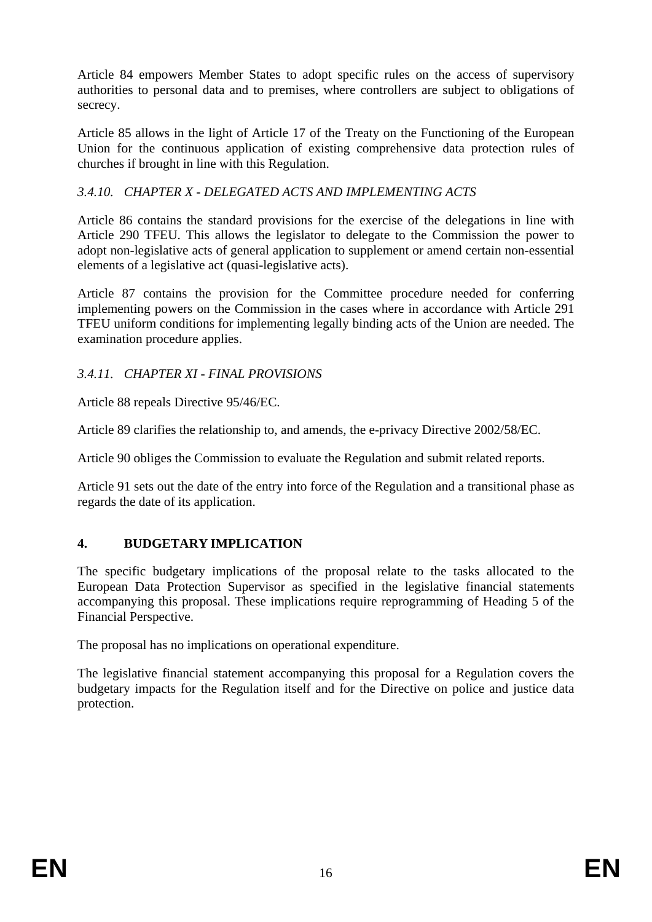Article 84 empowers Member States to adopt specific rules on the access of supervisory authorities to personal data and to premises, where controllers are subject to obligations of secrecy.

Article 85 allows in the light of Article 17 of the Treaty on the Functioning of the European Union for the continuous application of existing comprehensive data protection rules of churches if brought in line with this Regulation.

### *3.4.10. CHAPTER X - DELEGATED ACTS AND IMPLEMENTING ACTS*

Article 86 contains the standard provisions for the exercise of the delegations in line with Article 290 TFEU. This allows the legislator to delegate to the Commission the power to adopt non-legislative acts of general application to supplement or amend certain non-essential elements of a legislative act (quasi-legislative acts).

Article 87 contains the provision for the Committee procedure needed for conferring implementing powers on the Commission in the cases where in accordance with Article 291 TFEU uniform conditions for implementing legally binding acts of the Union are needed. The examination procedure applies.

### *3.4.11. CHAPTER XI - FINAL PROVISIONS*

Article 88 repeals Directive 95/46/EC.

Article 89 clarifies the relationship to, and amends, the e-privacy Directive 2002/58/EC.

Article 90 obliges the Commission to evaluate the Regulation and submit related reports.

Article 91 sets out the date of the entry into force of the Regulation and a transitional phase as regards the date of its application.

### **4. BUDGETARY IMPLICATION**

The specific budgetary implications of the proposal relate to the tasks allocated to the European Data Protection Supervisor as specified in the legislative financial statements accompanying this proposal. These implications require reprogramming of Heading 5 of the Financial Perspective.

The proposal has no implications on operational expenditure.

The legislative financial statement accompanying this proposal for a Regulation covers the budgetary impacts for the Regulation itself and for the Directive on police and justice data protection.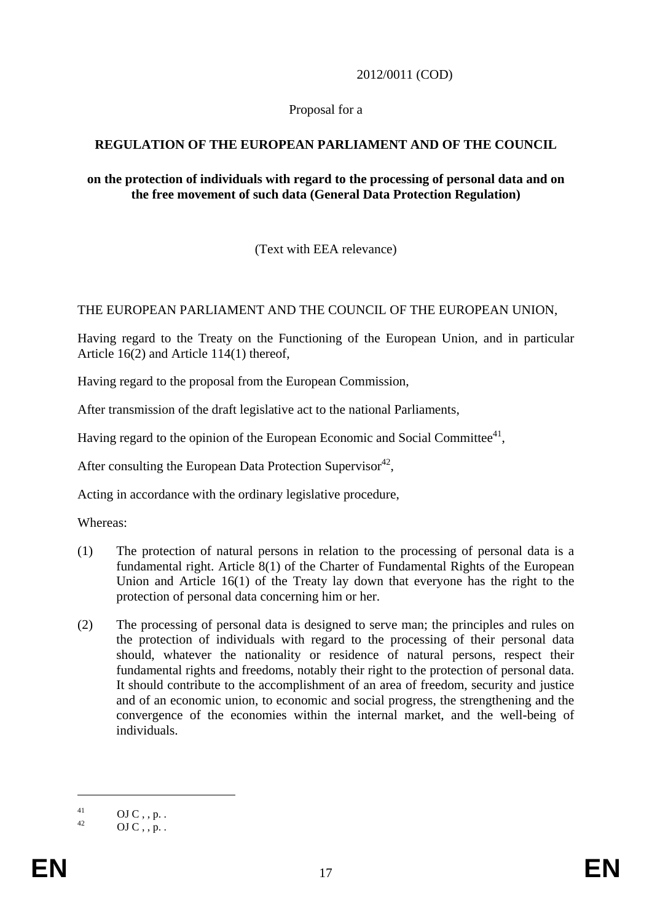### 2012/0011 (COD)

#### Proposal for a

## **REGULATION OF THE EUROPEAN PARLIAMENT AND OF THE COUNCIL**

#### **on the protection of individuals with regard to the processing of personal data and on the free movement of such data (General Data Protection Regulation)**

(Text with EEA relevance)

#### THE EUROPEAN PARLIAMENT AND THE COUNCIL OF THE EUROPEAN UNION,

Having regard to the Treaty on the Functioning of the European Union, and in particular Article 16(2) and Article 114(1) thereof,

Having regard to the proposal from the European Commission,

After transmission of the draft legislative act to the national Parliaments,

Having regard to the opinion of the European Economic and Social Committee<sup>41</sup>,

After consulting the European Data Protection Supervisor<sup>42</sup>,

Acting in accordance with the ordinary legislative procedure,

Whereas:

- (1) The protection of natural persons in relation to the processing of personal data is a fundamental right. Article 8(1) of the Charter of Fundamental Rights of the European Union and Article 16(1) of the Treaty lay down that everyone has the right to the protection of personal data concerning him or her.
- (2) The processing of personal data is designed to serve man; the principles and rules on the protection of individuals with regard to the processing of their personal data should, whatever the nationality or residence of natural persons, respect their fundamental rights and freedoms, notably their right to the protection of personal data. It should contribute to the accomplishment of an area of freedom, security and justice and of an economic union, to economic and social progress, the strengthening and the convergence of the economies within the internal market, and the well-being of individuals.

<u>.</u>

 $^{41}_{42}$  OJ C, , p. .

OJ C , , p. .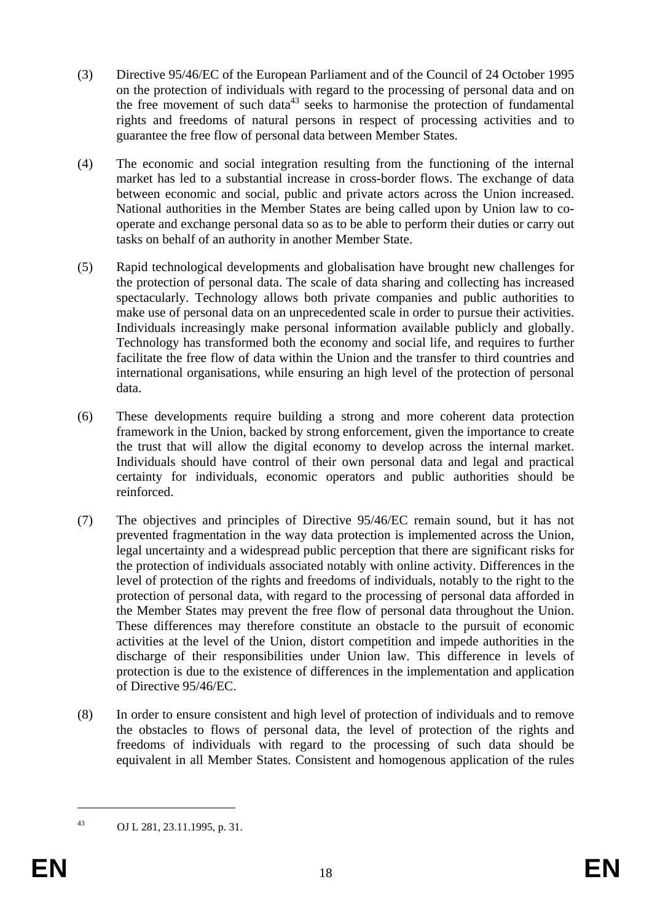- (3) Directive 95/46/EC of the European Parliament and of the Council of 24 October 1995 on the protection of individuals with regard to the processing of personal data and on the free movement of such data<sup>43</sup> seeks to harmonise the protection of fundamental rights and freedoms of natural persons in respect of processing activities and to guarantee the free flow of personal data between Member States.
- (4) The economic and social integration resulting from the functioning of the internal market has led to a substantial increase in cross-border flows. The exchange of data between economic and social, public and private actors across the Union increased. National authorities in the Member States are being called upon by Union law to cooperate and exchange personal data so as to be able to perform their duties or carry out tasks on behalf of an authority in another Member State.
- (5) Rapid technological developments and globalisation have brought new challenges for the protection of personal data. The scale of data sharing and collecting has increased spectacularly. Technology allows both private companies and public authorities to make use of personal data on an unprecedented scale in order to pursue their activities. Individuals increasingly make personal information available publicly and globally. Technology has transformed both the economy and social life, and requires to further facilitate the free flow of data within the Union and the transfer to third countries and international organisations, while ensuring an high level of the protection of personal data.
- (6) These developments require building a strong and more coherent data protection framework in the Union, backed by strong enforcement, given the importance to create the trust that will allow the digital economy to develop across the internal market. Individuals should have control of their own personal data and legal and practical certainty for individuals, economic operators and public authorities should be reinforced.
- (7) The objectives and principles of Directive 95/46/EC remain sound, but it has not prevented fragmentation in the way data protection is implemented across the Union, legal uncertainty and a widespread public perception that there are significant risks for the protection of individuals associated notably with online activity. Differences in the level of protection of the rights and freedoms of individuals, notably to the right to the protection of personal data, with regard to the processing of personal data afforded in the Member States may prevent the free flow of personal data throughout the Union. These differences may therefore constitute an obstacle to the pursuit of economic activities at the level of the Union, distort competition and impede authorities in the discharge of their responsibilities under Union law. This difference in levels of protection is due to the existence of differences in the implementation and application of Directive 95/46/EC.
- (8) In order to ensure consistent and high level of protection of individuals and to remove the obstacles to flows of personal data, the level of protection of the rights and freedoms of individuals with regard to the processing of such data should be equivalent in all Member States. Consistent and homogenous application of the rules

<sup>43</sup> OJ L 281, 23.11.1995, p. 31.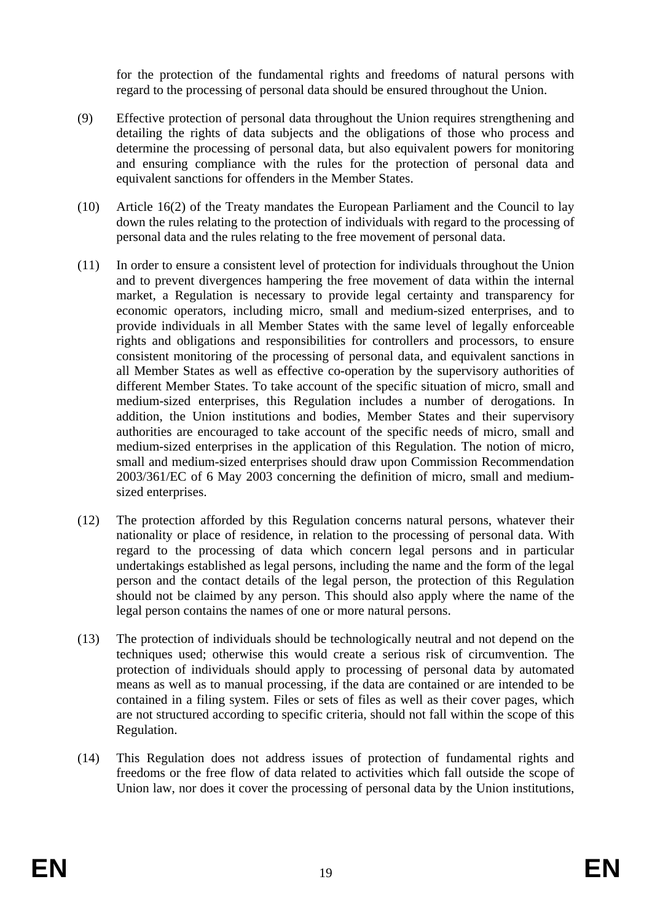for the protection of the fundamental rights and freedoms of natural persons with regard to the processing of personal data should be ensured throughout the Union.

- (9) Effective protection of personal data throughout the Union requires strengthening and detailing the rights of data subjects and the obligations of those who process and determine the processing of personal data, but also equivalent powers for monitoring and ensuring compliance with the rules for the protection of personal data and equivalent sanctions for offenders in the Member States.
- (10) Article 16(2) of the Treaty mandates the European Parliament and the Council to lay down the rules relating to the protection of individuals with regard to the processing of personal data and the rules relating to the free movement of personal data.
- (11) In order to ensure a consistent level of protection for individuals throughout the Union and to prevent divergences hampering the free movement of data within the internal market, a Regulation is necessary to provide legal certainty and transparency for economic operators, including micro, small and medium-sized enterprises, and to provide individuals in all Member States with the same level of legally enforceable rights and obligations and responsibilities for controllers and processors, to ensure consistent monitoring of the processing of personal data, and equivalent sanctions in all Member States as well as effective co-operation by the supervisory authorities of different Member States. To take account of the specific situation of micro, small and medium-sized enterprises, this Regulation includes a number of derogations. In addition, the Union institutions and bodies, Member States and their supervisory authorities are encouraged to take account of the specific needs of micro, small and medium-sized enterprises in the application of this Regulation. The notion of micro, small and medium-sized enterprises should draw upon Commission Recommendation 2003/361/EC of 6 May 2003 concerning the definition of micro, small and mediumsized enterprises.
- (12) The protection afforded by this Regulation concerns natural persons, whatever their nationality or place of residence, in relation to the processing of personal data. With regard to the processing of data which concern legal persons and in particular undertakings established as legal persons, including the name and the form of the legal person and the contact details of the legal person, the protection of this Regulation should not be claimed by any person. This should also apply where the name of the legal person contains the names of one or more natural persons.
- (13) The protection of individuals should be technologically neutral and not depend on the techniques used; otherwise this would create a serious risk of circumvention. The protection of individuals should apply to processing of personal data by automated means as well as to manual processing, if the data are contained or are intended to be contained in a filing system. Files or sets of files as well as their cover pages, which are not structured according to specific criteria, should not fall within the scope of this Regulation.
- (14) This Regulation does not address issues of protection of fundamental rights and freedoms or the free flow of data related to activities which fall outside the scope of Union law, nor does it cover the processing of personal data by the Union institutions,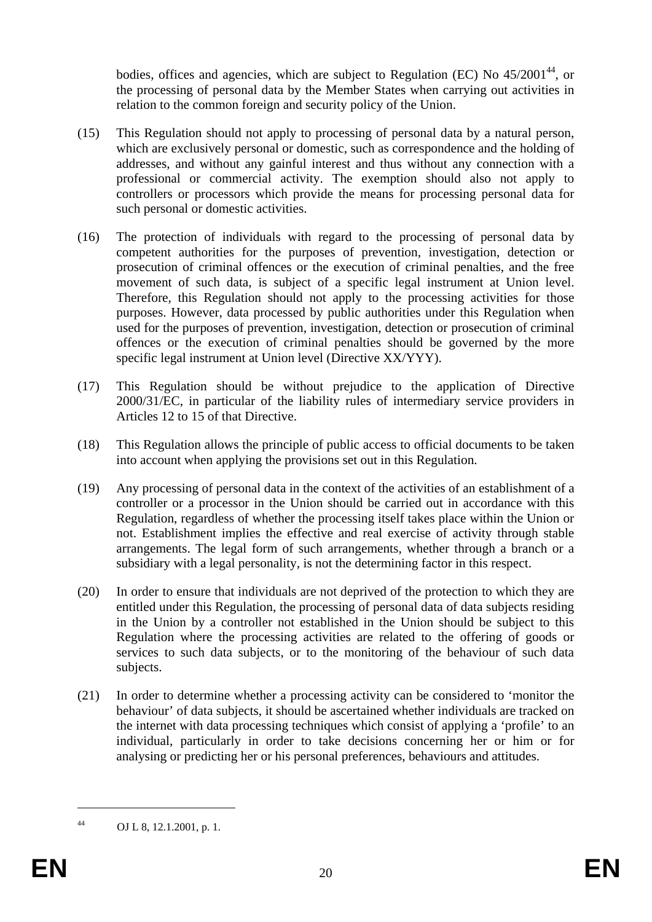bodies, offices and agencies, which are subject to Regulation (EC) No  $45/2001^{44}$ , or the processing of personal data by the Member States when carrying out activities in relation to the common foreign and security policy of the Union.

- (15) This Regulation should not apply to processing of personal data by a natural person, which are exclusively personal or domestic, such as correspondence and the holding of addresses, and without any gainful interest and thus without any connection with a professional or commercial activity. The exemption should also not apply to controllers or processors which provide the means for processing personal data for such personal or domestic activities.
- (16) The protection of individuals with regard to the processing of personal data by competent authorities for the purposes of prevention, investigation, detection or prosecution of criminal offences or the execution of criminal penalties, and the free movement of such data, is subject of a specific legal instrument at Union level. Therefore, this Regulation should not apply to the processing activities for those purposes. However, data processed by public authorities under this Regulation when used for the purposes of prevention, investigation, detection or prosecution of criminal offences or the execution of criminal penalties should be governed by the more specific legal instrument at Union level (Directive XX/YYY).
- (17) This Regulation should be without prejudice to the application of Directive 2000/31/EC, in particular of the liability rules of intermediary service providers in Articles 12 to 15 of that Directive.
- (18) This Regulation allows the principle of public access to official documents to be taken into account when applying the provisions set out in this Regulation.
- (19) Any processing of personal data in the context of the activities of an establishment of a controller or a processor in the Union should be carried out in accordance with this Regulation, regardless of whether the processing itself takes place within the Union or not. Establishment implies the effective and real exercise of activity through stable arrangements. The legal form of such arrangements, whether through a branch or a subsidiary with a legal personality, is not the determining factor in this respect.
- (20) In order to ensure that individuals are not deprived of the protection to which they are entitled under this Regulation, the processing of personal data of data subjects residing in the Union by a controller not established in the Union should be subject to this Regulation where the processing activities are related to the offering of goods or services to such data subjects, or to the monitoring of the behaviour of such data subjects.
- (21) In order to determine whether a processing activity can be considered to 'monitor the behaviour' of data subjects, it should be ascertained whether individuals are tracked on the internet with data processing techniques which consist of applying a 'profile' to an individual, particularly in order to take decisions concerning her or him or for analysing or predicting her or his personal preferences, behaviours and attitudes.

<sup>44</sup> OJ L 8, 12.1.2001, p. 1.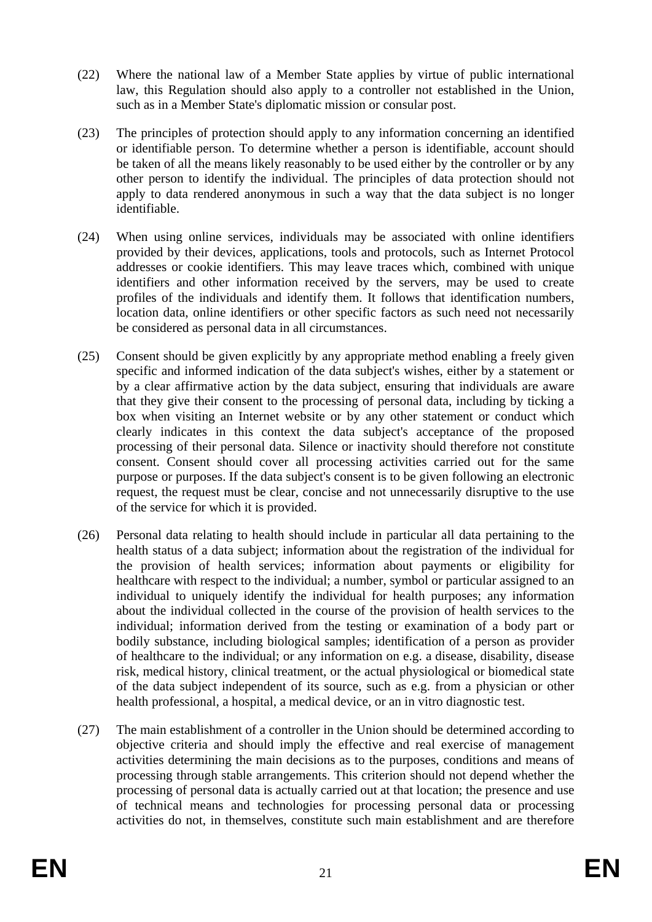- (22) Where the national law of a Member State applies by virtue of public international law, this Regulation should also apply to a controller not established in the Union, such as in a Member State's diplomatic mission or consular post.
- (23) The principles of protection should apply to any information concerning an identified or identifiable person. To determine whether a person is identifiable, account should be taken of all the means likely reasonably to be used either by the controller or by any other person to identify the individual. The principles of data protection should not apply to data rendered anonymous in such a way that the data subject is no longer identifiable.
- (24) When using online services, individuals may be associated with online identifiers provided by their devices, applications, tools and protocols, such as Internet Protocol addresses or cookie identifiers. This may leave traces which, combined with unique identifiers and other information received by the servers, may be used to create profiles of the individuals and identify them. It follows that identification numbers, location data, online identifiers or other specific factors as such need not necessarily be considered as personal data in all circumstances.
- (25) Consent should be given explicitly by any appropriate method enabling a freely given specific and informed indication of the data subject's wishes, either by a statement or by a clear affirmative action by the data subject, ensuring that individuals are aware that they give their consent to the processing of personal data, including by ticking a box when visiting an Internet website or by any other statement or conduct which clearly indicates in this context the data subject's acceptance of the proposed processing of their personal data. Silence or inactivity should therefore not constitute consent. Consent should cover all processing activities carried out for the same purpose or purposes. If the data subject's consent is to be given following an electronic request, the request must be clear, concise and not unnecessarily disruptive to the use of the service for which it is provided.
- (26) Personal data relating to health should include in particular all data pertaining to the health status of a data subject; information about the registration of the individual for the provision of health services; information about payments or eligibility for healthcare with respect to the individual; a number, symbol or particular assigned to an individual to uniquely identify the individual for health purposes; any information about the individual collected in the course of the provision of health services to the individual; information derived from the testing or examination of a body part or bodily substance, including biological samples; identification of a person as provider of healthcare to the individual; or any information on e.g. a disease, disability, disease risk, medical history, clinical treatment, or the actual physiological or biomedical state of the data subject independent of its source, such as e.g. from a physician or other health professional, a hospital, a medical device, or an in vitro diagnostic test.
- (27) The main establishment of a controller in the Union should be determined according to objective criteria and should imply the effective and real exercise of management activities determining the main decisions as to the purposes, conditions and means of processing through stable arrangements. This criterion should not depend whether the processing of personal data is actually carried out at that location; the presence and use of technical means and technologies for processing personal data or processing activities do not, in themselves, constitute such main establishment and are therefore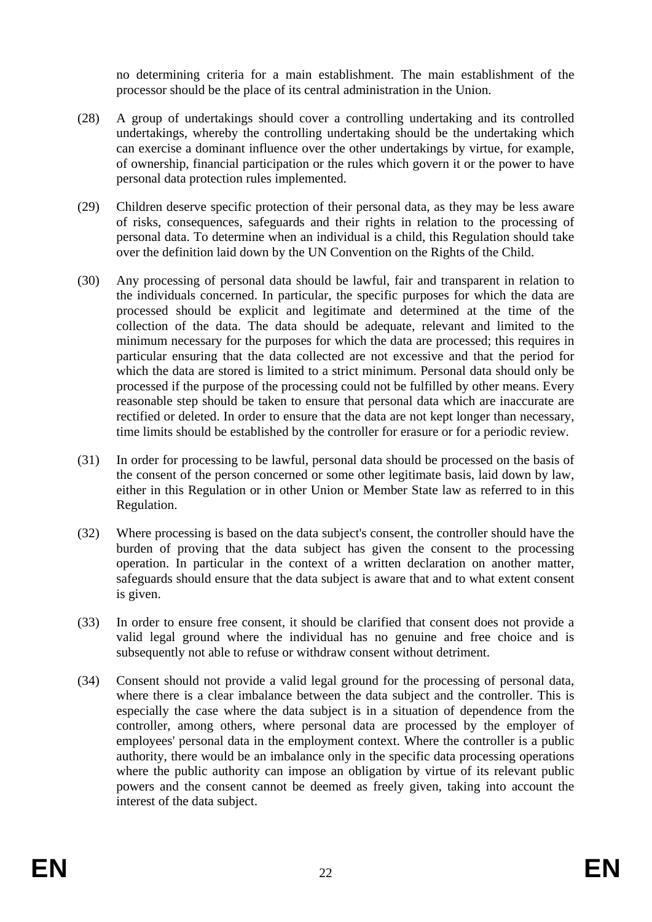no determining criteria for a main establishment. The main establishment of the processor should be the place of its central administration in the Union.

- (28) A group of undertakings should cover a controlling undertaking and its controlled undertakings, whereby the controlling undertaking should be the undertaking which can exercise a dominant influence over the other undertakings by virtue, for example, of ownership, financial participation or the rules which govern it or the power to have personal data protection rules implemented.
- (29) Children deserve specific protection of their personal data, as they may be less aware of risks, consequences, safeguards and their rights in relation to the processing of personal data. To determine when an individual is a child, this Regulation should take over the definition laid down by the UN Convention on the Rights of the Child.
- (30) Any processing of personal data should be lawful, fair and transparent in relation to the individuals concerned. In particular, the specific purposes for which the data are processed should be explicit and legitimate and determined at the time of the collection of the data. The data should be adequate, relevant and limited to the minimum necessary for the purposes for which the data are processed; this requires in particular ensuring that the data collected are not excessive and that the period for which the data are stored is limited to a strict minimum. Personal data should only be processed if the purpose of the processing could not be fulfilled by other means. Every reasonable step should be taken to ensure that personal data which are inaccurate are rectified or deleted. In order to ensure that the data are not kept longer than necessary, time limits should be established by the controller for erasure or for a periodic review.
- (31) In order for processing to be lawful, personal data should be processed on the basis of the consent of the person concerned or some other legitimate basis, laid down by law, either in this Regulation or in other Union or Member State law as referred to in this Regulation.
- (32) Where processing is based on the data subject's consent, the controller should have the burden of proving that the data subject has given the consent to the processing operation. In particular in the context of a written declaration on another matter, safeguards should ensure that the data subject is aware that and to what extent consent is given.
- (33) In order to ensure free consent, it should be clarified that consent does not provide a valid legal ground where the individual has no genuine and free choice and is subsequently not able to refuse or withdraw consent without detriment.
- (34) Consent should not provide a valid legal ground for the processing of personal data, where there is a clear imbalance between the data subject and the controller. This is especially the case where the data subject is in a situation of dependence from the controller, among others, where personal data are processed by the employer of employees' personal data in the employment context. Where the controller is a public authority, there would be an imbalance only in the specific data processing operations where the public authority can impose an obligation by virtue of its relevant public powers and the consent cannot be deemed as freely given, taking into account the interest of the data subject.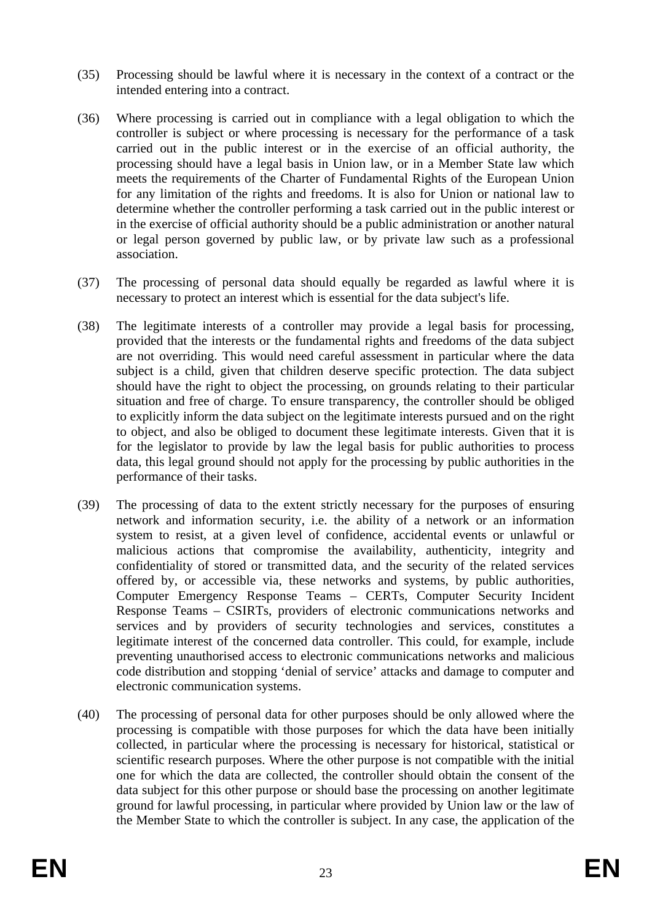- (35) Processing should be lawful where it is necessary in the context of a contract or the intended entering into a contract.
- (36) Where processing is carried out in compliance with a legal obligation to which the controller is subject or where processing is necessary for the performance of a task carried out in the public interest or in the exercise of an official authority, the processing should have a legal basis in Union law, or in a Member State law which meets the requirements of the Charter of Fundamental Rights of the European Union for any limitation of the rights and freedoms. It is also for Union or national law to determine whether the controller performing a task carried out in the public interest or in the exercise of official authority should be a public administration or another natural or legal person governed by public law, or by private law such as a professional association.
- (37) The processing of personal data should equally be regarded as lawful where it is necessary to protect an interest which is essential for the data subject's life.
- (38) The legitimate interests of a controller may provide a legal basis for processing, provided that the interests or the fundamental rights and freedoms of the data subject are not overriding. This would need careful assessment in particular where the data subject is a child, given that children deserve specific protection. The data subject should have the right to object the processing, on grounds relating to their particular situation and free of charge. To ensure transparency, the controller should be obliged to explicitly inform the data subject on the legitimate interests pursued and on the right to object, and also be obliged to document these legitimate interests. Given that it is for the legislator to provide by law the legal basis for public authorities to process data, this legal ground should not apply for the processing by public authorities in the performance of their tasks.
- (39) The processing of data to the extent strictly necessary for the purposes of ensuring network and information security, i.e. the ability of a network or an information system to resist, at a given level of confidence, accidental events or unlawful or malicious actions that compromise the availability, authenticity, integrity and confidentiality of stored or transmitted data, and the security of the related services offered by, or accessible via, these networks and systems, by public authorities, Computer Emergency Response Teams – CERTs, Computer Security Incident Response Teams – CSIRTs, providers of electronic communications networks and services and by providers of security technologies and services, constitutes a legitimate interest of the concerned data controller. This could, for example, include preventing unauthorised access to electronic communications networks and malicious code distribution and stopping 'denial of service' attacks and damage to computer and electronic communication systems.
- (40) The processing of personal data for other purposes should be only allowed where the processing is compatible with those purposes for which the data have been initially collected, in particular where the processing is necessary for historical, statistical or scientific research purposes. Where the other purpose is not compatible with the initial one for which the data are collected, the controller should obtain the consent of the data subject for this other purpose or should base the processing on another legitimate ground for lawful processing, in particular where provided by Union law or the law of the Member State to which the controller is subject. In any case, the application of the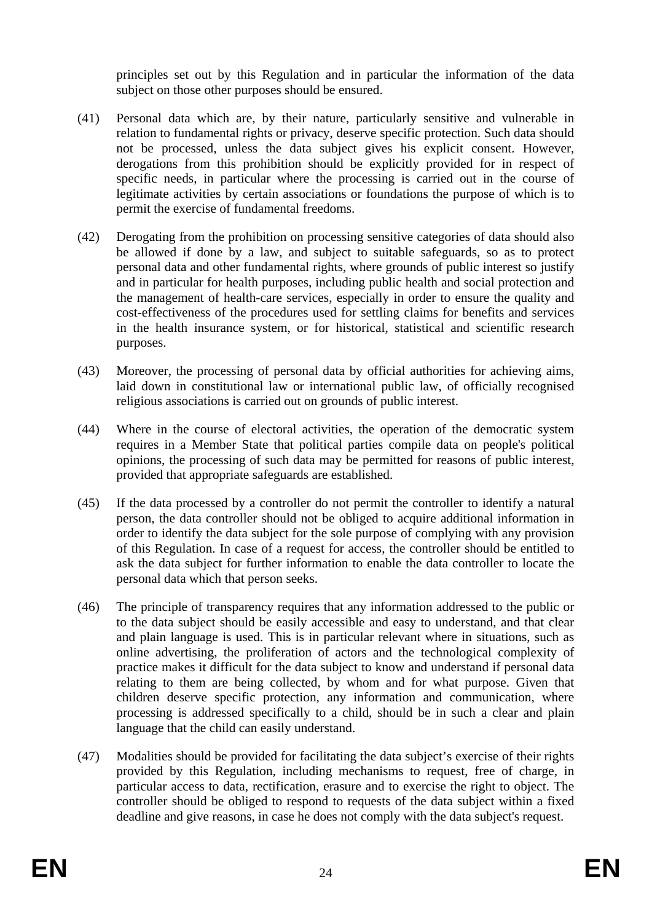principles set out by this Regulation and in particular the information of the data subject on those other purposes should be ensured.

- (41) Personal data which are, by their nature, particularly sensitive and vulnerable in relation to fundamental rights or privacy, deserve specific protection. Such data should not be processed, unless the data subject gives his explicit consent. However, derogations from this prohibition should be explicitly provided for in respect of specific needs, in particular where the processing is carried out in the course of legitimate activities by certain associations or foundations the purpose of which is to permit the exercise of fundamental freedoms.
- (42) Derogating from the prohibition on processing sensitive categories of data should also be allowed if done by a law, and subject to suitable safeguards, so as to protect personal data and other fundamental rights, where grounds of public interest so justify and in particular for health purposes, including public health and social protection and the management of health-care services, especially in order to ensure the quality and cost-effectiveness of the procedures used for settling claims for benefits and services in the health insurance system, or for historical, statistical and scientific research purposes.
- (43) Moreover, the processing of personal data by official authorities for achieving aims, laid down in constitutional law or international public law, of officially recognised religious associations is carried out on grounds of public interest.
- (44) Where in the course of electoral activities, the operation of the democratic system requires in a Member State that political parties compile data on people's political opinions, the processing of such data may be permitted for reasons of public interest, provided that appropriate safeguards are established.
- (45) If the data processed by a controller do not permit the controller to identify a natural person, the data controller should not be obliged to acquire additional information in order to identify the data subject for the sole purpose of complying with any provision of this Regulation. In case of a request for access, the controller should be entitled to ask the data subject for further information to enable the data controller to locate the personal data which that person seeks.
- (46) The principle of transparency requires that any information addressed to the public or to the data subject should be easily accessible and easy to understand, and that clear and plain language is used. This is in particular relevant where in situations, such as online advertising, the proliferation of actors and the technological complexity of practice makes it difficult for the data subject to know and understand if personal data relating to them are being collected, by whom and for what purpose. Given that children deserve specific protection, any information and communication, where processing is addressed specifically to a child, should be in such a clear and plain language that the child can easily understand.
- (47) Modalities should be provided for facilitating the data subject's exercise of their rights provided by this Regulation, including mechanisms to request, free of charge, in particular access to data, rectification, erasure and to exercise the right to object. The controller should be obliged to respond to requests of the data subject within a fixed deadline and give reasons, in case he does not comply with the data subject's request.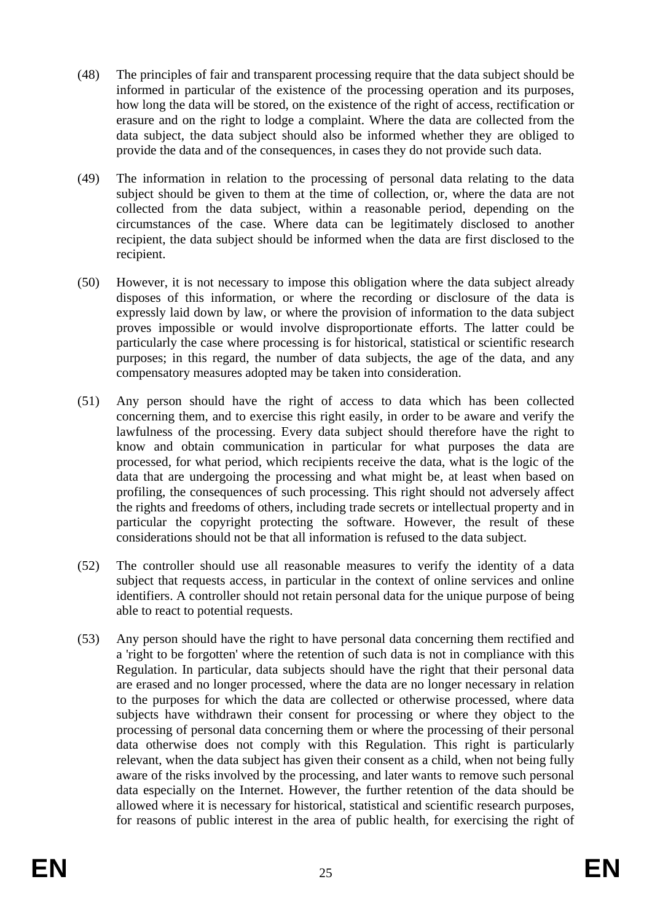- (48) The principles of fair and transparent processing require that the data subject should be informed in particular of the existence of the processing operation and its purposes, how long the data will be stored, on the existence of the right of access, rectification or erasure and on the right to lodge a complaint. Where the data are collected from the data subject, the data subject should also be informed whether they are obliged to provide the data and of the consequences, in cases they do not provide such data.
- (49) The information in relation to the processing of personal data relating to the data subject should be given to them at the time of collection, or, where the data are not collected from the data subject, within a reasonable period, depending on the circumstances of the case. Where data can be legitimately disclosed to another recipient, the data subject should be informed when the data are first disclosed to the recipient.
- (50) However, it is not necessary to impose this obligation where the data subject already disposes of this information, or where the recording or disclosure of the data is expressly laid down by law, or where the provision of information to the data subject proves impossible or would involve disproportionate efforts. The latter could be particularly the case where processing is for historical, statistical or scientific research purposes; in this regard, the number of data subjects, the age of the data, and any compensatory measures adopted may be taken into consideration.
- (51) Any person should have the right of access to data which has been collected concerning them, and to exercise this right easily, in order to be aware and verify the lawfulness of the processing. Every data subject should therefore have the right to know and obtain communication in particular for what purposes the data are processed, for what period, which recipients receive the data, what is the logic of the data that are undergoing the processing and what might be, at least when based on profiling, the consequences of such processing. This right should not adversely affect the rights and freedoms of others, including trade secrets or intellectual property and in particular the copyright protecting the software. However, the result of these considerations should not be that all information is refused to the data subject.
- (52) The controller should use all reasonable measures to verify the identity of a data subject that requests access, in particular in the context of online services and online identifiers. A controller should not retain personal data for the unique purpose of being able to react to potential requests.
- (53) Any person should have the right to have personal data concerning them rectified and a 'right to be forgotten' where the retention of such data is not in compliance with this Regulation. In particular, data subjects should have the right that their personal data are erased and no longer processed, where the data are no longer necessary in relation to the purposes for which the data are collected or otherwise processed, where data subjects have withdrawn their consent for processing or where they object to the processing of personal data concerning them or where the processing of their personal data otherwise does not comply with this Regulation. This right is particularly relevant, when the data subject has given their consent as a child, when not being fully aware of the risks involved by the processing, and later wants to remove such personal data especially on the Internet. However, the further retention of the data should be allowed where it is necessary for historical, statistical and scientific research purposes, for reasons of public interest in the area of public health, for exercising the right of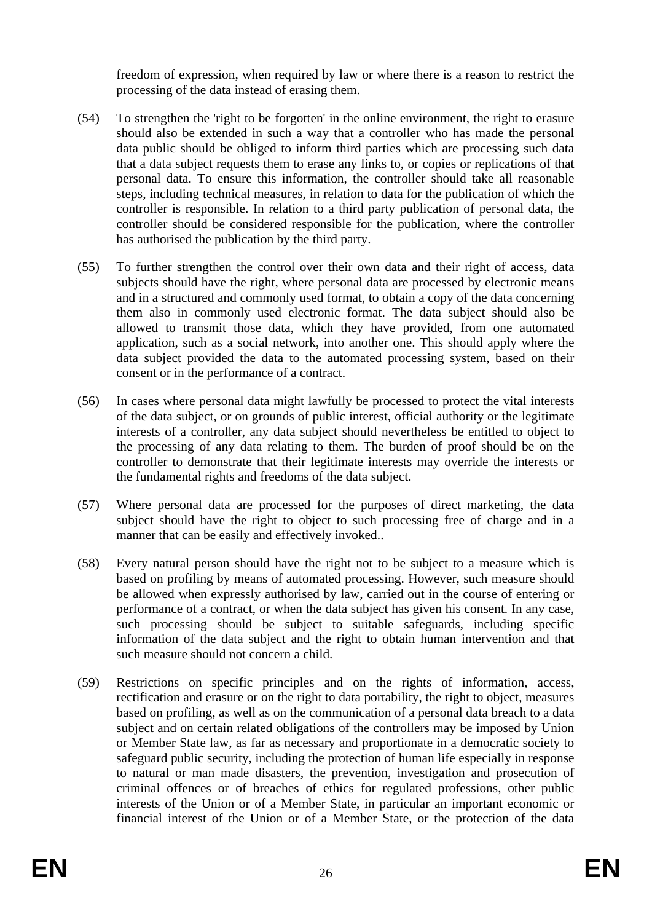freedom of expression, when required by law or where there is a reason to restrict the processing of the data instead of erasing them.

- (54) To strengthen the 'right to be forgotten' in the online environment, the right to erasure should also be extended in such a way that a controller who has made the personal data public should be obliged to inform third parties which are processing such data that a data subject requests them to erase any links to, or copies or replications of that personal data. To ensure this information, the controller should take all reasonable steps, including technical measures, in relation to data for the publication of which the controller is responsible. In relation to a third party publication of personal data, the controller should be considered responsible for the publication, where the controller has authorised the publication by the third party.
- (55) To further strengthen the control over their own data and their right of access, data subjects should have the right, where personal data are processed by electronic means and in a structured and commonly used format, to obtain a copy of the data concerning them also in commonly used electronic format. The data subject should also be allowed to transmit those data, which they have provided, from one automated application, such as a social network, into another one. This should apply where the data subject provided the data to the automated processing system, based on their consent or in the performance of a contract.
- (56) In cases where personal data might lawfully be processed to protect the vital interests of the data subject, or on grounds of public interest, official authority or the legitimate interests of a controller, any data subject should nevertheless be entitled to object to the processing of any data relating to them. The burden of proof should be on the controller to demonstrate that their legitimate interests may override the interests or the fundamental rights and freedoms of the data subject.
- (57) Where personal data are processed for the purposes of direct marketing, the data subject should have the right to object to such processing free of charge and in a manner that can be easily and effectively invoked..
- (58) Every natural person should have the right not to be subject to a measure which is based on profiling by means of automated processing. However, such measure should be allowed when expressly authorised by law, carried out in the course of entering or performance of a contract, or when the data subject has given his consent. In any case, such processing should be subject to suitable safeguards, including specific information of the data subject and the right to obtain human intervention and that such measure should not concern a child.
- (59) Restrictions on specific principles and on the rights of information, access, rectification and erasure or on the right to data portability, the right to object, measures based on profiling, as well as on the communication of a personal data breach to a data subject and on certain related obligations of the controllers may be imposed by Union or Member State law, as far as necessary and proportionate in a democratic society to safeguard public security, including the protection of human life especially in response to natural or man made disasters, the prevention, investigation and prosecution of criminal offences or of breaches of ethics for regulated professions, other public interests of the Union or of a Member State, in particular an important economic or financial interest of the Union or of a Member State, or the protection of the data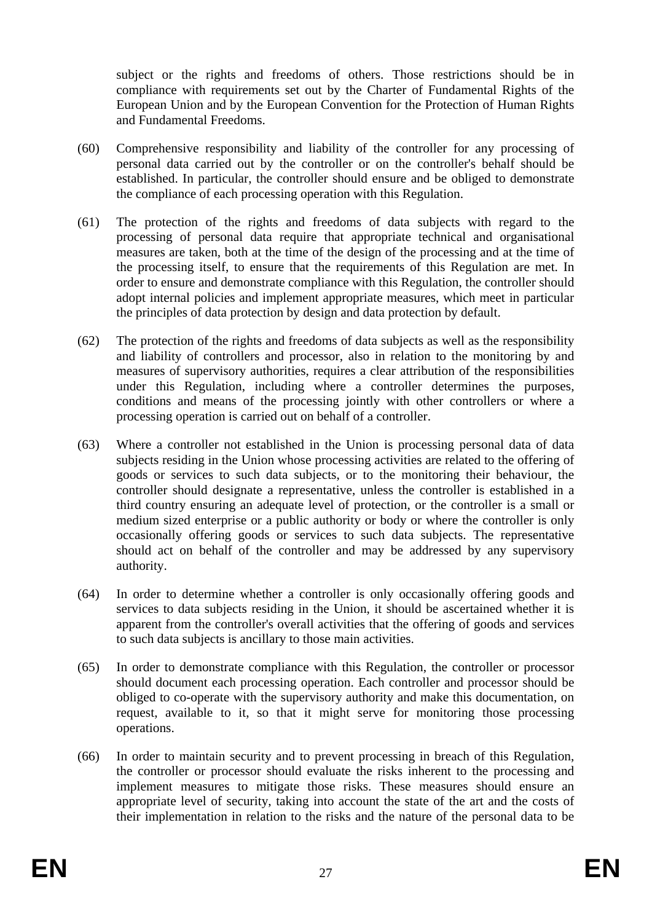subject or the rights and freedoms of others. Those restrictions should be in compliance with requirements set out by the Charter of Fundamental Rights of the European Union and by the European Convention for the Protection of Human Rights and Fundamental Freedoms.

- (60) Comprehensive responsibility and liability of the controller for any processing of personal data carried out by the controller or on the controller's behalf should be established. In particular, the controller should ensure and be obliged to demonstrate the compliance of each processing operation with this Regulation.
- (61) The protection of the rights and freedoms of data subjects with regard to the processing of personal data require that appropriate technical and organisational measures are taken, both at the time of the design of the processing and at the time of the processing itself, to ensure that the requirements of this Regulation are met. In order to ensure and demonstrate compliance with this Regulation, the controller should adopt internal policies and implement appropriate measures, which meet in particular the principles of data protection by design and data protection by default.
- (62) The protection of the rights and freedoms of data subjects as well as the responsibility and liability of controllers and processor, also in relation to the monitoring by and measures of supervisory authorities, requires a clear attribution of the responsibilities under this Regulation, including where a controller determines the purposes, conditions and means of the processing jointly with other controllers or where a processing operation is carried out on behalf of a controller.
- (63) Where a controller not established in the Union is processing personal data of data subjects residing in the Union whose processing activities are related to the offering of goods or services to such data subjects, or to the monitoring their behaviour, the controller should designate a representative, unless the controller is established in a third country ensuring an adequate level of protection, or the controller is a small or medium sized enterprise or a public authority or body or where the controller is only occasionally offering goods or services to such data subjects. The representative should act on behalf of the controller and may be addressed by any supervisory authority.
- (64) In order to determine whether a controller is only occasionally offering goods and services to data subjects residing in the Union, it should be ascertained whether it is apparent from the controller's overall activities that the offering of goods and services to such data subjects is ancillary to those main activities.
- (65) In order to demonstrate compliance with this Regulation, the controller or processor should document each processing operation. Each controller and processor should be obliged to co-operate with the supervisory authority and make this documentation, on request, available to it, so that it might serve for monitoring those processing operations.
- (66) In order to maintain security and to prevent processing in breach of this Regulation, the controller or processor should evaluate the risks inherent to the processing and implement measures to mitigate those risks. These measures should ensure an appropriate level of security, taking into account the state of the art and the costs of their implementation in relation to the risks and the nature of the personal data to be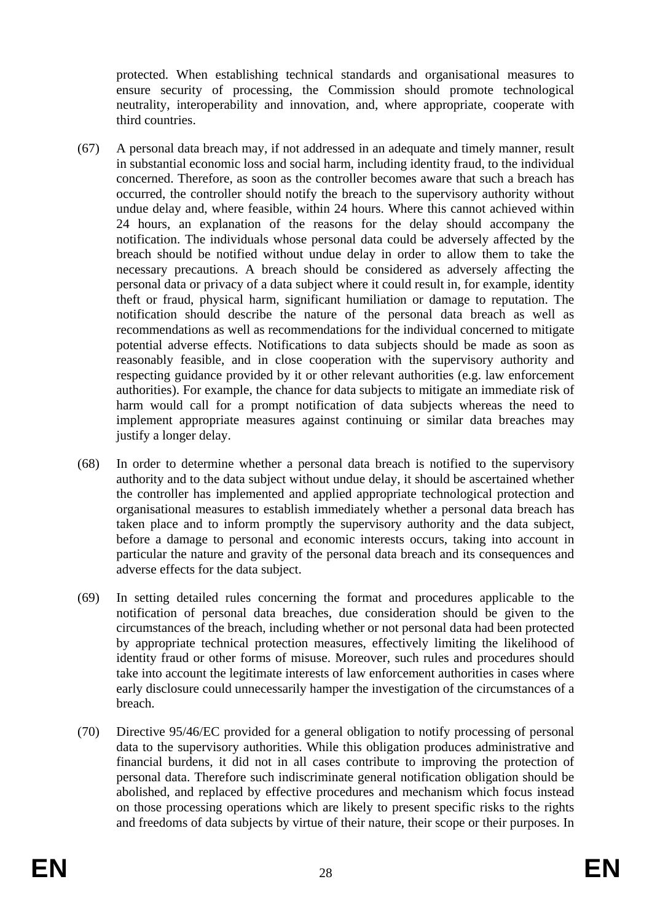protected. When establishing technical standards and organisational measures to ensure security of processing, the Commission should promote technological neutrality, interoperability and innovation, and, where appropriate, cooperate with third countries.

- (67) A personal data breach may, if not addressed in an adequate and timely manner, result in substantial economic loss and social harm, including identity fraud, to the individual concerned. Therefore, as soon as the controller becomes aware that such a breach has occurred, the controller should notify the breach to the supervisory authority without undue delay and, where feasible, within 24 hours. Where this cannot achieved within 24 hours, an explanation of the reasons for the delay should accompany the notification. The individuals whose personal data could be adversely affected by the breach should be notified without undue delay in order to allow them to take the necessary precautions. A breach should be considered as adversely affecting the personal data or privacy of a data subject where it could result in, for example, identity theft or fraud, physical harm, significant humiliation or damage to reputation. The notification should describe the nature of the personal data breach as well as recommendations as well as recommendations for the individual concerned to mitigate potential adverse effects. Notifications to data subjects should be made as soon as reasonably feasible, and in close cooperation with the supervisory authority and respecting guidance provided by it or other relevant authorities (e.g. law enforcement authorities). For example, the chance for data subjects to mitigate an immediate risk of harm would call for a prompt notification of data subjects whereas the need to implement appropriate measures against continuing or similar data breaches may justify a longer delay.
- (68) In order to determine whether a personal data breach is notified to the supervisory authority and to the data subject without undue delay, it should be ascertained whether the controller has implemented and applied appropriate technological protection and organisational measures to establish immediately whether a personal data breach has taken place and to inform promptly the supervisory authority and the data subject, before a damage to personal and economic interests occurs, taking into account in particular the nature and gravity of the personal data breach and its consequences and adverse effects for the data subject.
- (69) In setting detailed rules concerning the format and procedures applicable to the notification of personal data breaches, due consideration should be given to the circumstances of the breach, including whether or not personal data had been protected by appropriate technical protection measures, effectively limiting the likelihood of identity fraud or other forms of misuse. Moreover, such rules and procedures should take into account the legitimate interests of law enforcement authorities in cases where early disclosure could unnecessarily hamper the investigation of the circumstances of a breach.
- (70) Directive 95/46/EC provided for a general obligation to notify processing of personal data to the supervisory authorities. While this obligation produces administrative and financial burdens, it did not in all cases contribute to improving the protection of personal data. Therefore such indiscriminate general notification obligation should be abolished, and replaced by effective procedures and mechanism which focus instead on those processing operations which are likely to present specific risks to the rights and freedoms of data subjects by virtue of their nature, their scope or their purposes. In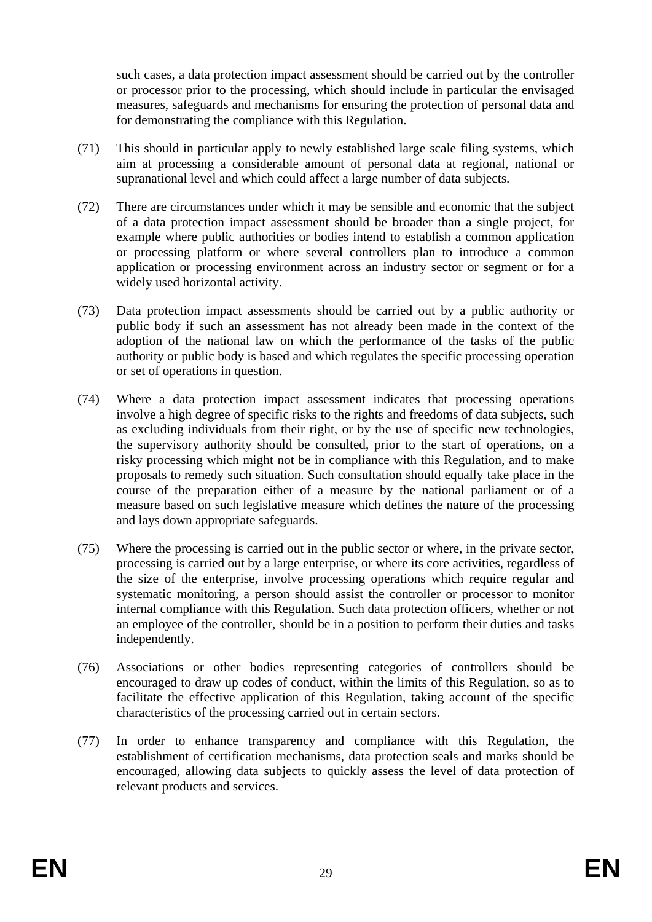such cases, a data protection impact assessment should be carried out by the controller or processor prior to the processing, which should include in particular the envisaged measures, safeguards and mechanisms for ensuring the protection of personal data and for demonstrating the compliance with this Regulation.

- (71) This should in particular apply to newly established large scale filing systems, which aim at processing a considerable amount of personal data at regional, national or supranational level and which could affect a large number of data subjects.
- (72) There are circumstances under which it may be sensible and economic that the subject of a data protection impact assessment should be broader than a single project, for example where public authorities or bodies intend to establish a common application or processing platform or where several controllers plan to introduce a common application or processing environment across an industry sector or segment or for a widely used horizontal activity.
- (73) Data protection impact assessments should be carried out by a public authority or public body if such an assessment has not already been made in the context of the adoption of the national law on which the performance of the tasks of the public authority or public body is based and which regulates the specific processing operation or set of operations in question.
- (74) Where a data protection impact assessment indicates that processing operations involve a high degree of specific risks to the rights and freedoms of data subjects, such as excluding individuals from their right, or by the use of specific new technologies, the supervisory authority should be consulted, prior to the start of operations, on a risky processing which might not be in compliance with this Regulation, and to make proposals to remedy such situation. Such consultation should equally take place in the course of the preparation either of a measure by the national parliament or of a measure based on such legislative measure which defines the nature of the processing and lays down appropriate safeguards.
- (75) Where the processing is carried out in the public sector or where, in the private sector, processing is carried out by a large enterprise, or where its core activities, regardless of the size of the enterprise, involve processing operations which require regular and systematic monitoring, a person should assist the controller or processor to monitor internal compliance with this Regulation. Such data protection officers, whether or not an employee of the controller, should be in a position to perform their duties and tasks independently.
- (76) Associations or other bodies representing categories of controllers should be encouraged to draw up codes of conduct, within the limits of this Regulation, so as to facilitate the effective application of this Regulation, taking account of the specific characteristics of the processing carried out in certain sectors.
- (77) In order to enhance transparency and compliance with this Regulation, the establishment of certification mechanisms, data protection seals and marks should be encouraged, allowing data subjects to quickly assess the level of data protection of relevant products and services.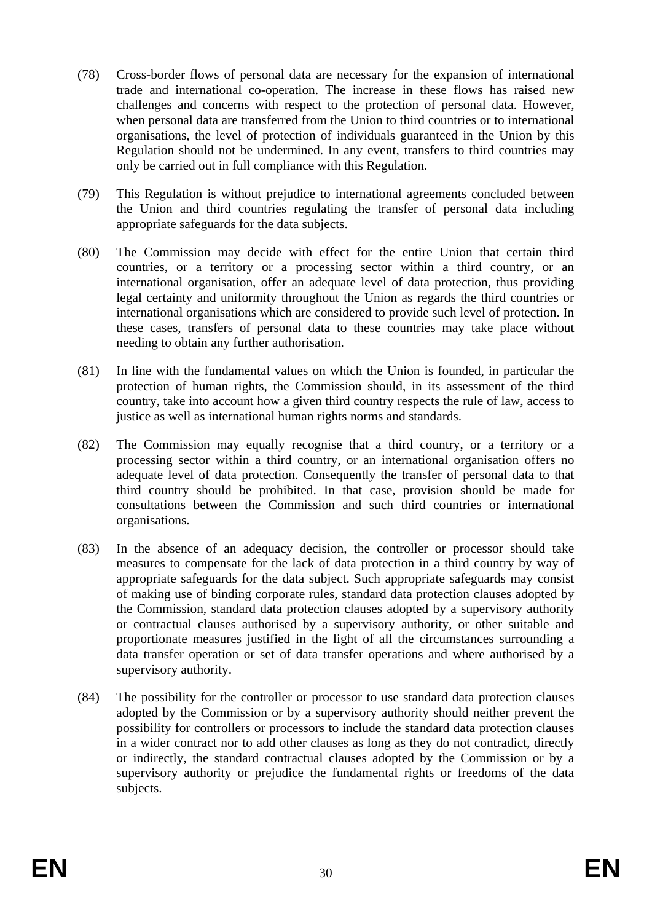- (78) Cross-border flows of personal data are necessary for the expansion of international trade and international co-operation. The increase in these flows has raised new challenges and concerns with respect to the protection of personal data. However, when personal data are transferred from the Union to third countries or to international organisations, the level of protection of individuals guaranteed in the Union by this Regulation should not be undermined. In any event, transfers to third countries may only be carried out in full compliance with this Regulation.
- (79) This Regulation is without prejudice to international agreements concluded between the Union and third countries regulating the transfer of personal data including appropriate safeguards for the data subjects.
- (80) The Commission may decide with effect for the entire Union that certain third countries, or a territory or a processing sector within a third country, or an international organisation, offer an adequate level of data protection, thus providing legal certainty and uniformity throughout the Union as regards the third countries or international organisations which are considered to provide such level of protection. In these cases, transfers of personal data to these countries may take place without needing to obtain any further authorisation.
- (81) In line with the fundamental values on which the Union is founded, in particular the protection of human rights, the Commission should, in its assessment of the third country, take into account how a given third country respects the rule of law, access to justice as well as international human rights norms and standards.
- (82) The Commission may equally recognise that a third country, or a territory or a processing sector within a third country, or an international organisation offers no adequate level of data protection. Consequently the transfer of personal data to that third country should be prohibited. In that case, provision should be made for consultations between the Commission and such third countries or international organisations.
- (83) In the absence of an adequacy decision, the controller or processor should take measures to compensate for the lack of data protection in a third country by way of appropriate safeguards for the data subject. Such appropriate safeguards may consist of making use of binding corporate rules, standard data protection clauses adopted by the Commission, standard data protection clauses adopted by a supervisory authority or contractual clauses authorised by a supervisory authority, or other suitable and proportionate measures justified in the light of all the circumstances surrounding a data transfer operation or set of data transfer operations and where authorised by a supervisory authority.
- (84) The possibility for the controller or processor to use standard data protection clauses adopted by the Commission or by a supervisory authority should neither prevent the possibility for controllers or processors to include the standard data protection clauses in a wider contract nor to add other clauses as long as they do not contradict, directly or indirectly, the standard contractual clauses adopted by the Commission or by a supervisory authority or prejudice the fundamental rights or freedoms of the data subjects.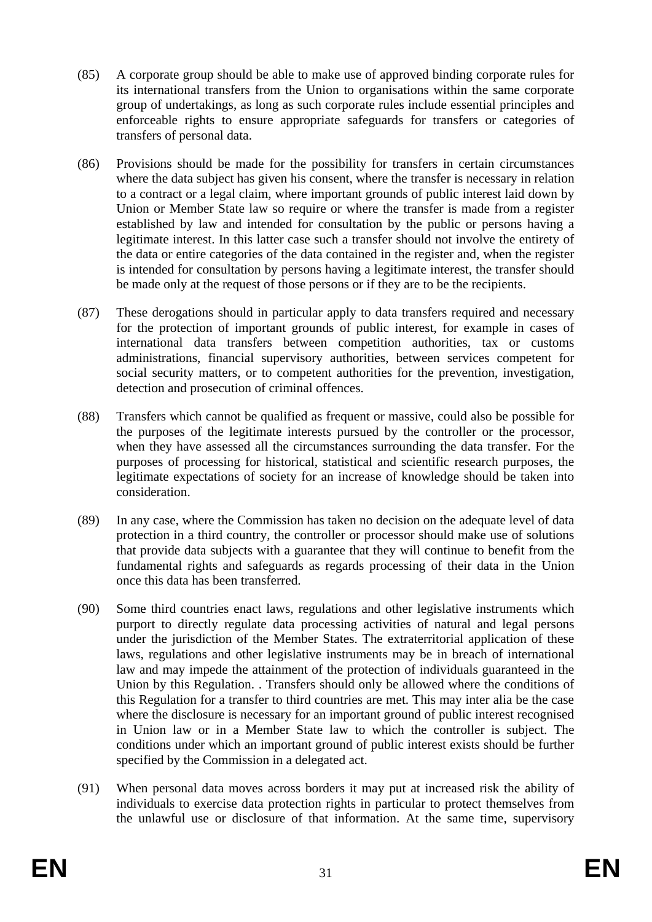- (85) A corporate group should be able to make use of approved binding corporate rules for its international transfers from the Union to organisations within the same corporate group of undertakings, as long as such corporate rules include essential principles and enforceable rights to ensure appropriate safeguards for transfers or categories of transfers of personal data.
- (86) Provisions should be made for the possibility for transfers in certain circumstances where the data subject has given his consent, where the transfer is necessary in relation to a contract or a legal claim, where important grounds of public interest laid down by Union or Member State law so require or where the transfer is made from a register established by law and intended for consultation by the public or persons having a legitimate interest. In this latter case such a transfer should not involve the entirety of the data or entire categories of the data contained in the register and, when the register is intended for consultation by persons having a legitimate interest, the transfer should be made only at the request of those persons or if they are to be the recipients.
- (87) These derogations should in particular apply to data transfers required and necessary for the protection of important grounds of public interest, for example in cases of international data transfers between competition authorities, tax or customs administrations, financial supervisory authorities, between services competent for social security matters, or to competent authorities for the prevention, investigation, detection and prosecution of criminal offences.
- (88) Transfers which cannot be qualified as frequent or massive, could also be possible for the purposes of the legitimate interests pursued by the controller or the processor, when they have assessed all the circumstances surrounding the data transfer. For the purposes of processing for historical, statistical and scientific research purposes, the legitimate expectations of society for an increase of knowledge should be taken into consideration.
- (89) In any case, where the Commission has taken no decision on the adequate level of data protection in a third country, the controller or processor should make use of solutions that provide data subjects with a guarantee that they will continue to benefit from the fundamental rights and safeguards as regards processing of their data in the Union once this data has been transferred.
- (90) Some third countries enact laws, regulations and other legislative instruments which purport to directly regulate data processing activities of natural and legal persons under the jurisdiction of the Member States. The extraterritorial application of these laws, regulations and other legislative instruments may be in breach of international law and may impede the attainment of the protection of individuals guaranteed in the Union by this Regulation. . Transfers should only be allowed where the conditions of this Regulation for a transfer to third countries are met. This may inter alia be the case where the disclosure is necessary for an important ground of public interest recognised in Union law or in a Member State law to which the controller is subject. The conditions under which an important ground of public interest exists should be further specified by the Commission in a delegated act.
- (91) When personal data moves across borders it may put at increased risk the ability of individuals to exercise data protection rights in particular to protect themselves from the unlawful use or disclosure of that information. At the same time, supervisory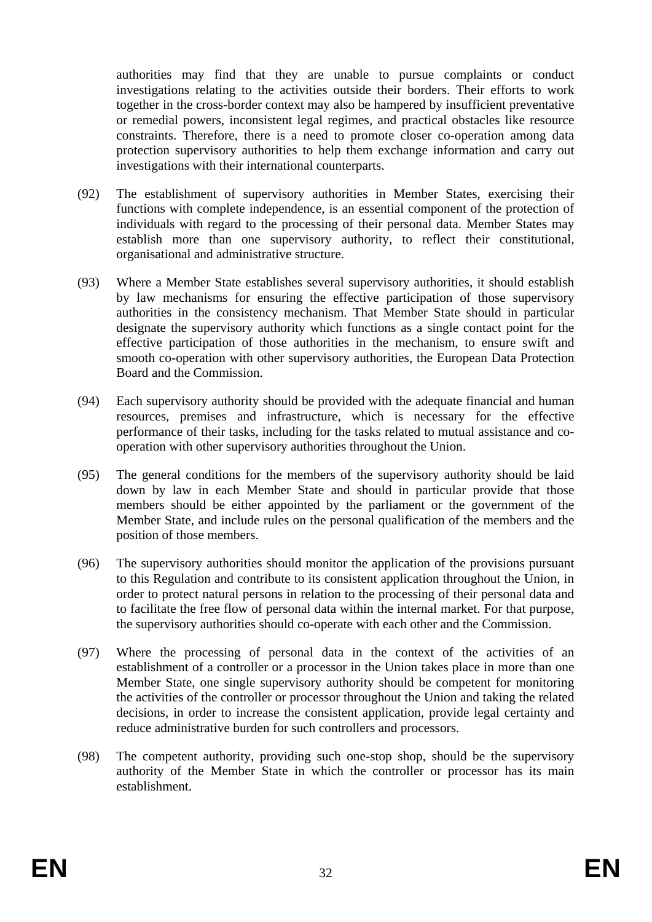authorities may find that they are unable to pursue complaints or conduct investigations relating to the activities outside their borders. Their efforts to work together in the cross-border context may also be hampered by insufficient preventative or remedial powers, inconsistent legal regimes, and practical obstacles like resource constraints. Therefore, there is a need to promote closer co-operation among data protection supervisory authorities to help them exchange information and carry out investigations with their international counterparts.

- (92) The establishment of supervisory authorities in Member States, exercising their functions with complete independence, is an essential component of the protection of individuals with regard to the processing of their personal data. Member States may establish more than one supervisory authority, to reflect their constitutional, organisational and administrative structure.
- (93) Where a Member State establishes several supervisory authorities, it should establish by law mechanisms for ensuring the effective participation of those supervisory authorities in the consistency mechanism. That Member State should in particular designate the supervisory authority which functions as a single contact point for the effective participation of those authorities in the mechanism, to ensure swift and smooth co-operation with other supervisory authorities, the European Data Protection Board and the Commission.
- (94) Each supervisory authority should be provided with the adequate financial and human resources, premises and infrastructure, which is necessary for the effective performance of their tasks, including for the tasks related to mutual assistance and cooperation with other supervisory authorities throughout the Union.
- (95) The general conditions for the members of the supervisory authority should be laid down by law in each Member State and should in particular provide that those members should be either appointed by the parliament or the government of the Member State, and include rules on the personal qualification of the members and the position of those members.
- (96) The supervisory authorities should monitor the application of the provisions pursuant to this Regulation and contribute to its consistent application throughout the Union, in order to protect natural persons in relation to the processing of their personal data and to facilitate the free flow of personal data within the internal market. For that purpose, the supervisory authorities should co-operate with each other and the Commission.
- (97) Where the processing of personal data in the context of the activities of an establishment of a controller or a processor in the Union takes place in more than one Member State, one single supervisory authority should be competent for monitoring the activities of the controller or processor throughout the Union and taking the related decisions, in order to increase the consistent application, provide legal certainty and reduce administrative burden for such controllers and processors.
- (98) The competent authority, providing such one-stop shop, should be the supervisory authority of the Member State in which the controller or processor has its main establishment.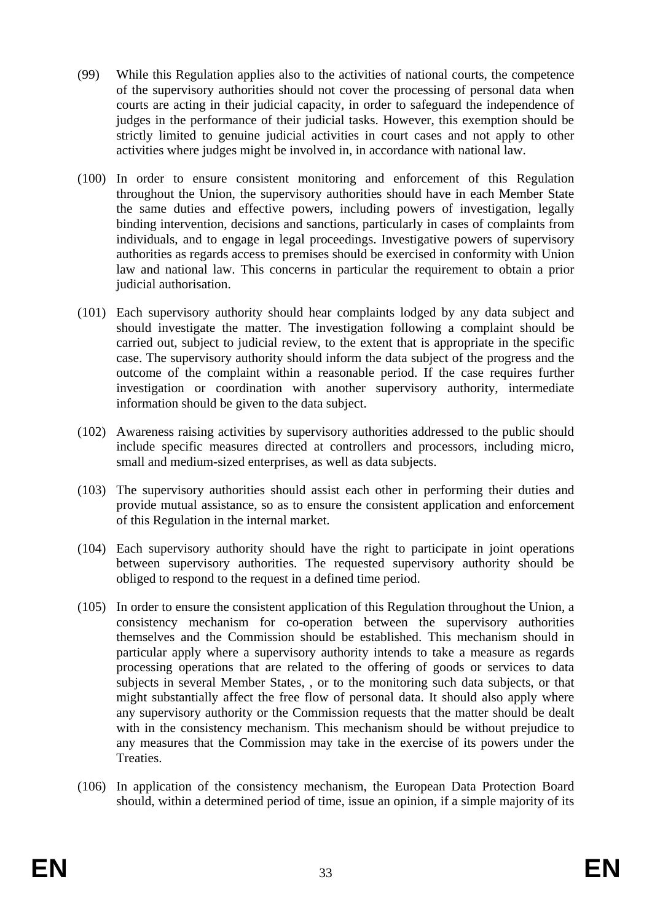- (99) While this Regulation applies also to the activities of national courts, the competence of the supervisory authorities should not cover the processing of personal data when courts are acting in their judicial capacity, in order to safeguard the independence of judges in the performance of their judicial tasks. However, this exemption should be strictly limited to genuine judicial activities in court cases and not apply to other activities where judges might be involved in, in accordance with national law.
- (100) In order to ensure consistent monitoring and enforcement of this Regulation throughout the Union, the supervisory authorities should have in each Member State the same duties and effective powers, including powers of investigation, legally binding intervention, decisions and sanctions, particularly in cases of complaints from individuals, and to engage in legal proceedings. Investigative powers of supervisory authorities as regards access to premises should be exercised in conformity with Union law and national law. This concerns in particular the requirement to obtain a prior judicial authorisation.
- (101) Each supervisory authority should hear complaints lodged by any data subject and should investigate the matter. The investigation following a complaint should be carried out, subject to judicial review, to the extent that is appropriate in the specific case. The supervisory authority should inform the data subject of the progress and the outcome of the complaint within a reasonable period. If the case requires further investigation or coordination with another supervisory authority, intermediate information should be given to the data subject.
- (102) Awareness raising activities by supervisory authorities addressed to the public should include specific measures directed at controllers and processors, including micro, small and medium-sized enterprises, as well as data subjects.
- (103) The supervisory authorities should assist each other in performing their duties and provide mutual assistance, so as to ensure the consistent application and enforcement of this Regulation in the internal market.
- (104) Each supervisory authority should have the right to participate in joint operations between supervisory authorities. The requested supervisory authority should be obliged to respond to the request in a defined time period.
- (105) In order to ensure the consistent application of this Regulation throughout the Union, a consistency mechanism for co-operation between the supervisory authorities themselves and the Commission should be established. This mechanism should in particular apply where a supervisory authority intends to take a measure as regards processing operations that are related to the offering of goods or services to data subjects in several Member States, , or to the monitoring such data subjects, or that might substantially affect the free flow of personal data. It should also apply where any supervisory authority or the Commission requests that the matter should be dealt with in the consistency mechanism. This mechanism should be without prejudice to any measures that the Commission may take in the exercise of its powers under the Treaties.
- (106) In application of the consistency mechanism, the European Data Protection Board should, within a determined period of time, issue an opinion, if a simple majority of its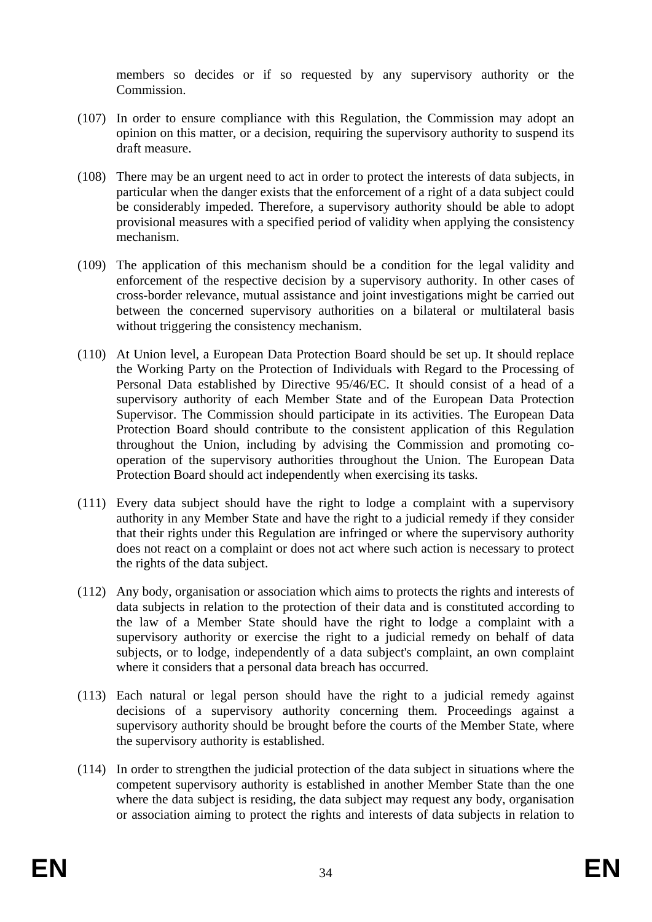members so decides or if so requested by any supervisory authority or the Commission.

- (107) In order to ensure compliance with this Regulation, the Commission may adopt an opinion on this matter, or a decision, requiring the supervisory authority to suspend its draft measure.
- (108) There may be an urgent need to act in order to protect the interests of data subjects, in particular when the danger exists that the enforcement of a right of a data subject could be considerably impeded. Therefore, a supervisory authority should be able to adopt provisional measures with a specified period of validity when applying the consistency mechanism.
- (109) The application of this mechanism should be a condition for the legal validity and enforcement of the respective decision by a supervisory authority. In other cases of cross-border relevance, mutual assistance and joint investigations might be carried out between the concerned supervisory authorities on a bilateral or multilateral basis without triggering the consistency mechanism.
- (110) At Union level, a European Data Protection Board should be set up. It should replace the Working Party on the Protection of Individuals with Regard to the Processing of Personal Data established by Directive 95/46/EC. It should consist of a head of a supervisory authority of each Member State and of the European Data Protection Supervisor. The Commission should participate in its activities. The European Data Protection Board should contribute to the consistent application of this Regulation throughout the Union, including by advising the Commission and promoting cooperation of the supervisory authorities throughout the Union. The European Data Protection Board should act independently when exercising its tasks.
- (111) Every data subject should have the right to lodge a complaint with a supervisory authority in any Member State and have the right to a judicial remedy if they consider that their rights under this Regulation are infringed or where the supervisory authority does not react on a complaint or does not act where such action is necessary to protect the rights of the data subject.
- (112) Any body, organisation or association which aims to protects the rights and interests of data subjects in relation to the protection of their data and is constituted according to the law of a Member State should have the right to lodge a complaint with a supervisory authority or exercise the right to a judicial remedy on behalf of data subjects, or to lodge, independently of a data subject's complaint, an own complaint where it considers that a personal data breach has occurred.
- (113) Each natural or legal person should have the right to a judicial remedy against decisions of a supervisory authority concerning them. Proceedings against a supervisory authority should be brought before the courts of the Member State, where the supervisory authority is established.
- (114) In order to strengthen the judicial protection of the data subject in situations where the competent supervisory authority is established in another Member State than the one where the data subject is residing, the data subject may request any body, organisation or association aiming to protect the rights and interests of data subjects in relation to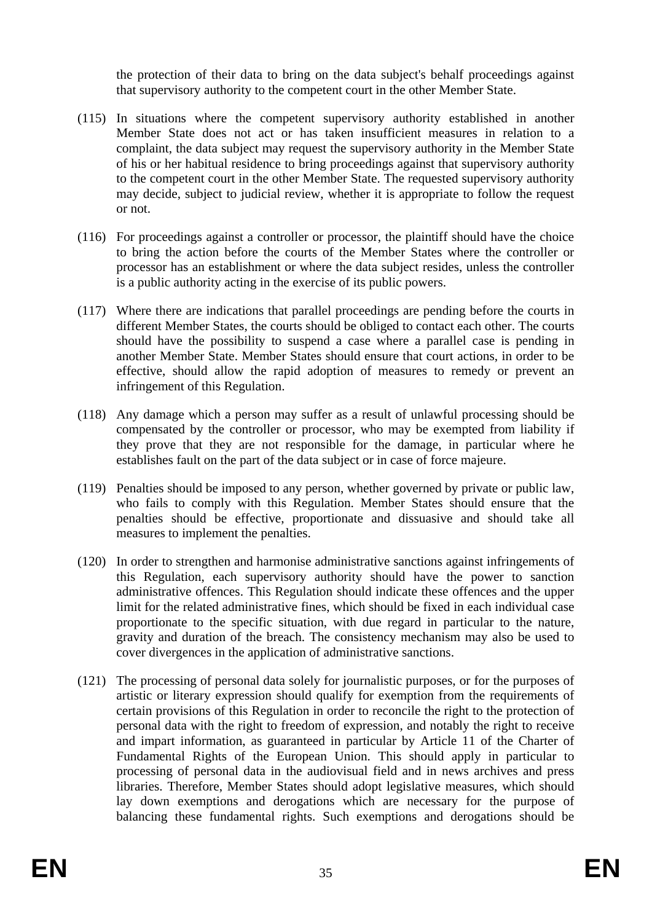the protection of their data to bring on the data subject's behalf proceedings against that supervisory authority to the competent court in the other Member State.

- (115) In situations where the competent supervisory authority established in another Member State does not act or has taken insufficient measures in relation to a complaint, the data subject may request the supervisory authority in the Member State of his or her habitual residence to bring proceedings against that supervisory authority to the competent court in the other Member State. The requested supervisory authority may decide, subject to judicial review, whether it is appropriate to follow the request or not.
- (116) For proceedings against a controller or processor, the plaintiff should have the choice to bring the action before the courts of the Member States where the controller or processor has an establishment or where the data subject resides, unless the controller is a public authority acting in the exercise of its public powers.
- (117) Where there are indications that parallel proceedings are pending before the courts in different Member States, the courts should be obliged to contact each other. The courts should have the possibility to suspend a case where a parallel case is pending in another Member State. Member States should ensure that court actions, in order to be effective, should allow the rapid adoption of measures to remedy or prevent an infringement of this Regulation.
- (118) Any damage which a person may suffer as a result of unlawful processing should be compensated by the controller or processor, who may be exempted from liability if they prove that they are not responsible for the damage, in particular where he establishes fault on the part of the data subject or in case of force majeure.
- (119) Penalties should be imposed to any person, whether governed by private or public law, who fails to comply with this Regulation. Member States should ensure that the penalties should be effective, proportionate and dissuasive and should take all measures to implement the penalties.
- (120) In order to strengthen and harmonise administrative sanctions against infringements of this Regulation, each supervisory authority should have the power to sanction administrative offences. This Regulation should indicate these offences and the upper limit for the related administrative fines, which should be fixed in each individual case proportionate to the specific situation, with due regard in particular to the nature, gravity and duration of the breach. The consistency mechanism may also be used to cover divergences in the application of administrative sanctions.
- (121) The processing of personal data solely for journalistic purposes, or for the purposes of artistic or literary expression should qualify for exemption from the requirements of certain provisions of this Regulation in order to reconcile the right to the protection of personal data with the right to freedom of expression, and notably the right to receive and impart information, as guaranteed in particular by Article 11 of the Charter of Fundamental Rights of the European Union. This should apply in particular to processing of personal data in the audiovisual field and in news archives and press libraries. Therefore, Member States should adopt legislative measures, which should lay down exemptions and derogations which are necessary for the purpose of balancing these fundamental rights. Such exemptions and derogations should be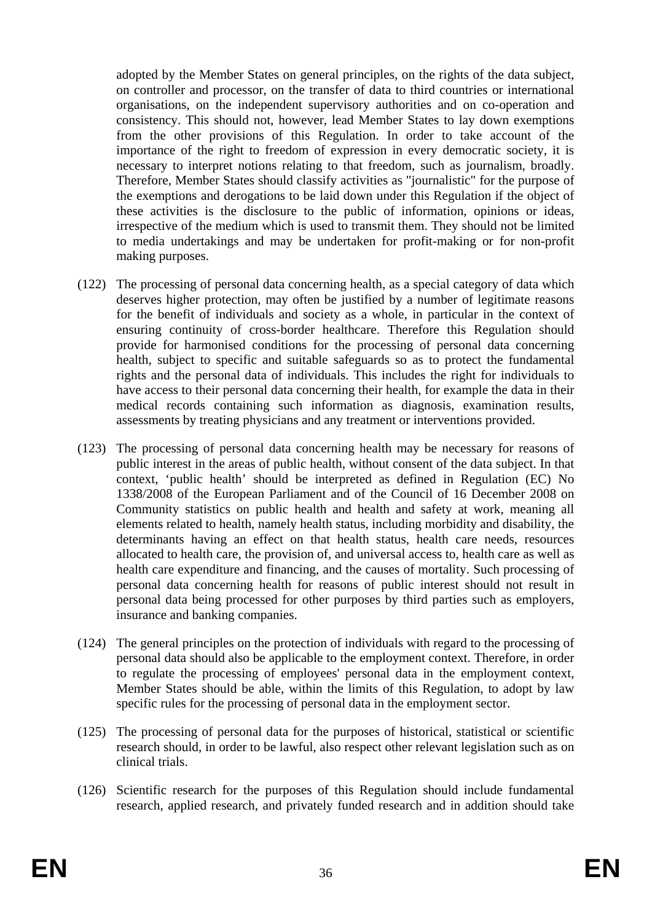adopted by the Member States on general principles, on the rights of the data subject, on controller and processor, on the transfer of data to third countries or international organisations, on the independent supervisory authorities and on co-operation and consistency. This should not, however, lead Member States to lay down exemptions from the other provisions of this Regulation. In order to take account of the importance of the right to freedom of expression in every democratic society, it is necessary to interpret notions relating to that freedom, such as journalism, broadly. Therefore, Member States should classify activities as "journalistic" for the purpose of the exemptions and derogations to be laid down under this Regulation if the object of these activities is the disclosure to the public of information, opinions or ideas, irrespective of the medium which is used to transmit them. They should not be limited to media undertakings and may be undertaken for profit-making or for non-profit making purposes.

- (122) The processing of personal data concerning health, as a special category of data which deserves higher protection, may often be justified by a number of legitimate reasons for the benefit of individuals and society as a whole, in particular in the context of ensuring continuity of cross-border healthcare. Therefore this Regulation should provide for harmonised conditions for the processing of personal data concerning health, subject to specific and suitable safeguards so as to protect the fundamental rights and the personal data of individuals. This includes the right for individuals to have access to their personal data concerning their health, for example the data in their medical records containing such information as diagnosis, examination results, assessments by treating physicians and any treatment or interventions provided.
- (123) The processing of personal data concerning health may be necessary for reasons of public interest in the areas of public health, without consent of the data subject. In that context, 'public health' should be interpreted as defined in Regulation (EC) No 1338/2008 of the European Parliament and of the Council of 16 December 2008 on Community statistics on public health and health and safety at work, meaning all elements related to health, namely health status, including morbidity and disability, the determinants having an effect on that health status, health care needs, resources allocated to health care, the provision of, and universal access to, health care as well as health care expenditure and financing, and the causes of mortality. Such processing of personal data concerning health for reasons of public interest should not result in personal data being processed for other purposes by third parties such as employers, insurance and banking companies.
- (124) The general principles on the protection of individuals with regard to the processing of personal data should also be applicable to the employment context. Therefore, in order to regulate the processing of employees' personal data in the employment context, Member States should be able, within the limits of this Regulation, to adopt by law specific rules for the processing of personal data in the employment sector.
- (125) The processing of personal data for the purposes of historical, statistical or scientific research should, in order to be lawful, also respect other relevant legislation such as on clinical trials.
- (126) Scientific research for the purposes of this Regulation should include fundamental research, applied research, and privately funded research and in addition should take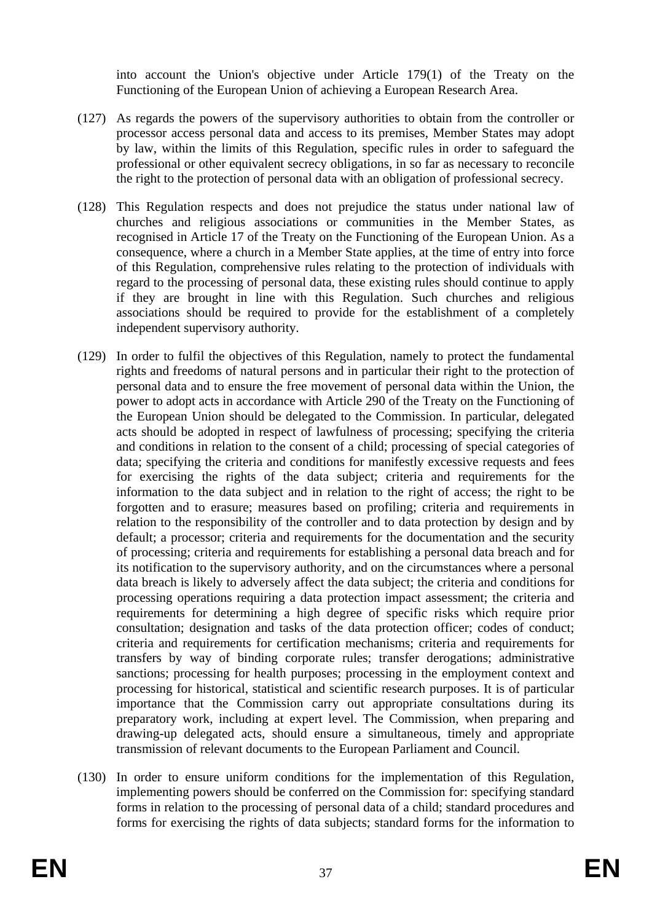into account the Union's objective under Article 179(1) of the Treaty on the Functioning of the European Union of achieving a European Research Area.

- (127) As regards the powers of the supervisory authorities to obtain from the controller or processor access personal data and access to its premises, Member States may adopt by law, within the limits of this Regulation, specific rules in order to safeguard the professional or other equivalent secrecy obligations, in so far as necessary to reconcile the right to the protection of personal data with an obligation of professional secrecy.
- (128) This Regulation respects and does not prejudice the status under national law of churches and religious associations or communities in the Member States, as recognised in Article 17 of the Treaty on the Functioning of the European Union. As a consequence, where a church in a Member State applies, at the time of entry into force of this Regulation, comprehensive rules relating to the protection of individuals with regard to the processing of personal data, these existing rules should continue to apply if they are brought in line with this Regulation. Such churches and religious associations should be required to provide for the establishment of a completely independent supervisory authority.
- (129) In order to fulfil the objectives of this Regulation, namely to protect the fundamental rights and freedoms of natural persons and in particular their right to the protection of personal data and to ensure the free movement of personal data within the Union, the power to adopt acts in accordance with Article 290 of the Treaty on the Functioning of the European Union should be delegated to the Commission. In particular, delegated acts should be adopted in respect of lawfulness of processing; specifying the criteria and conditions in relation to the consent of a child; processing of special categories of data; specifying the criteria and conditions for manifestly excessive requests and fees for exercising the rights of the data subject; criteria and requirements for the information to the data subject and in relation to the right of access; the right to be forgotten and to erasure; measures based on profiling; criteria and requirements in relation to the responsibility of the controller and to data protection by design and by default; a processor; criteria and requirements for the documentation and the security of processing; criteria and requirements for establishing a personal data breach and for its notification to the supervisory authority, and on the circumstances where a personal data breach is likely to adversely affect the data subject; the criteria and conditions for processing operations requiring a data protection impact assessment; the criteria and requirements for determining a high degree of specific risks which require prior consultation; designation and tasks of the data protection officer; codes of conduct; criteria and requirements for certification mechanisms; criteria and requirements for transfers by way of binding corporate rules; transfer derogations; administrative sanctions; processing for health purposes; processing in the employment context and processing for historical, statistical and scientific research purposes. It is of particular importance that the Commission carry out appropriate consultations during its preparatory work, including at expert level. The Commission, when preparing and drawing-up delegated acts, should ensure a simultaneous, timely and appropriate transmission of relevant documents to the European Parliament and Council.
- (130) In order to ensure uniform conditions for the implementation of this Regulation, implementing powers should be conferred on the Commission for: specifying standard forms in relation to the processing of personal data of a child; standard procedures and forms for exercising the rights of data subjects; standard forms for the information to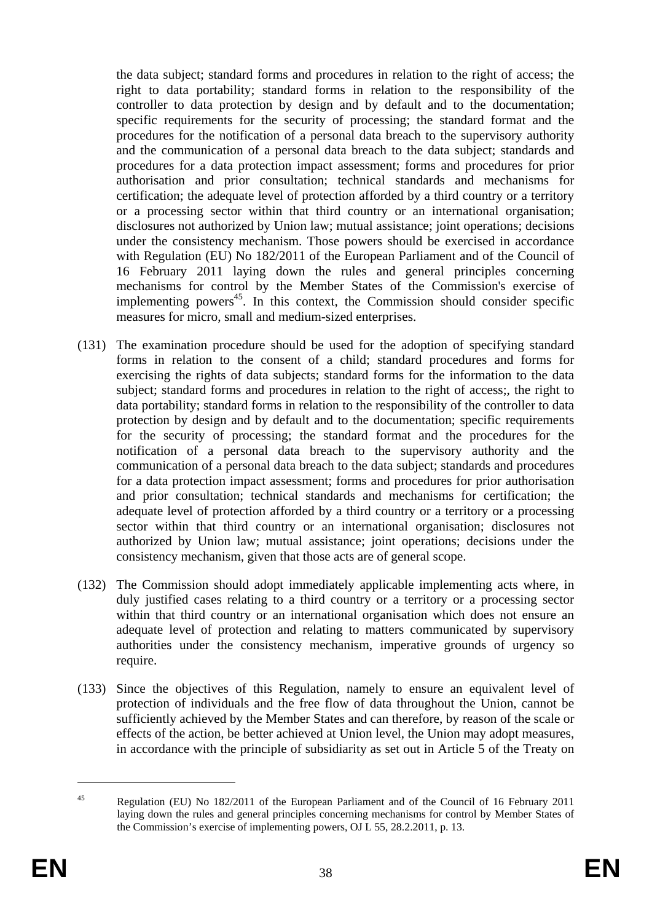the data subject; standard forms and procedures in relation to the right of access; the right to data portability; standard forms in relation to the responsibility of the controller to data protection by design and by default and to the documentation; specific requirements for the security of processing; the standard format and the procedures for the notification of a personal data breach to the supervisory authority and the communication of a personal data breach to the data subject; standards and procedures for a data protection impact assessment; forms and procedures for prior authorisation and prior consultation; technical standards and mechanisms for certification; the adequate level of protection afforded by a third country or a territory or a processing sector within that third country or an international organisation; disclosures not authorized by Union law; mutual assistance; joint operations; decisions under the consistency mechanism. Those powers should be exercised in accordance with Regulation (EU) No 182/2011 of the European Parliament and of the Council of 16 February 2011 laying down the rules and general principles concerning mechanisms for control by the Member States of the Commission's exercise of implementing powers $45$ . In this context, the Commission should consider specific measures for micro, small and medium-sized enterprises.

- (131) The examination procedure should be used for the adoption of specifying standard forms in relation to the consent of a child; standard procedures and forms for exercising the rights of data subjects; standard forms for the information to the data subject; standard forms and procedures in relation to the right of access;, the right to data portability; standard forms in relation to the responsibility of the controller to data protection by design and by default and to the documentation; specific requirements for the security of processing; the standard format and the procedures for the notification of a personal data breach to the supervisory authority and the communication of a personal data breach to the data subject; standards and procedures for a data protection impact assessment; forms and procedures for prior authorisation and prior consultation; technical standards and mechanisms for certification; the adequate level of protection afforded by a third country or a territory or a processing sector within that third country or an international organisation; disclosures not authorized by Union law; mutual assistance; joint operations; decisions under the consistency mechanism, given that those acts are of general scope.
- (132) The Commission should adopt immediately applicable implementing acts where, in duly justified cases relating to a third country or a territory or a processing sector within that third country or an international organisation which does not ensure an adequate level of protection and relating to matters communicated by supervisory authorities under the consistency mechanism, imperative grounds of urgency so require.
- (133) Since the objectives of this Regulation, namely to ensure an equivalent level of protection of individuals and the free flow of data throughout the Union, cannot be sufficiently achieved by the Member States and can therefore, by reason of the scale or effects of the action, be better achieved at Union level, the Union may adopt measures, in accordance with the principle of subsidiarity as set out in Article 5 of the Treaty on

1

<sup>45</sup> Regulation (EU) No 182/2011 of the European Parliament and of the Council of 16 February 2011 laying down the rules and general principles concerning mechanisms for control by Member States of the Commission's exercise of implementing powers, OJ L 55, 28.2.2011, p. 13.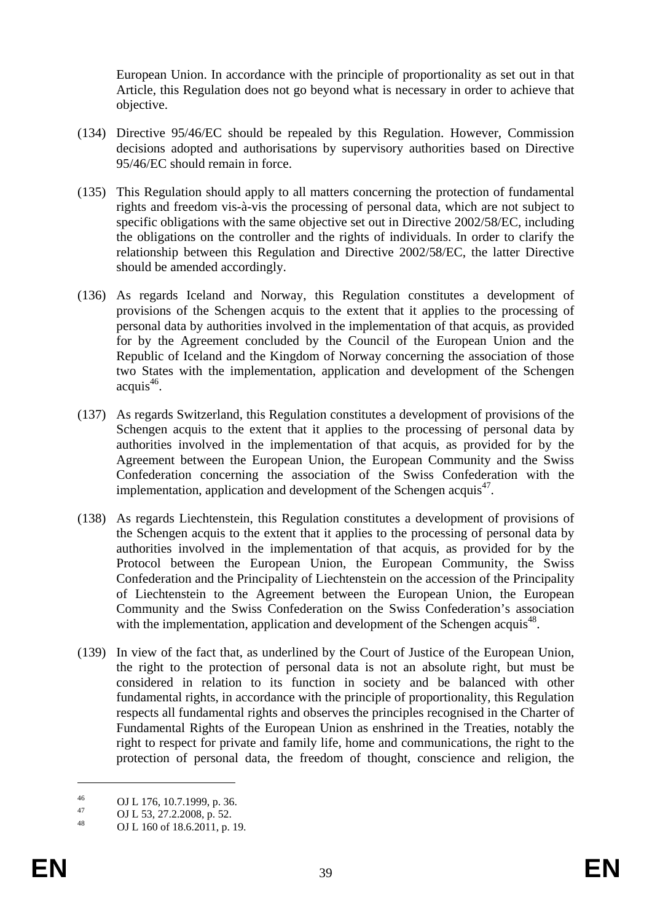European Union. In accordance with the principle of proportionality as set out in that Article, this Regulation does not go beyond what is necessary in order to achieve that objective.

- (134) Directive 95/46/EC should be repealed by this Regulation. However, Commission decisions adopted and authorisations by supervisory authorities based on Directive 95/46/EC should remain in force.
- (135) This Regulation should apply to all matters concerning the protection of fundamental rights and freedom vis-à-vis the processing of personal data, which are not subject to specific obligations with the same objective set out in Directive 2002/58/EC, including the obligations on the controller and the rights of individuals. In order to clarify the relationship between this Regulation and Directive 2002/58/EC, the latter Directive should be amended accordingly.
- (136) As regards Iceland and Norway, this Regulation constitutes a development of provisions of the Schengen acquis to the extent that it applies to the processing of personal data by authorities involved in the implementation of that acquis, as provided for by the Agreement concluded by the Council of the European Union and the Republic of Iceland and the Kingdom of Norway concerning the association of those two States with the implementation, application and development of the Schengen  $acquis<sup>46</sup>$ .
- (137) As regards Switzerland, this Regulation constitutes a development of provisions of the Schengen acquis to the extent that it applies to the processing of personal data by authorities involved in the implementation of that acquis, as provided for by the Agreement between the European Union, the European Community and the Swiss Confederation concerning the association of the Swiss Confederation with the implementation, application and development of the Schengen acquis<sup>47</sup>.
- (138) As regards Liechtenstein, this Regulation constitutes a development of provisions of the Schengen acquis to the extent that it applies to the processing of personal data by authorities involved in the implementation of that acquis, as provided for by the Protocol between the European Union, the European Community, the Swiss Confederation and the Principality of Liechtenstein on the accession of the Principality of Liechtenstein to the Agreement between the European Union, the European Community and the Swiss Confederation on the Swiss Confederation's association with the implementation, application and development of the Schengen acquis<sup>48</sup>.
- (139) In view of the fact that, as underlined by the Court of Justice of the European Union, the right to the protection of personal data is not an absolute right, but must be considered in relation to its function in society and be balanced with other fundamental rights, in accordance with the principle of proportionality, this Regulation respects all fundamental rights and observes the principles recognised in the Charter of Fundamental Rights of the European Union as enshrined in the Treaties, notably the right to respect for private and family life, home and communications, the right to the protection of personal data, the freedom of thought, conscience and religion, the

1

 $^{46}$  OJ L 176, 10.7.1999, p. 36.

 $^{47}$  OJ L 53, 27.2.2008, p. 52.

<sup>48</sup> OJ L 160 of 18.6.2011, p. 19.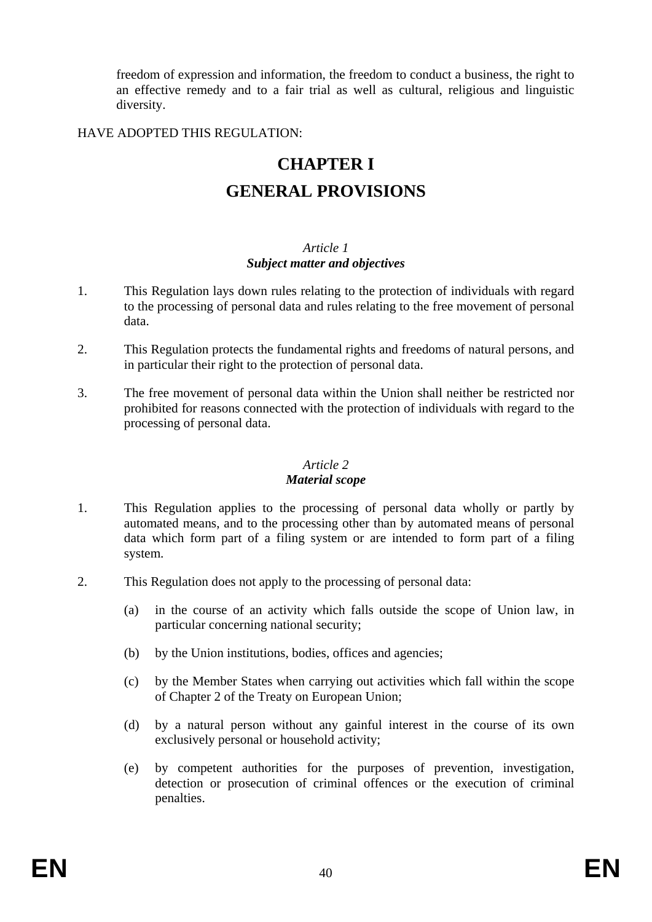freedom of expression and information, the freedom to conduct a business, the right to an effective remedy and to a fair trial as well as cultural, religious and linguistic diversity.

#### HAVE ADOPTED THIS REGULATION:

# **CHAPTER I GENERAL PROVISIONS**

#### *Article 1 Subject matter and objectives*

- 1. This Regulation lays down rules relating to the protection of individuals with regard to the processing of personal data and rules relating to the free movement of personal data.
- 2. This Regulation protects the fundamental rights and freedoms of natural persons, and in particular their right to the protection of personal data.
- 3. The free movement of personal data within the Union shall neither be restricted nor prohibited for reasons connected with the protection of individuals with regard to the processing of personal data.

#### *Article 2 Material scope*

- 1. This Regulation applies to the processing of personal data wholly or partly by automated means, and to the processing other than by automated means of personal data which form part of a filing system or are intended to form part of a filing system.
- 2. This Regulation does not apply to the processing of personal data:
	- (a) in the course of an activity which falls outside the scope of Union law, in particular concerning national security;
	- (b) by the Union institutions, bodies, offices and agencies;
	- (c) by the Member States when carrying out activities which fall within the scope of Chapter 2 of the Treaty on European Union;
	- (d) by a natural person without any gainful interest in the course of its own exclusively personal or household activity;
	- (e) by competent authorities for the purposes of prevention, investigation, detection or prosecution of criminal offences or the execution of criminal penalties.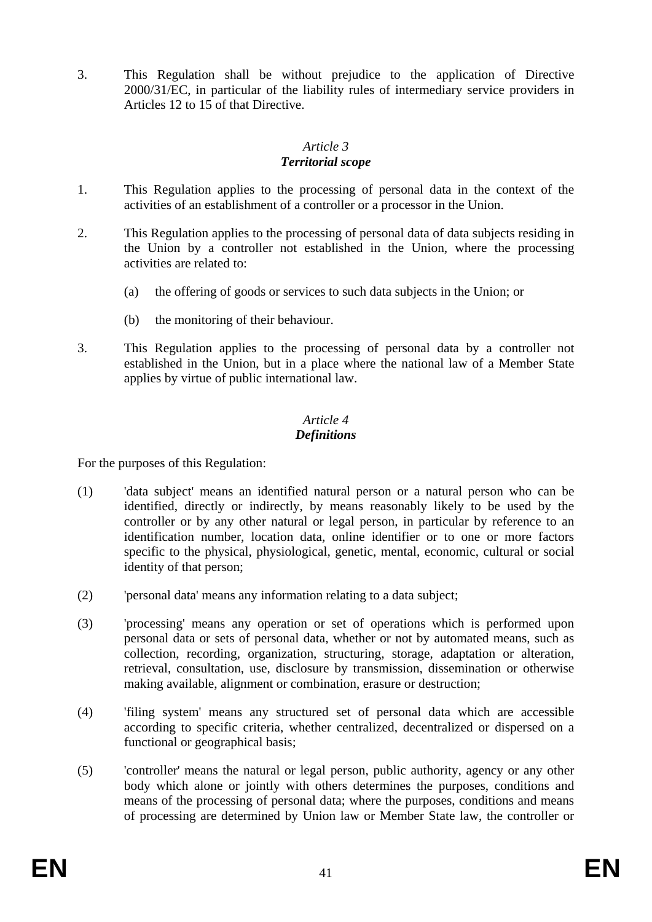3. This Regulation shall be without prejudice to the application of Directive 2000/31/EC, in particular of the liability rules of intermediary service providers in Articles 12 to 15 of that Directive.

#### *Article 3 Territorial scope*

- 1. This Regulation applies to the processing of personal data in the context of the activities of an establishment of a controller or a processor in the Union.
- 2. This Regulation applies to the processing of personal data of data subjects residing in the Union by a controller not established in the Union, where the processing activities are related to:
	- (a) the offering of goods or services to such data subjects in the Union; or
	- (b) the monitoring of their behaviour.
- 3. This Regulation applies to the processing of personal data by a controller not established in the Union, but in a place where the national law of a Member State applies by virtue of public international law.

#### *Article 4 Definitions*

For the purposes of this Regulation:

- (1) 'data subject' means an identified natural person or a natural person who can be identified, directly or indirectly, by means reasonably likely to be used by the controller or by any other natural or legal person, in particular by reference to an identification number, location data, online identifier or to one or more factors specific to the physical, physiological, genetic, mental, economic, cultural or social identity of that person;
- (2) 'personal data' means any information relating to a data subject;
- (3) 'processing' means any operation or set of operations which is performed upon personal data or sets of personal data, whether or not by automated means, such as collection, recording, organization, structuring, storage, adaptation or alteration, retrieval, consultation, use, disclosure by transmission, dissemination or otherwise making available, alignment or combination, erasure or destruction;
- (4) 'filing system' means any structured set of personal data which are accessible according to specific criteria, whether centralized, decentralized or dispersed on a functional or geographical basis;
- (5) 'controller' means the natural or legal person, public authority, agency or any other body which alone or jointly with others determines the purposes, conditions and means of the processing of personal data; where the purposes, conditions and means of processing are determined by Union law or Member State law, the controller or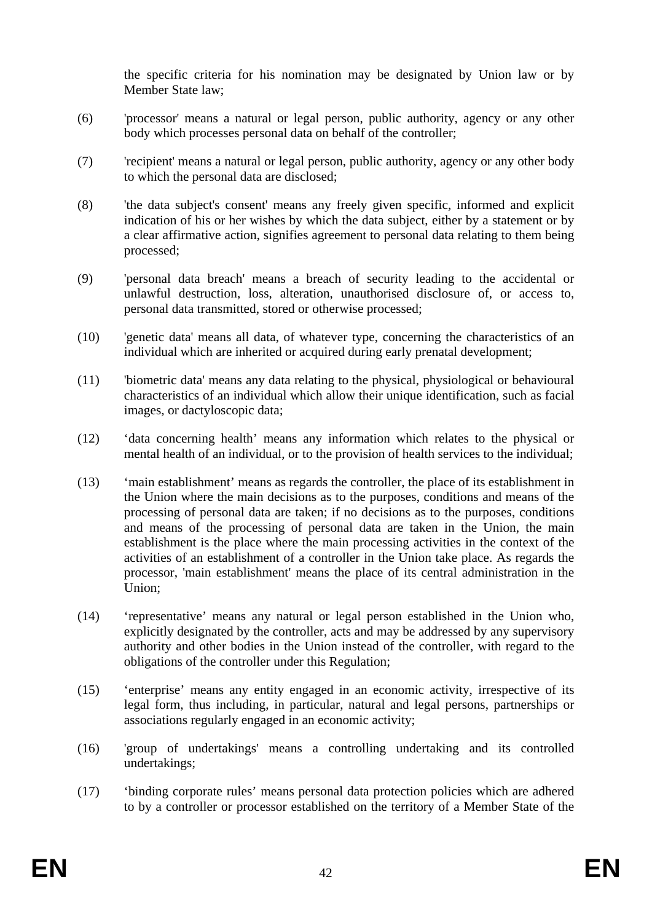the specific criteria for his nomination may be designated by Union law or by Member State law;

- (6) 'processor' means a natural or legal person, public authority, agency or any other body which processes personal data on behalf of the controller;
- (7) 'recipient' means a natural or legal person, public authority, agency or any other body to which the personal data are disclosed;
- (8) 'the data subject's consent' means any freely given specific, informed and explicit indication of his or her wishes by which the data subject, either by a statement or by a clear affirmative action, signifies agreement to personal data relating to them being processed;
- (9) 'personal data breach' means a breach of security leading to the accidental or unlawful destruction, loss, alteration, unauthorised disclosure of, or access to, personal data transmitted, stored or otherwise processed;
- (10) 'genetic data' means all data, of whatever type, concerning the characteristics of an individual which are inherited or acquired during early prenatal development;
- (11) 'biometric data' means any data relating to the physical, physiological or behavioural characteristics of an individual which allow their unique identification, such as facial images, or dactyloscopic data;
- (12) 'data concerning health' means any information which relates to the physical or mental health of an individual, or to the provision of health services to the individual;
- (13) 'main establishment' means as regards the controller, the place of its establishment in the Union where the main decisions as to the purposes, conditions and means of the processing of personal data are taken; if no decisions as to the purposes, conditions and means of the processing of personal data are taken in the Union, the main establishment is the place where the main processing activities in the context of the activities of an establishment of a controller in the Union take place. As regards the processor, 'main establishment' means the place of its central administration in the Union;
- (14) 'representative' means any natural or legal person established in the Union who, explicitly designated by the controller, acts and may be addressed by any supervisory authority and other bodies in the Union instead of the controller, with regard to the obligations of the controller under this Regulation;
- (15) 'enterprise' means any entity engaged in an economic activity, irrespective of its legal form, thus including, in particular, natural and legal persons, partnerships or associations regularly engaged in an economic activity;
- (16) 'group of undertakings' means a controlling undertaking and its controlled undertakings;
- (17) 'binding corporate rules' means personal data protection policies which are adhered to by a controller or processor established on the territory of a Member State of the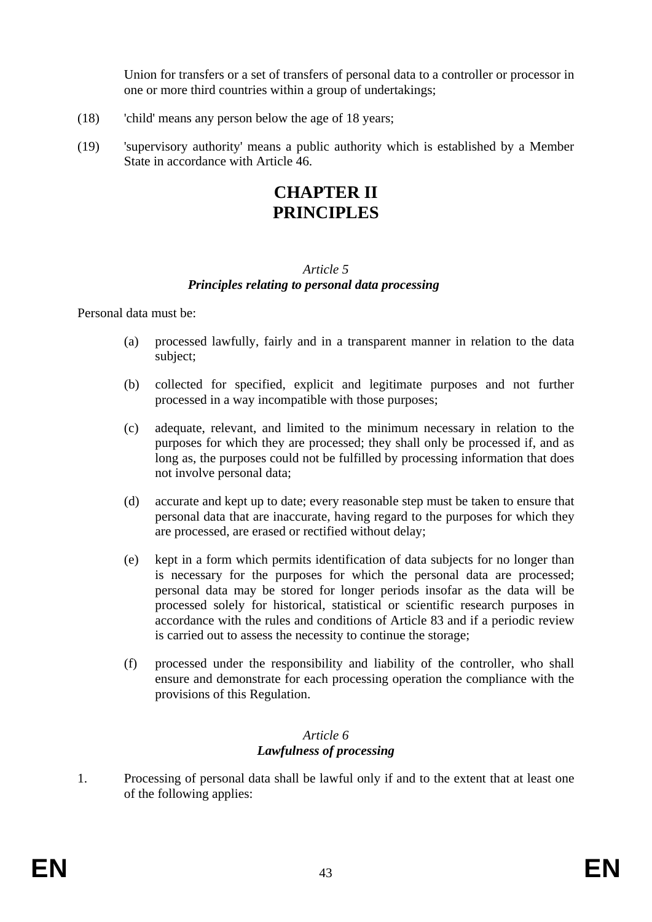Union for transfers or a set of transfers of personal data to a controller or processor in one or more third countries within a group of undertakings;

- (18) 'child' means any person below the age of 18 years;
- (19) 'supervisory authority' means a public authority which is established by a Member State in accordance with Article 46.

# **CHAPTER II PRINCIPLES**

#### *Article 5 Principles relating to personal data processing*

Personal data must be:

- (a) processed lawfully, fairly and in a transparent manner in relation to the data subject;
- (b) collected for specified, explicit and legitimate purposes and not further processed in a way incompatible with those purposes;
- (c) adequate, relevant, and limited to the minimum necessary in relation to the purposes for which they are processed; they shall only be processed if, and as long as, the purposes could not be fulfilled by processing information that does not involve personal data;
- (d) accurate and kept up to date; every reasonable step must be taken to ensure that personal data that are inaccurate, having regard to the purposes for which they are processed, are erased or rectified without delay;
- (e) kept in a form which permits identification of data subjects for no longer than is necessary for the purposes for which the personal data are processed; personal data may be stored for longer periods insofar as the data will be processed solely for historical, statistical or scientific research purposes in accordance with the rules and conditions of Article 83 and if a periodic review is carried out to assess the necessity to continue the storage;
- (f) processed under the responsibility and liability of the controller, who shall ensure and demonstrate for each processing operation the compliance with the provisions of this Regulation.

#### *Article 6 Lawfulness of processing*

1. Processing of personal data shall be lawful only if and to the extent that at least one of the following applies: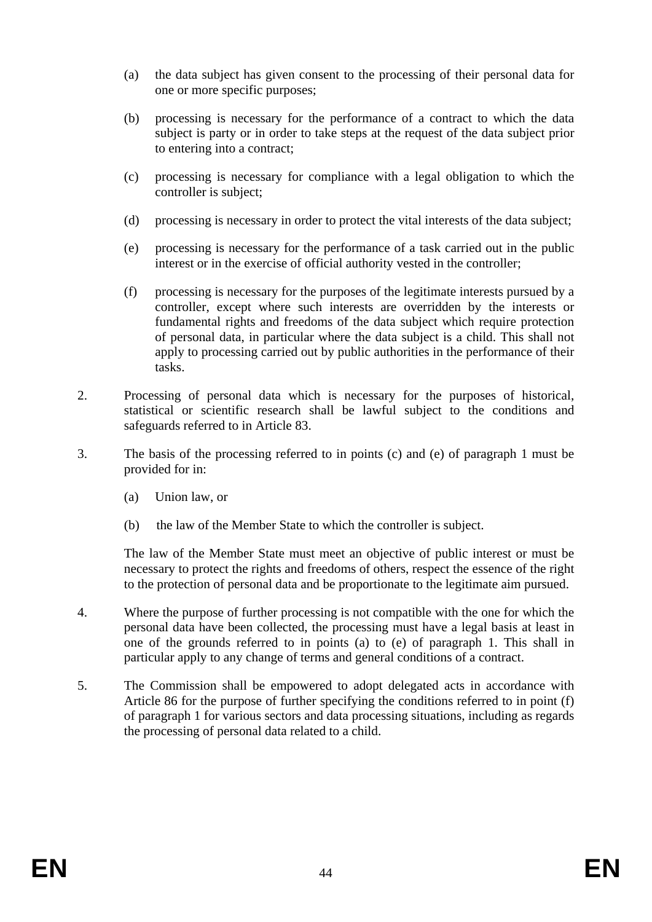- (a) the data subject has given consent to the processing of their personal data for one or more specific purposes;
- (b) processing is necessary for the performance of a contract to which the data subject is party or in order to take steps at the request of the data subject prior to entering into a contract;
- (c) processing is necessary for compliance with a legal obligation to which the controller is subject;
- (d) processing is necessary in order to protect the vital interests of the data subject;
- (e) processing is necessary for the performance of a task carried out in the public interest or in the exercise of official authority vested in the controller;
- (f) processing is necessary for the purposes of the legitimate interests pursued by a controller, except where such interests are overridden by the interests or fundamental rights and freedoms of the data subject which require protection of personal data, in particular where the data subject is a child. This shall not apply to processing carried out by public authorities in the performance of their tasks.
- 2. Processing of personal data which is necessary for the purposes of historical, statistical or scientific research shall be lawful subject to the conditions and safeguards referred to in Article 83.
- 3. The basis of the processing referred to in points (c) and (e) of paragraph 1 must be provided for in:
	- (a) Union law, or
	- (b) the law of the Member State to which the controller is subject.

The law of the Member State must meet an objective of public interest or must be necessary to protect the rights and freedoms of others, respect the essence of the right to the protection of personal data and be proportionate to the legitimate aim pursued.

- 4. Where the purpose of further processing is not compatible with the one for which the personal data have been collected, the processing must have a legal basis at least in one of the grounds referred to in points (a) to (e) of paragraph 1. This shall in particular apply to any change of terms and general conditions of a contract.
- 5. The Commission shall be empowered to adopt delegated acts in accordance with Article 86 for the purpose of further specifying the conditions referred to in point (f) of paragraph 1 for various sectors and data processing situations, including as regards the processing of personal data related to a child.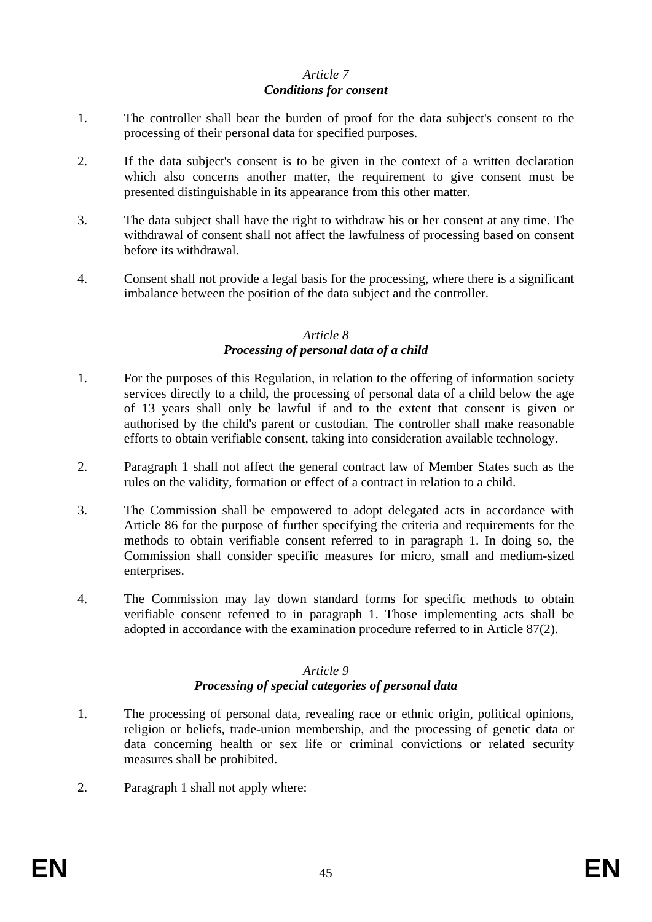#### *Article 7 Conditions for consent*

- 1. The controller shall bear the burden of proof for the data subject's consent to the processing of their personal data for specified purposes.
- 2. If the data subject's consent is to be given in the context of a written declaration which also concerns another matter, the requirement to give consent must be presented distinguishable in its appearance from this other matter.
- 3. The data subject shall have the right to withdraw his or her consent at any time. The withdrawal of consent shall not affect the lawfulness of processing based on consent before its withdrawal.
- 4. Consent shall not provide a legal basis for the processing, where there is a significant imbalance between the position of the data subject and the controller.

#### *Article 8*

#### *Processing of personal data of a child*

- 1. For the purposes of this Regulation, in relation to the offering of information society services directly to a child, the processing of personal data of a child below the age of 13 years shall only be lawful if and to the extent that consent is given or authorised by the child's parent or custodian. The controller shall make reasonable efforts to obtain verifiable consent, taking into consideration available technology.
- 2. Paragraph 1 shall not affect the general contract law of Member States such as the rules on the validity, formation or effect of a contract in relation to a child.
- 3. The Commission shall be empowered to adopt delegated acts in accordance with Article 86 for the purpose of further specifying the criteria and requirements for the methods to obtain verifiable consent referred to in paragraph 1. In doing so, the Commission shall consider specific measures for micro, small and medium-sized enterprises.
- 4. The Commission may lay down standard forms for specific methods to obtain verifiable consent referred to in paragraph 1. Those implementing acts shall be adopted in accordance with the examination procedure referred to in Article 87(2).

## *Article 9*

## *Processing of special categories of personal data*

- 1. The processing of personal data, revealing race or ethnic origin, political opinions, religion or beliefs, trade-union membership, and the processing of genetic data or data concerning health or sex life or criminal convictions or related security measures shall be prohibited.
- 2. Paragraph 1 shall not apply where: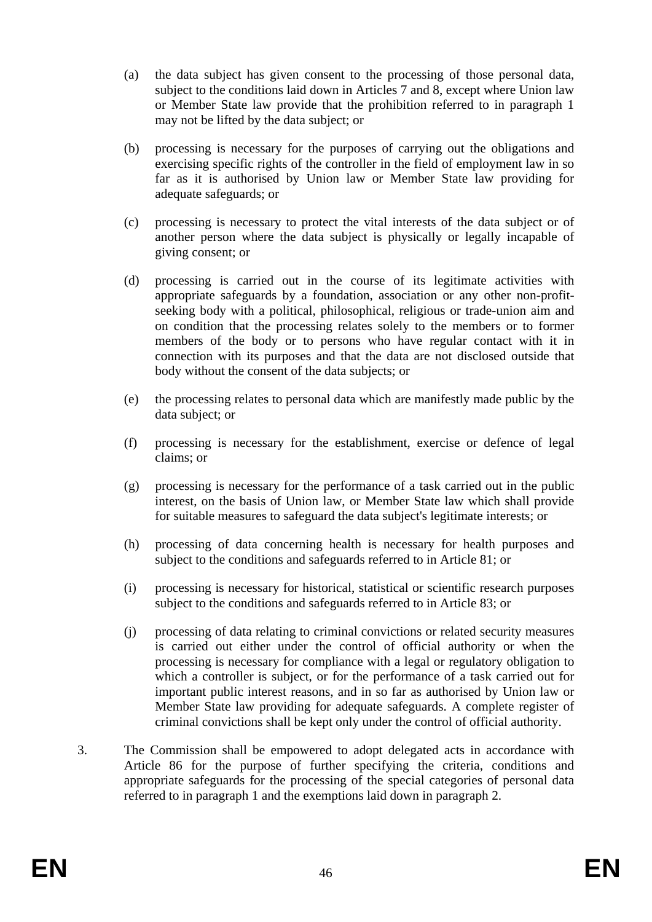- (a) the data subject has given consent to the processing of those personal data, subject to the conditions laid down in Articles 7 and 8, except where Union law or Member State law provide that the prohibition referred to in paragraph 1 may not be lifted by the data subject; or
- (b) processing is necessary for the purposes of carrying out the obligations and exercising specific rights of the controller in the field of employment law in so far as it is authorised by Union law or Member State law providing for adequate safeguards; or
- (c) processing is necessary to protect the vital interests of the data subject or of another person where the data subject is physically or legally incapable of giving consent; or
- (d) processing is carried out in the course of its legitimate activities with appropriate safeguards by a foundation, association or any other non-profitseeking body with a political, philosophical, religious or trade-union aim and on condition that the processing relates solely to the members or to former members of the body or to persons who have regular contact with it in connection with its purposes and that the data are not disclosed outside that body without the consent of the data subjects; or
- (e) the processing relates to personal data which are manifestly made public by the data subject; or
- (f) processing is necessary for the establishment, exercise or defence of legal claims; or
- (g) processing is necessary for the performance of a task carried out in the public interest, on the basis of Union law, or Member State law which shall provide for suitable measures to safeguard the data subject's legitimate interests; or
- (h) processing of data concerning health is necessary for health purposes and subject to the conditions and safeguards referred to in Article 81; or
- (i) processing is necessary for historical, statistical or scientific research purposes subject to the conditions and safeguards referred to in Article 83; or
- (j) processing of data relating to criminal convictions or related security measures is carried out either under the control of official authority or when the processing is necessary for compliance with a legal or regulatory obligation to which a controller is subject, or for the performance of a task carried out for important public interest reasons, and in so far as authorised by Union law or Member State law providing for adequate safeguards. A complete register of criminal convictions shall be kept only under the control of official authority.
- 3. The Commission shall be empowered to adopt delegated acts in accordance with Article 86 for the purpose of further specifying the criteria, conditions and appropriate safeguards for the processing of the special categories of personal data referred to in paragraph 1 and the exemptions laid down in paragraph 2.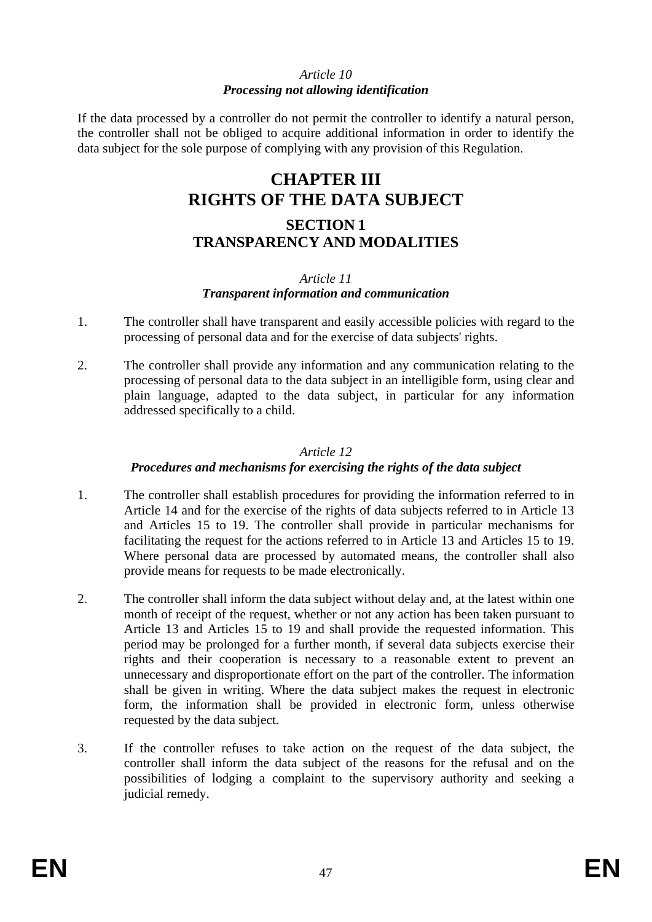#### *Article 10 Processing not allowing identification*

If the data processed by a controller do not permit the controller to identify a natural person, the controller shall not be obliged to acquire additional information in order to identify the data subject for the sole purpose of complying with any provision of this Regulation.

# **CHAPTER III RIGHTS OF THE DATA SUBJECT SECTION 1 TRANSPARENCY AND MODALITIES**

#### *Article 11 Transparent information and communication*

- 1. The controller shall have transparent and easily accessible policies with regard to the processing of personal data and for the exercise of data subjects' rights.
- 2. The controller shall provide any information and any communication relating to the processing of personal data to the data subject in an intelligible form, using clear and plain language, adapted to the data subject, in particular for any information addressed specifically to a child.

#### *Article 12*

### *Procedures and mechanisms for exercising the rights of the data subject*

- 1. The controller shall establish procedures for providing the information referred to in Article 14 and for the exercise of the rights of data subjects referred to in Article 13 and Articles 15 to 19. The controller shall provide in particular mechanisms for facilitating the request for the actions referred to in Article 13 and Articles 15 to 19. Where personal data are processed by automated means, the controller shall also provide means for requests to be made electronically.
- 2. The controller shall inform the data subject without delay and, at the latest within one month of receipt of the request, whether or not any action has been taken pursuant to Article 13 and Articles 15 to 19 and shall provide the requested information. This period may be prolonged for a further month, if several data subjects exercise their rights and their cooperation is necessary to a reasonable extent to prevent an unnecessary and disproportionate effort on the part of the controller. The information shall be given in writing. Where the data subject makes the request in electronic form, the information shall be provided in electronic form, unless otherwise requested by the data subject.
- 3. If the controller refuses to take action on the request of the data subject, the controller shall inform the data subject of the reasons for the refusal and on the possibilities of lodging a complaint to the supervisory authority and seeking a judicial remedy.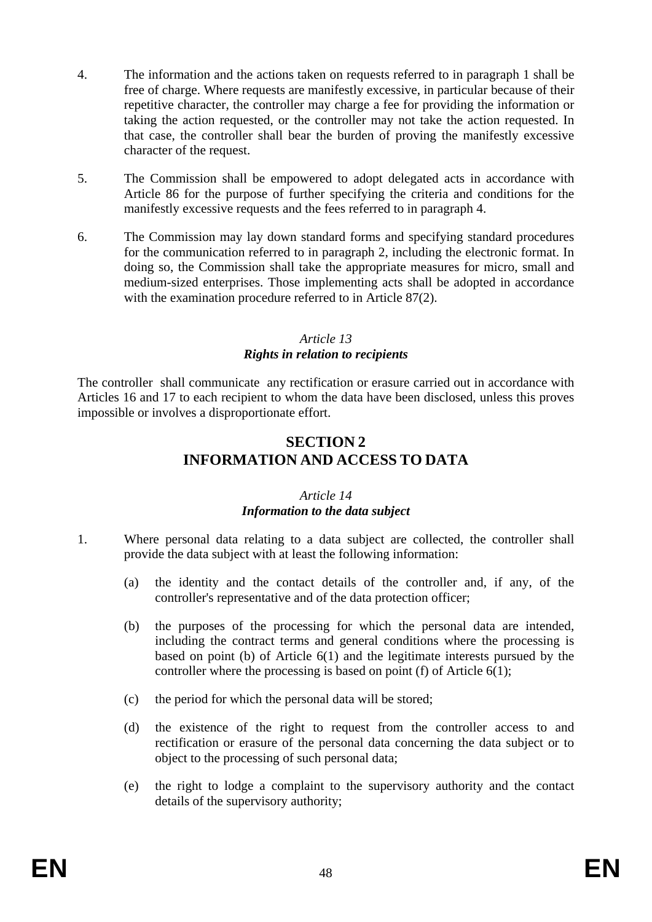- 4. The information and the actions taken on requests referred to in paragraph 1 shall be free of charge. Where requests are manifestly excessive, in particular because of their repetitive character, the controller may charge a fee for providing the information or taking the action requested, or the controller may not take the action requested. In that case, the controller shall bear the burden of proving the manifestly excessive character of the request.
- 5. The Commission shall be empowered to adopt delegated acts in accordance with Article 86 for the purpose of further specifying the criteria and conditions for the manifestly excessive requests and the fees referred to in paragraph 4.
- 6. The Commission may lay down standard forms and specifying standard procedures for the communication referred to in paragraph 2, including the electronic format. In doing so, the Commission shall take the appropriate measures for micro, small and medium-sized enterprises. Those implementing acts shall be adopted in accordance with the examination procedure referred to in Article 87(2).

### *Article 13 Rights in relation to recipients*

The controller shall communicate any rectification or erasure carried out in accordance with Articles 16 and 17 to each recipient to whom the data have been disclosed, unless this proves impossible or involves a disproportionate effort.

## **SECTION 2 INFORMATION AND ACCESS TO DATA**

## *Article 14 Information to the data subject*

- 1. Where personal data relating to a data subject are collected, the controller shall provide the data subject with at least the following information:
	- (a) the identity and the contact details of the controller and, if any, of the controller's representative and of the data protection officer;
	- (b) the purposes of the processing for which the personal data are intended, including the contract terms and general conditions where the processing is based on point (b) of Article 6(1) and the legitimate interests pursued by the controller where the processing is based on point (f) of Article 6(1);
	- (c) the period for which the personal data will be stored;
	- (d) the existence of the right to request from the controller access to and rectification or erasure of the personal data concerning the data subject or to object to the processing of such personal data;
	- (e) the right to lodge a complaint to the supervisory authority and the contact details of the supervisory authority;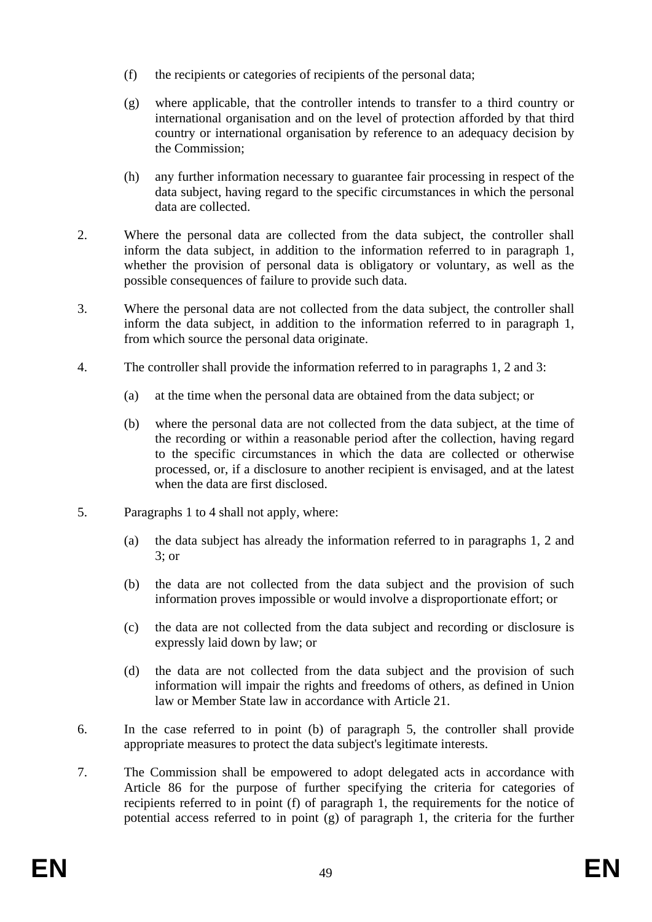- (f) the recipients or categories of recipients of the personal data;
- (g) where applicable, that the controller intends to transfer to a third country or international organisation and on the level of protection afforded by that third country or international organisation by reference to an adequacy decision by the Commission;
- (h) any further information necessary to guarantee fair processing in respect of the data subject, having regard to the specific circumstances in which the personal data are collected.
- 2. Where the personal data are collected from the data subject, the controller shall inform the data subject, in addition to the information referred to in paragraph 1, whether the provision of personal data is obligatory or voluntary, as well as the possible consequences of failure to provide such data.
- 3. Where the personal data are not collected from the data subject, the controller shall inform the data subject, in addition to the information referred to in paragraph 1, from which source the personal data originate.
- 4. The controller shall provide the information referred to in paragraphs 1, 2 and 3:
	- (a) at the time when the personal data are obtained from the data subject; or
	- (b) where the personal data are not collected from the data subject, at the time of the recording or within a reasonable period after the collection, having regard to the specific circumstances in which the data are collected or otherwise processed, or, if a disclosure to another recipient is envisaged, and at the latest when the data are first disclosed.
- 5. Paragraphs 1 to 4 shall not apply, where:
	- (a) the data subject has already the information referred to in paragraphs 1, 2 and 3; or
	- (b) the data are not collected from the data subject and the provision of such information proves impossible or would involve a disproportionate effort; or
	- (c) the data are not collected from the data subject and recording or disclosure is expressly laid down by law; or
	- (d) the data are not collected from the data subject and the provision of such information will impair the rights and freedoms of others, as defined in Union law or Member State law in accordance with Article 21.
- 6. In the case referred to in point (b) of paragraph 5, the controller shall provide appropriate measures to protect the data subject's legitimate interests.
- 7. The Commission shall be empowered to adopt delegated acts in accordance with Article 86 for the purpose of further specifying the criteria for categories of recipients referred to in point (f) of paragraph 1, the requirements for the notice of potential access referred to in point (g) of paragraph 1, the criteria for the further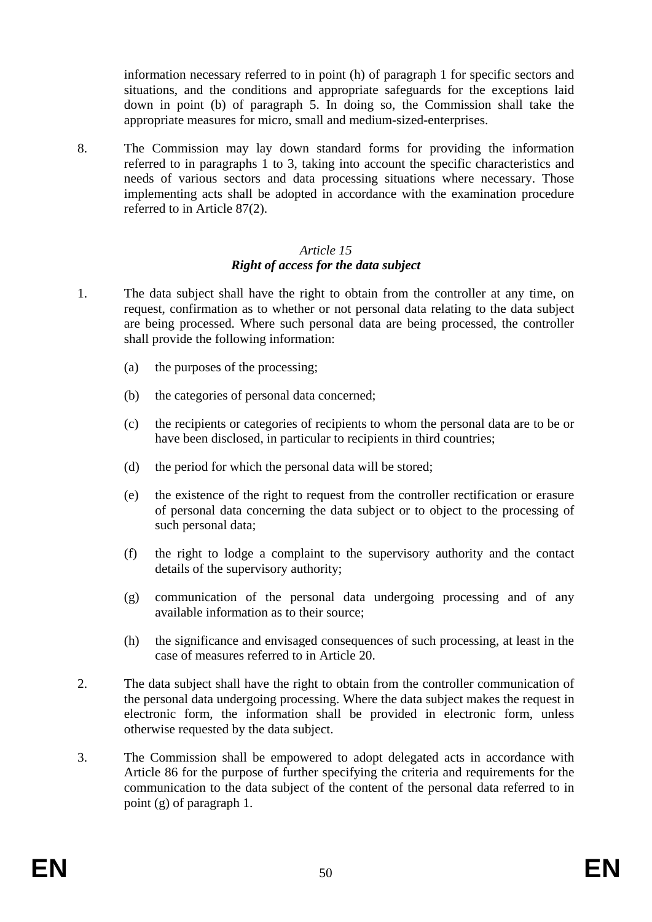information necessary referred to in point (h) of paragraph 1 for specific sectors and situations, and the conditions and appropriate safeguards for the exceptions laid down in point (b) of paragraph 5. In doing so, the Commission shall take the appropriate measures for micro, small and medium-sized-enterprises.

8. The Commission may lay down standard forms for providing the information referred to in paragraphs 1 to 3, taking into account the specific characteristics and needs of various sectors and data processing situations where necessary. Those implementing acts shall be adopted in accordance with the examination procedure referred to in Article 87(2).

#### *Article 15 Right of access for the data subject*

- 1. The data subject shall have the right to obtain from the controller at any time, on request, confirmation as to whether or not personal data relating to the data subject are being processed. Where such personal data are being processed, the controller shall provide the following information:
	- (a) the purposes of the processing;
	- (b) the categories of personal data concerned;
	- (c) the recipients or categories of recipients to whom the personal data are to be or have been disclosed, in particular to recipients in third countries;
	- (d) the period for which the personal data will be stored;
	- (e) the existence of the right to request from the controller rectification or erasure of personal data concerning the data subject or to object to the processing of such personal data;
	- (f) the right to lodge a complaint to the supervisory authority and the contact details of the supervisory authority;
	- (g) communication of the personal data undergoing processing and of any available information as to their source;
	- (h) the significance and envisaged consequences of such processing, at least in the case of measures referred to in Article 20.
- 2. The data subject shall have the right to obtain from the controller communication of the personal data undergoing processing. Where the data subject makes the request in electronic form, the information shall be provided in electronic form, unless otherwise requested by the data subject.
- 3. The Commission shall be empowered to adopt delegated acts in accordance with Article 86 for the purpose of further specifying the criteria and requirements for the communication to the data subject of the content of the personal data referred to in point (g) of paragraph 1.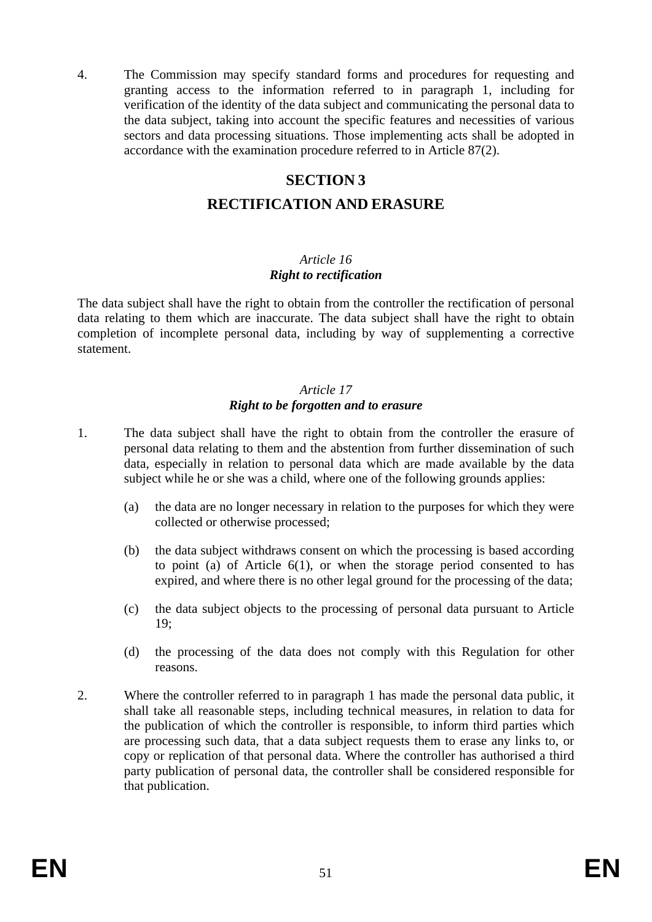4. The Commission may specify standard forms and procedures for requesting and granting access to the information referred to in paragraph 1, including for verification of the identity of the data subject and communicating the personal data to the data subject, taking into account the specific features and necessities of various sectors and data processing situations. Those implementing acts shall be adopted in accordance with the examination procedure referred to in Article 87(2).

# **SECTION 3**

# **RECTIFICATION AND ERASURE**

#### *Article 16 Right to rectification*

The data subject shall have the right to obtain from the controller the rectification of personal data relating to them which are inaccurate. The data subject shall have the right to obtain completion of incomplete personal data, including by way of supplementing a corrective statement.

#### *Article 17 Right to be forgotten and to erasure*

- 1. The data subject shall have the right to obtain from the controller the erasure of personal data relating to them and the abstention from further dissemination of such data, especially in relation to personal data which are made available by the data subject while he or she was a child, where one of the following grounds applies:
	- (a) the data are no longer necessary in relation to the purposes for which they were collected or otherwise processed;
	- (b) the data subject withdraws consent on which the processing is based according to point (a) of Article 6(1), or when the storage period consented to has expired, and where there is no other legal ground for the processing of the data;
	- (c) the data subject objects to the processing of personal data pursuant to Article 19;
	- (d) the processing of the data does not comply with this Regulation for other reasons.
- 2. Where the controller referred to in paragraph 1 has made the personal data public, it shall take all reasonable steps, including technical measures, in relation to data for the publication of which the controller is responsible, to inform third parties which are processing such data, that a data subject requests them to erase any links to, or copy or replication of that personal data. Where the controller has authorised a third party publication of personal data, the controller shall be considered responsible for that publication.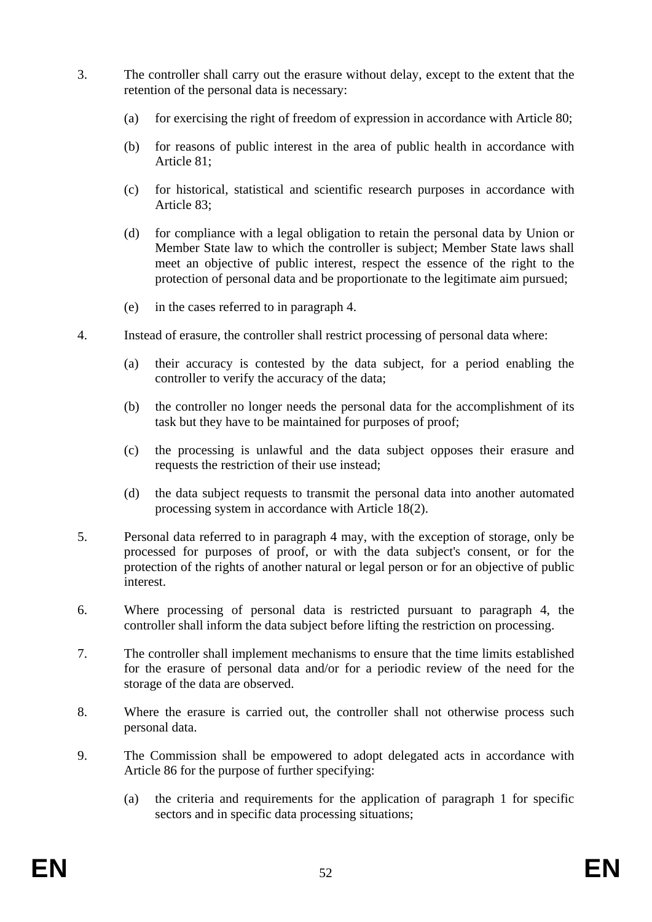- 3. The controller shall carry out the erasure without delay, except to the extent that the retention of the personal data is necessary:
	- (a) for exercising the right of freedom of expression in accordance with Article 80;
	- (b) for reasons of public interest in the area of public health in accordance with Article 81;
	- (c) for historical, statistical and scientific research purposes in accordance with Article 83;
	- (d) for compliance with a legal obligation to retain the personal data by Union or Member State law to which the controller is subject; Member State laws shall meet an objective of public interest, respect the essence of the right to the protection of personal data and be proportionate to the legitimate aim pursued;
	- (e) in the cases referred to in paragraph 4.
- 4. Instead of erasure, the controller shall restrict processing of personal data where:
	- (a) their accuracy is contested by the data subject, for a period enabling the controller to verify the accuracy of the data;
	- (b) the controller no longer needs the personal data for the accomplishment of its task but they have to be maintained for purposes of proof;
	- (c) the processing is unlawful and the data subject opposes their erasure and requests the restriction of their use instead;
	- (d) the data subject requests to transmit the personal data into another automated processing system in accordance with Article 18(2).
- 5. Personal data referred to in paragraph 4 may, with the exception of storage, only be processed for purposes of proof, or with the data subject's consent, or for the protection of the rights of another natural or legal person or for an objective of public interest.
- 6. Where processing of personal data is restricted pursuant to paragraph 4, the controller shall inform the data subject before lifting the restriction on processing.
- 7. The controller shall implement mechanisms to ensure that the time limits established for the erasure of personal data and/or for a periodic review of the need for the storage of the data are observed.
- 8. Where the erasure is carried out, the controller shall not otherwise process such personal data.
- 9. The Commission shall be empowered to adopt delegated acts in accordance with Article 86 for the purpose of further specifying:
	- (a) the criteria and requirements for the application of paragraph 1 for specific sectors and in specific data processing situations;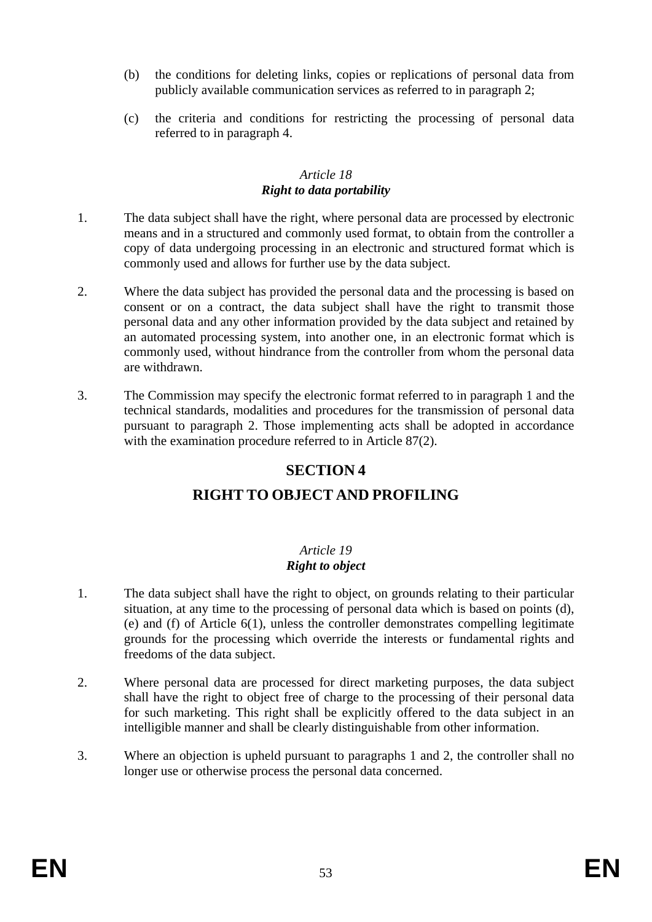- (b) the conditions for deleting links, copies or replications of personal data from publicly available communication services as referred to in paragraph 2;
- (c) the criteria and conditions for restricting the processing of personal data referred to in paragraph 4.

#### *Article 18 Right to data portability*

- 1. The data subject shall have the right, where personal data are processed by electronic means and in a structured and commonly used format, to obtain from the controller a copy of data undergoing processing in an electronic and structured format which is commonly used and allows for further use by the data subject.
- 2. Where the data subject has provided the personal data and the processing is based on consent or on a contract, the data subject shall have the right to transmit those personal data and any other information provided by the data subject and retained by an automated processing system, into another one, in an electronic format which is commonly used, without hindrance from the controller from whom the personal data are withdrawn.
- 3. The Commission may specify the electronic format referred to in paragraph 1 and the technical standards, modalities and procedures for the transmission of personal data pursuant to paragraph 2. Those implementing acts shall be adopted in accordance with the examination procedure referred to in Article 87(2).

# **SECTION 4**

# **RIGHT TO OBJECT AND PROFILING**

#### *Article 19 Right to object*

- 1. The data subject shall have the right to object, on grounds relating to their particular situation, at any time to the processing of personal data which is based on points (d), (e) and (f) of Article 6(1), unless the controller demonstrates compelling legitimate grounds for the processing which override the interests or fundamental rights and freedoms of the data subject.
- 2. Where personal data are processed for direct marketing purposes, the data subject shall have the right to object free of charge to the processing of their personal data for such marketing. This right shall be explicitly offered to the data subject in an intelligible manner and shall be clearly distinguishable from other information.
- 3. Where an objection is upheld pursuant to paragraphs 1 and 2, the controller shall no longer use or otherwise process the personal data concerned.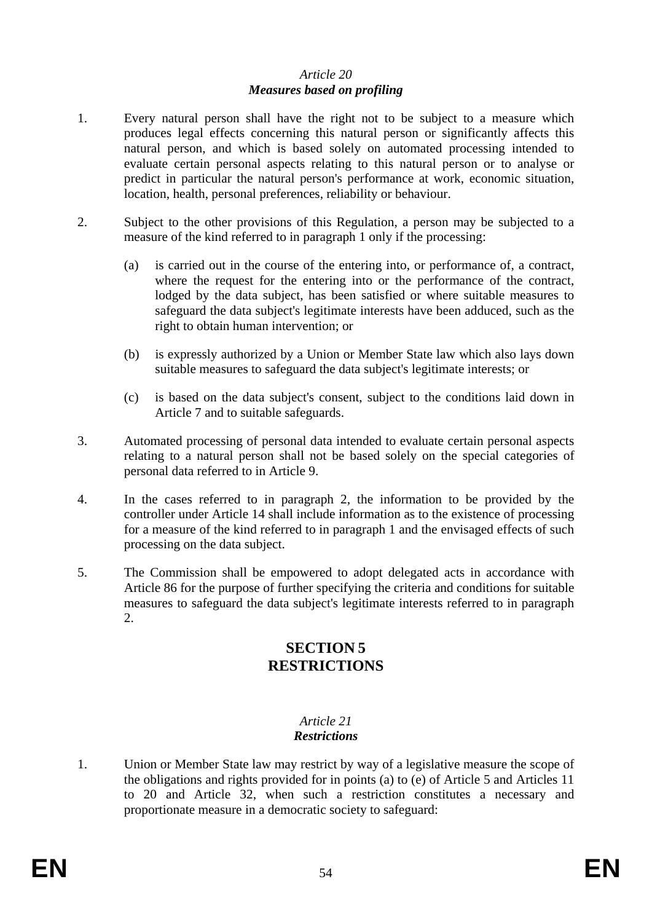#### *Article 20 Measures based on profiling*

- 1. Every natural person shall have the right not to be subject to a measure which produces legal effects concerning this natural person or significantly affects this natural person, and which is based solely on automated processing intended to evaluate certain personal aspects relating to this natural person or to analyse or predict in particular the natural person's performance at work, economic situation, location, health, personal preferences, reliability or behaviour.
- 2. Subject to the other provisions of this Regulation, a person may be subjected to a measure of the kind referred to in paragraph 1 only if the processing:
	- (a) is carried out in the course of the entering into, or performance of, a contract, where the request for the entering into or the performance of the contract, lodged by the data subject, has been satisfied or where suitable measures to safeguard the data subject's legitimate interests have been adduced, such as the right to obtain human intervention; or
	- (b) is expressly authorized by a Union or Member State law which also lays down suitable measures to safeguard the data subject's legitimate interests; or
	- (c) is based on the data subject's consent, subject to the conditions laid down in Article 7 and to suitable safeguards.
- 3. Automated processing of personal data intended to evaluate certain personal aspects relating to a natural person shall not be based solely on the special categories of personal data referred to in Article 9.
- 4. In the cases referred to in paragraph 2, the information to be provided by the controller under Article 14 shall include information as to the existence of processing for a measure of the kind referred to in paragraph 1 and the envisaged effects of such processing on the data subject.
- 5. The Commission shall be empowered to adopt delegated acts in accordance with Article 86 for the purpose of further specifying the criteria and conditions for suitable measures to safeguard the data subject's legitimate interests referred to in paragraph 2.

# **SECTION 5 RESTRICTIONS**

#### *Article 21 Restrictions*

1. Union or Member State law may restrict by way of a legislative measure the scope of the obligations and rights provided for in points (a) to (e) of Article 5 and Articles 11 to 20 and Article 32, when such a restriction constitutes a necessary and proportionate measure in a democratic society to safeguard: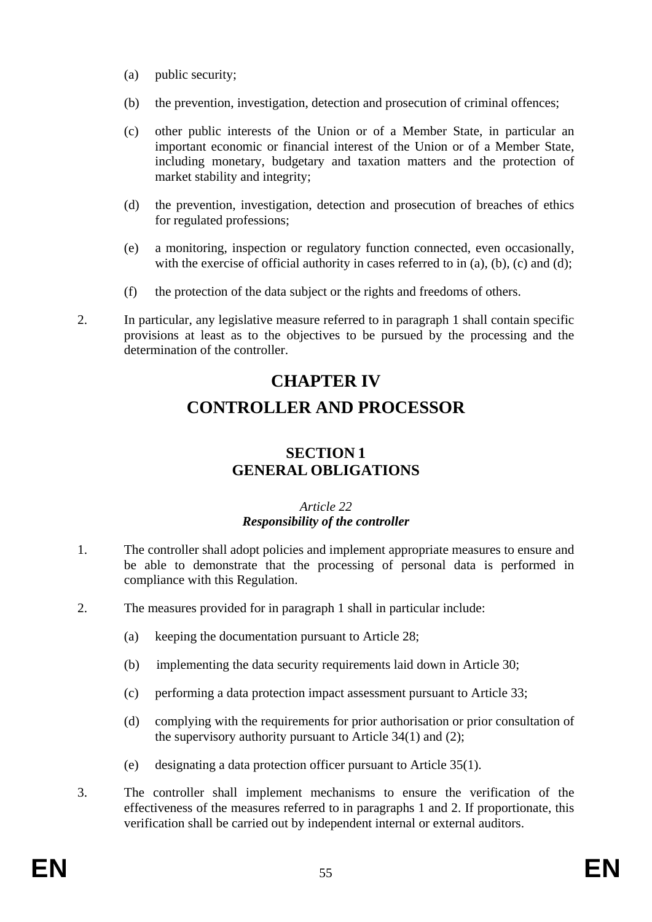- (a) public security;
- (b) the prevention, investigation, detection and prosecution of criminal offences;
- (c) other public interests of the Union or of a Member State, in particular an important economic or financial interest of the Union or of a Member State, including monetary, budgetary and taxation matters and the protection of market stability and integrity;
- (d) the prevention, investigation, detection and prosecution of breaches of ethics for regulated professions;
- (e) a monitoring, inspection or regulatory function connected, even occasionally, with the exercise of official authority in cases referred to in (a), (b), (c) and (d);
- (f) the protection of the data subject or the rights and freedoms of others.
- 2. In particular, any legislative measure referred to in paragraph 1 shall contain specific provisions at least as to the objectives to be pursued by the processing and the determination of the controller.

# **CHAPTER IV CONTROLLER AND PROCESSOR**

# **SECTION 1 GENERAL OBLIGATIONS**

## *Article 22 Responsibility of the controller*

- 1. The controller shall adopt policies and implement appropriate measures to ensure and be able to demonstrate that the processing of personal data is performed in compliance with this Regulation.
- 2. The measures provided for in paragraph 1 shall in particular include:
	- (a) keeping the documentation pursuant to Article 28;
	- (b) implementing the data security requirements laid down in Article 30;
	- (c) performing a data protection impact assessment pursuant to Article 33;
	- (d) complying with the requirements for prior authorisation or prior consultation of the supervisory authority pursuant to Article 34(1) and (2);
	- (e) designating a data protection officer pursuant to Article 35(1).
- 3. The controller shall implement mechanisms to ensure the verification of the effectiveness of the measures referred to in paragraphs 1 and 2. If proportionate, this verification shall be carried out by independent internal or external auditors.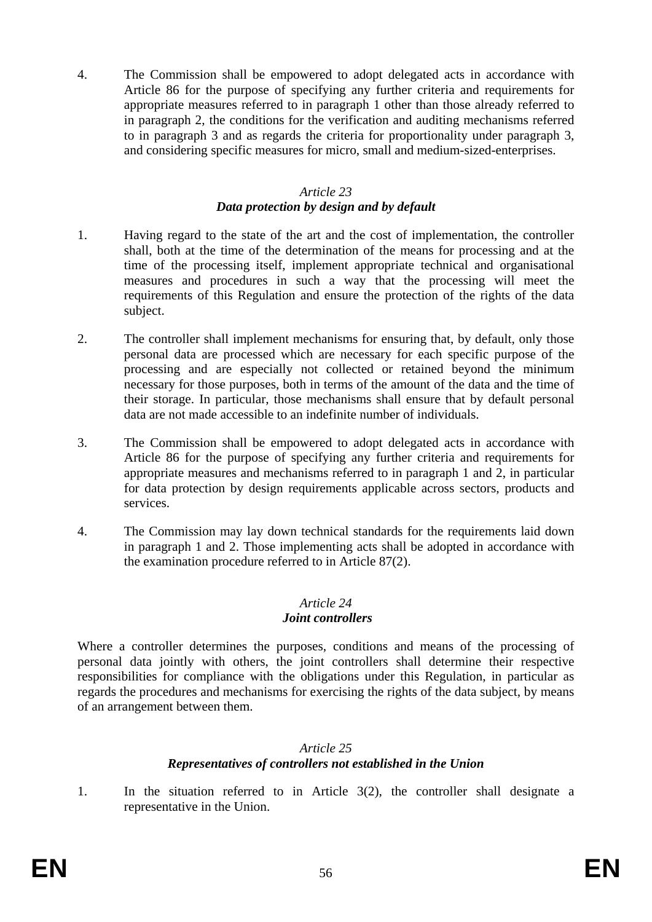4. The Commission shall be empowered to adopt delegated acts in accordance with Article 86 for the purpose of specifying any further criteria and requirements for appropriate measures referred to in paragraph 1 other than those already referred to in paragraph 2, the conditions for the verification and auditing mechanisms referred to in paragraph 3 and as regards the criteria for proportionality under paragraph 3, and considering specific measures for micro, small and medium-sized-enterprises.

### *Article 23 Data protection by design and by default*

- 1. Having regard to the state of the art and the cost of implementation, the controller shall, both at the time of the determination of the means for processing and at the time of the processing itself, implement appropriate technical and organisational measures and procedures in such a way that the processing will meet the requirements of this Regulation and ensure the protection of the rights of the data subject.
- 2. The controller shall implement mechanisms for ensuring that, by default, only those personal data are processed which are necessary for each specific purpose of the processing and are especially not collected or retained beyond the minimum necessary for those purposes, both in terms of the amount of the data and the time of their storage. In particular, those mechanisms shall ensure that by default personal data are not made accessible to an indefinite number of individuals.
- 3. The Commission shall be empowered to adopt delegated acts in accordance with Article 86 for the purpose of specifying any further criteria and requirements for appropriate measures and mechanisms referred to in paragraph 1 and 2, in particular for data protection by design requirements applicable across sectors, products and services.
- 4. The Commission may lay down technical standards for the requirements laid down in paragraph 1 and 2. Those implementing acts shall be adopted in accordance with the examination procedure referred to in Article 87(2).

# *Article 24*

## *Joint controllers*

Where a controller determines the purposes, conditions and means of the processing of personal data jointly with others, the joint controllers shall determine their respective responsibilities for compliance with the obligations under this Regulation, in particular as regards the procedures and mechanisms for exercising the rights of the data subject, by means of an arrangement between them.

#### *Article 25 Representatives of controllers not established in the Union*

1. In the situation referred to in Article 3(2), the controller shall designate a representative in the Union.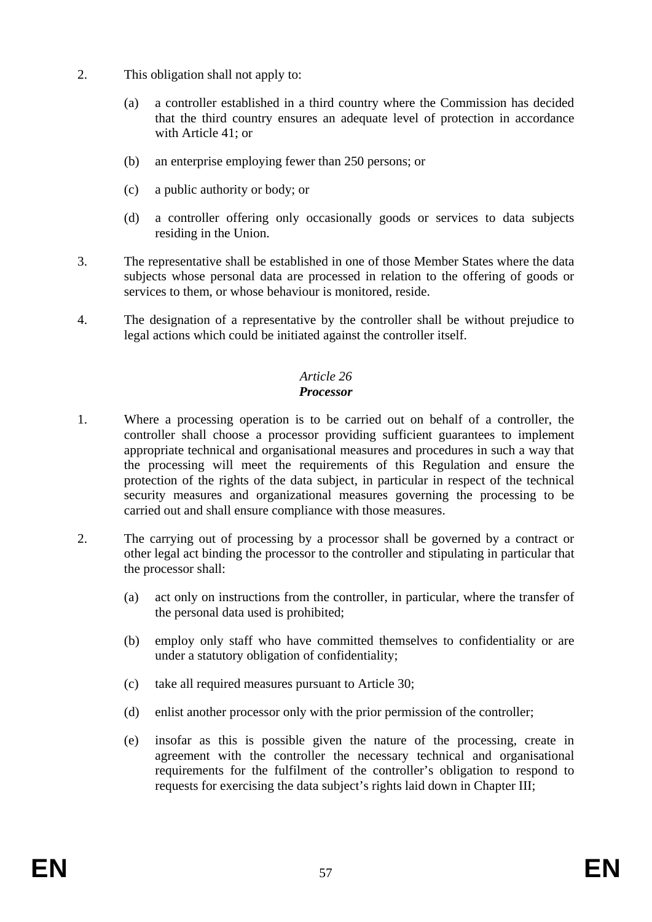- 2. This obligation shall not apply to:
	- (a) a controller established in a third country where the Commission has decided that the third country ensures an adequate level of protection in accordance with Article 41; or
	- (b) an enterprise employing fewer than 250 persons; or
	- (c) a public authority or body; or
	- (d) a controller offering only occasionally goods or services to data subjects residing in the Union.
- 3. The representative shall be established in one of those Member States where the data subjects whose personal data are processed in relation to the offering of goods or services to them, or whose behaviour is monitored, reside.
- 4. The designation of a representative by the controller shall be without prejudice to legal actions which could be initiated against the controller itself.

#### *Article 26 Processor*

- 1. Where a processing operation is to be carried out on behalf of a controller, the controller shall choose a processor providing sufficient guarantees to implement appropriate technical and organisational measures and procedures in such a way that the processing will meet the requirements of this Regulation and ensure the protection of the rights of the data subject, in particular in respect of the technical security measures and organizational measures governing the processing to be carried out and shall ensure compliance with those measures.
- 2. The carrying out of processing by a processor shall be governed by a contract or other legal act binding the processor to the controller and stipulating in particular that the processor shall:
	- (a) act only on instructions from the controller, in particular, where the transfer of the personal data used is prohibited;
	- (b) employ only staff who have committed themselves to confidentiality or are under a statutory obligation of confidentiality;
	- (c) take all required measures pursuant to Article 30;
	- (d) enlist another processor only with the prior permission of the controller;
	- (e) insofar as this is possible given the nature of the processing, create in agreement with the controller the necessary technical and organisational requirements for the fulfilment of the controller's obligation to respond to requests for exercising the data subject's rights laid down in Chapter III;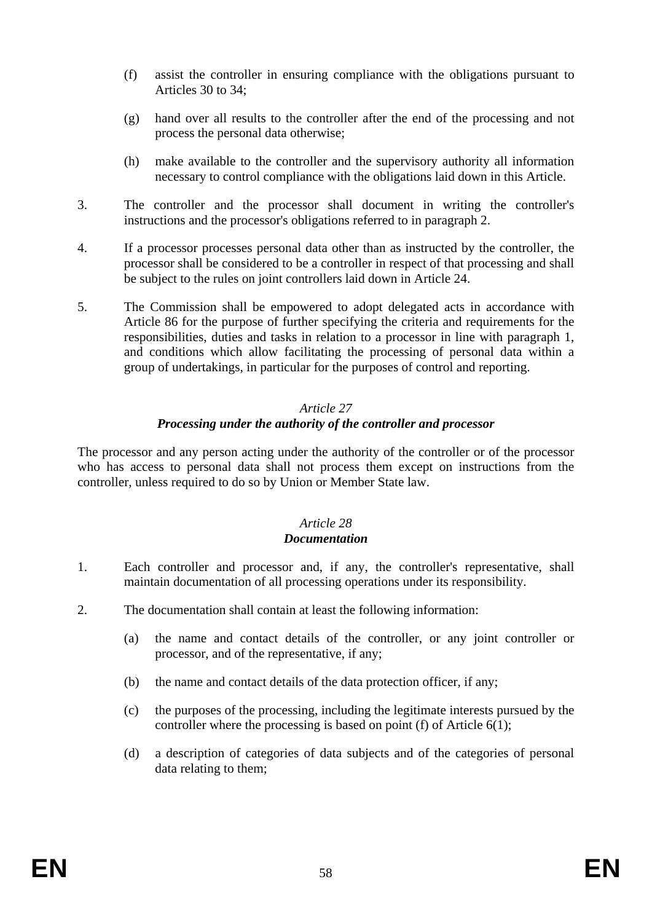- (f) assist the controller in ensuring compliance with the obligations pursuant to Articles 30 to 34;
- (g) hand over all results to the controller after the end of the processing and not process the personal data otherwise;
- (h) make available to the controller and the supervisory authority all information necessary to control compliance with the obligations laid down in this Article.
- 3. The controller and the processor shall document in writing the controller's instructions and the processor's obligations referred to in paragraph 2.
- 4. If a processor processes personal data other than as instructed by the controller, the processor shall be considered to be a controller in respect of that processing and shall be subject to the rules on joint controllers laid down in Article 24.
- 5. The Commission shall be empowered to adopt delegated acts in accordance with Article 86 for the purpose of further specifying the criteria and requirements for the responsibilities, duties and tasks in relation to a processor in line with paragraph 1, and conditions which allow facilitating the processing of personal data within a group of undertakings, in particular for the purposes of control and reporting.

## *Article 27 Processing under the authority of the controller and processor*

The processor and any person acting under the authority of the controller or of the processor who has access to personal data shall not process them except on instructions from the controller, unless required to do so by Union or Member State law.

#### *Article 28 Documentation*

- 1. Each controller and processor and, if any, the controller's representative, shall maintain documentation of all processing operations under its responsibility.
- 2. The documentation shall contain at least the following information:
	- (a) the name and contact details of the controller, or any joint controller or processor, and of the representative, if any;
	- (b) the name and contact details of the data protection officer, if any;
	- (c) the purposes of the processing, including the legitimate interests pursued by the controller where the processing is based on point (f) of Article 6(1);
	- (d) a description of categories of data subjects and of the categories of personal data relating to them;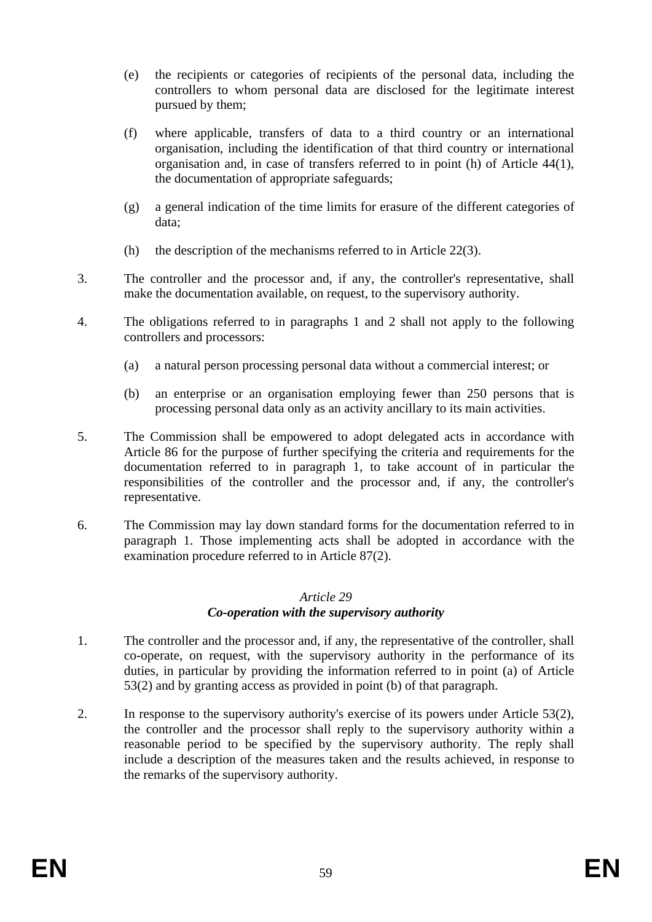- (e) the recipients or categories of recipients of the personal data, including the controllers to whom personal data are disclosed for the legitimate interest pursued by them;
- (f) where applicable, transfers of data to a third country or an international organisation, including the identification of that third country or international organisation and, in case of transfers referred to in point (h) of Article 44(1), the documentation of appropriate safeguards;
- (g) a general indication of the time limits for erasure of the different categories of data;
- (h) the description of the mechanisms referred to in Article 22(3).
- 3. The controller and the processor and, if any, the controller's representative, shall make the documentation available, on request, to the supervisory authority.
- 4. The obligations referred to in paragraphs 1 and 2 shall not apply to the following controllers and processors:
	- (a) a natural person processing personal data without a commercial interest; or
	- (b) an enterprise or an organisation employing fewer than 250 persons that is processing personal data only as an activity ancillary to its main activities.
- 5. The Commission shall be empowered to adopt delegated acts in accordance with Article 86 for the purpose of further specifying the criteria and requirements for the documentation referred to in paragraph 1, to take account of in particular the responsibilities of the controller and the processor and, if any, the controller's representative.
- 6. The Commission may lay down standard forms for the documentation referred to in paragraph 1. Those implementing acts shall be adopted in accordance with the examination procedure referred to in Article 87(2).

#### *Article 29 Co-operation with the supervisory authority*

- 1. The controller and the processor and, if any, the representative of the controller, shall co-operate, on request, with the supervisory authority in the performance of its duties, in particular by providing the information referred to in point (a) of Article 53(2) and by granting access as provided in point (b) of that paragraph.
- 2. In response to the supervisory authority's exercise of its powers under Article 53(2), the controller and the processor shall reply to the supervisory authority within a reasonable period to be specified by the supervisory authority. The reply shall include a description of the measures taken and the results achieved, in response to the remarks of the supervisory authority.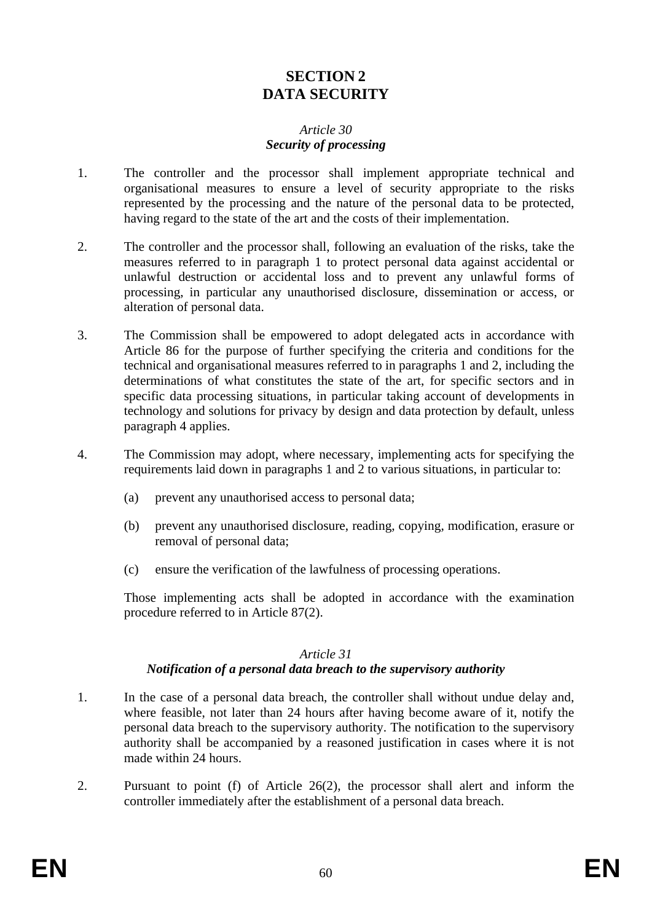# **SECTION 2 DATA SECURITY**

### *Article 30 Security of processing*

- 1. The controller and the processor shall implement appropriate technical and organisational measures to ensure a level of security appropriate to the risks represented by the processing and the nature of the personal data to be protected, having regard to the state of the art and the costs of their implementation.
- 2. The controller and the processor shall, following an evaluation of the risks, take the measures referred to in paragraph 1 to protect personal data against accidental or unlawful destruction or accidental loss and to prevent any unlawful forms of processing, in particular any unauthorised disclosure, dissemination or access, or alteration of personal data.
- 3. The Commission shall be empowered to adopt delegated acts in accordance with Article 86 for the purpose of further specifying the criteria and conditions for the technical and organisational measures referred to in paragraphs 1 and 2, including the determinations of what constitutes the state of the art, for specific sectors and in specific data processing situations, in particular taking account of developments in technology and solutions for privacy by design and data protection by default, unless paragraph 4 applies.
- 4. The Commission may adopt, where necessary, implementing acts for specifying the requirements laid down in paragraphs 1 and 2 to various situations, in particular to:
	- (a) prevent any unauthorised access to personal data;
	- (b) prevent any unauthorised disclosure, reading, copying, modification, erasure or removal of personal data;
	- (c) ensure the verification of the lawfulness of processing operations.

Those implementing acts shall be adopted in accordance with the examination procedure referred to in Article 87(2).

#### *Article 31 Notification of a personal data breach to the supervisory authority*

- 1. In the case of a personal data breach, the controller shall without undue delay and, where feasible, not later than 24 hours after having become aware of it, notify the personal data breach to the supervisory authority. The notification to the supervisory authority shall be accompanied by a reasoned justification in cases where it is not made within 24 hours.
- 2. Pursuant to point (f) of Article 26(2), the processor shall alert and inform the controller immediately after the establishment of a personal data breach.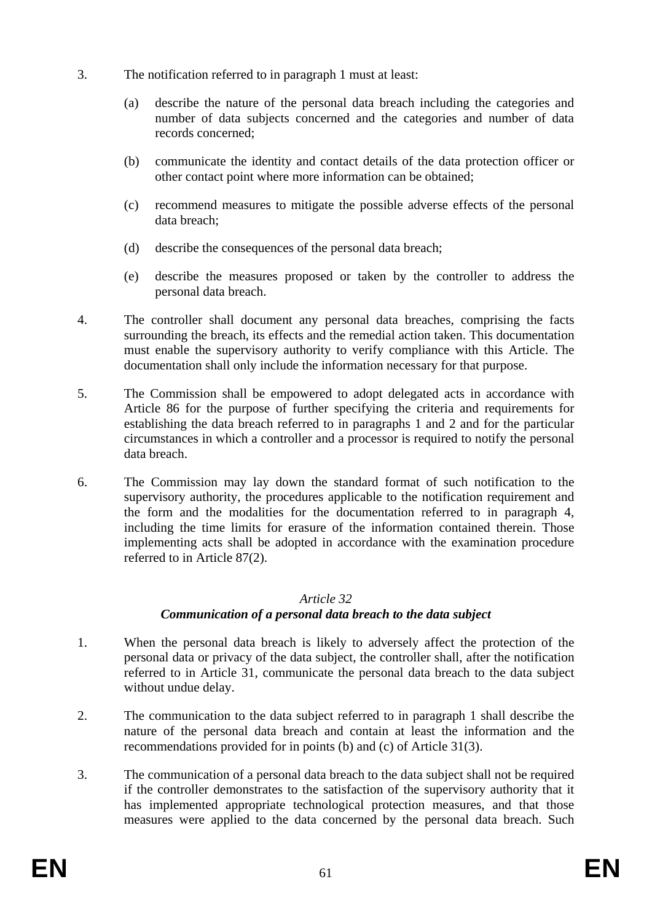- 3. The notification referred to in paragraph 1 must at least:
	- (a) describe the nature of the personal data breach including the categories and number of data subjects concerned and the categories and number of data records concerned;
	- (b) communicate the identity and contact details of the data protection officer or other contact point where more information can be obtained;
	- (c) recommend measures to mitigate the possible adverse effects of the personal data breach;
	- (d) describe the consequences of the personal data breach;
	- (e) describe the measures proposed or taken by the controller to address the personal data breach.
- 4. The controller shall document any personal data breaches, comprising the facts surrounding the breach, its effects and the remedial action taken. This documentation must enable the supervisory authority to verify compliance with this Article. The documentation shall only include the information necessary for that purpose.
- 5. The Commission shall be empowered to adopt delegated acts in accordance with Article 86 for the purpose of further specifying the criteria and requirements for establishing the data breach referred to in paragraphs 1 and 2 and for the particular circumstances in which a controller and a processor is required to notify the personal data breach.
- 6. The Commission may lay down the standard format of such notification to the supervisory authority, the procedures applicable to the notification requirement and the form and the modalities for the documentation referred to in paragraph 4, including the time limits for erasure of the information contained therein. Those implementing acts shall be adopted in accordance with the examination procedure referred to in Article 87(2).

## *Article 32*

## *Communication of a personal data breach to the data subject*

- 1. When the personal data breach is likely to adversely affect the protection of the personal data or privacy of the data subject, the controller shall, after the notification referred to in Article 31, communicate the personal data breach to the data subject without undue delay.
- 2. The communication to the data subject referred to in paragraph 1 shall describe the nature of the personal data breach and contain at least the information and the recommendations provided for in points (b) and (c) of Article 31(3).
- 3. The communication of a personal data breach to the data subject shall not be required if the controller demonstrates to the satisfaction of the supervisory authority that it has implemented appropriate technological protection measures, and that those measures were applied to the data concerned by the personal data breach. Such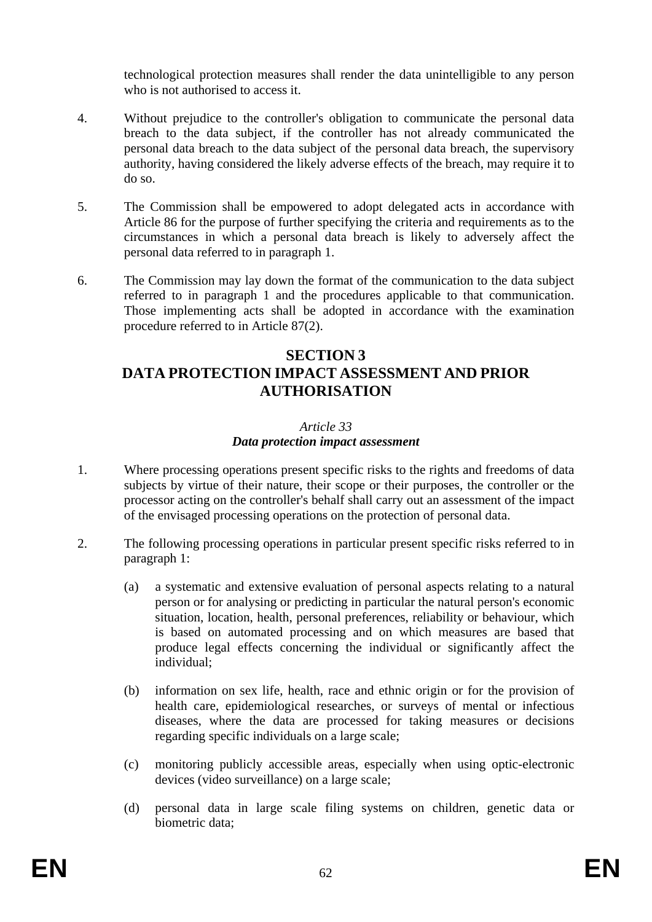technological protection measures shall render the data unintelligible to any person who is not authorised to access it.

- 4. Without prejudice to the controller's obligation to communicate the personal data breach to the data subject, if the controller has not already communicated the personal data breach to the data subject of the personal data breach, the supervisory authority, having considered the likely adverse effects of the breach, may require it to do so.
- 5. The Commission shall be empowered to adopt delegated acts in accordance with Article 86 for the purpose of further specifying the criteria and requirements as to the circumstances in which a personal data breach is likely to adversely affect the personal data referred to in paragraph 1.
- 6. The Commission may lay down the format of the communication to the data subject referred to in paragraph 1 and the procedures applicable to that communication. Those implementing acts shall be adopted in accordance with the examination procedure referred to in Article 87(2).

# **SECTION 3 DATA PROTECTION IMPACT ASSESSMENT AND PRIOR AUTHORISATION**

#### *Article 33 Data protection impact assessment*

- 1. Where processing operations present specific risks to the rights and freedoms of data subjects by virtue of their nature, their scope or their purposes, the controller or the processor acting on the controller's behalf shall carry out an assessment of the impact of the envisaged processing operations on the protection of personal data.
- 2. The following processing operations in particular present specific risks referred to in paragraph 1:
	- (a) a systematic and extensive evaluation of personal aspects relating to a natural person or for analysing or predicting in particular the natural person's economic situation, location, health, personal preferences, reliability or behaviour, which is based on automated processing and on which measures are based that produce legal effects concerning the individual or significantly affect the individual;
	- (b) information on sex life, health, race and ethnic origin or for the provision of health care, epidemiological researches, or surveys of mental or infectious diseases, where the data are processed for taking measures or decisions regarding specific individuals on a large scale;
	- (c) monitoring publicly accessible areas, especially when using optic-electronic devices (video surveillance) on a large scale;
	- (d) personal data in large scale filing systems on children, genetic data or biometric data;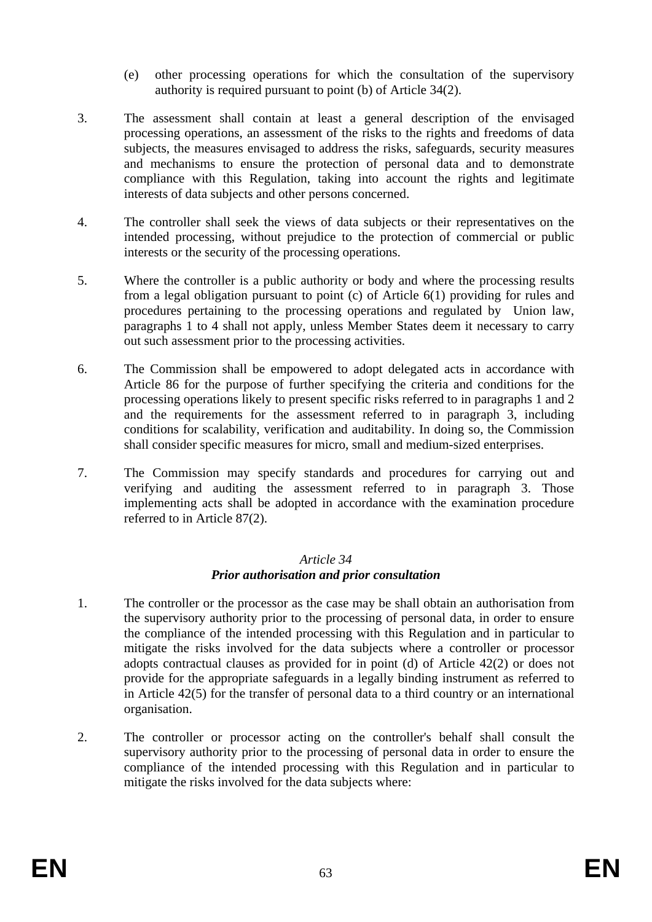- (e) other processing operations for which the consultation of the supervisory authority is required pursuant to point (b) of Article 34(2).
- 3. The assessment shall contain at least a general description of the envisaged processing operations, an assessment of the risks to the rights and freedoms of data subjects, the measures envisaged to address the risks, safeguards, security measures and mechanisms to ensure the protection of personal data and to demonstrate compliance with this Regulation, taking into account the rights and legitimate interests of data subjects and other persons concerned.
- 4. The controller shall seek the views of data subjects or their representatives on the intended processing, without prejudice to the protection of commercial or public interests or the security of the processing operations.
- 5. Where the controller is a public authority or body and where the processing results from a legal obligation pursuant to point (c) of Article 6(1) providing for rules and procedures pertaining to the processing operations and regulated by Union law, paragraphs 1 to 4 shall not apply, unless Member States deem it necessary to carry out such assessment prior to the processing activities.
- 6. The Commission shall be empowered to adopt delegated acts in accordance with Article 86 for the purpose of further specifying the criteria and conditions for the processing operations likely to present specific risks referred to in paragraphs 1 and 2 and the requirements for the assessment referred to in paragraph 3, including conditions for scalability, verification and auditability. In doing so, the Commission shall consider specific measures for micro, small and medium-sized enterprises.
- 7. The Commission may specify standards and procedures for carrying out and verifying and auditing the assessment referred to in paragraph 3. Those implementing acts shall be adopted in accordance with the examination procedure referred to in Article 87(2).

#### *Article 34 Prior authorisation and prior consultation*

- 1. The controller or the processor as the case may be shall obtain an authorisation from the supervisory authority prior to the processing of personal data, in order to ensure the compliance of the intended processing with this Regulation and in particular to mitigate the risks involved for the data subjects where a controller or processor adopts contractual clauses as provided for in point (d) of Article 42(2) or does not provide for the appropriate safeguards in a legally binding instrument as referred to in Article 42(5) for the transfer of personal data to a third country or an international organisation.
- 2. The controller or processor acting on the controller's behalf shall consult the supervisory authority prior to the processing of personal data in order to ensure the compliance of the intended processing with this Regulation and in particular to mitigate the risks involved for the data subjects where: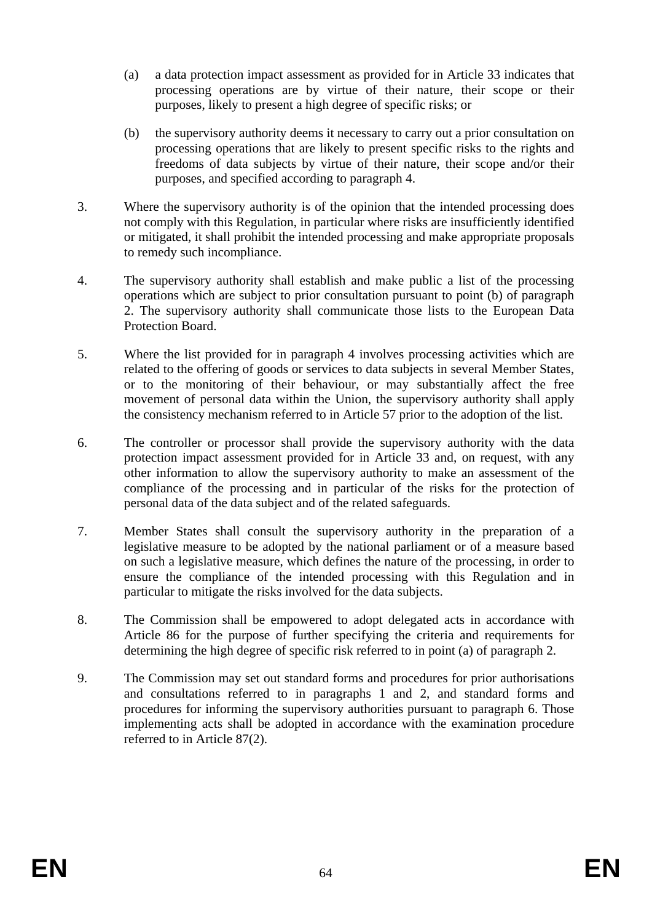- (a) a data protection impact assessment as provided for in Article 33 indicates that processing operations are by virtue of their nature, their scope or their purposes, likely to present a high degree of specific risks; or
- (b) the supervisory authority deems it necessary to carry out a prior consultation on processing operations that are likely to present specific risks to the rights and freedoms of data subjects by virtue of their nature, their scope and/or their purposes, and specified according to paragraph 4.
- 3. Where the supervisory authority is of the opinion that the intended processing does not comply with this Regulation, in particular where risks are insufficiently identified or mitigated, it shall prohibit the intended processing and make appropriate proposals to remedy such incompliance.
- 4. The supervisory authority shall establish and make public a list of the processing operations which are subject to prior consultation pursuant to point (b) of paragraph 2. The supervisory authority shall communicate those lists to the European Data Protection Board.
- 5. Where the list provided for in paragraph 4 involves processing activities which are related to the offering of goods or services to data subjects in several Member States, or to the monitoring of their behaviour, or may substantially affect the free movement of personal data within the Union, the supervisory authority shall apply the consistency mechanism referred to in Article 57 prior to the adoption of the list.
- 6. The controller or processor shall provide the supervisory authority with the data protection impact assessment provided for in Article 33 and, on request, with any other information to allow the supervisory authority to make an assessment of the compliance of the processing and in particular of the risks for the protection of personal data of the data subject and of the related safeguards.
- 7. Member States shall consult the supervisory authority in the preparation of a legislative measure to be adopted by the national parliament or of a measure based on such a legislative measure, which defines the nature of the processing, in order to ensure the compliance of the intended processing with this Regulation and in particular to mitigate the risks involved for the data subjects.
- 8. The Commission shall be empowered to adopt delegated acts in accordance with Article 86 for the purpose of further specifying the criteria and requirements for determining the high degree of specific risk referred to in point (a) of paragraph 2.
- 9. The Commission may set out standard forms and procedures for prior authorisations and consultations referred to in paragraphs 1 and 2, and standard forms and procedures for informing the supervisory authorities pursuant to paragraph 6. Those implementing acts shall be adopted in accordance with the examination procedure referred to in Article 87(2).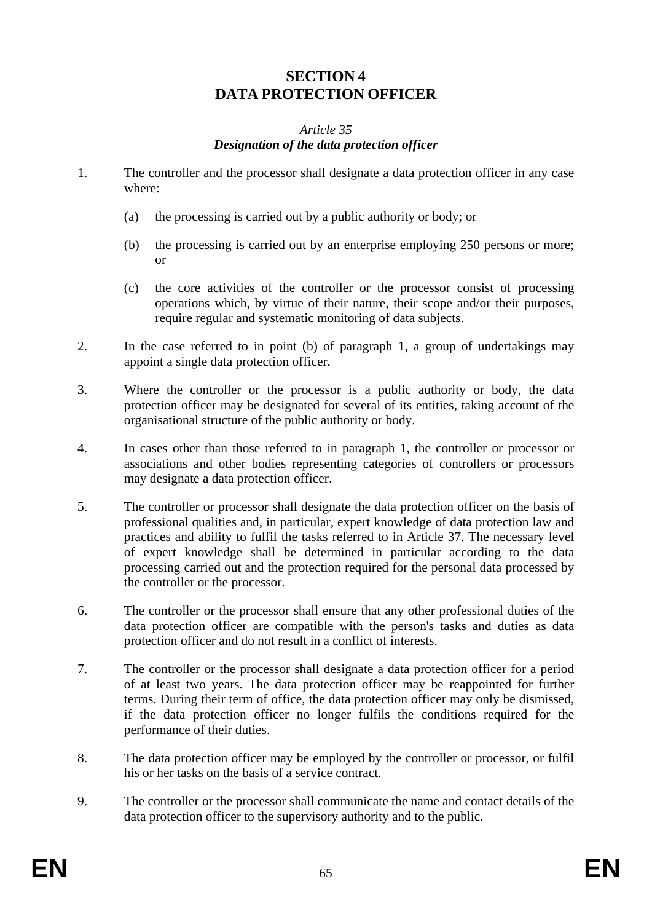# **SECTION 4 DATA PROTECTION OFFICER**

## *Article 35 Designation of the data protection officer*

- 1. The controller and the processor shall designate a data protection officer in any case where:
	- (a) the processing is carried out by a public authority or body; or
	- (b) the processing is carried out by an enterprise employing 250 persons or more; or
	- (c) the core activities of the controller or the processor consist of processing operations which, by virtue of their nature, their scope and/or their purposes, require regular and systematic monitoring of data subjects.
- 2. In the case referred to in point (b) of paragraph 1, a group of undertakings may appoint a single data protection officer.
- 3. Where the controller or the processor is a public authority or body, the data protection officer may be designated for several of its entities, taking account of the organisational structure of the public authority or body.
- 4. In cases other than those referred to in paragraph 1, the controller or processor or associations and other bodies representing categories of controllers or processors may designate a data protection officer.
- 5. The controller or processor shall designate the data protection officer on the basis of professional qualities and, in particular, expert knowledge of data protection law and practices and ability to fulfil the tasks referred to in Article 37. The necessary level of expert knowledge shall be determined in particular according to the data processing carried out and the protection required for the personal data processed by the controller or the processor.
- 6. The controller or the processor shall ensure that any other professional duties of the data protection officer are compatible with the person's tasks and duties as data protection officer and do not result in a conflict of interests.
- 7. The controller or the processor shall designate a data protection officer for a period of at least two years. The data protection officer may be reappointed for further terms. During their term of office, the data protection officer may only be dismissed, if the data protection officer no longer fulfils the conditions required for the performance of their duties.
- 8. The data protection officer may be employed by the controller or processor, or fulfil his or her tasks on the basis of a service contract.
- 9. The controller or the processor shall communicate the name and contact details of the data protection officer to the supervisory authority and to the public.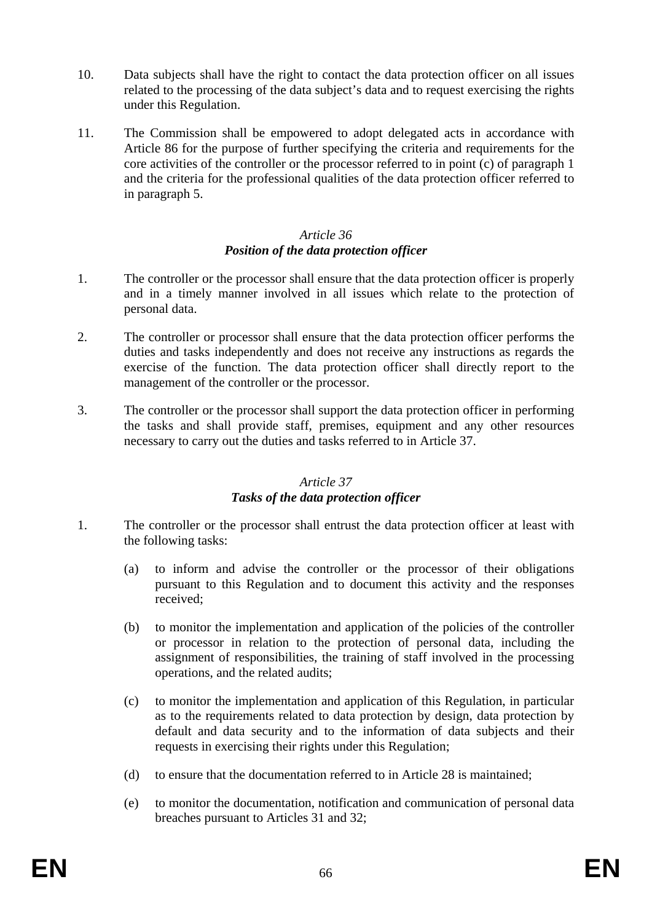- 10. Data subjects shall have the right to contact the data protection officer on all issues related to the processing of the data subject's data and to request exercising the rights under this Regulation.
- 11. The Commission shall be empowered to adopt delegated acts in accordance with Article 86 for the purpose of further specifying the criteria and requirements for the core activities of the controller or the processor referred to in point (c) of paragraph 1 and the criteria for the professional qualities of the data protection officer referred to in paragraph 5.

#### *Article 36 Position of the data protection officer*

- 1. The controller or the processor shall ensure that the data protection officer is properly and in a timely manner involved in all issues which relate to the protection of personal data.
- 2. The controller or processor shall ensure that the data protection officer performs the duties and tasks independently and does not receive any instructions as regards the exercise of the function. The data protection officer shall directly report to the management of the controller or the processor.
- 3. The controller or the processor shall support the data protection officer in performing the tasks and shall provide staff, premises, equipment and any other resources necessary to carry out the duties and tasks referred to in Article 37.

#### *Article 37 Tasks of the data protection officer*

- 1. The controller or the processor shall entrust the data protection officer at least with the following tasks:
	- (a) to inform and advise the controller or the processor of their obligations pursuant to this Regulation and to document this activity and the responses received;
	- (b) to monitor the implementation and application of the policies of the controller or processor in relation to the protection of personal data, including the assignment of responsibilities, the training of staff involved in the processing operations, and the related audits;
	- (c) to monitor the implementation and application of this Regulation, in particular as to the requirements related to data protection by design, data protection by default and data security and to the information of data subjects and their requests in exercising their rights under this Regulation;
	- (d) to ensure that the documentation referred to in Article 28 is maintained;
	- (e) to monitor the documentation, notification and communication of personal data breaches pursuant to Articles 31 and 32;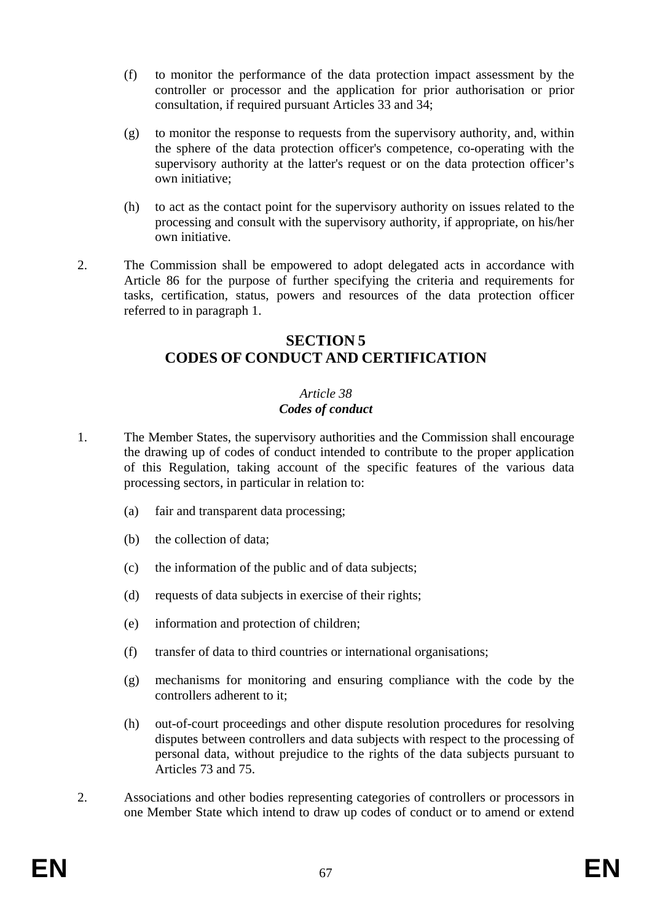- (f) to monitor the performance of the data protection impact assessment by the controller or processor and the application for prior authorisation or prior consultation, if required pursuant Articles 33 and 34;
- (g) to monitor the response to requests from the supervisory authority, and, within the sphere of the data protection officer's competence, co-operating with the supervisory authority at the latter's request or on the data protection officer's own initiative;
- (h) to act as the contact point for the supervisory authority on issues related to the processing and consult with the supervisory authority, if appropriate, on his/her own initiative.
- 2. The Commission shall be empowered to adopt delegated acts in accordance with Article 86 for the purpose of further specifying the criteria and requirements for tasks, certification, status, powers and resources of the data protection officer referred to in paragraph 1.

## **SECTION 5 CODES OF CONDUCT AND CERTIFICATION**

# *Article 38*

## *Codes of conduct*

- 1. The Member States, the supervisory authorities and the Commission shall encourage the drawing up of codes of conduct intended to contribute to the proper application of this Regulation, taking account of the specific features of the various data processing sectors, in particular in relation to:
	- (a) fair and transparent data processing;
	- (b) the collection of data;
	- (c) the information of the public and of data subjects;
	- (d) requests of data subjects in exercise of their rights;
	- (e) information and protection of children;
	- (f) transfer of data to third countries or international organisations;
	- (g) mechanisms for monitoring and ensuring compliance with the code by the controllers adherent to it;
	- (h) out-of-court proceedings and other dispute resolution procedures for resolving disputes between controllers and data subjects with respect to the processing of personal data, without prejudice to the rights of the data subjects pursuant to Articles 73 and 75.
- 2. Associations and other bodies representing categories of controllers or processors in one Member State which intend to draw up codes of conduct or to amend or extend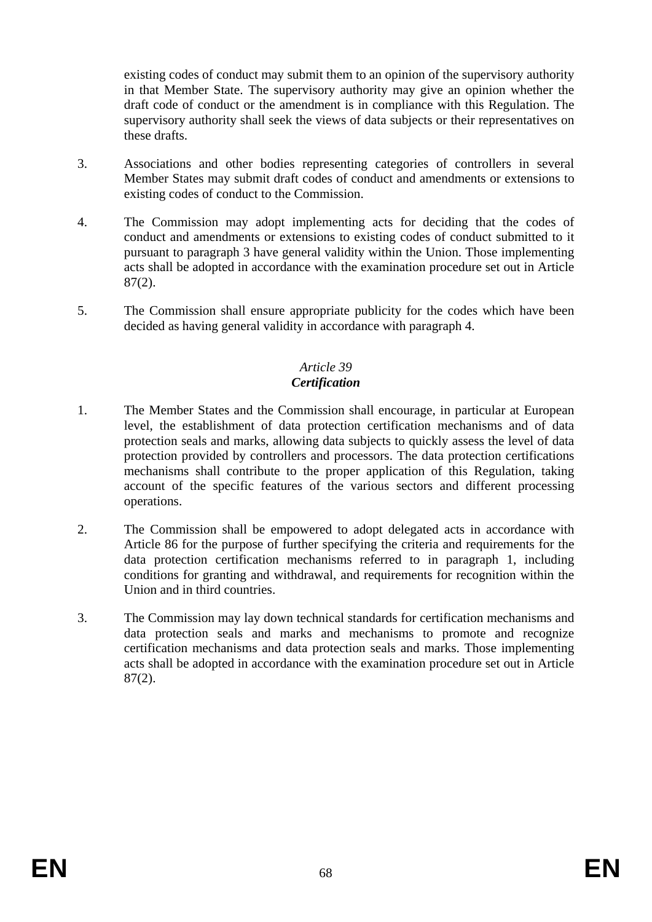existing codes of conduct may submit them to an opinion of the supervisory authority in that Member State. The supervisory authority may give an opinion whether the draft code of conduct or the amendment is in compliance with this Regulation. The supervisory authority shall seek the views of data subjects or their representatives on these drafts.

- 3. Associations and other bodies representing categories of controllers in several Member States may submit draft codes of conduct and amendments or extensions to existing codes of conduct to the Commission.
- 4. The Commission may adopt implementing acts for deciding that the codes of conduct and amendments or extensions to existing codes of conduct submitted to it pursuant to paragraph 3 have general validity within the Union. Those implementing acts shall be adopted in accordance with the examination procedure set out in Article 87(2).
- 5. The Commission shall ensure appropriate publicity for the codes which have been decided as having general validity in accordance with paragraph 4.

### *Article 39 Certification*

- 1. The Member States and the Commission shall encourage, in particular at European level, the establishment of data protection certification mechanisms and of data protection seals and marks, allowing data subjects to quickly assess the level of data protection provided by controllers and processors. The data protection certifications mechanisms shall contribute to the proper application of this Regulation, taking account of the specific features of the various sectors and different processing operations.
- 2. The Commission shall be empowered to adopt delegated acts in accordance with Article 86 for the purpose of further specifying the criteria and requirements for the data protection certification mechanisms referred to in paragraph 1, including conditions for granting and withdrawal, and requirements for recognition within the Union and in third countries.
- 3. The Commission may lay down technical standards for certification mechanisms and data protection seals and marks and mechanisms to promote and recognize certification mechanisms and data protection seals and marks. Those implementing acts shall be adopted in accordance with the examination procedure set out in Article 87(2).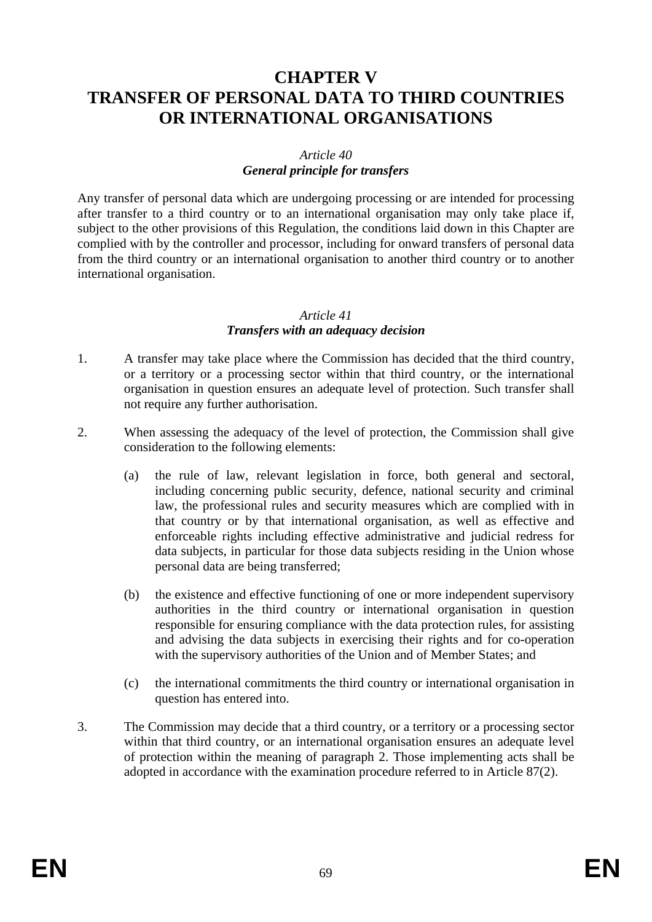# **CHAPTER V TRANSFER OF PERSONAL DATA TO THIRD COUNTRIES OR INTERNATIONAL ORGANISATIONS**

#### *Article 40 General principle for transfers*

Any transfer of personal data which are undergoing processing or are intended for processing after transfer to a third country or to an international organisation may only take place if, subject to the other provisions of this Regulation, the conditions laid down in this Chapter are complied with by the controller and processor, including for onward transfers of personal data from the third country or an international organisation to another third country or to another international organisation.

#### *Article 41 Transfers with an adequacy decision*

- 1. A transfer may take place where the Commission has decided that the third country, or a territory or a processing sector within that third country, or the international organisation in question ensures an adequate level of protection. Such transfer shall not require any further authorisation.
- 2. When assessing the adequacy of the level of protection, the Commission shall give consideration to the following elements:
	- (a) the rule of law, relevant legislation in force, both general and sectoral, including concerning public security, defence, national security and criminal law, the professional rules and security measures which are complied with in that country or by that international organisation, as well as effective and enforceable rights including effective administrative and judicial redress for data subjects, in particular for those data subjects residing in the Union whose personal data are being transferred;
	- (b) the existence and effective functioning of one or more independent supervisory authorities in the third country or international organisation in question responsible for ensuring compliance with the data protection rules, for assisting and advising the data subjects in exercising their rights and for co-operation with the supervisory authorities of the Union and of Member States; and
	- (c) the international commitments the third country or international organisation in question has entered into.
- 3. The Commission may decide that a third country, or a territory or a processing sector within that third country, or an international organisation ensures an adequate level of protection within the meaning of paragraph 2. Those implementing acts shall be adopted in accordance with the examination procedure referred to in Article 87(2).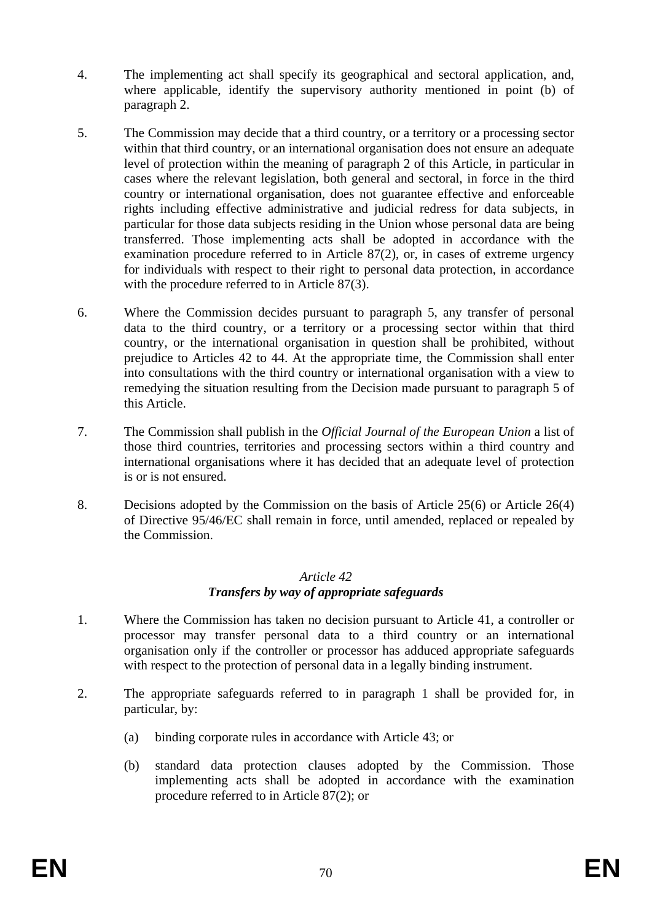- 4. The implementing act shall specify its geographical and sectoral application, and, where applicable, identify the supervisory authority mentioned in point (b) of paragraph 2.
- 5. The Commission may decide that a third country, or a territory or a processing sector within that third country, or an international organisation does not ensure an adequate level of protection within the meaning of paragraph 2 of this Article, in particular in cases where the relevant legislation, both general and sectoral, in force in the third country or international organisation, does not guarantee effective and enforceable rights including effective administrative and judicial redress for data subjects, in particular for those data subjects residing in the Union whose personal data are being transferred. Those implementing acts shall be adopted in accordance with the examination procedure referred to in Article 87(2), or, in cases of extreme urgency for individuals with respect to their right to personal data protection, in accordance with the procedure referred to in Article 87(3).
- 6. Where the Commission decides pursuant to paragraph 5, any transfer of personal data to the third country, or a territory or a processing sector within that third country, or the international organisation in question shall be prohibited, without prejudice to Articles 42 to 44. At the appropriate time, the Commission shall enter into consultations with the third country or international organisation with a view to remedying the situation resulting from the Decision made pursuant to paragraph 5 of this Article.
- 7. The Commission shall publish in the *Official Journal of the European Union* a list of those third countries, territories and processing sectors within a third country and international organisations where it has decided that an adequate level of protection is or is not ensured.
- 8. Decisions adopted by the Commission on the basis of Article 25(6) or Article 26(4) of Directive 95/46/EC shall remain in force, until amended, replaced or repealed by the Commission.

#### *Article 42 Transfers by way of appropriate safeguards*

- 1. Where the Commission has taken no decision pursuant to Article 41, a controller or processor may transfer personal data to a third country or an international organisation only if the controller or processor has adduced appropriate safeguards with respect to the protection of personal data in a legally binding instrument.
- 2. The appropriate safeguards referred to in paragraph 1 shall be provided for, in particular, by:
	- (a) binding corporate rules in accordance with Article 43; or
	- (b) standard data protection clauses adopted by the Commission. Those implementing acts shall be adopted in accordance with the examination procedure referred to in Article 87(2); or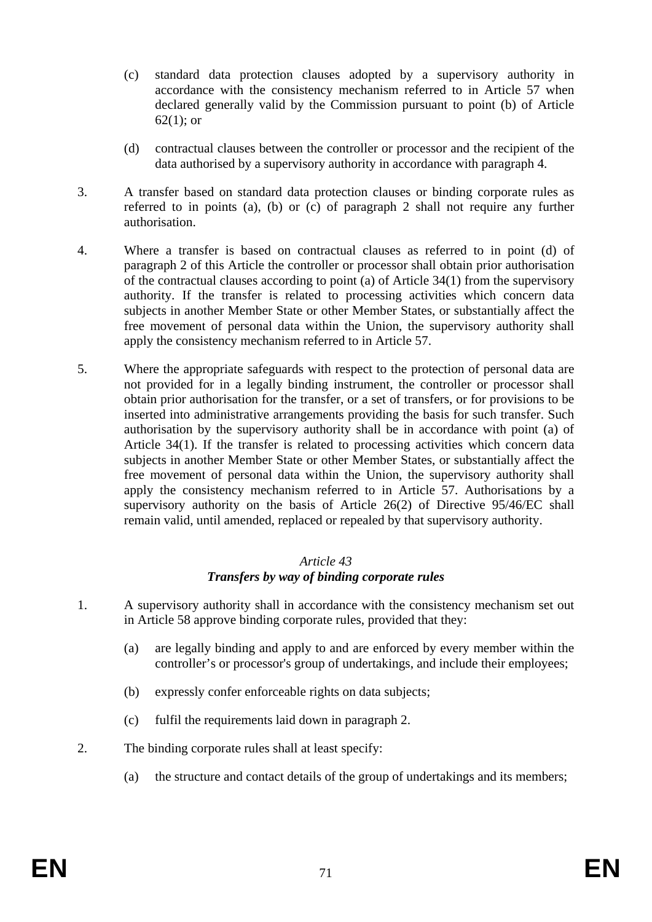- (c) standard data protection clauses adopted by a supervisory authority in accordance with the consistency mechanism referred to in Article 57 when declared generally valid by the Commission pursuant to point (b) of Article  $62(1)$ ; or
- (d) contractual clauses between the controller or processor and the recipient of the data authorised by a supervisory authority in accordance with paragraph 4.
- 3. A transfer based on standard data protection clauses or binding corporate rules as referred to in points (a), (b) or (c) of paragraph 2 shall not require any further authorisation.
- 4. Where a transfer is based on contractual clauses as referred to in point (d) of paragraph 2 of this Article the controller or processor shall obtain prior authorisation of the contractual clauses according to point (a) of Article 34(1) from the supervisory authority. If the transfer is related to processing activities which concern data subjects in another Member State or other Member States, or substantially affect the free movement of personal data within the Union, the supervisory authority shall apply the consistency mechanism referred to in Article 57.
- 5. Where the appropriate safeguards with respect to the protection of personal data are not provided for in a legally binding instrument, the controller or processor shall obtain prior authorisation for the transfer, or a set of transfers, or for provisions to be inserted into administrative arrangements providing the basis for such transfer. Such authorisation by the supervisory authority shall be in accordance with point (a) of Article 34(1). If the transfer is related to processing activities which concern data subjects in another Member State or other Member States, or substantially affect the free movement of personal data within the Union, the supervisory authority shall apply the consistency mechanism referred to in Article 57. Authorisations by a supervisory authority on the basis of Article 26(2) of Directive 95/46/EC shall remain valid, until amended, replaced or repealed by that supervisory authority.

#### *Article 43 Transfers by way of binding corporate rules*

- 1. A supervisory authority shall in accordance with the consistency mechanism set out in Article 58 approve binding corporate rules, provided that they:
	- (a) are legally binding and apply to and are enforced by every member within the controller's or processor's group of undertakings, and include their employees;
	- (b) expressly confer enforceable rights on data subjects;
	- (c) fulfil the requirements laid down in paragraph 2.
- 2. The binding corporate rules shall at least specify:
	- (a) the structure and contact details of the group of undertakings and its members;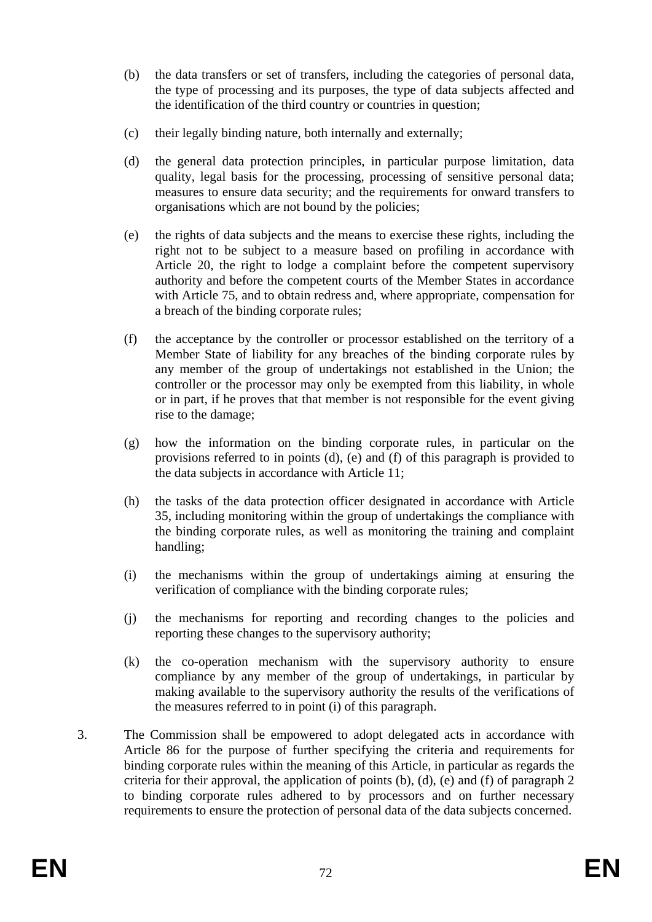- (b) the data transfers or set of transfers, including the categories of personal data, the type of processing and its purposes, the type of data subjects affected and the identification of the third country or countries in question;
- (c) their legally binding nature, both internally and externally;
- (d) the general data protection principles, in particular purpose limitation, data quality, legal basis for the processing, processing of sensitive personal data; measures to ensure data security; and the requirements for onward transfers to organisations which are not bound by the policies;
- (e) the rights of data subjects and the means to exercise these rights, including the right not to be subject to a measure based on profiling in accordance with Article 20, the right to lodge a complaint before the competent supervisory authority and before the competent courts of the Member States in accordance with Article 75, and to obtain redress and, where appropriate, compensation for a breach of the binding corporate rules;
- (f) the acceptance by the controller or processor established on the territory of a Member State of liability for any breaches of the binding corporate rules by any member of the group of undertakings not established in the Union; the controller or the processor may only be exempted from this liability, in whole or in part, if he proves that that member is not responsible for the event giving rise to the damage;
- (g) how the information on the binding corporate rules, in particular on the provisions referred to in points (d), (e) and (f) of this paragraph is provided to the data subjects in accordance with Article 11;
- (h) the tasks of the data protection officer designated in accordance with Article 35, including monitoring within the group of undertakings the compliance with the binding corporate rules, as well as monitoring the training and complaint handling;
- (i) the mechanisms within the group of undertakings aiming at ensuring the verification of compliance with the binding corporate rules;
- (j) the mechanisms for reporting and recording changes to the policies and reporting these changes to the supervisory authority;
- (k) the co-operation mechanism with the supervisory authority to ensure compliance by any member of the group of undertakings, in particular by making available to the supervisory authority the results of the verifications of the measures referred to in point (i) of this paragraph.
- 3. The Commission shall be empowered to adopt delegated acts in accordance with Article 86 for the purpose of further specifying the criteria and requirements for binding corporate rules within the meaning of this Article, in particular as regards the criteria for their approval, the application of points (b), (d), (e) and (f) of paragraph 2 to binding corporate rules adhered to by processors and on further necessary requirements to ensure the protection of personal data of the data subjects concerned.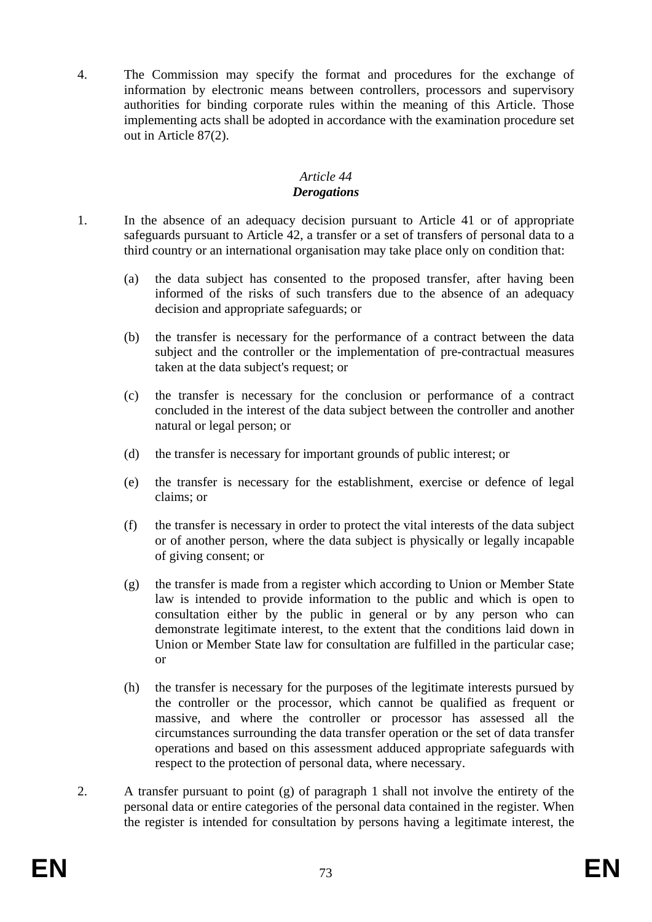4. The Commission may specify the format and procedures for the exchange of information by electronic means between controllers, processors and supervisory authorities for binding corporate rules within the meaning of this Article. Those implementing acts shall be adopted in accordance with the examination procedure set out in Article 87(2).

#### *Article 44 Derogations*

- 1. In the absence of an adequacy decision pursuant to Article 41 or of appropriate safeguards pursuant to Article 42, a transfer or a set of transfers of personal data to a third country or an international organisation may take place only on condition that:
	- (a) the data subject has consented to the proposed transfer, after having been informed of the risks of such transfers due to the absence of an adequacy decision and appropriate safeguards; or
	- (b) the transfer is necessary for the performance of a contract between the data subject and the controller or the implementation of pre-contractual measures taken at the data subject's request; or
	- (c) the transfer is necessary for the conclusion or performance of a contract concluded in the interest of the data subject between the controller and another natural or legal person; or
	- (d) the transfer is necessary for important grounds of public interest; or
	- (e) the transfer is necessary for the establishment, exercise or defence of legal claims; or
	- (f) the transfer is necessary in order to protect the vital interests of the data subject or of another person, where the data subject is physically or legally incapable of giving consent; or
	- (g) the transfer is made from a register which according to Union or Member State law is intended to provide information to the public and which is open to consultation either by the public in general or by any person who can demonstrate legitimate interest, to the extent that the conditions laid down in Union or Member State law for consultation are fulfilled in the particular case; or
	- (h) the transfer is necessary for the purposes of the legitimate interests pursued by the controller or the processor, which cannot be qualified as frequent or massive, and where the controller or processor has assessed all the circumstances surrounding the data transfer operation or the set of data transfer operations and based on this assessment adduced appropriate safeguards with respect to the protection of personal data, where necessary.
- 2. A transfer pursuant to point (g) of paragraph 1 shall not involve the entirety of the personal data or entire categories of the personal data contained in the register. When the register is intended for consultation by persons having a legitimate interest, the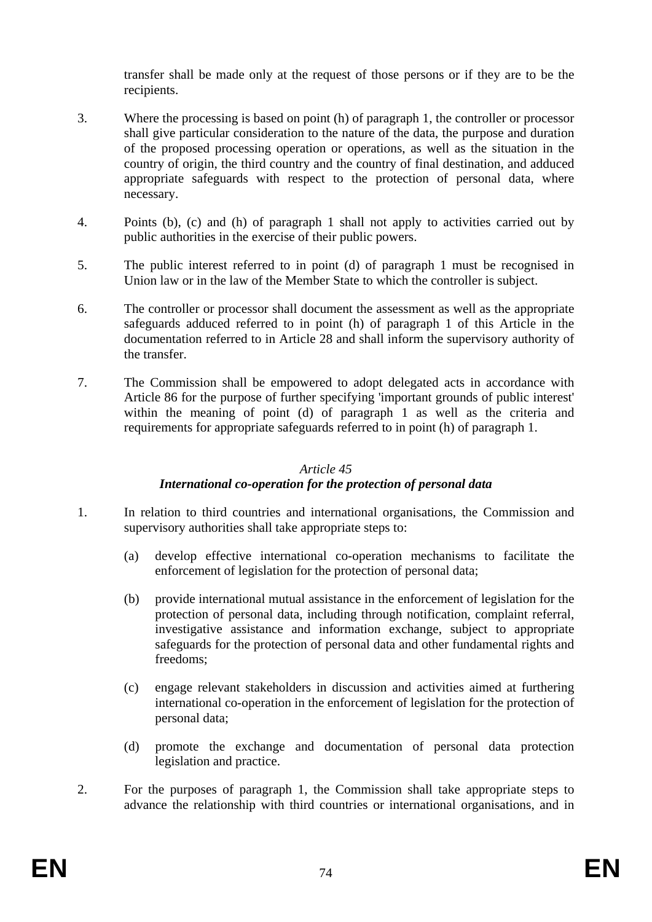transfer shall be made only at the request of those persons or if they are to be the recipients.

- 3. Where the processing is based on point (h) of paragraph 1, the controller or processor shall give particular consideration to the nature of the data, the purpose and duration of the proposed processing operation or operations, as well as the situation in the country of origin, the third country and the country of final destination, and adduced appropriate safeguards with respect to the protection of personal data, where necessary.
- 4. Points (b), (c) and (h) of paragraph 1 shall not apply to activities carried out by public authorities in the exercise of their public powers.
- 5. The public interest referred to in point (d) of paragraph 1 must be recognised in Union law or in the law of the Member State to which the controller is subject.
- 6. The controller or processor shall document the assessment as well as the appropriate safeguards adduced referred to in point (h) of paragraph 1 of this Article in the documentation referred to in Article 28 and shall inform the supervisory authority of the transfer.
- 7. The Commission shall be empowered to adopt delegated acts in accordance with Article 86 for the purpose of further specifying 'important grounds of public interest' within the meaning of point (d) of paragraph 1 as well as the criteria and requirements for appropriate safeguards referred to in point (h) of paragraph 1.

#### *Article 45*

## *International co-operation for the protection of personal data*

- 1. In relation to third countries and international organisations, the Commission and supervisory authorities shall take appropriate steps to:
	- (a) develop effective international co-operation mechanisms to facilitate the enforcement of legislation for the protection of personal data;
	- (b) provide international mutual assistance in the enforcement of legislation for the protection of personal data, including through notification, complaint referral, investigative assistance and information exchange, subject to appropriate safeguards for the protection of personal data and other fundamental rights and freedoms;
	- (c) engage relevant stakeholders in discussion and activities aimed at furthering international co-operation in the enforcement of legislation for the protection of personal data;
	- (d) promote the exchange and documentation of personal data protection legislation and practice.
- 2. For the purposes of paragraph 1, the Commission shall take appropriate steps to advance the relationship with third countries or international organisations, and in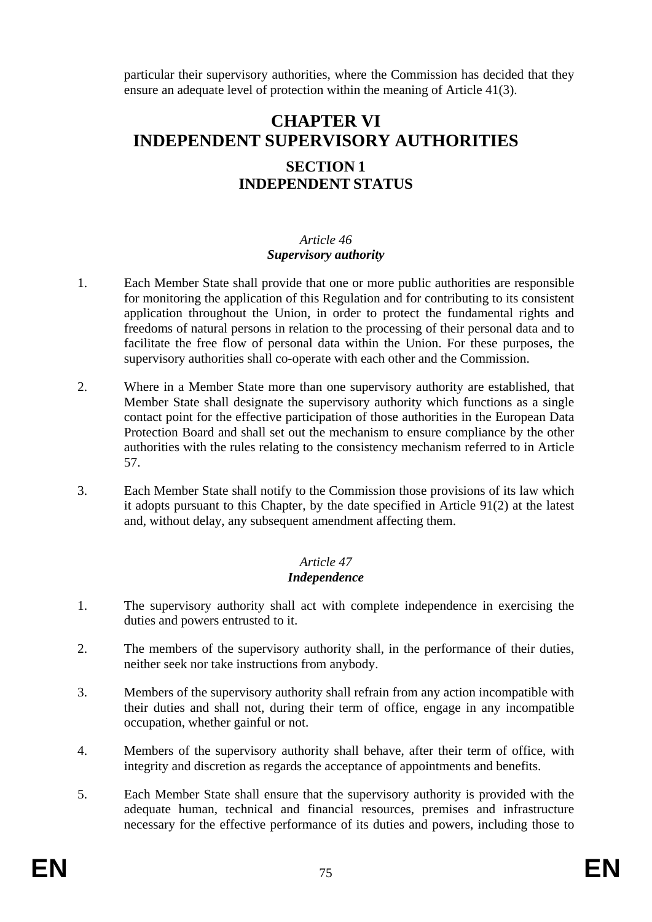particular their supervisory authorities, where the Commission has decided that they ensure an adequate level of protection within the meaning of Article 41(3).

## **CHAPTER VI INDEPENDENT SUPERVISORY AUTHORITIES SECTION 1 INDEPENDENT STATUS**

#### *Article 46 Supervisory authority*

- 1. Each Member State shall provide that one or more public authorities are responsible for monitoring the application of this Regulation and for contributing to its consistent application throughout the Union, in order to protect the fundamental rights and freedoms of natural persons in relation to the processing of their personal data and to facilitate the free flow of personal data within the Union. For these purposes, the supervisory authorities shall co-operate with each other and the Commission.
- 2. Where in a Member State more than one supervisory authority are established, that Member State shall designate the supervisory authority which functions as a single contact point for the effective participation of those authorities in the European Data Protection Board and shall set out the mechanism to ensure compliance by the other authorities with the rules relating to the consistency mechanism referred to in Article 57.
- 3. Each Member State shall notify to the Commission those provisions of its law which it adopts pursuant to this Chapter, by the date specified in Article 91(2) at the latest and, without delay, any subsequent amendment affecting them.

### *Article 47 Independence*

- 1. The supervisory authority shall act with complete independence in exercising the duties and powers entrusted to it.
- 2. The members of the supervisory authority shall, in the performance of their duties, neither seek nor take instructions from anybody.
- 3. Members of the supervisory authority shall refrain from any action incompatible with their duties and shall not, during their term of office, engage in any incompatible occupation, whether gainful or not.
- 4. Members of the supervisory authority shall behave, after their term of office, with integrity and discretion as regards the acceptance of appointments and benefits.
- 5. Each Member State shall ensure that the supervisory authority is provided with the adequate human, technical and financial resources, premises and infrastructure necessary for the effective performance of its duties and powers, including those to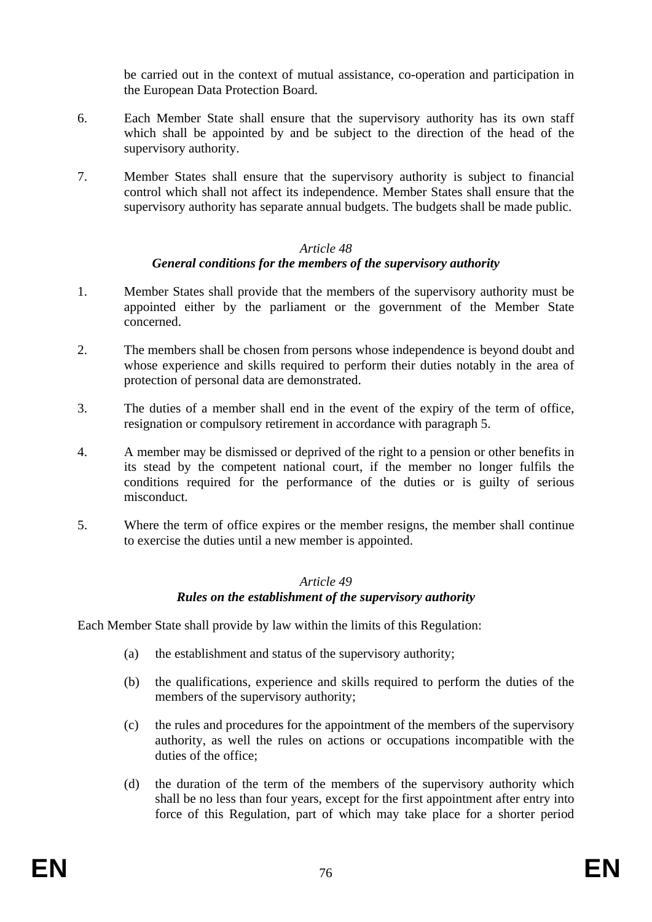be carried out in the context of mutual assistance, co-operation and participation in the European Data Protection Board.

- 6. Each Member State shall ensure that the supervisory authority has its own staff which shall be appointed by and be subject to the direction of the head of the supervisory authority.
- 7. Member States shall ensure that the supervisory authority is subject to financial control which shall not affect its independence. Member States shall ensure that the supervisory authority has separate annual budgets. The budgets shall be made public.

#### *Article 48*

#### *General conditions for the members of the supervisory authority*

- 1. Member States shall provide that the members of the supervisory authority must be appointed either by the parliament or the government of the Member State concerned.
- 2. The members shall be chosen from persons whose independence is beyond doubt and whose experience and skills required to perform their duties notably in the area of protection of personal data are demonstrated.
- 3. The duties of a member shall end in the event of the expiry of the term of office, resignation or compulsory retirement in accordance with paragraph 5.
- 4. A member may be dismissed or deprived of the right to a pension or other benefits in its stead by the competent national court, if the member no longer fulfils the conditions required for the performance of the duties or is guilty of serious misconduct.
- 5. Where the term of office expires or the member resigns, the member shall continue to exercise the duties until a new member is appointed.

#### *Article 49 Rules on the establishment of the supervisory authority*

Each Member State shall provide by law within the limits of this Regulation:

- (a) the establishment and status of the supervisory authority;
- (b) the qualifications, experience and skills required to perform the duties of the members of the supervisory authority;
- (c) the rules and procedures for the appointment of the members of the supervisory authority, as well the rules on actions or occupations incompatible with the duties of the office;
- (d) the duration of the term of the members of the supervisory authority which shall be no less than four years, except for the first appointment after entry into force of this Regulation, part of which may take place for a shorter period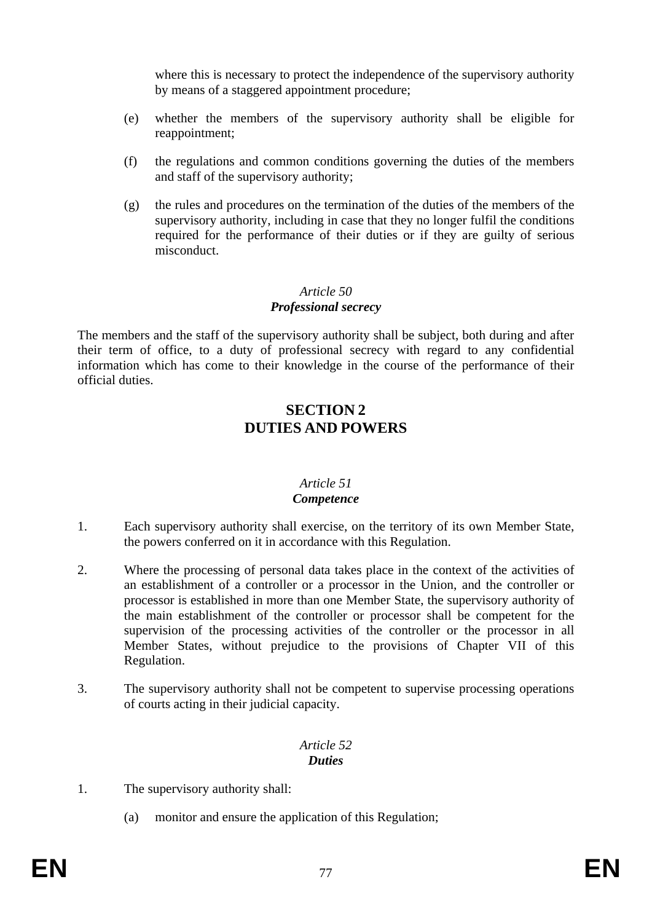where this is necessary to protect the independence of the supervisory authority by means of a staggered appointment procedure;

- (e) whether the members of the supervisory authority shall be eligible for reappointment;
- (f) the regulations and common conditions governing the duties of the members and staff of the supervisory authority;
- (g) the rules and procedures on the termination of the duties of the members of the supervisory authority, including in case that they no longer fulfil the conditions required for the performance of their duties or if they are guilty of serious misconduct.

#### *Article 50 Professional secrecy*

The members and the staff of the supervisory authority shall be subject, both during and after their term of office, to a duty of professional secrecy with regard to any confidential information which has come to their knowledge in the course of the performance of their official duties.

## **SECTION 2 DUTIES AND POWERS**

#### *Article 51 Competence*

## 1. Each supervisory authority shall exercise, on the territory of its own Member State, the powers conferred on it in accordance with this Regulation.

- 2. Where the processing of personal data takes place in the context of the activities of an establishment of a controller or a processor in the Union, and the controller or processor is established in more than one Member State, the supervisory authority of the main establishment of the controller or processor shall be competent for the supervision of the processing activities of the controller or the processor in all Member States, without prejudice to the provisions of Chapter VII of this Regulation.
- 3. The supervisory authority shall not be competent to supervise processing operations of courts acting in their judicial capacity.

#### *Article 52 Duties*

- 1. The supervisory authority shall:
	- (a) monitor and ensure the application of this Regulation;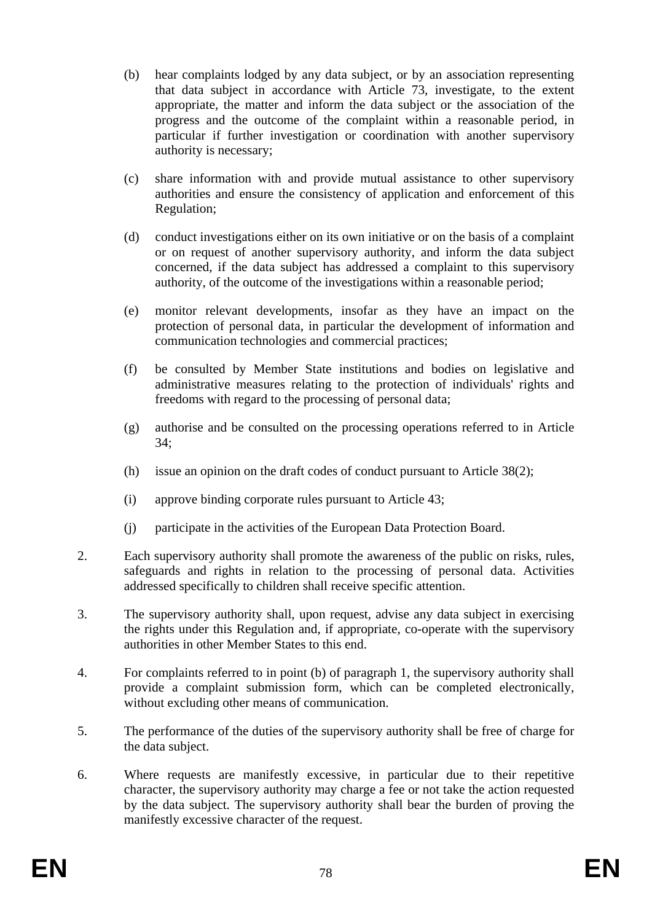- (b) hear complaints lodged by any data subject, or by an association representing that data subject in accordance with Article 73, investigate, to the extent appropriate, the matter and inform the data subject or the association of the progress and the outcome of the complaint within a reasonable period, in particular if further investigation or coordination with another supervisory authority is necessary;
- (c) share information with and provide mutual assistance to other supervisory authorities and ensure the consistency of application and enforcement of this Regulation;
- (d) conduct investigations either on its own initiative or on the basis of a complaint or on request of another supervisory authority, and inform the data subject concerned, if the data subject has addressed a complaint to this supervisory authority, of the outcome of the investigations within a reasonable period;
- (e) monitor relevant developments, insofar as they have an impact on the protection of personal data, in particular the development of information and communication technologies and commercial practices;
- (f) be consulted by Member State institutions and bodies on legislative and administrative measures relating to the protection of individuals' rights and freedoms with regard to the processing of personal data;
- (g) authorise and be consulted on the processing operations referred to in Article 34;
- (h) issue an opinion on the draft codes of conduct pursuant to Article 38(2);
- (i) approve binding corporate rules pursuant to Article 43;
- (j) participate in the activities of the European Data Protection Board.
- 2. Each supervisory authority shall promote the awareness of the public on risks, rules, safeguards and rights in relation to the processing of personal data. Activities addressed specifically to children shall receive specific attention.
- 3. The supervisory authority shall, upon request, advise any data subject in exercising the rights under this Regulation and, if appropriate, co-operate with the supervisory authorities in other Member States to this end.
- 4. For complaints referred to in point (b) of paragraph 1, the supervisory authority shall provide a complaint submission form, which can be completed electronically, without excluding other means of communication.
- 5. The performance of the duties of the supervisory authority shall be free of charge for the data subject.
- 6. Where requests are manifestly excessive, in particular due to their repetitive character, the supervisory authority may charge a fee or not take the action requested by the data subject. The supervisory authority shall bear the burden of proving the manifestly excessive character of the request.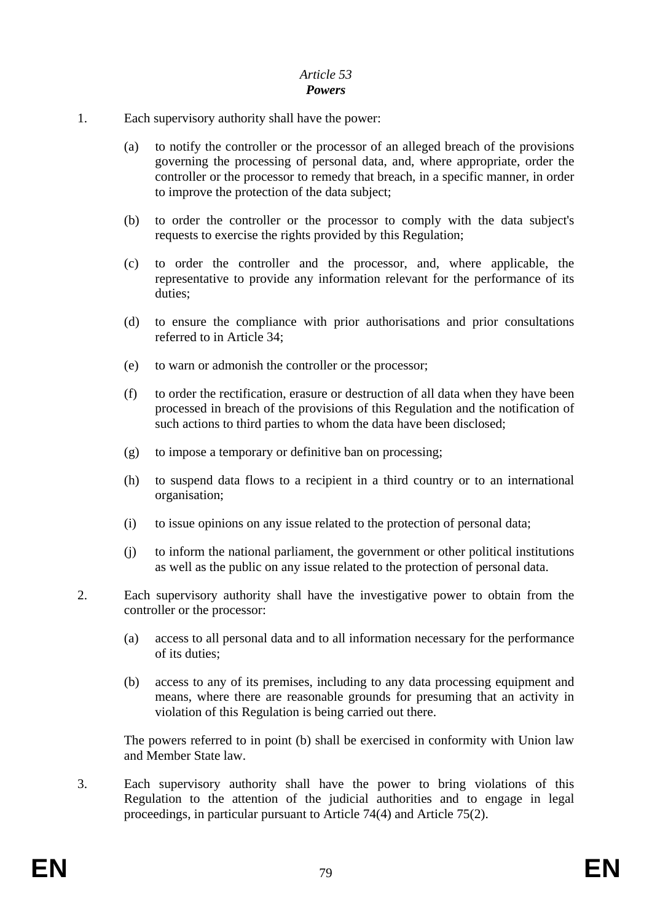# *Article 53*

## *Powers*

- 1. Each supervisory authority shall have the power:
	- (a) to notify the controller or the processor of an alleged breach of the provisions governing the processing of personal data, and, where appropriate, order the controller or the processor to remedy that breach, in a specific manner, in order to improve the protection of the data subject;
	- (b) to order the controller or the processor to comply with the data subject's requests to exercise the rights provided by this Regulation;
	- (c) to order the controller and the processor, and, where applicable, the representative to provide any information relevant for the performance of its duties;
	- (d) to ensure the compliance with prior authorisations and prior consultations referred to in Article 34;
	- (e) to warn or admonish the controller or the processor;
	- (f) to order the rectification, erasure or destruction of all data when they have been processed in breach of the provisions of this Regulation and the notification of such actions to third parties to whom the data have been disclosed;
	- (g) to impose a temporary or definitive ban on processing;
	- (h) to suspend data flows to a recipient in a third country or to an international organisation;
	- (i) to issue opinions on any issue related to the protection of personal data;
	- (j) to inform the national parliament, the government or other political institutions as well as the public on any issue related to the protection of personal data.
- 2. Each supervisory authority shall have the investigative power to obtain from the controller or the processor:
	- (a) access to all personal data and to all information necessary for the performance of its duties;
	- (b) access to any of its premises, including to any data processing equipment and means, where there are reasonable grounds for presuming that an activity in violation of this Regulation is being carried out there.

The powers referred to in point (b) shall be exercised in conformity with Union law and Member State law.

3. Each supervisory authority shall have the power to bring violations of this Regulation to the attention of the judicial authorities and to engage in legal proceedings, in particular pursuant to Article 74(4) and Article 75(2).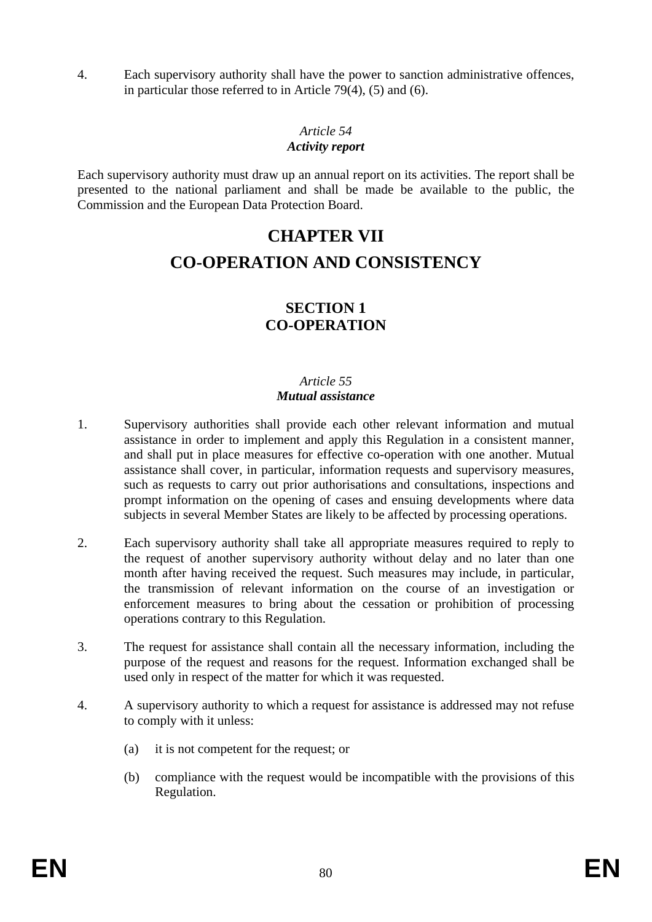4. Each supervisory authority shall have the power to sanction administrative offences, in particular those referred to in Article 79(4), (5) and (6).

#### *Article 54 Activity report*

Each supervisory authority must draw up an annual report on its activities. The report shall be presented to the national parliament and shall be made be available to the public, the Commission and the European Data Protection Board.

# **CHAPTER VII CO-OPERATION AND CONSISTENCY**

## **SECTION 1 CO-OPERATION**

### *Article 55 Mutual assistance*

- 1. Supervisory authorities shall provide each other relevant information and mutual assistance in order to implement and apply this Regulation in a consistent manner, and shall put in place measures for effective co-operation with one another. Mutual assistance shall cover, in particular, information requests and supervisory measures, such as requests to carry out prior authorisations and consultations, inspections and prompt information on the opening of cases and ensuing developments where data subjects in several Member States are likely to be affected by processing operations.
- 2. Each supervisory authority shall take all appropriate measures required to reply to the request of another supervisory authority without delay and no later than one month after having received the request. Such measures may include, in particular, the transmission of relevant information on the course of an investigation or enforcement measures to bring about the cessation or prohibition of processing operations contrary to this Regulation.
- 3. The request for assistance shall contain all the necessary information, including the purpose of the request and reasons for the request. Information exchanged shall be used only in respect of the matter for which it was requested.
- 4. A supervisory authority to which a request for assistance is addressed may not refuse to comply with it unless:
	- (a) it is not competent for the request; or
	- (b) compliance with the request would be incompatible with the provisions of this Regulation.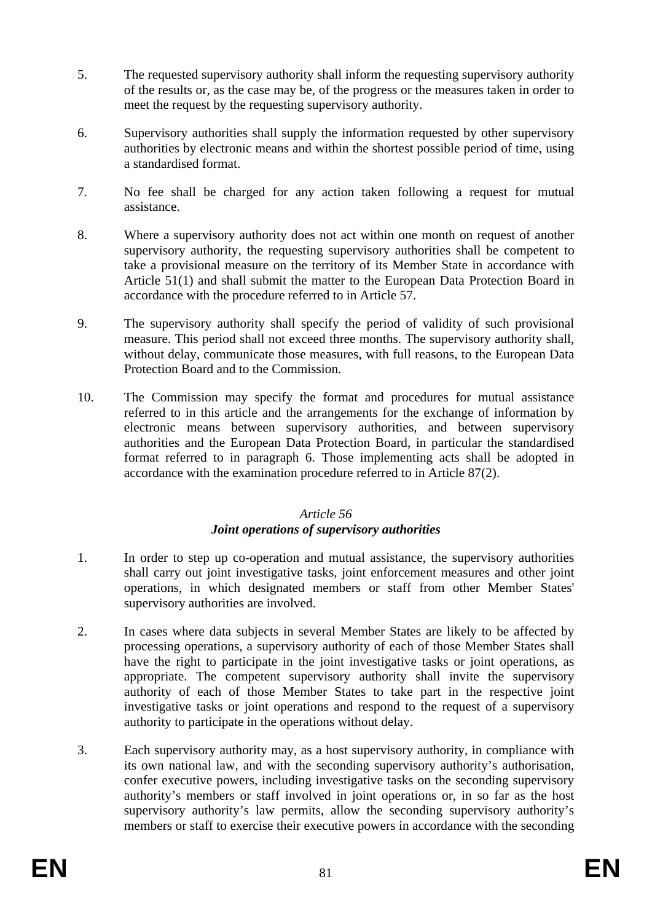- 5. The requested supervisory authority shall inform the requesting supervisory authority of the results or, as the case may be, of the progress or the measures taken in order to meet the request by the requesting supervisory authority.
- 6. Supervisory authorities shall supply the information requested by other supervisory authorities by electronic means and within the shortest possible period of time, using a standardised format.
- 7. No fee shall be charged for any action taken following a request for mutual assistance.
- 8. Where a supervisory authority does not act within one month on request of another supervisory authority, the requesting supervisory authorities shall be competent to take a provisional measure on the territory of its Member State in accordance with Article 51(1) and shall submit the matter to the European Data Protection Board in accordance with the procedure referred to in Article 57.
- 9. The supervisory authority shall specify the period of validity of such provisional measure. This period shall not exceed three months. The supervisory authority shall, without delay, communicate those measures, with full reasons, to the European Data Protection Board and to the Commission.
- 10. The Commission may specify the format and procedures for mutual assistance referred to in this article and the arrangements for the exchange of information by electronic means between supervisory authorities, and between supervisory authorities and the European Data Protection Board, in particular the standardised format referred to in paragraph 6. Those implementing acts shall be adopted in accordance with the examination procedure referred to in Article 87(2).

#### *Article 56 Joint operations of supervisory authorities*

- 1. In order to step up co-operation and mutual assistance, the supervisory authorities shall carry out joint investigative tasks, joint enforcement measures and other joint operations, in which designated members or staff from other Member States' supervisory authorities are involved.
- 2. In cases where data subjects in several Member States are likely to be affected by processing operations, a supervisory authority of each of those Member States shall have the right to participate in the joint investigative tasks or joint operations, as appropriate. The competent supervisory authority shall invite the supervisory authority of each of those Member States to take part in the respective joint investigative tasks or joint operations and respond to the request of a supervisory authority to participate in the operations without delay.
- 3. Each supervisory authority may, as a host supervisory authority, in compliance with its own national law, and with the seconding supervisory authority's authorisation, confer executive powers, including investigative tasks on the seconding supervisory authority's members or staff involved in joint operations or, in so far as the host supervisory authority's law permits, allow the seconding supervisory authority's members or staff to exercise their executive powers in accordance with the seconding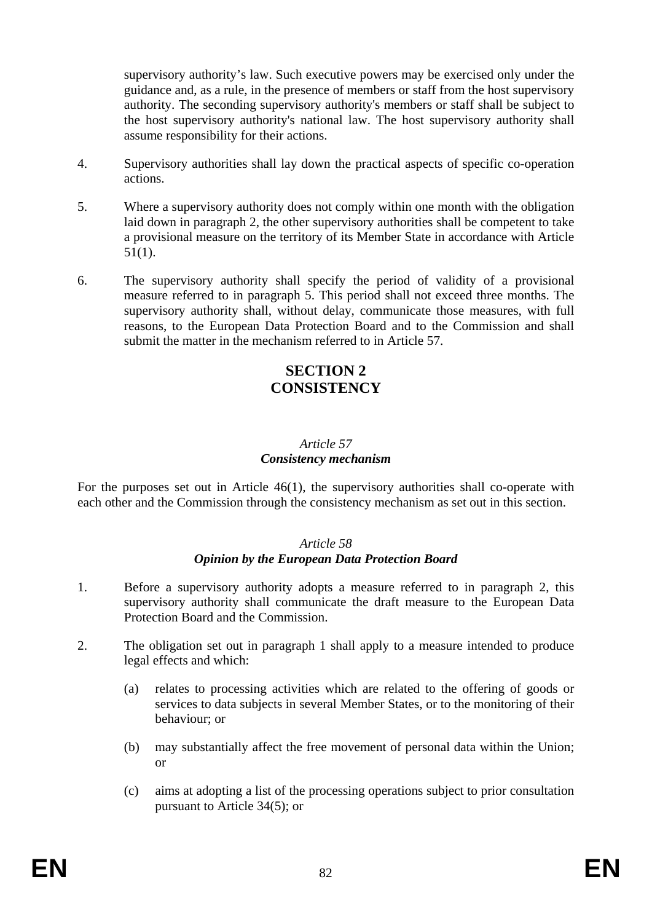supervisory authority's law. Such executive powers may be exercised only under the guidance and, as a rule, in the presence of members or staff from the host supervisory authority. The seconding supervisory authority's members or staff shall be subject to the host supervisory authority's national law. The host supervisory authority shall assume responsibility for their actions.

- 4. Supervisory authorities shall lay down the practical aspects of specific co-operation actions.
- 5. Where a supervisory authority does not comply within one month with the obligation laid down in paragraph 2, the other supervisory authorities shall be competent to take a provisional measure on the territory of its Member State in accordance with Article  $51(1)$ .
- 6. The supervisory authority shall specify the period of validity of a provisional measure referred to in paragraph 5. This period shall not exceed three months. The supervisory authority shall, without delay, communicate those measures, with full reasons, to the European Data Protection Board and to the Commission and shall submit the matter in the mechanism referred to in Article 57.

## **SECTION 2 CONSISTENCY**

#### *Article 57 Consistency mechanism*

For the purposes set out in Article 46(1), the supervisory authorities shall co-operate with each other and the Commission through the consistency mechanism as set out in this section.

#### *Article 58 Opinion by the European Data Protection Board*

- 1. Before a supervisory authority adopts a measure referred to in paragraph 2, this supervisory authority shall communicate the draft measure to the European Data Protection Board and the Commission.
- 2. The obligation set out in paragraph 1 shall apply to a measure intended to produce legal effects and which:
	- (a) relates to processing activities which are related to the offering of goods or services to data subjects in several Member States, or to the monitoring of their behaviour; or
	- (b) may substantially affect the free movement of personal data within the Union; or
	- (c) aims at adopting a list of the processing operations subject to prior consultation pursuant to Article 34(5); or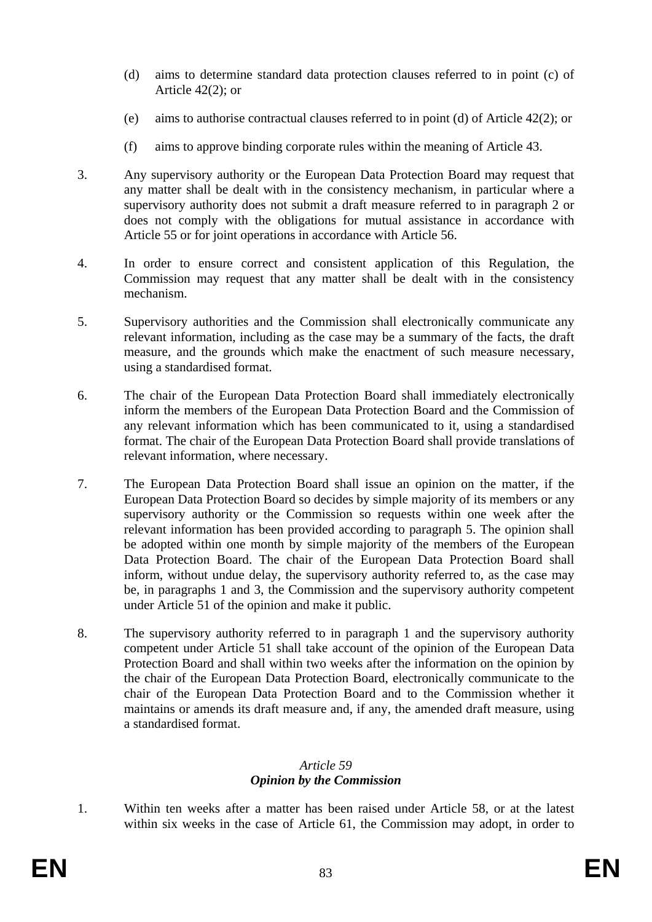- (d) aims to determine standard data protection clauses referred to in point (c) of Article 42(2); or
- (e) aims to authorise contractual clauses referred to in point (d) of Article 42(2); or
- (f) aims to approve binding corporate rules within the meaning of Article 43.
- 3. Any supervisory authority or the European Data Protection Board may request that any matter shall be dealt with in the consistency mechanism, in particular where a supervisory authority does not submit a draft measure referred to in paragraph 2 or does not comply with the obligations for mutual assistance in accordance with Article 55 or for joint operations in accordance with Article 56.
- 4. In order to ensure correct and consistent application of this Regulation, the Commission may request that any matter shall be dealt with in the consistency mechanism.
- 5. Supervisory authorities and the Commission shall electronically communicate any relevant information, including as the case may be a summary of the facts, the draft measure, and the grounds which make the enactment of such measure necessary, using a standardised format.
- 6. The chair of the European Data Protection Board shall immediately electronically inform the members of the European Data Protection Board and the Commission of any relevant information which has been communicated to it, using a standardised format. The chair of the European Data Protection Board shall provide translations of relevant information, where necessary.
- 7. The European Data Protection Board shall issue an opinion on the matter, if the European Data Protection Board so decides by simple majority of its members or any supervisory authority or the Commission so requests within one week after the relevant information has been provided according to paragraph 5. The opinion shall be adopted within one month by simple majority of the members of the European Data Protection Board. The chair of the European Data Protection Board shall inform, without undue delay, the supervisory authority referred to, as the case may be, in paragraphs 1 and 3, the Commission and the supervisory authority competent under Article 51 of the opinion and make it public.
- 8. The supervisory authority referred to in paragraph 1 and the supervisory authority competent under Article 51 shall take account of the opinion of the European Data Protection Board and shall within two weeks after the information on the opinion by the chair of the European Data Protection Board, electronically communicate to the chair of the European Data Protection Board and to the Commission whether it maintains or amends its draft measure and, if any, the amended draft measure, using a standardised format.

#### *Article 59 Opinion by the Commission*

1. Within ten weeks after a matter has been raised under Article 58, or at the latest within six weeks in the case of Article 61, the Commission may adopt, in order to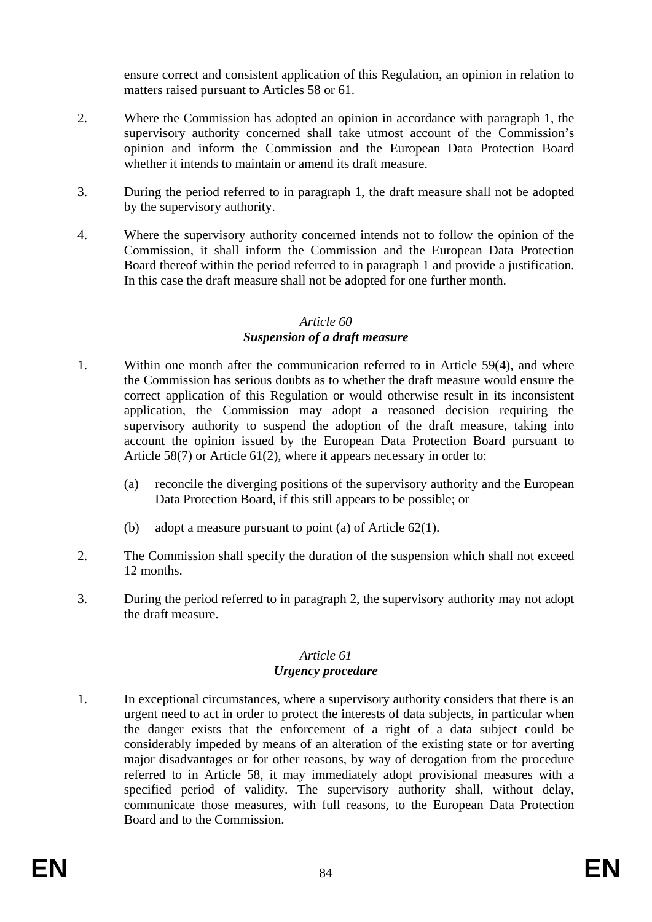ensure correct and consistent application of this Regulation, an opinion in relation to matters raised pursuant to Articles 58 or 61.

- 2. Where the Commission has adopted an opinion in accordance with paragraph 1, the supervisory authority concerned shall take utmost account of the Commission's opinion and inform the Commission and the European Data Protection Board whether it intends to maintain or amend its draft measure.
- 3. During the period referred to in paragraph 1, the draft measure shall not be adopted by the supervisory authority.
- 4. Where the supervisory authority concerned intends not to follow the opinion of the Commission, it shall inform the Commission and the European Data Protection Board thereof within the period referred to in paragraph 1 and provide a justification. In this case the draft measure shall not be adopted for one further month.

#### *Article 60 Suspension of a draft measure*

- 1. Within one month after the communication referred to in Article 59(4), and where the Commission has serious doubts as to whether the draft measure would ensure the correct application of this Regulation or would otherwise result in its inconsistent application, the Commission may adopt a reasoned decision requiring the supervisory authority to suspend the adoption of the draft measure, taking into account the opinion issued by the European Data Protection Board pursuant to Article 58(7) or Article 61(2), where it appears necessary in order to:
	- (a) reconcile the diverging positions of the supervisory authority and the European Data Protection Board, if this still appears to be possible; or
	- (b) adopt a measure pursuant to point (a) of Article 62(1).
- 2. The Commission shall specify the duration of the suspension which shall not exceed 12 months.
- 3. During the period referred to in paragraph 2, the supervisory authority may not adopt the draft measure.

#### *Article 61 Urgency procedure*

1. In exceptional circumstances, where a supervisory authority considers that there is an urgent need to act in order to protect the interests of data subjects, in particular when the danger exists that the enforcement of a right of a data subject could be considerably impeded by means of an alteration of the existing state or for averting major disadvantages or for other reasons, by way of derogation from the procedure referred to in Article 58, it may immediately adopt provisional measures with a specified period of validity. The supervisory authority shall, without delay, communicate those measures, with full reasons, to the European Data Protection Board and to the Commission.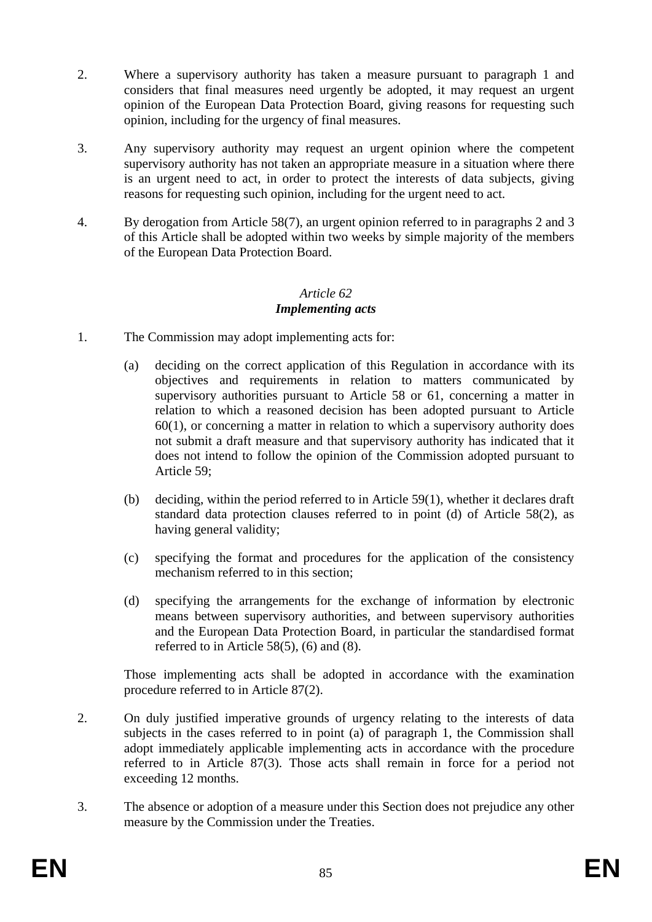- 2. Where a supervisory authority has taken a measure pursuant to paragraph 1 and considers that final measures need urgently be adopted, it may request an urgent opinion of the European Data Protection Board, giving reasons for requesting such opinion, including for the urgency of final measures.
- 3. Any supervisory authority may request an urgent opinion where the competent supervisory authority has not taken an appropriate measure in a situation where there is an urgent need to act, in order to protect the interests of data subjects, giving reasons for requesting such opinion, including for the urgent need to act.
- 4. By derogation from Article 58(7), an urgent opinion referred to in paragraphs 2 and 3 of this Article shall be adopted within two weeks by simple majority of the members of the European Data Protection Board.

#### *Article 62 Implementing acts*

- 1. The Commission may adopt implementing acts for:
	- (a) deciding on the correct application of this Regulation in accordance with its objectives and requirements in relation to matters communicated by supervisory authorities pursuant to Article 58 or 61, concerning a matter in relation to which a reasoned decision has been adopted pursuant to Article 60(1), or concerning a matter in relation to which a supervisory authority does not submit a draft measure and that supervisory authority has indicated that it does not intend to follow the opinion of the Commission adopted pursuant to Article 59;
	- (b) deciding, within the period referred to in Article 59(1), whether it declares draft standard data protection clauses referred to in point (d) of Article 58(2), as having general validity;
	- (c) specifying the format and procedures for the application of the consistency mechanism referred to in this section;
	- (d) specifying the arrangements for the exchange of information by electronic means between supervisory authorities, and between supervisory authorities and the European Data Protection Board, in particular the standardised format referred to in Article 58(5), (6) and (8).

Those implementing acts shall be adopted in accordance with the examination procedure referred to in Article 87(2).

- 2. On duly justified imperative grounds of urgency relating to the interests of data subjects in the cases referred to in point (a) of paragraph 1, the Commission shall adopt immediately applicable implementing acts in accordance with the procedure referred to in Article 87(3). Those acts shall remain in force for a period not exceeding 12 months.
- 3. The absence or adoption of a measure under this Section does not prejudice any other measure by the Commission under the Treaties.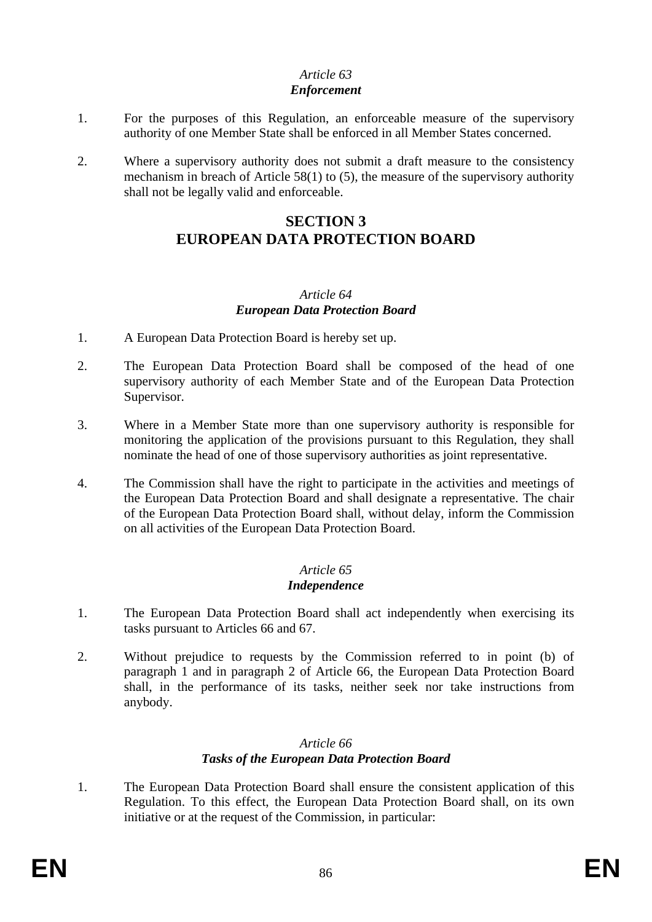#### *Article 63 Enforcement*

- 1. For the purposes of this Regulation, an enforceable measure of the supervisory authority of one Member State shall be enforced in all Member States concerned.
- 2. Where a supervisory authority does not submit a draft measure to the consistency mechanism in breach of Article 58(1) to (5), the measure of the supervisory authority shall not be legally valid and enforceable.

## **SECTION 3 EUROPEAN DATA PROTECTION BOARD**

#### *Article 64 European Data Protection Board*

- 1. A European Data Protection Board is hereby set up.
- 2. The European Data Protection Board shall be composed of the head of one supervisory authority of each Member State and of the European Data Protection Supervisor.
- 3. Where in a Member State more than one supervisory authority is responsible for monitoring the application of the provisions pursuant to this Regulation, they shall nominate the head of one of those supervisory authorities as joint representative.
- 4. The Commission shall have the right to participate in the activities and meetings of the European Data Protection Board and shall designate a representative. The chair of the European Data Protection Board shall, without delay, inform the Commission on all activities of the European Data Protection Board.

#### *Article 65 Independence*

- 1. The European Data Protection Board shall act independently when exercising its tasks pursuant to Articles 66 and 67.
- 2. Without prejudice to requests by the Commission referred to in point (b) of paragraph 1 and in paragraph 2 of Article 66, the European Data Protection Board shall, in the performance of its tasks, neither seek nor take instructions from anybody.

#### *Article 66 Tasks of the European Data Protection Board*

1. The European Data Protection Board shall ensure the consistent application of this Regulation. To this effect, the European Data Protection Board shall, on its own initiative or at the request of the Commission, in particular: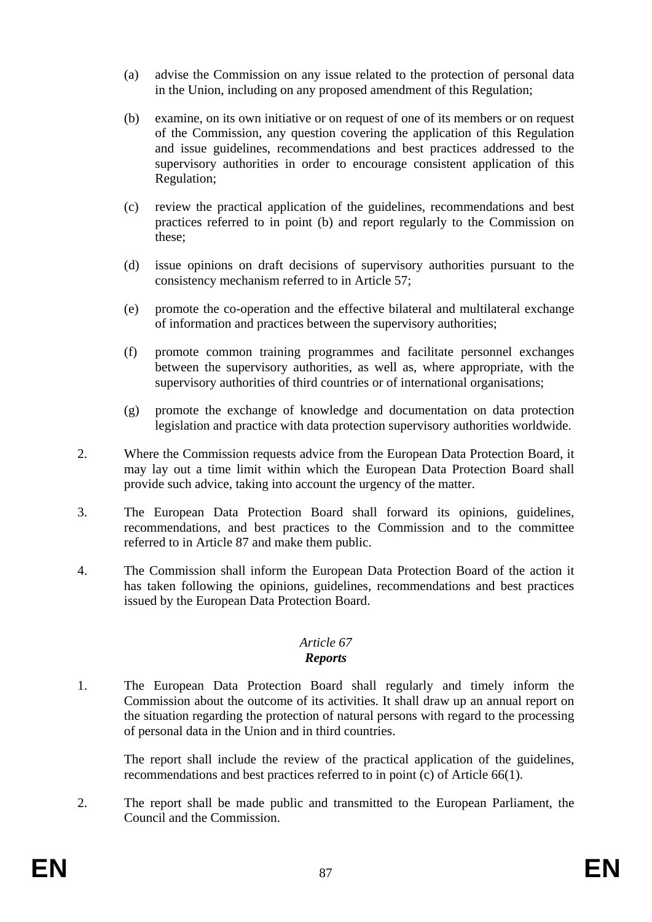- (a) advise the Commission on any issue related to the protection of personal data in the Union, including on any proposed amendment of this Regulation;
- (b) examine, on its own initiative or on request of one of its members or on request of the Commission, any question covering the application of this Regulation and issue guidelines, recommendations and best practices addressed to the supervisory authorities in order to encourage consistent application of this Regulation;
- (c) review the practical application of the guidelines, recommendations and best practices referred to in point (b) and report regularly to the Commission on these;
- (d) issue opinions on draft decisions of supervisory authorities pursuant to the consistency mechanism referred to in Article 57;
- (e) promote the co-operation and the effective bilateral and multilateral exchange of information and practices between the supervisory authorities;
- (f) promote common training programmes and facilitate personnel exchanges between the supervisory authorities, as well as, where appropriate, with the supervisory authorities of third countries or of international organisations;
- (g) promote the exchange of knowledge and documentation on data protection legislation and practice with data protection supervisory authorities worldwide.
- 2. Where the Commission requests advice from the European Data Protection Board, it may lay out a time limit within which the European Data Protection Board shall provide such advice, taking into account the urgency of the matter.
- 3. The European Data Protection Board shall forward its opinions, guidelines, recommendations, and best practices to the Commission and to the committee referred to in Article 87 and make them public.
- 4. The Commission shall inform the European Data Protection Board of the action it has taken following the opinions, guidelines, recommendations and best practices issued by the European Data Protection Board.

#### *Article 67 Reports*

1. The European Data Protection Board shall regularly and timely inform the Commission about the outcome of its activities. It shall draw up an annual report on the situation regarding the protection of natural persons with regard to the processing of personal data in the Union and in third countries.

The report shall include the review of the practical application of the guidelines, recommendations and best practices referred to in point (c) of Article 66(1).

2. The report shall be made public and transmitted to the European Parliament, the Council and the Commission.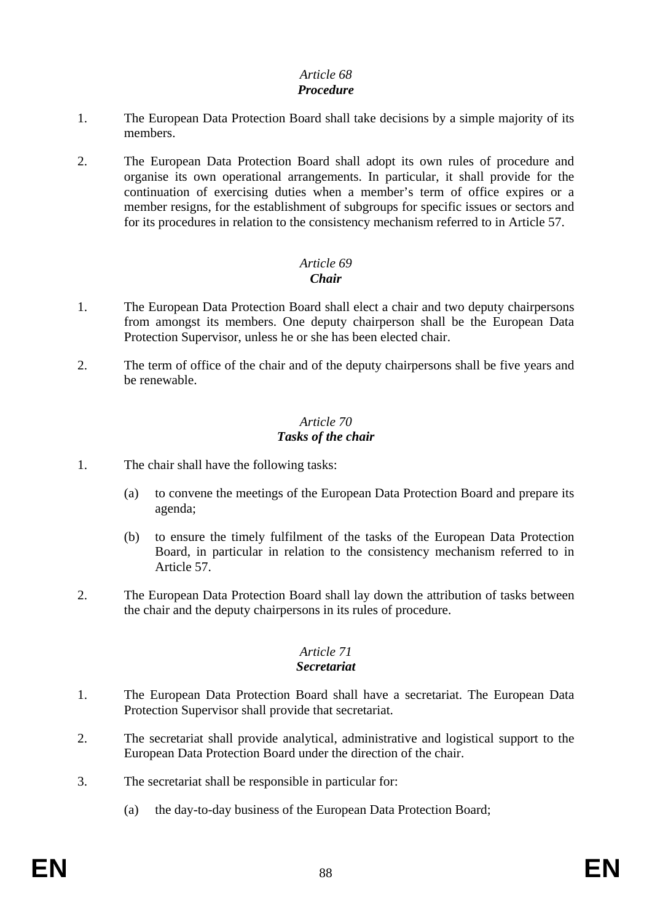#### *Article 68 Procedure*

#### 1. The European Data Protection Board shall take decisions by a simple majority of its members.

2. The European Data Protection Board shall adopt its own rules of procedure and organise its own operational arrangements. In particular, it shall provide for the continuation of exercising duties when a member's term of office expires or a member resigns, for the establishment of subgroups for specific issues or sectors and for its procedures in relation to the consistency mechanism referred to in Article 57.

#### *Article 69 Chair*

- 1. The European Data Protection Board shall elect a chair and two deputy chairpersons from amongst its members. One deputy chairperson shall be the European Data Protection Supervisor, unless he or she has been elected chair.
- 2. The term of office of the chair and of the deputy chairpersons shall be five years and be renewable.

#### *Article 70 Tasks of the chair*

- 1. The chair shall have the following tasks:
	- (a) to convene the meetings of the European Data Protection Board and prepare its agenda;
	- (b) to ensure the timely fulfilment of the tasks of the European Data Protection Board, in particular in relation to the consistency mechanism referred to in Article 57.
- 2. The European Data Protection Board shall lay down the attribution of tasks between the chair and the deputy chairpersons in its rules of procedure.

## *Article 71*

#### *Secretariat*

- 1. The European Data Protection Board shall have a secretariat. The European Data Protection Supervisor shall provide that secretariat.
- 2. The secretariat shall provide analytical, administrative and logistical support to the European Data Protection Board under the direction of the chair.
- 3. The secretariat shall be responsible in particular for:
	- (a) the day-to-day business of the European Data Protection Board;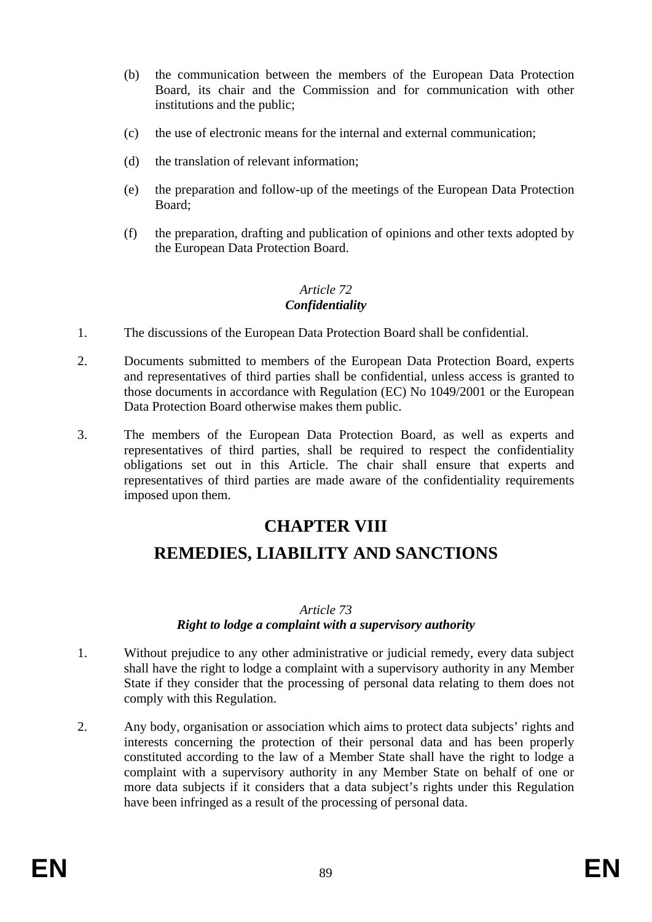- (b) the communication between the members of the European Data Protection Board, its chair and the Commission and for communication with other institutions and the public;
- (c) the use of electronic means for the internal and external communication;
- (d) the translation of relevant information;
- (e) the preparation and follow-up of the meetings of the European Data Protection Board;
- (f) the preparation, drafting and publication of opinions and other texts adopted by the European Data Protection Board.

### *Article 72 Confidentiality*

- 1. The discussions of the European Data Protection Board shall be confidential.
- 2. Documents submitted to members of the European Data Protection Board, experts and representatives of third parties shall be confidential, unless access is granted to those documents in accordance with Regulation (EC) No 1049/2001 or the European Data Protection Board otherwise makes them public.
- 3. The members of the European Data Protection Board, as well as experts and representatives of third parties, shall be required to respect the confidentiality obligations set out in this Article. The chair shall ensure that experts and representatives of third parties are made aware of the confidentiality requirements imposed upon them.

## **CHAPTER VIII**

## **REMEDIES, LIABILITY AND SANCTIONS**

#### *Article 73*

#### *Right to lodge a complaint with a supervisory authority*

- 1. Without prejudice to any other administrative or judicial remedy, every data subject shall have the right to lodge a complaint with a supervisory authority in any Member State if they consider that the processing of personal data relating to them does not comply with this Regulation.
- 2. Any body, organisation or association which aims to protect data subjects' rights and interests concerning the protection of their personal data and has been properly constituted according to the law of a Member State shall have the right to lodge a complaint with a supervisory authority in any Member State on behalf of one or more data subjects if it considers that a data subject's rights under this Regulation have been infringed as a result of the processing of personal data.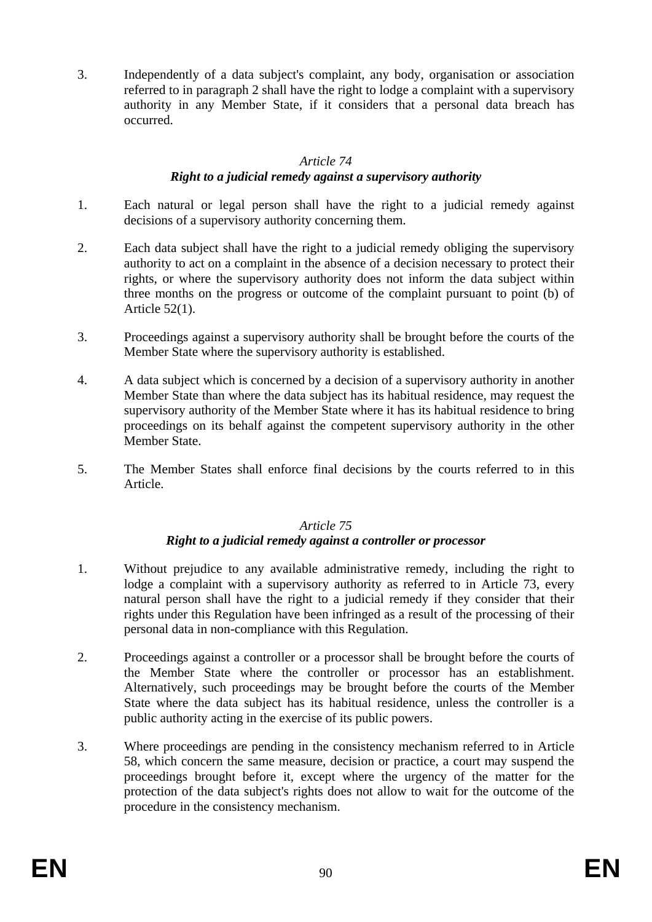3. Independently of a data subject's complaint, any body, organisation or association referred to in paragraph 2 shall have the right to lodge a complaint with a supervisory authority in any Member State, if it considers that a personal data breach has occurred.

#### *Article 74*

#### *Right to a judicial remedy against a supervisory authority*

- 1. Each natural or legal person shall have the right to a judicial remedy against decisions of a supervisory authority concerning them.
- 2. Each data subject shall have the right to a judicial remedy obliging the supervisory authority to act on a complaint in the absence of a decision necessary to protect their rights, or where the supervisory authority does not inform the data subject within three months on the progress or outcome of the complaint pursuant to point (b) of Article 52(1).
- 3. Proceedings against a supervisory authority shall be brought before the courts of the Member State where the supervisory authority is established.
- 4. A data subject which is concerned by a decision of a supervisory authority in another Member State than where the data subject has its habitual residence, may request the supervisory authority of the Member State where it has its habitual residence to bring proceedings on its behalf against the competent supervisory authority in the other Member State.
- 5. The Member States shall enforce final decisions by the courts referred to in this Article.

#### *Article 75*

#### *Right to a judicial remedy against a controller or processor*

- 1. Without prejudice to any available administrative remedy, including the right to lodge a complaint with a supervisory authority as referred to in Article 73, every natural person shall have the right to a judicial remedy if they consider that their rights under this Regulation have been infringed as a result of the processing of their personal data in non-compliance with this Regulation.
- 2. Proceedings against a controller or a processor shall be brought before the courts of the Member State where the controller or processor has an establishment. Alternatively, such proceedings may be brought before the courts of the Member State where the data subject has its habitual residence, unless the controller is a public authority acting in the exercise of its public powers.
- 3. Where proceedings are pending in the consistency mechanism referred to in Article 58, which concern the same measure, decision or practice, a court may suspend the proceedings brought before it, except where the urgency of the matter for the protection of the data subject's rights does not allow to wait for the outcome of the procedure in the consistency mechanism.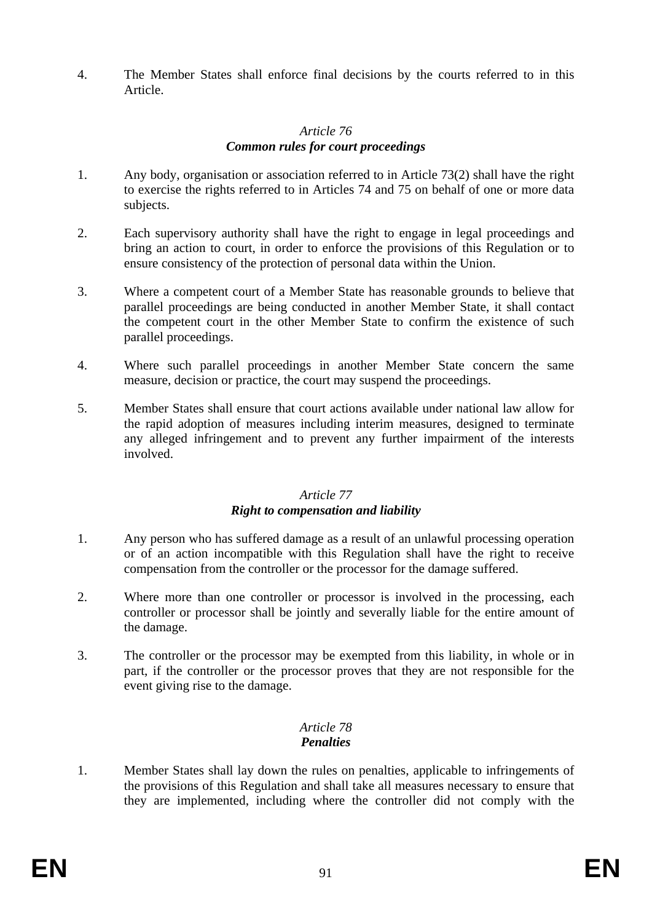4. The Member States shall enforce final decisions by the courts referred to in this Article.

#### *Article 76 Common rules for court proceedings*

- 1. Any body, organisation or association referred to in Article 73(2) shall have the right to exercise the rights referred to in Articles 74 and 75 on behalf of one or more data subjects.
- 2. Each supervisory authority shall have the right to engage in legal proceedings and bring an action to court, in order to enforce the provisions of this Regulation or to ensure consistency of the protection of personal data within the Union.
- 3. Where a competent court of a Member State has reasonable grounds to believe that parallel proceedings are being conducted in another Member State, it shall contact the competent court in the other Member State to confirm the existence of such parallel proceedings.
- 4. Where such parallel proceedings in another Member State concern the same measure, decision or practice, the court may suspend the proceedings.
- 5. Member States shall ensure that court actions available under national law allow for the rapid adoption of measures including interim measures, designed to terminate any alleged infringement and to prevent any further impairment of the interests involved.

#### *Article 77 Right to compensation and liability*

- 1. Any person who has suffered damage as a result of an unlawful processing operation or of an action incompatible with this Regulation shall have the right to receive compensation from the controller or the processor for the damage suffered.
- 2. Where more than one controller or processor is involved in the processing, each controller or processor shall be jointly and severally liable for the entire amount of the damage.
- 3. The controller or the processor may be exempted from this liability, in whole or in part, if the controller or the processor proves that they are not responsible for the event giving rise to the damage.

#### *Article 78 Penalties*

1. Member States shall lay down the rules on penalties, applicable to infringements of the provisions of this Regulation and shall take all measures necessary to ensure that they are implemented, including where the controller did not comply with the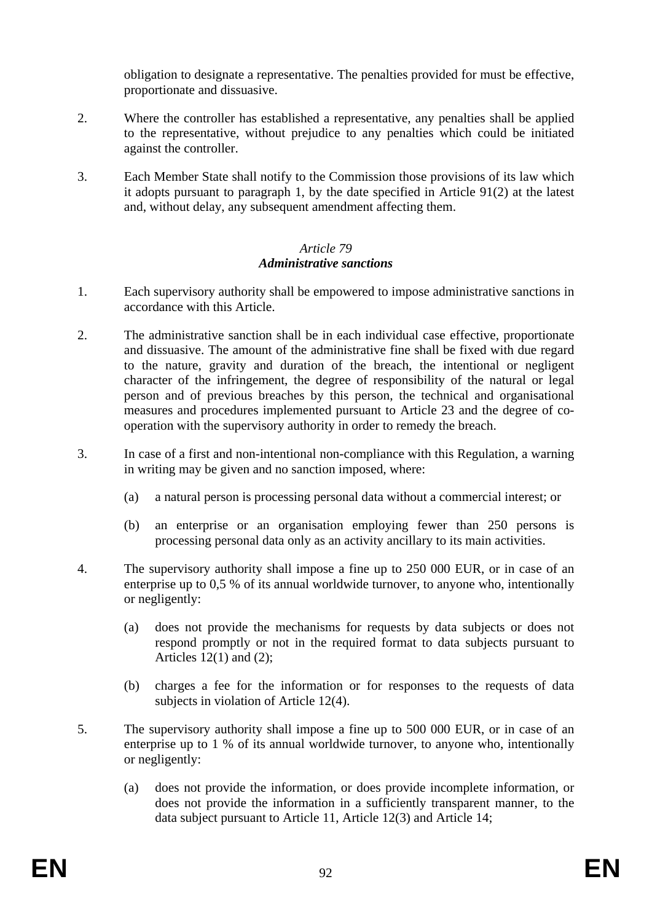obligation to designate a representative. The penalties provided for must be effective, proportionate and dissuasive.

- 2. Where the controller has established a representative, any penalties shall be applied to the representative, without prejudice to any penalties which could be initiated against the controller.
- 3. Each Member State shall notify to the Commission those provisions of its law which it adopts pursuant to paragraph 1, by the date specified in Article 91(2) at the latest and, without delay, any subsequent amendment affecting them.

#### *Article 79 Administrative sanctions*

- 1. Each supervisory authority shall be empowered to impose administrative sanctions in accordance with this Article.
- 2. The administrative sanction shall be in each individual case effective, proportionate and dissuasive. The amount of the administrative fine shall be fixed with due regard to the nature, gravity and duration of the breach, the intentional or negligent character of the infringement, the degree of responsibility of the natural or legal person and of previous breaches by this person, the technical and organisational measures and procedures implemented pursuant to Article 23 and the degree of cooperation with the supervisory authority in order to remedy the breach.
- 3. In case of a first and non-intentional non-compliance with this Regulation, a warning in writing may be given and no sanction imposed, where:
	- (a) a natural person is processing personal data without a commercial interest; or
	- (b) an enterprise or an organisation employing fewer than 250 persons is processing personal data only as an activity ancillary to its main activities.
- 4. The supervisory authority shall impose a fine up to 250 000 EUR, or in case of an enterprise up to 0,5 % of its annual worldwide turnover, to anyone who, intentionally or negligently:
	- (a) does not provide the mechanisms for requests by data subjects or does not respond promptly or not in the required format to data subjects pursuant to Articles  $12(1)$  and  $(2)$ ;
	- (b) charges a fee for the information or for responses to the requests of data subjects in violation of Article 12(4).
- 5. The supervisory authority shall impose a fine up to 500 000 EUR, or in case of an enterprise up to 1 % of its annual worldwide turnover, to anyone who, intentionally or negligently:
	- (a) does not provide the information, or does provide incomplete information, or does not provide the information in a sufficiently transparent manner, to the data subject pursuant to Article 11, Article 12(3) and Article 14;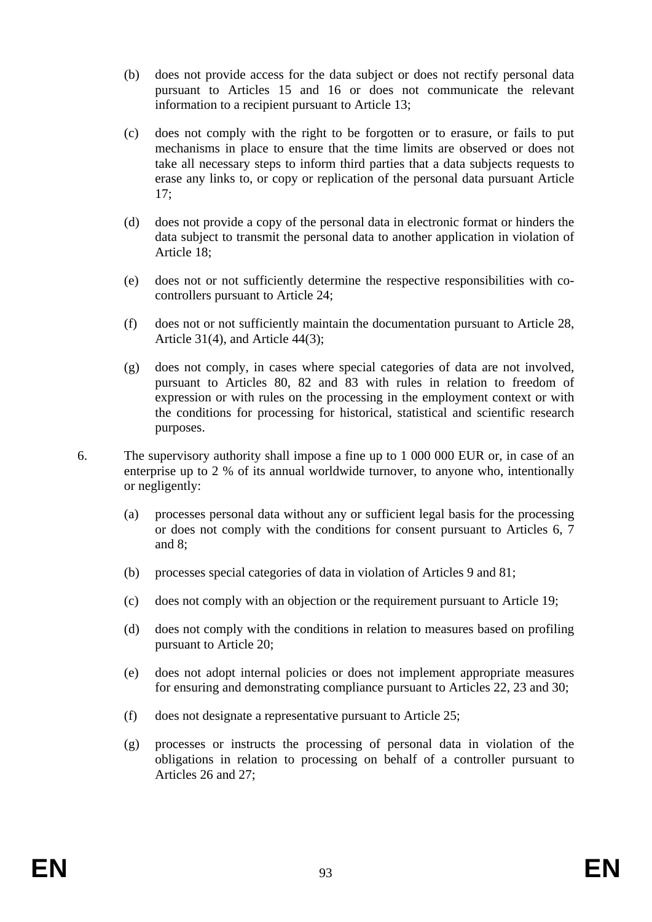- (b) does not provide access for the data subject or does not rectify personal data pursuant to Articles 15 and 16 or does not communicate the relevant information to a recipient pursuant to Article 13;
- (c) does not comply with the right to be forgotten or to erasure, or fails to put mechanisms in place to ensure that the time limits are observed or does not take all necessary steps to inform third parties that a data subjects requests to erase any links to, or copy or replication of the personal data pursuant Article 17;
- (d) does not provide a copy of the personal data in electronic format or hinders the data subject to transmit the personal data to another application in violation of Article 18;
- (e) does not or not sufficiently determine the respective responsibilities with cocontrollers pursuant to Article 24;
- (f) does not or not sufficiently maintain the documentation pursuant to Article 28, Article 31(4), and Article 44(3);
- (g) does not comply, in cases where special categories of data are not involved, pursuant to Articles 80, 82 and 83 with rules in relation to freedom of expression or with rules on the processing in the employment context or with the conditions for processing for historical, statistical and scientific research purposes.
- 6. The supervisory authority shall impose a fine up to 1 000 000 EUR or, in case of an enterprise up to 2 % of its annual worldwide turnover, to anyone who, intentionally or negligently:
	- (a) processes personal data without any or sufficient legal basis for the processing or does not comply with the conditions for consent pursuant to Articles 6, 7 and 8;
	- (b) processes special categories of data in violation of Articles 9 and 81;
	- (c) does not comply with an objection or the requirement pursuant to Article 19;
	- (d) does not comply with the conditions in relation to measures based on profiling pursuant to Article 20;
	- (e) does not adopt internal policies or does not implement appropriate measures for ensuring and demonstrating compliance pursuant to Articles 22, 23 and 30;
	- (f) does not designate a representative pursuant to Article 25;
	- (g) processes or instructs the processing of personal data in violation of the obligations in relation to processing on behalf of a controller pursuant to Articles 26 and 27;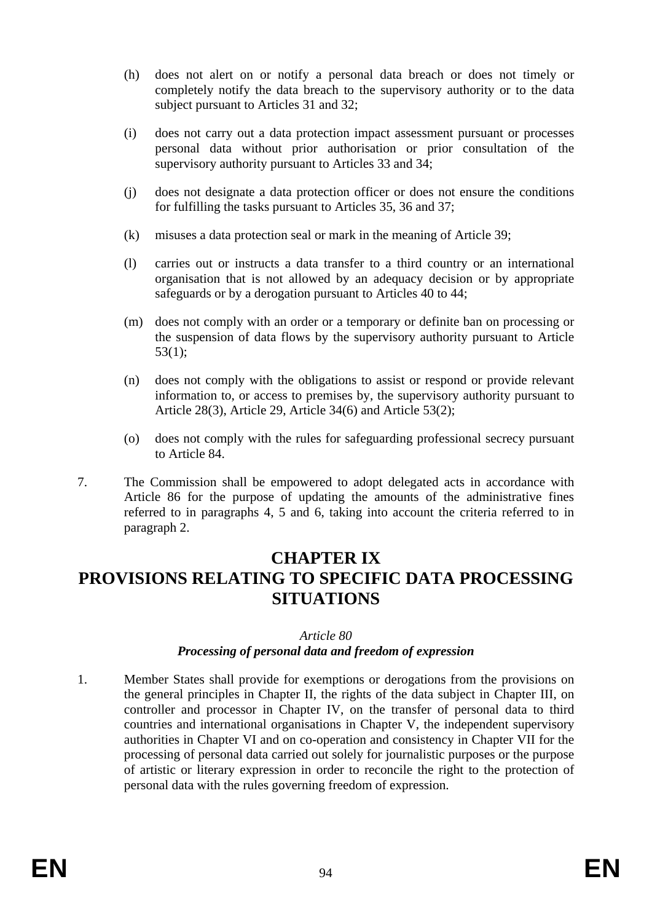- (h) does not alert on or notify a personal data breach or does not timely or completely notify the data breach to the supervisory authority or to the data subject pursuant to Articles 31 and 32;
- (i) does not carry out a data protection impact assessment pursuant or processes personal data without prior authorisation or prior consultation of the supervisory authority pursuant to Articles 33 and 34;
- (j) does not designate a data protection officer or does not ensure the conditions for fulfilling the tasks pursuant to Articles 35, 36 and 37;
- (k) misuses a data protection seal or mark in the meaning of Article 39;
- (l) carries out or instructs a data transfer to a third country or an international organisation that is not allowed by an adequacy decision or by appropriate safeguards or by a derogation pursuant to Articles 40 to 44;
- (m) does not comply with an order or a temporary or definite ban on processing or the suspension of data flows by the supervisory authority pursuant to Article 53(1);
- (n) does not comply with the obligations to assist or respond or provide relevant information to, or access to premises by, the supervisory authority pursuant to Article 28(3), Article 29, Article 34(6) and Article 53(2);
- (o) does not comply with the rules for safeguarding professional secrecy pursuant to Article 84.
- 7. The Commission shall be empowered to adopt delegated acts in accordance with Article 86 for the purpose of updating the amounts of the administrative fines referred to in paragraphs 4, 5 and 6, taking into account the criteria referred to in paragraph 2.

## **CHAPTER IX PROVISIONS RELATING TO SPECIFIC DATA PROCESSING SITUATIONS**

#### *Article 80 Processing of personal data and freedom of expression*

1. Member States shall provide for exemptions or derogations from the provisions on the general principles in Chapter II, the rights of the data subject in Chapter III, on controller and processor in Chapter IV, on the transfer of personal data to third countries and international organisations in Chapter V, the independent supervisory authorities in Chapter VI and on co-operation and consistency in Chapter VII for the processing of personal data carried out solely for journalistic purposes or the purpose of artistic or literary expression in order to reconcile the right to the protection of personal data with the rules governing freedom of expression.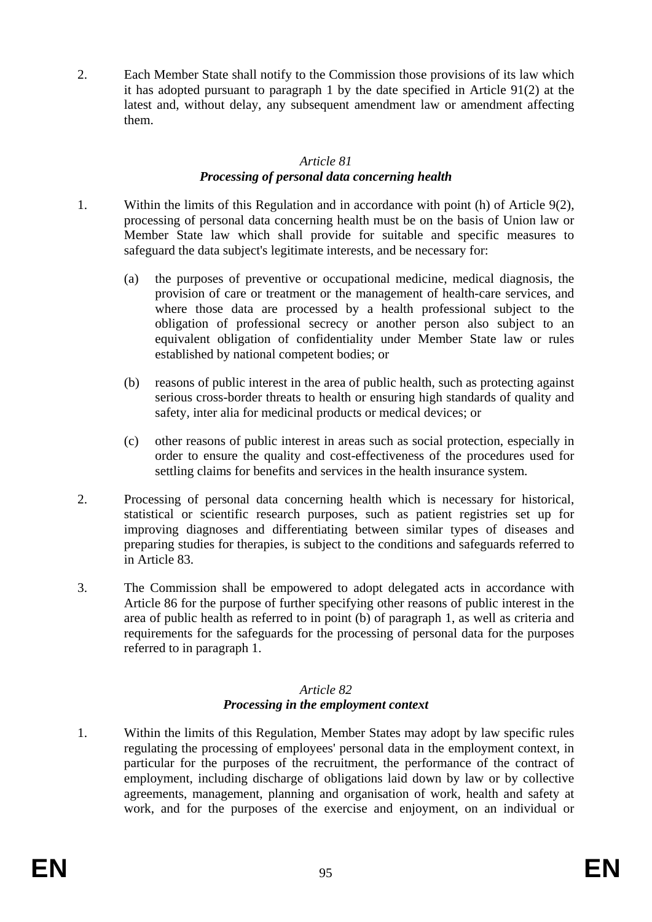2. Each Member State shall notify to the Commission those provisions of its law which it has adopted pursuant to paragraph 1 by the date specified in Article 91(2) at the latest and, without delay, any subsequent amendment law or amendment affecting them.

#### *Article 81 Processing of personal data concerning health*

- 1. Within the limits of this Regulation and in accordance with point (h) of Article 9(2), processing of personal data concerning health must be on the basis of Union law or Member State law which shall provide for suitable and specific measures to safeguard the data subject's legitimate interests, and be necessary for:
	- (a) the purposes of preventive or occupational medicine, medical diagnosis, the provision of care or treatment or the management of health-care services, and where those data are processed by a health professional subject to the obligation of professional secrecy or another person also subject to an equivalent obligation of confidentiality under Member State law or rules established by national competent bodies; or
	- (b) reasons of public interest in the area of public health, such as protecting against serious cross-border threats to health or ensuring high standards of quality and safety, inter alia for medicinal products or medical devices; or
	- (c) other reasons of public interest in areas such as social protection, especially in order to ensure the quality and cost-effectiveness of the procedures used for settling claims for benefits and services in the health insurance system.
- 2. Processing of personal data concerning health which is necessary for historical, statistical or scientific research purposes, such as patient registries set up for improving diagnoses and differentiating between similar types of diseases and preparing studies for therapies, is subject to the conditions and safeguards referred to in Article 83.
- 3. The Commission shall be empowered to adopt delegated acts in accordance with Article 86 for the purpose of further specifying other reasons of public interest in the area of public health as referred to in point (b) of paragraph 1, as well as criteria and requirements for the safeguards for the processing of personal data for the purposes referred to in paragraph 1.

#### *Article 82 Processing in the employment context*

1. Within the limits of this Regulation, Member States may adopt by law specific rules regulating the processing of employees' personal data in the employment context, in particular for the purposes of the recruitment, the performance of the contract of employment, including discharge of obligations laid down by law or by collective agreements, management, planning and organisation of work, health and safety at work, and for the purposes of the exercise and enjoyment, on an individual or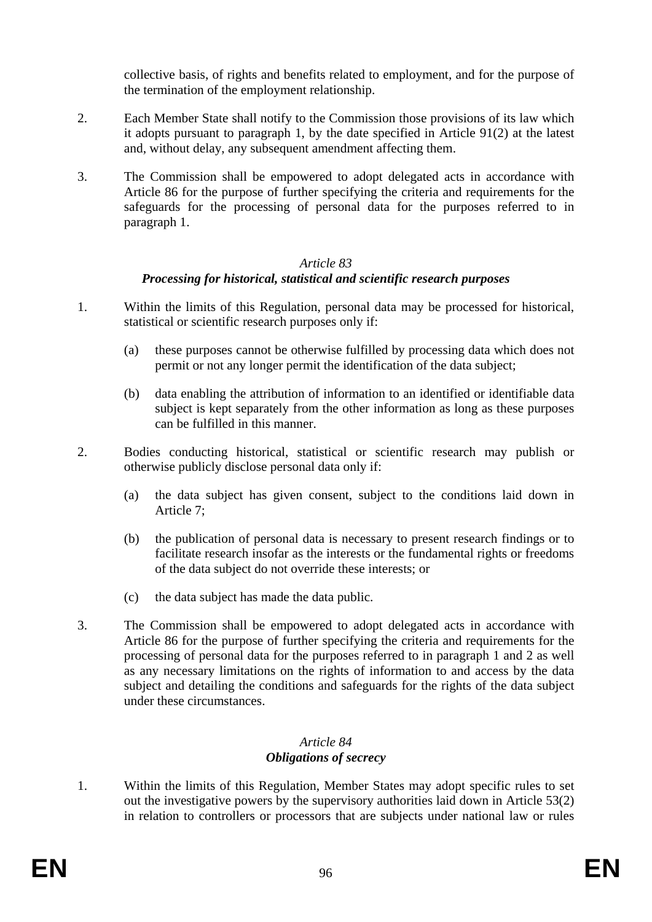collective basis, of rights and benefits related to employment, and for the purpose of the termination of the employment relationship.

- 2. Each Member State shall notify to the Commission those provisions of its law which it adopts pursuant to paragraph 1, by the date specified in Article 91(2) at the latest and, without delay, any subsequent amendment affecting them.
- 3. The Commission shall be empowered to adopt delegated acts in accordance with Article 86 for the purpose of further specifying the criteria and requirements for the safeguards for the processing of personal data for the purposes referred to in paragraph 1.

#### *Article 83*

### *Processing for historical, statistical and scientific research purposes*

- 1. Within the limits of this Regulation, personal data may be processed for historical, statistical or scientific research purposes only if:
	- (a) these purposes cannot be otherwise fulfilled by processing data which does not permit or not any longer permit the identification of the data subject;
	- (b) data enabling the attribution of information to an identified or identifiable data subject is kept separately from the other information as long as these purposes can be fulfilled in this manner.
- 2. Bodies conducting historical, statistical or scientific research may publish or otherwise publicly disclose personal data only if:
	- (a) the data subject has given consent, subject to the conditions laid down in Article 7;
	- (b) the publication of personal data is necessary to present research findings or to facilitate research insofar as the interests or the fundamental rights or freedoms of the data subject do not override these interests; or
	- (c) the data subject has made the data public.
- 3. The Commission shall be empowered to adopt delegated acts in accordance with Article 86 for the purpose of further specifying the criteria and requirements for the processing of personal data for the purposes referred to in paragraph 1 and 2 as well as any necessary limitations on the rights of information to and access by the data subject and detailing the conditions and safeguards for the rights of the data subject under these circumstances.

#### *Article 84 Obligations of secrecy*

1. Within the limits of this Regulation, Member States may adopt specific rules to set out the investigative powers by the supervisory authorities laid down in Article 53(2) in relation to controllers or processors that are subjects under national law or rules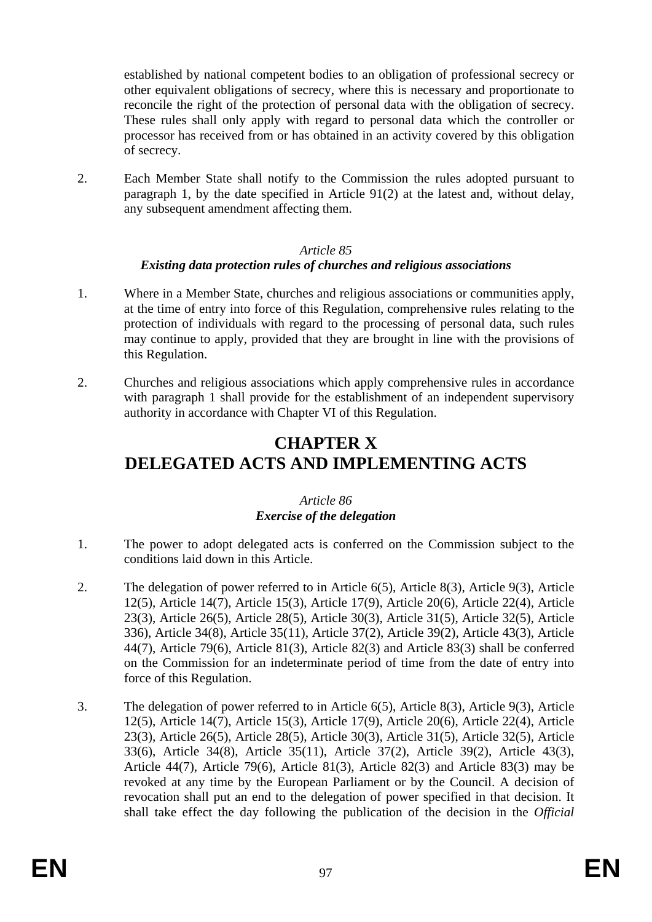established by national competent bodies to an obligation of professional secrecy or other equivalent obligations of secrecy, where this is necessary and proportionate to reconcile the right of the protection of personal data with the obligation of secrecy. These rules shall only apply with regard to personal data which the controller or processor has received from or has obtained in an activity covered by this obligation of secrecy.

2. Each Member State shall notify to the Commission the rules adopted pursuant to paragraph 1, by the date specified in Article 91(2) at the latest and, without delay, any subsequent amendment affecting them.

#### *Article 85*

#### *Existing data protection rules of churches and religious associations*

- 1. Where in a Member State, churches and religious associations or communities apply, at the time of entry into force of this Regulation, comprehensive rules relating to the protection of individuals with regard to the processing of personal data, such rules may continue to apply, provided that they are brought in line with the provisions of this Regulation.
- 2. Churches and religious associations which apply comprehensive rules in accordance with paragraph 1 shall provide for the establishment of an independent supervisory authority in accordance with Chapter VI of this Regulation.

## **CHAPTER X DELEGATED ACTS AND IMPLEMENTING ACTS**

#### *Article 86 Exercise of the delegation*

- 1. The power to adopt delegated acts is conferred on the Commission subject to the conditions laid down in this Article.
- 2. The delegation of power referred to in Article 6(5), Article 8(3), Article 9(3), Article 12(5), Article 14(7), Article 15(3), Article 17(9), Article 20(6), Article 22(4), Article 23(3), Article 26(5), Article 28(5), Article 30(3), Article 31(5), Article 32(5), Article 336), Article 34(8), Article 35(11), Article 37(2), Article 39(2), Article 43(3), Article 44(7), Article 79(6), Article 81(3), Article 82(3) and Article 83(3) shall be conferred on the Commission for an indeterminate period of time from the date of entry into force of this Regulation.
- 3. The delegation of power referred to in Article 6(5), Article 8(3), Article 9(3), Article 12(5), Article 14(7), Article 15(3), Article 17(9), Article 20(6), Article 22(4), Article 23(3), Article 26(5), Article 28(5), Article 30(3), Article 31(5), Article 32(5), Article 33(6), Article 34(8), Article 35(11), Article 37(2), Article 39(2), Article 43(3), Article 44(7), Article 79(6), Article 81(3), Article 82(3) and Article 83(3) may be revoked at any time by the European Parliament or by the Council. A decision of revocation shall put an end to the delegation of power specified in that decision. It shall take effect the day following the publication of the decision in the *Official*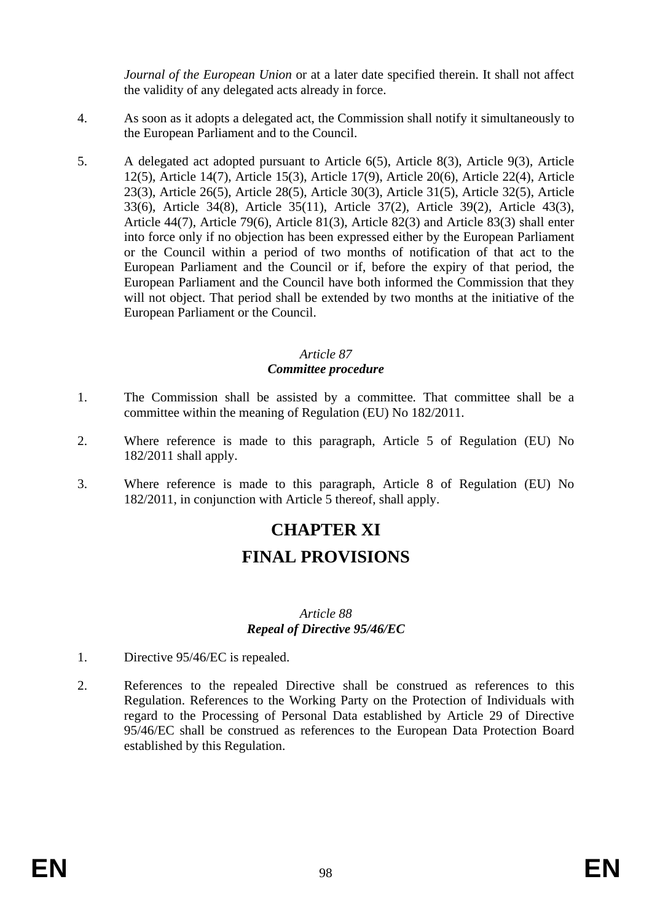*Journal of the European Union* or at a later date specified therein. It shall not affect the validity of any delegated acts already in force.

- 4. As soon as it adopts a delegated act, the Commission shall notify it simultaneously to the European Parliament and to the Council.
- 5. A delegated act adopted pursuant to Article 6(5), Article 8(3), Article 9(3), Article 12(5), Article 14(7), Article 15(3), Article 17(9), Article 20(6), Article 22(4), Article 23(3), Article 26(5), Article 28(5), Article 30(3), Article 31(5), Article 32(5), Article 33(6), Article 34(8), Article 35(11), Article 37(2), Article 39(2), Article 43(3), Article 44(7), Article 79(6), Article 81(3), Article 82(3) and Article 83(3) shall enter into force only if no objection has been expressed either by the European Parliament or the Council within a period of two months of notification of that act to the European Parliament and the Council or if, before the expiry of that period, the European Parliament and the Council have both informed the Commission that they will not object. That period shall be extended by two months at the initiative of the European Parliament or the Council.

#### *Article 87 Committee procedure*

- 1. The Commission shall be assisted by a committee*.* That committee shall be a committee within the meaning of Regulation (EU) No 182/2011.
- 2. Where reference is made to this paragraph, Article 5 of Regulation (EU) No 182/2011 shall apply.
- 3. Where reference is made to this paragraph, Article 8 of Regulation (EU) No 182/2011, in conjunction with Article 5 thereof, shall apply.

# **CHAPTER XI FINAL PROVISIONS**

#### *Article 88 Repeal of Directive 95/46/EC*

- 1. Directive 95/46/EC is repealed.
- 2. References to the repealed Directive shall be construed as references to this Regulation. References to the Working Party on the Protection of Individuals with regard to the Processing of Personal Data established by Article 29 of Directive 95/46/EC shall be construed as references to the European Data Protection Board established by this Regulation.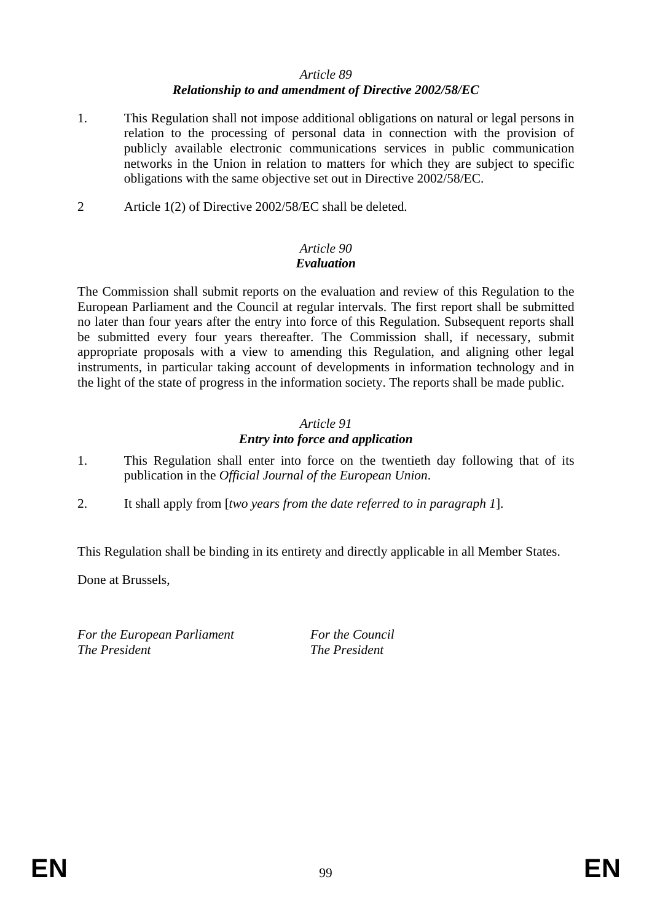#### *Article 89 Relationship to and amendment of Directive 2002/58/EC*

- 1. This Regulation shall not impose additional obligations on natural or legal persons in relation to the processing of personal data in connection with the provision of publicly available electronic communications services in public communication networks in the Union in relation to matters for which they are subject to specific obligations with the same objective set out in Directive 2002/58/EC.
- 2 Article 1(2) of Directive 2002/58/EC shall be deleted.

#### *Article 90 Evaluation*

The Commission shall submit reports on the evaluation and review of this Regulation to the European Parliament and the Council at regular intervals. The first report shall be submitted no later than four years after the entry into force of this Regulation. Subsequent reports shall be submitted every four years thereafter. The Commission shall, if necessary, submit appropriate proposals with a view to amending this Regulation, and aligning other legal instruments, in particular taking account of developments in information technology and in the light of the state of progress in the information society. The reports shall be made public.

#### *Article 91 Entry into force and application*

- 1. This Regulation shall enter into force on the twentieth day following that of its publication in the *Official Journal of the European Union*.
- 2. It shall apply from [*two years from the date referred to in paragraph 1*].

This Regulation shall be binding in its entirety and directly applicable in all Member States.

Done at Brussels,

For the European Parliament For the Council *The President The President*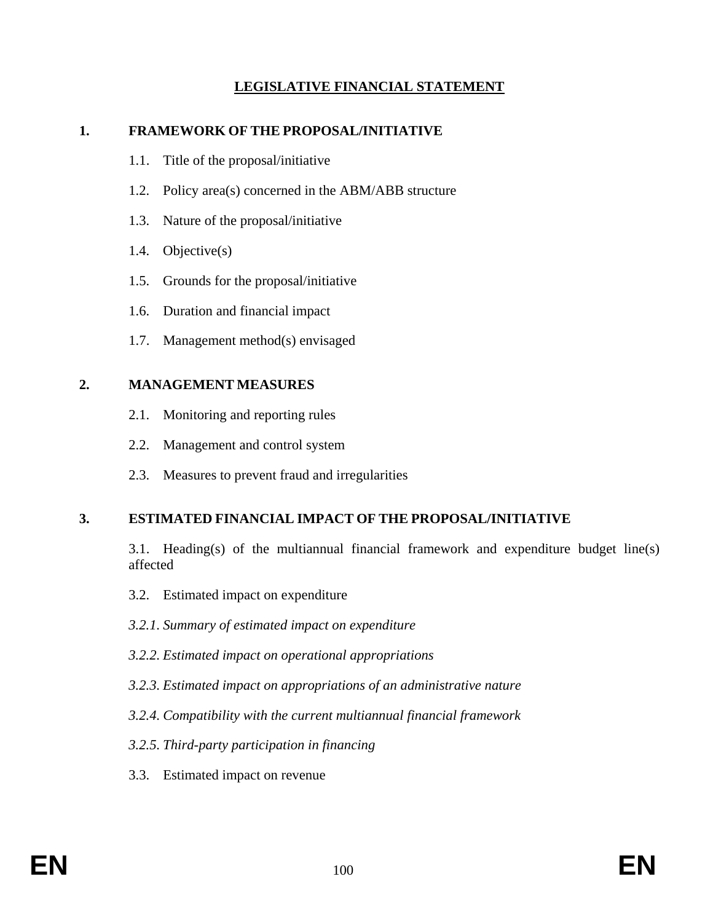### **LEGISLATIVE FINANCIAL STATEMENT**

#### **1. FRAMEWORK OF THE PROPOSAL/INITIATIVE**

- 1.1. Title of the proposal/initiative
- 1.2. Policy area(s) concerned in the ABM/ABB structure
- 1.3. Nature of the proposal/initiative
- 1.4. Objective(s)
- 1.5. Grounds for the proposal/initiative
- 1.6. Duration and financial impact
- 1.7. Management method(s) envisaged

#### **2. MANAGEMENT MEASURES**

- 2.1. Monitoring and reporting rules
- 2.2. Management and control system
- 2.3. Measures to prevent fraud and irregularities

#### **3. ESTIMATED FINANCIAL IMPACT OF THE PROPOSAL/INITIATIVE**

 3.1. Heading(s) of the multiannual financial framework and expenditure budget line(s) affected

- 3.2. Estimated impact on expenditure
- *3.2.1. Summary of estimated impact on expenditure*
- *3.2.2. Estimated impact on operational appropriations*
- *3.2.3. Estimated impact on appropriations of an administrative nature*
- *3.2.4. Compatibility with the current multiannual financial framework*
- *3.2.5. Third-party participation in financing*
- 3.3. Estimated impact on revenue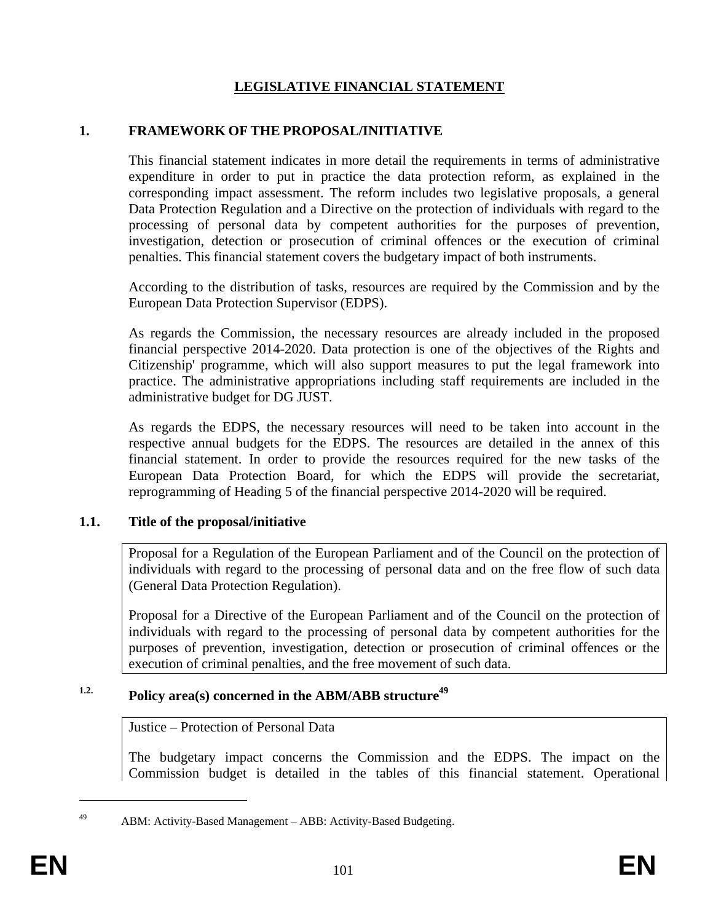### **LEGISLATIVE FINANCIAL STATEMENT**

#### **1. FRAMEWORK OF THE PROPOSAL/INITIATIVE**

This financial statement indicates in more detail the requirements in terms of administrative expenditure in order to put in practice the data protection reform, as explained in the corresponding impact assessment. The reform includes two legislative proposals, a general Data Protection Regulation and a Directive on the protection of individuals with regard to the processing of personal data by competent authorities for the purposes of prevention, investigation, detection or prosecution of criminal offences or the execution of criminal penalties. This financial statement covers the budgetary impact of both instruments.

According to the distribution of tasks, resources are required by the Commission and by the European Data Protection Supervisor (EDPS).

As regards the Commission, the necessary resources are already included in the proposed financial perspective 2014-2020. Data protection is one of the objectives of the Rights and Citizenship' programme, which will also support measures to put the legal framework into practice. The administrative appropriations including staff requirements are included in the administrative budget for DG JUST.

As regards the EDPS, the necessary resources will need to be taken into account in the respective annual budgets for the EDPS. The resources are detailed in the annex of this financial statement. In order to provide the resources required for the new tasks of the European Data Protection Board, for which the EDPS will provide the secretariat, reprogramming of Heading 5 of the financial perspective 2014-2020 will be required.

#### **1.1. Title of the proposal/initiative**

Proposal for a Regulation of the European Parliament and of the Council on the protection of individuals with regard to the processing of personal data and on the free flow of such data (General Data Protection Regulation).

Proposal for a Directive of the European Parliament and of the Council on the protection of individuals with regard to the processing of personal data by competent authorities for the purposes of prevention, investigation, detection or prosecution of criminal offences or the execution of criminal penalties, and the free movement of such data.

#### <sup>1.2.</sup> **Policy area(s) concerned in the ABM/ABB structure<sup>49</sup>**

Justice – Protection of Personal Data

The budgetary impact concerns the Commission and the EDPS. The impact on the Commission budget is detailed in the tables of this financial statement. Operational

 $\overline{a}$ 

<sup>49</sup> ABM: Activity-Based Management – ABB: Activity-Based Budgeting.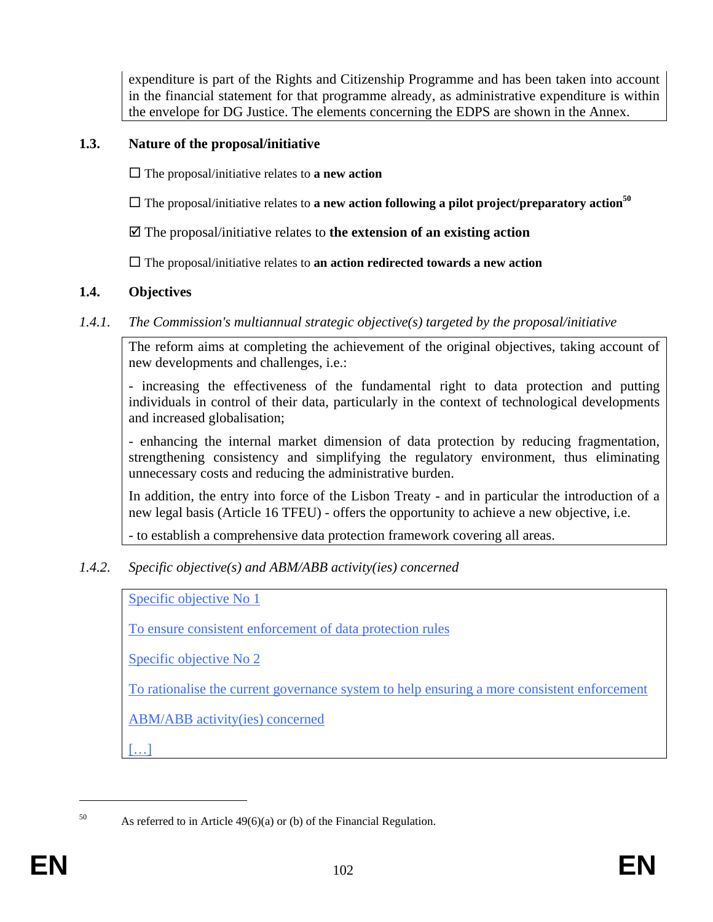expenditure is part of the Rights and Citizenship Programme and has been taken into account in the financial statement for that programme already, as administrative expenditure is within the envelope for DG Justice. The elements concerning the EDPS are shown in the Annex.

#### **1.3. Nature of the proposal/initiative**

 $\Box$  The proposal/initiative relates to **a new action** 

 $\Box$  The proposal/initiative relates to **a new action following a pilot project/preparatory action**<sup>50</sup>

 $\mathbb{\nabla}$  The proposal/initiative relates to **the extension of an existing action** 

The proposal/initiative relates to **an action redirected towards a new action**

## **1.4. Objectives**

*1.4.1. The Commission's multiannual strategic objective(s) targeted by the proposal/initiative* 

The reform aims at completing the achievement of the original objectives, taking account of new developments and challenges, i.e.:

- increasing the effectiveness of the fundamental right to data protection and putting individuals in control of their data, particularly in the context of technological developments and increased globalisation;

- enhancing the internal market dimension of data protection by reducing fragmentation, strengthening consistency and simplifying the regulatory environment, thus eliminating unnecessary costs and reducing the administrative burden.

In addition, the entry into force of the Lisbon Treaty - and in particular the introduction of a new legal basis (Article 16 TFEU) - offers the opportunity to achieve a new objective, i.e.

- to establish a comprehensive data protection framework covering all areas.

## *1.4.2. Specific objective(s) and ABM/ABB activity(ies) concerned*

Specific objective No 1

To ensure consistent enforcement of data protection rules

Specific objective No 2

To rationalise the current governance system to help ensuring a more consistent enforcement

ABM/ABB activity(ies) concerned

 $\ldots$ ]

 $\overline{a}$ 

<sup>&</sup>lt;sup>50</sup> As referred to in Article 49(6)(a) or (b) of the Financial Regulation.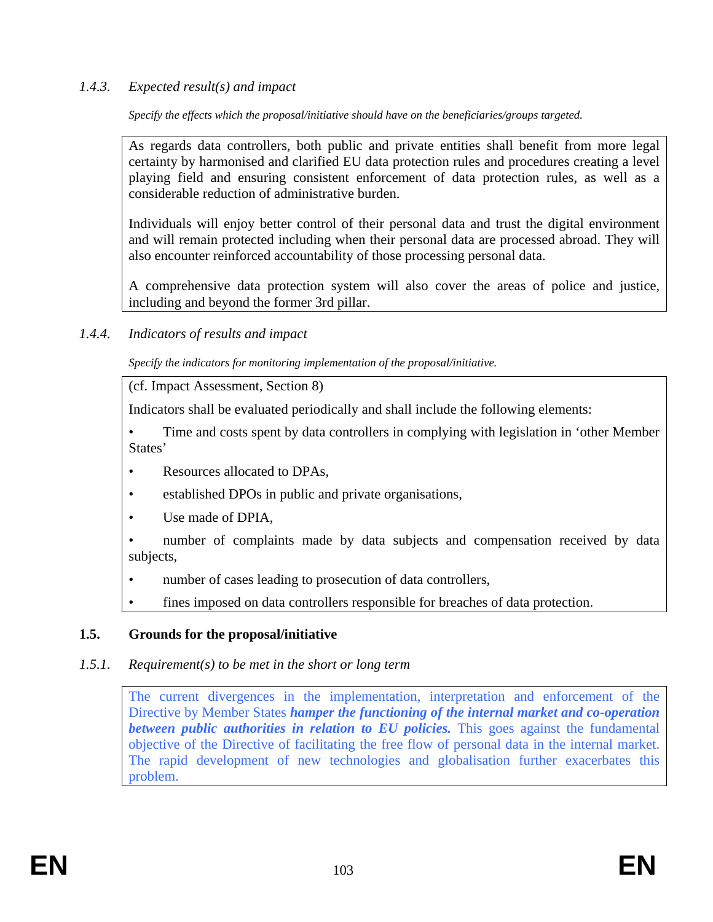#### *1.4.3. Expected result(s) and impact*

*Specify the effects which the proposal/initiative should have on the beneficiaries/groups targeted.* 

As regards data controllers, both public and private entities shall benefit from more legal certainty by harmonised and clarified EU data protection rules and procedures creating a level playing field and ensuring consistent enforcement of data protection rules, as well as a considerable reduction of administrative burden.

Individuals will enjoy better control of their personal data and trust the digital environment and will remain protected including when their personal data are processed abroad. They will also encounter reinforced accountability of those processing personal data.

A comprehensive data protection system will also cover the areas of police and justice, including and beyond the former 3rd pillar.

*1.4.4. Indicators of results and impact* 

*Specify the indicators for monitoring implementation of the proposal/initiative.* 

(cf. Impact Assessment, Section 8)

Indicators shall be evaluated periodically and shall include the following elements:

• Time and costs spent by data controllers in complying with legislation in 'other Member States'

- Resources allocated to DPAs,
- established DPOs in public and private organisations,
- Use made of DPIA.
- number of complaints made by data subjects and compensation received by data subjects,
- number of cases leading to prosecution of data controllers,
- fines imposed on data controllers responsible for breaches of data protection.

## **1.5. Grounds for the proposal/initiative**

#### *1.5.1. Requirement(s) to be met in the short or long term*

The current divergences in the implementation, interpretation and enforcement of the Directive by Member States *hamper the functioning of the internal market and co-operation between public authorities in relation to EU policies.* This goes against the fundamental objective of the Directive of facilitating the free flow of personal data in the internal market. The rapid development of new technologies and globalisation further exacerbates this problem.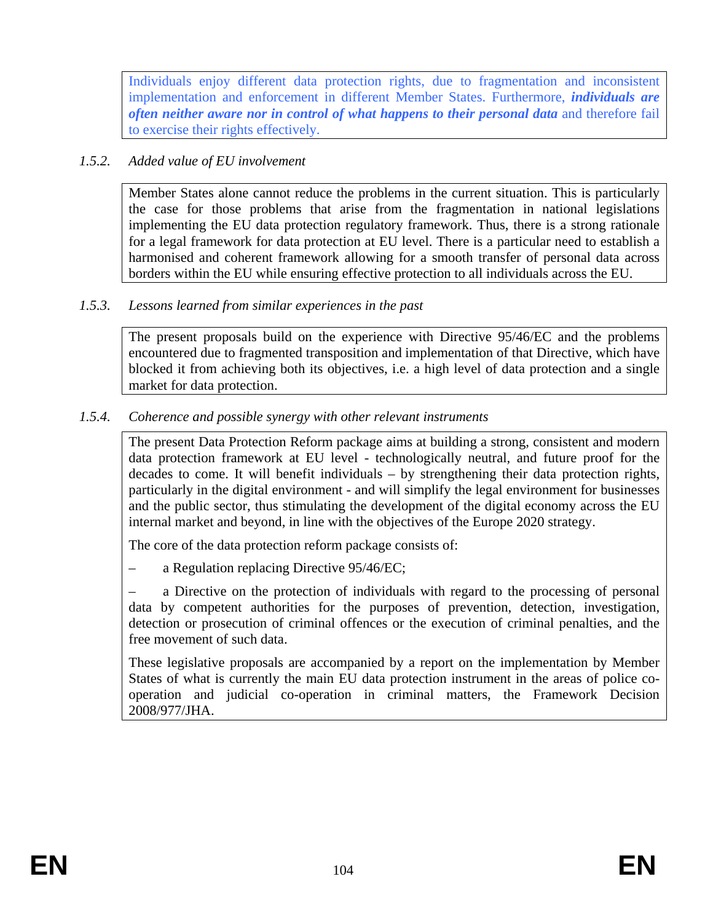Individuals enjoy different data protection rights, due to fragmentation and inconsistent implementation and enforcement in different Member States. Furthermore, *individuals are often neither aware nor in control of what happens to their personal data* and therefore fail to exercise their rights effectively.

#### *1.5.2. Added value of EU involvement*

Member States alone cannot reduce the problems in the current situation. This is particularly the case for those problems that arise from the fragmentation in national legislations implementing the EU data protection regulatory framework. Thus, there is a strong rationale for a legal framework for data protection at EU level. There is a particular need to establish a harmonised and coherent framework allowing for a smooth transfer of personal data across borders within the EU while ensuring effective protection to all individuals across the EU.

#### *1.5.3. Lessons learned from similar experiences in the past*

The present proposals build on the experience with Directive 95/46/EC and the problems encountered due to fragmented transposition and implementation of that Directive, which have blocked it from achieving both its objectives, i.e. a high level of data protection and a single market for data protection.

#### *1.5.4. Coherence and possible synergy with other relevant instruments*

The present Data Protection Reform package aims at building a strong, consistent and modern data protection framework at EU level - technologically neutral, and future proof for the decades to come. It will benefit individuals – by strengthening their data protection rights, particularly in the digital environment - and will simplify the legal environment for businesses and the public sector, thus stimulating the development of the digital economy across the EU internal market and beyond, in line with the objectives of the Europe 2020 strategy.

The core of the data protection reform package consists of:

– a Regulation replacing Directive 95/46/EC;

– a Directive on the protection of individuals with regard to the processing of personal data by competent authorities for the purposes of prevention, detection, investigation, detection or prosecution of criminal offences or the execution of criminal penalties, and the free movement of such data.

These legislative proposals are accompanied by a report on the implementation by Member States of what is currently the main EU data protection instrument in the areas of police cooperation and judicial co-operation in criminal matters, the Framework Decision 2008/977/JHA.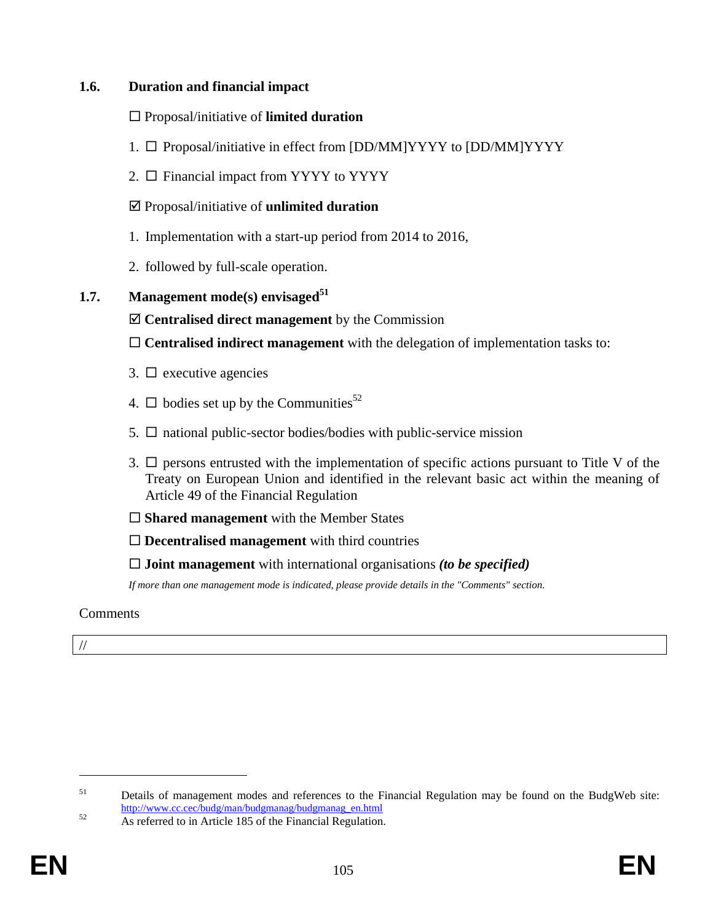#### **1.6. Duration and financial impact**

- Proposal/initiative of **limited duration**
- 1.  $\Box$  Proposal/initiative in effect from [DD/MM]YYYY to [DD/MM]YYYY
- 2.  $\Box$  Financial impact from YYYY to YYYY
- ; Proposal/initiative of **unlimited duration**
- 1. Implementation with a start-up period from 2014 to 2016,
- 2. followed by full-scale operation.

#### **1.7. Management mode(s) envisaged**<sup>51</sup>

 $\boxtimes$  **Centralised direct management** by the Commission

**Centralised indirect management** with the delegation of implementation tasks to:

- 3.  $\Box$  executive agencies
- 4.  $\Box$  bodies set up by the Communities<sup>52</sup>
- 5.  $\Box$  national public-sector bodies/bodies with public-service mission
- 3.  $\Box$  persons entrusted with the implementation of specific actions pursuant to Title V of the Treaty on European Union and identified in the relevant basic act within the meaning of Article 49 of the Financial Regulation
- □ **Shared management** with the Member States

**Decentralised management** with third countries

**Joint management** with international organisations *(to be specified)* 

*If more than one management mode is indicated, please provide details in the "Comments" section.* 

#### Comments

//

 $\overline{a}$ 

<sup>&</sup>lt;sup>51</sup> Details of management modes and references to the Financial Regulation may be found on the BudgWeb site: [http://www.cc.cec/budg/man/budgmanag/budgm](http://www.cc.cec/budg/man/budgmanag/budgmanag_en.html)anag\_en.html As referred to in Article 185 of the Financial Regulation.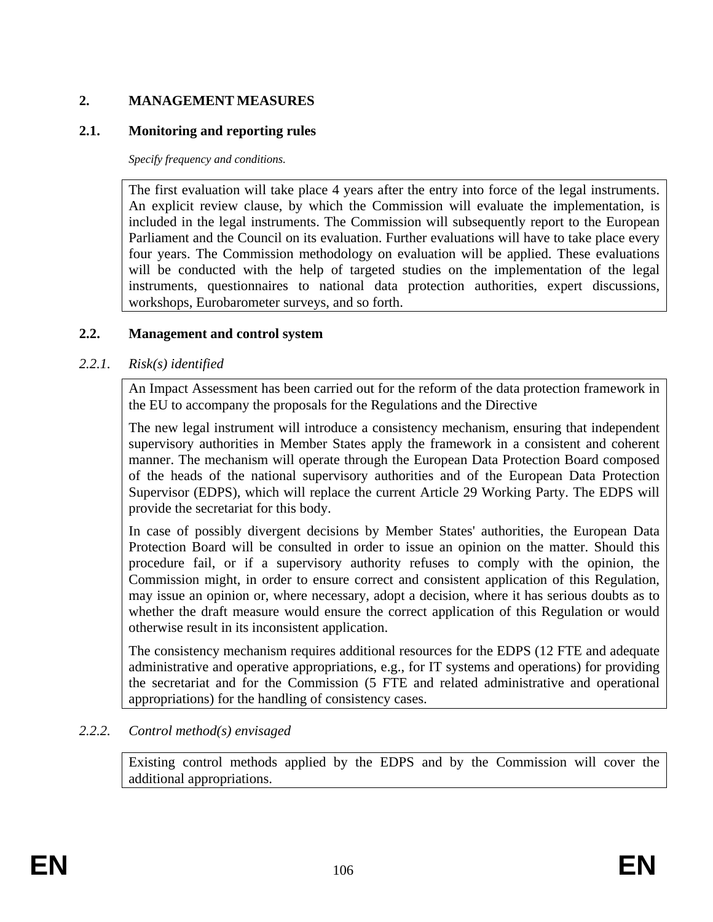## **2. MANAGEMENT MEASURES**

#### **2.1. Monitoring and reporting rules**

*Specify frequency and conditions.* 

The first evaluation will take place 4 years after the entry into force of the legal instruments. An explicit review clause, by which the Commission will evaluate the implementation, is included in the legal instruments. The Commission will subsequently report to the European Parliament and the Council on its evaluation. Further evaluations will have to take place every four years. The Commission methodology on evaluation will be applied. These evaluations will be conducted with the help of targeted studies on the implementation of the legal instruments, questionnaires to national data protection authorities, expert discussions, workshops, Eurobarometer surveys, and so forth.

#### **2.2. Management and control system**

#### *2.2.1. Risk(s) identified*

An Impact Assessment has been carried out for the reform of the data protection framework in the EU to accompany the proposals for the Regulations and the Directive

The new legal instrument will introduce a consistency mechanism, ensuring that independent supervisory authorities in Member States apply the framework in a consistent and coherent manner. The mechanism will operate through the European Data Protection Board composed of the heads of the national supervisory authorities and of the European Data Protection Supervisor (EDPS), which will replace the current Article 29 Working Party. The EDPS will provide the secretariat for this body.

In case of possibly divergent decisions by Member States' authorities, the European Data Protection Board will be consulted in order to issue an opinion on the matter. Should this procedure fail, or if a supervisory authority refuses to comply with the opinion, the Commission might, in order to ensure correct and consistent application of this Regulation, may issue an opinion or, where necessary, adopt a decision, where it has serious doubts as to whether the draft measure would ensure the correct application of this Regulation or would otherwise result in its inconsistent application.

The consistency mechanism requires additional resources for the EDPS (12 FTE and adequate administrative and operative appropriations, e.g., for IT systems and operations) for providing the secretariat and for the Commission (5 FTE and related administrative and operational appropriations) for the handling of consistency cases.

#### *2.2.2. Control method(s) envisaged*

Existing control methods applied by the EDPS and by the Commission will cover the additional appropriations.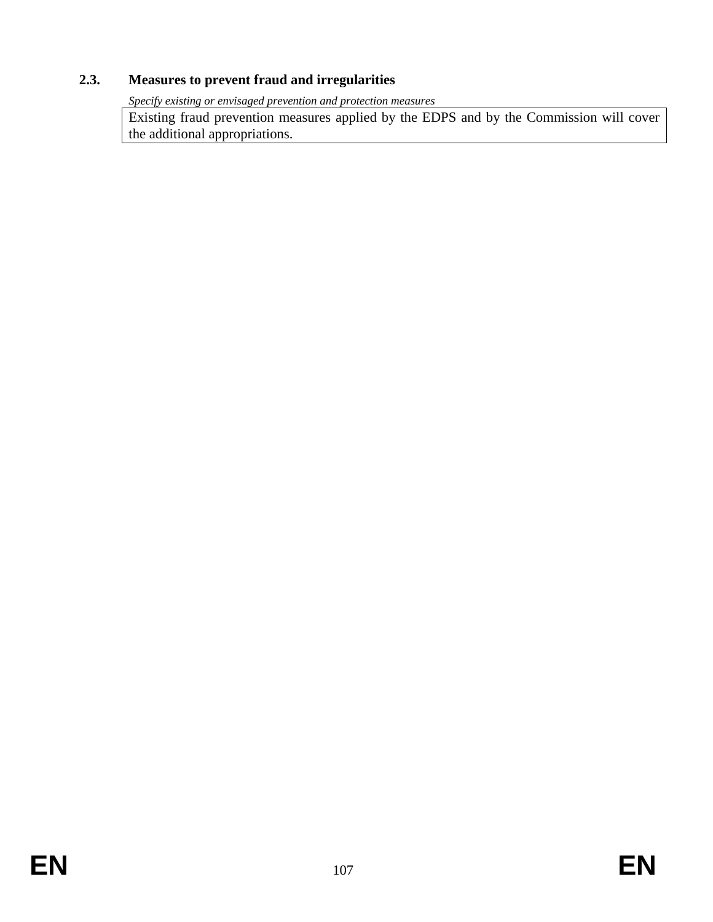## **2.3. Measures to prevent fraud and irregularities**

*Specify existing or envisaged prevention and protection measures* 

Existing fraud prevention measures applied by the EDPS and by the Commission will cover the additional appropriations.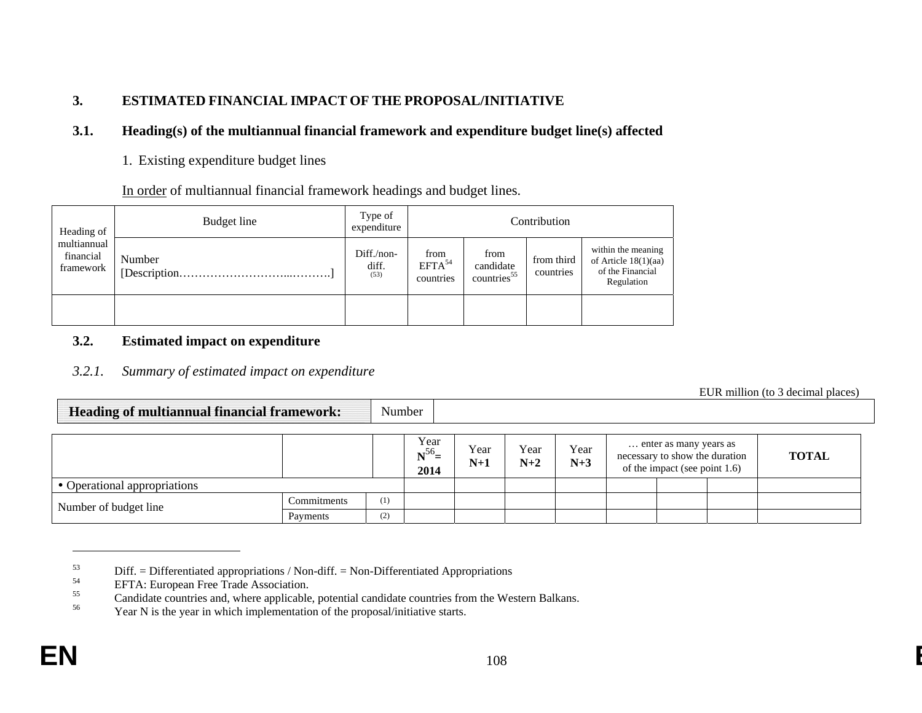### **3.ESTIMATED FINANCIAL IMPACT OF THE PROPOSAL/INITIATIVE**

### **3.1.Heading(s) of the multiannual financial framework and expenditure budget line(s) affected**

1. Existing expenditure budget lines

In order of multiannual financial framework headings and budget lines.

| Heading of<br>multiannual<br>financial<br>Number<br>framework | Budget line | Type of<br>expenditure      |                                         |                                                                                                                                                           | Contribution |  |
|---------------------------------------------------------------|-------------|-----------------------------|-----------------------------------------|-----------------------------------------------------------------------------------------------------------------------------------------------------------|--------------|--|
|                                                               |             | Diff./non-<br>diff.<br>(53) | from<br>EFTA <sup>54</sup><br>countries | within the meaning<br>from<br>from third<br>of Article $18(1)(aa)$<br>candidate<br>of the Financial<br>countries<br>countries <sup>55</sup><br>Regulation |              |  |
|                                                               |             |                             |                                         |                                                                                                                                                           |              |  |

#### **3.2.Estimated impact on expenditure**

#### *3.2.1.Summary of estimated impact on expenditure*

EUR million (to 3 decimal places)

|                                                    |             |     |                            |               |               |               |                                                                                           | -------      |
|----------------------------------------------------|-------------|-----|----------------------------|---------------|---------------|---------------|-------------------------------------------------------------------------------------------|--------------|
| <b>Heading of multiannual financial framework:</b> |             |     | Number                     |               |               |               |                                                                                           |              |
|                                                    |             |     | Year<br>$N^{56}$ =<br>2014 | Year<br>$N+1$ | Year<br>$N+2$ | Year<br>$N+3$ | enter as many years as<br>necessary to show the duration<br>of the impact (see point 1.6) | <b>TOTAL</b> |
| • Operational appropriations                       |             |     |                            |               |               |               |                                                                                           |              |
| Number of budget line                              | Commitments | (1) |                            |               |               |               |                                                                                           |              |
|                                                    | Payments    | (2) |                            |               |               |               |                                                                                           |              |

<sup>&</sup>lt;sup>53</sup> Diff. = Differentiated appropriations / Non-diff. = Non-Differentiated Appropriations<br>
EETA: European Free Trade Association

 $^{54}$  EFTA: European Free Trade Association.<br>Candidate countries and where applicable

 $^{55}$  Candidate countries and, where applicable, potential candidate countries from the Western Balkans.<br>So Veer N is the year in which implementation of the proposal initiative starts

Year N is the year in which implementation of the proposal/initiative starts.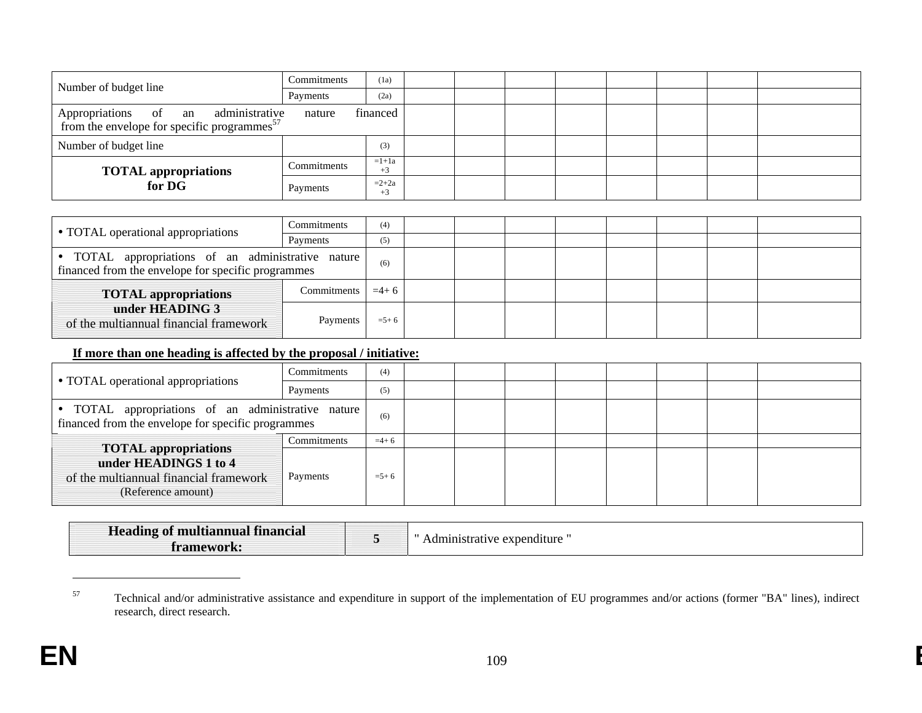|                                                                                                | Commitments | (1a)            |  |  |  |  |
|------------------------------------------------------------------------------------------------|-------------|-----------------|--|--|--|--|
| Number of budget line                                                                          | Payments    | (2a)            |  |  |  |  |
| Appropriations of an administrative<br>from the envelope for specific programmes <sup>57</sup> | financed    |                 |  |  |  |  |
| Number of budget line                                                                          |             | (3)             |  |  |  |  |
| Commitments<br><b>TOTAL appropriations</b>                                                     |             | $=1+1a$<br>$+3$ |  |  |  |  |
| for DG                                                                                         | Payments    | $=2+2a$<br>$+3$ |  |  |  |  |

| • TOTAL operational appropriations                                                                       | Commitments | (4)       |  |  |  |  |
|----------------------------------------------------------------------------------------------------------|-------------|-----------|--|--|--|--|
|                                                                                                          | Payments    | (5)       |  |  |  |  |
| • TOTAL appropriations of an administrative nature<br>financed from the envelope for specific programmes |             |           |  |  |  |  |
| <b>TOTAL appropriations</b>                                                                              | Commitments | $=$ 4+6   |  |  |  |  |
| under HEADING 3<br>of the multiannual financial framework                                                | Payments    | $= 5 + 6$ |  |  |  |  |

## **If more than one heading is affected by the proposal / initiative:**

| • TOTAL operational appropriations                                                                                   | Commitments | (4)       |  |  |  |  |
|----------------------------------------------------------------------------------------------------------------------|-------------|-----------|--|--|--|--|
|                                                                                                                      | Payments    | (5)       |  |  |  |  |
| • TOTAL appropriations of an administrative nature<br>financed from the envelope for specific programmes             |             | (6)       |  |  |  |  |
|                                                                                                                      | Commitments | $=4+6$    |  |  |  |  |
| <b>TOTAL appropriations</b><br>under HEADINGS 1 to 4<br>of the multiannual financial framework<br>(Reference amount) | Payments    | $= 5 + 6$ |  |  |  |  |

| $\mathbf{r}$<br>$\sim$<br>t multiannual financial<br><b>Heading of</b><br>A ATTIANIZI<br>_r gilit =<br>WULK. | expenditure<br>ministrati<br>A(II) |
|--------------------------------------------------------------------------------------------------------------|------------------------------------|
|--------------------------------------------------------------------------------------------------------------|------------------------------------|

<sup>57</sup> Technical and/or administrative assistance and expenditure in support of the implementation of EU programmes and/or actions (former "BA" lines), indirect research, direct research.

 $\overline{\phantom{a}}$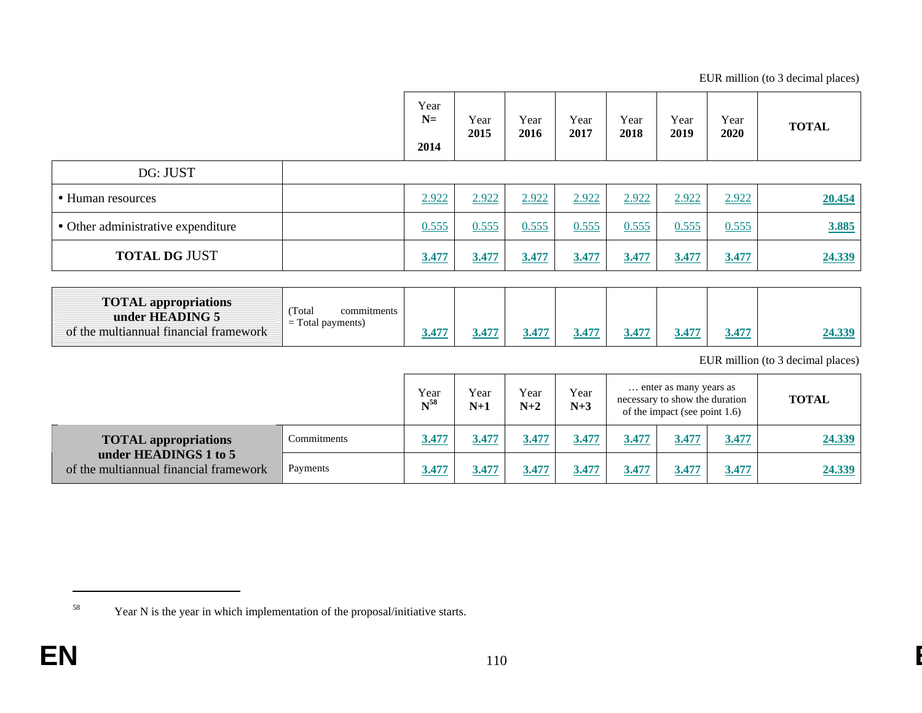EUR million (to 3 decimal places)

|                                                                                          |                                               | Year<br>$N=$<br>2014 | Year<br>2015  | Year<br>2016  | Year<br>2017  | Year<br>2018 | Year<br>2019                                                                                 | Year<br>2020 | <b>TOTAL</b>                      |
|------------------------------------------------------------------------------------------|-----------------------------------------------|----------------------|---------------|---------------|---------------|--------------|----------------------------------------------------------------------------------------------|--------------|-----------------------------------|
| DG: JUST                                                                                 |                                               |                      |               |               |               |              |                                                                                              |              |                                   |
| • Human resources                                                                        |                                               | 2.922                | 2.922         | 2.922         | 2.922         | 2.922        | 2.922                                                                                        | 2.922        | 20.454                            |
| • Other administrative expenditure                                                       |                                               | 0.555                | 0.555         | 0.555         | 0.555         | 0.555        | 0.555                                                                                        | 0.555        | 3.885                             |
| <b>TOTAL DG JUST</b>                                                                     |                                               | 3.477                | 3.477         | 3.477         | 3.477         | 3.477        | 3.477                                                                                        | 3.477        | 24.339                            |
|                                                                                          |                                               |                      |               |               |               |              |                                                                                              |              |                                   |
| <b>TOTAL</b> appropriations<br>under HEADING 5<br>of the multiannual financial framework | (Total)<br>commitments<br>$=$ Total payments) | 3.477                | 3.477         | 3.477         | 3.477         | 3.477        | 3.477                                                                                        | 3.477        | 24.339                            |
|                                                                                          |                                               |                      |               |               |               |              |                                                                                              |              | EUR million (to 3 decimal places) |
|                                                                                          |                                               | Year<br>$N^{58}$     | Year<br>$N+1$ | Year<br>$N+2$ | Year<br>$N+3$ |              | enter as many years as<br>necessary to show the duration<br>of the impact (see point $1.6$ ) |              | <b>TOTAL</b>                      |
| <b>TOTAL</b> appropriations                                                              | Commitments                                   | 3.477                | 3.477         | 3.477         | 3.477         | 3.477        | 3.477                                                                                        | 3.477        | 24.339                            |
| under HEADINGS 1 to 5<br>of the multiannual financial framework                          | Payments                                      | 3.477                | 3.477         | 3.477         | 3.477         | 3.477        | 3.477                                                                                        | 3.477        | 24.339                            |

<sup>58</sup> Year N is the year in which implementation of the proposal/initiative starts.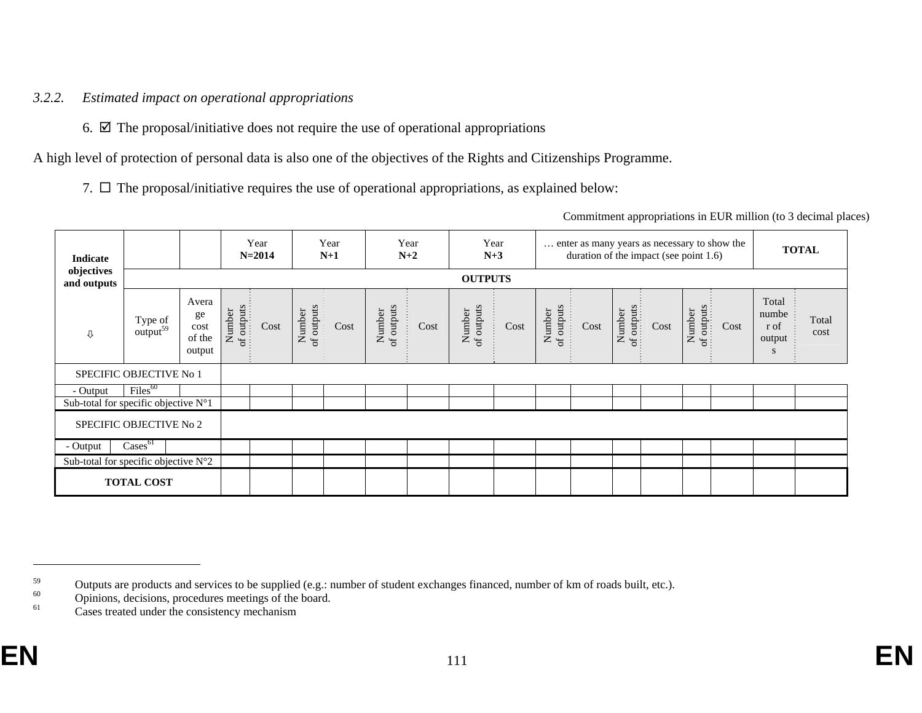#### *3.2.2.Estimated impact on operational appropriations*

6.  $\boxtimes$  The proposal/initiative does not require the use of operational appropriations

A high level of protection of personal data is also one of the objectives of the Rights and Citizenships Programme.

7.  $\Box$  The proposal/initiative requires the use of operational appropriations, as explained below:

Commitment appropriations in EUR million (to 3 decimal places)

| Indicate                                      |                              |                                         | Year<br>$N = 2014$           | Year<br>$N+1$                | Year<br>$N+2$                | Year<br>$N+3$                |                                   | enter as many years as necessary to show the<br>duration of the impact (see point 1.6) |                              | <b>TOTAL</b>                                                      |
|-----------------------------------------------|------------------------------|-----------------------------------------|------------------------------|------------------------------|------------------------------|------------------------------|-----------------------------------|----------------------------------------------------------------------------------------|------------------------------|-------------------------------------------------------------------|
| objectives<br>and outputs                     |                              |                                         |                              |                              |                              | <b>OUTPUTS</b>               |                                   |                                                                                        |                              |                                                                   |
| ⇩                                             | Type of output <sup>59</sup> | Avera<br>ge<br>cost<br>of the<br>output | Number<br>of outputs<br>Cost | Number<br>of outputs<br>Cost | of outputs<br>Number<br>Cost | of outputs<br>Number<br>Cost | of outputs<br>Number<br>Cost<br>÷ | of outputs<br>Number<br>Cost                                                           | of outputs<br>Number<br>Cost | Total<br>numbe<br>Total<br>r of<br>cost<br>output<br><sub>S</sub> |
|                                               | SPECIFIC OBJECTIVE No 1      |                                         |                              |                              |                              |                              |                                   |                                                                                        |                              |                                                                   |
| - Output                                      | $Files^{60}$                 |                                         |                              |                              |                              |                              |                                   |                                                                                        |                              |                                                                   |
| Sub-total for specific objective $N^{\circ}1$ |                              |                                         |                              |                              |                              |                              |                                   |                                                                                        |                              |                                                                   |
|                                               | SPECIFIC OBJECTIVE No 2      |                                         |                              |                              |                              |                              |                                   |                                                                                        |                              |                                                                   |
| - Output                                      | $\text{Case}^{61}$           |                                         |                              |                              |                              |                              |                                   |                                                                                        |                              |                                                                   |
| Sub-total for specific objective $N^{\circ}2$ |                              |                                         |                              |                              |                              |                              |                                   |                                                                                        |                              |                                                                   |
|                                               | <b>TOTAL COST</b>            |                                         |                              |                              |                              |                              |                                   |                                                                                        |                              |                                                                   |

<sup>&</sup>lt;sup>59</sup> Outputs are products and services to be supplied (e.g.: number of student exchanges financed, number of km of roads built, etc.).<br>  $\frac{60}{2}$  Opinions, docisions, procedures meetings of the board

 $^{60}$  Opinions, decisions, procedures meetings of the board.<br> $^{61}$  Cases tracted under the consistency mechanism

Cases treated under the consistency mechanism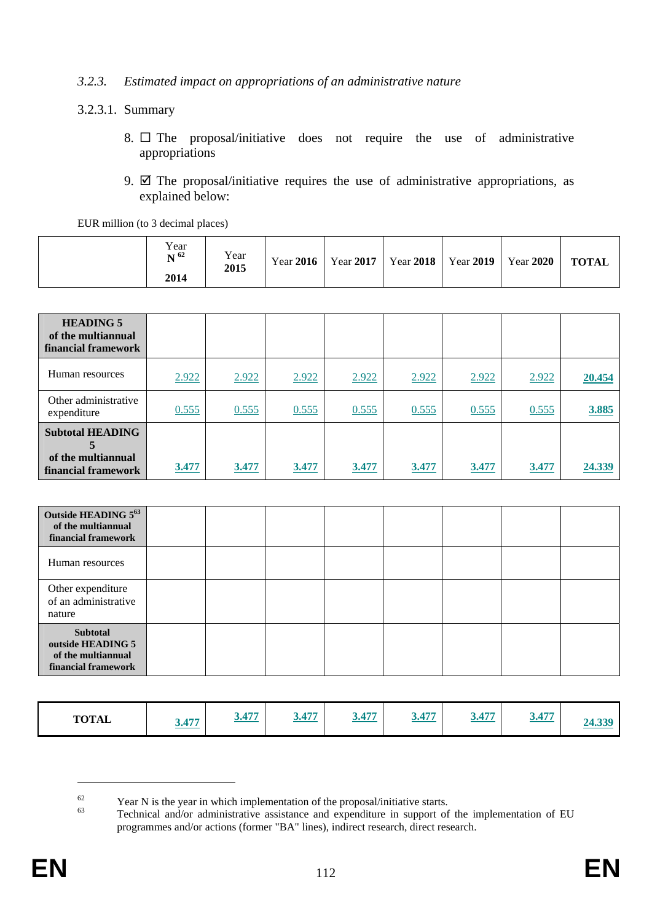## *3.2.3. Estimated impact on appropriations of an administrative nature*

## 3.2.3.1. Summary

- 8.  $\Box$  The proposal/initiative does not require the use of administrative appropriations
- 9.  $\boxtimes$  The proposal/initiative requires the use of administrative appropriations, as explained below:

EUR million (to 3 decimal places)

|  | Year<br>$\mathbf{N}$ 62<br>2014 | Year<br>2015 | Year 2016 | Year $2017$ | Year $2018$ Year $2019$ |  | Year 2020 | <b>TOTAL</b> |
|--|---------------------------------|--------------|-----------|-------------|-------------------------|--|-----------|--------------|
|--|---------------------------------|--------------|-----------|-------------|-------------------------|--|-----------|--------------|

| <b>HEADING 5</b><br>of the multiannual<br>financial framework        |       |       |       |       |       |       |       |        |
|----------------------------------------------------------------------|-------|-------|-------|-------|-------|-------|-------|--------|
| Human resources                                                      | 2.922 | 2.922 | 2.922 | 2.922 | 2.922 | 2.922 | 2.922 | 20.454 |
| Other administrative<br>expenditure                                  | 0.555 | 0.555 | 0.555 | 0.555 | 0.555 | 0.555 | 0.555 | 3.885  |
| <b>Subtotal HEADING</b><br>of the multiannual<br>financial framework | 3.477 | 3.477 | 3.477 | 3.477 | 3.477 | 3.477 | 3.477 | 24.339 |

| Outside HEADING 563<br>of the multiannual<br>financial framework                  |  |  |  |  |
|-----------------------------------------------------------------------------------|--|--|--|--|
| Human resources                                                                   |  |  |  |  |
| Other expenditure<br>of an administrative<br>nature                               |  |  |  |  |
| <b>Subtotal</b><br>outside HEADING 5<br>of the multiannual<br>financial framework |  |  |  |  |

| <b>TOTAL</b><br>TAL | $\overline{AB}$<br>J.47<br>$\mathbf{A}$<br>J.TI | $\overline{AB}$<br>J.47<br><b>Service Control of Control Control</b> | 4.77<br>J.TI | $\bm{A}$<br>J.TI | $\overline{AB}$<br>$J+I$ | 3.477 | 27.JJ |
|---------------------|-------------------------------------------------|----------------------------------------------------------------------|--------------|------------------|--------------------------|-------|-------|
|---------------------|-------------------------------------------------|----------------------------------------------------------------------|--------------|------------------|--------------------------|-------|-------|

1

 $^{62}$  Year N is the year in which implementation of the proposal/initiative starts.<br><sup>63</sup> Technical and/or administrative assistance and expenditure in support of the implementation of EU programmes and/or actions (former "BA" lines), indirect research, direct research.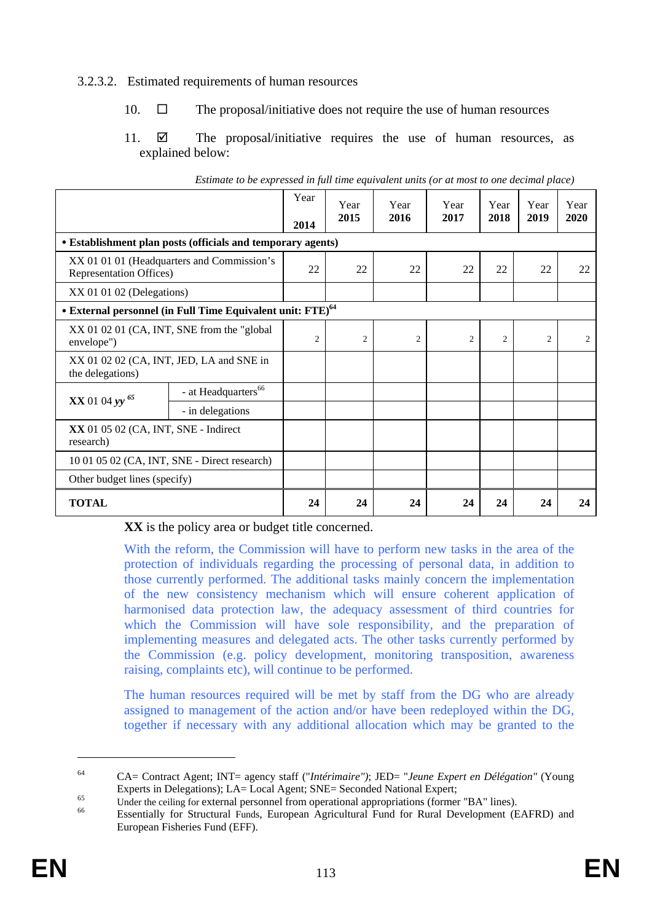## 3.2.3.2. Estimated requirements of human resources

- 10.  $\Box$  The proposal/initiative does not require the use of human resources
- 11.  $\vec{\mathcal{Q}}$  The proposal/initiative requires the use of human resources, as explained below:

|                                                              | Year<br>2014                                                           | Year<br>2015   | Year<br>2016   | Year<br>2017   | Year<br>2018   | Year<br>2019   | Year<br>2020 |    |
|--------------------------------------------------------------|------------------------------------------------------------------------|----------------|----------------|----------------|----------------|----------------|--------------|----|
|                                                              | • Establishment plan posts (officials and temporary agents)            |                |                |                |                |                |              |    |
| <b>Representation Offices)</b>                               | XX 01 01 01 (Headquarters and Commission's                             | 22             | 22             | 22             | 22             | 22             | 22           | 22 |
| XX 01 01 02 (Delegations)                                    |                                                                        |                |                |                |                |                |              |    |
|                                                              | • External personnel (in Full Time Equivalent unit: FTE) <sup>64</sup> |                |                |                |                |                |              |    |
| XX 01 02 01 (CA, INT, SNE from the "global<br>envelope")     | $\mathbf{2}$                                                           | $\overline{c}$ | $\mathfrak{2}$ | $\overline{2}$ | $\overline{c}$ | $\overline{c}$ | 2            |    |
| XX 01 02 02 (CA, INT, JED, LA and SNE in<br>the delegations) |                                                                        |                |                |                |                |                |              |    |
| <b>XX</b> 01 04 yy $^{65}$                                   | - at Headquarters $\rm ^{66}$                                          |                |                |                |                |                |              |    |
|                                                              | - in delegations                                                       |                |                |                |                |                |              |    |
| XX 01 05 02 (CA, INT, SNE - Indirect<br>research)            |                                                                        |                |                |                |                |                |              |    |
| 10 01 05 02 (CA, INT, SNE - Direct research)                 |                                                                        |                |                |                |                |                |              |    |
| Other budget lines (specify)                                 |                                                                        |                |                |                |                |                |              |    |
| <b>TOTAL</b>                                                 |                                                                        | 24             | 24             | 24             | 24             | 24             | 24           | 24 |

*Estimate to be expressed in full time equivalent units (or at most to one decimal place)* 

## **XX** is the policy area or budget title concerned.

With the reform, the Commission will have to perform new tasks in the area of the protection of individuals regarding the processing of personal data, in addition to those currently performed. The additional tasks mainly concern the implementation of the new consistency mechanism which will ensure coherent application of harmonised data protection law, the adequacy assessment of third countries for which the Commission will have sole responsibility, and the preparation of implementing measures and delegated acts. The other tasks currently performed by the Commission (e.g. policy development, monitoring transposition, awareness raising, complaints etc), will continue to be performed.

The human resources required will be met by staff from the DG who are already assigned to management of the action and/or have been redeployed within the DG, together if necessary with any additional allocation which may be granted to the

<u>.</u>

<sup>64</sup> CA= Contract Agent; INT= agency staff ("*Intérimaire")*; JED= "*Jeune Expert en Délégation"* (Young

Experts in Delegations); LA= Local Agent; SNE= Seconded National Expert;<br>
Under the ceiling for external personnel from operational appropriations (former "BA" lines).<br>
Essentially for Structural Funds, European Agricultur European Fisheries Fund (EFF).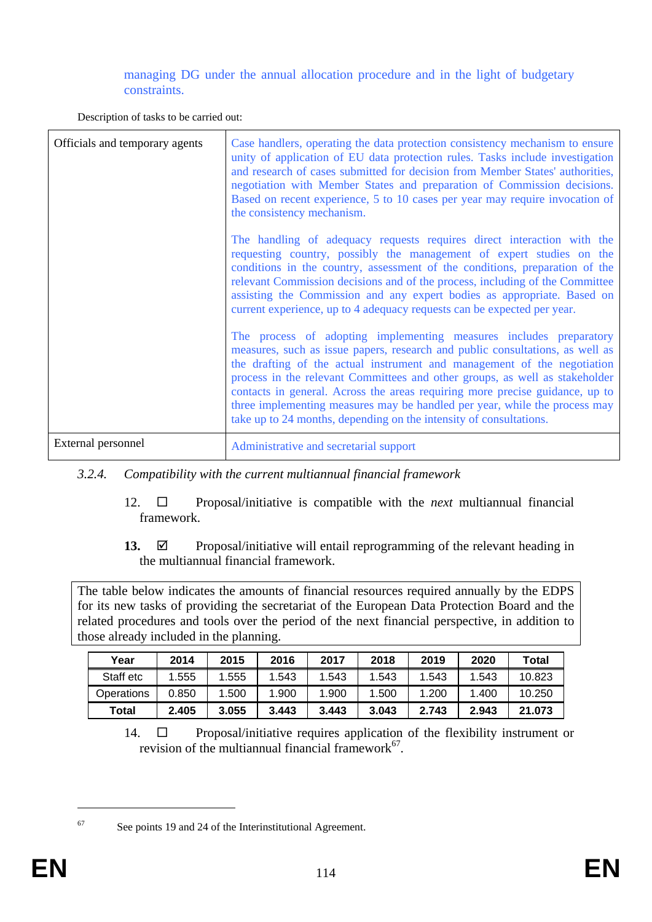### managing DG under the annual allocation procedure and in the light of budgetary constraints.

Description of tasks to be carried out:

| Officials and temporary agents | Case handlers, operating the data protection consistency mechanism to ensure<br>unity of application of EU data protection rules. Tasks include investigation<br>and research of cases submitted for decision from Member States' authorities,<br>negotiation with Member States and preparation of Commission decisions.<br>Based on recent experience, 5 to 10 cases per year may require invocation of<br>the consistency mechanism.<br>The handling of adequacy requests requires direct interaction with the                                 |
|--------------------------------|---------------------------------------------------------------------------------------------------------------------------------------------------------------------------------------------------------------------------------------------------------------------------------------------------------------------------------------------------------------------------------------------------------------------------------------------------------------------------------------------------------------------------------------------------|
|                                | requesting country, possibly the management of expert studies on the<br>conditions in the country, assessment of the conditions, preparation of the<br>relevant Commission decisions and of the process, including of the Committee<br>assisting the Commission and any expert bodies as appropriate. Based on<br>current experience, up to 4 adequacy requests can be expected per year.                                                                                                                                                         |
|                                | The process of adopting implementing measures includes preparatory<br>measures, such as issue papers, research and public consultations, as well as<br>the drafting of the actual instrument and management of the negotiation<br>process in the relevant Committees and other groups, as well as stakeholder<br>contacts in general. Across the areas requiring more precise guidance, up to<br>three implementing measures may be handled per year, while the process may<br>take up to 24 months, depending on the intensity of consultations. |
| External personnel             | Administrative and secretarial support                                                                                                                                                                                                                                                                                                                                                                                                                                                                                                            |

- *3.2.4. Compatibility with the current multiannual financial framework* 
	- 12.  $\Box$  Proposal/initiative is compatible with the *next* multiannual financial framework.
	- **13.**  $\boxtimes$  Proposal/initiative will entail reprogramming of the relevant heading in the multiannual financial framework.

The table below indicates the amounts of financial resources required annually by the EDPS for its new tasks of providing the secretariat of the European Data Protection Board and the related procedures and tools over the period of the next financial perspective, in addition to those already included in the planning.

| Year       | 2014  | 2015  | 2016  | 2017  | 2018  | 2019  | 2020  | Total  |
|------------|-------|-------|-------|-------|-------|-------|-------|--------|
| Staff etc  | 1.555 | 1.555 | 1.543 | 1.543 | 1.543 | 1.543 | 1.543 | 10.823 |
| Operations | 0.850 | 1.500 | 1.900 | 1.900 | 1.500 | 1.200 | 1.400 | 10.250 |
| Total      | 2.405 | 3.055 | 3.443 | 3.443 | 3.043 | 2.743 | 2.943 | 21.073 |

14.  $\Box$  Proposal/initiative requires application of the flexibility instrument or revision of the multiannual financial framework $67$ .

1

<sup>67</sup> See points 19 and 24 of the Interinstitutional Agreement.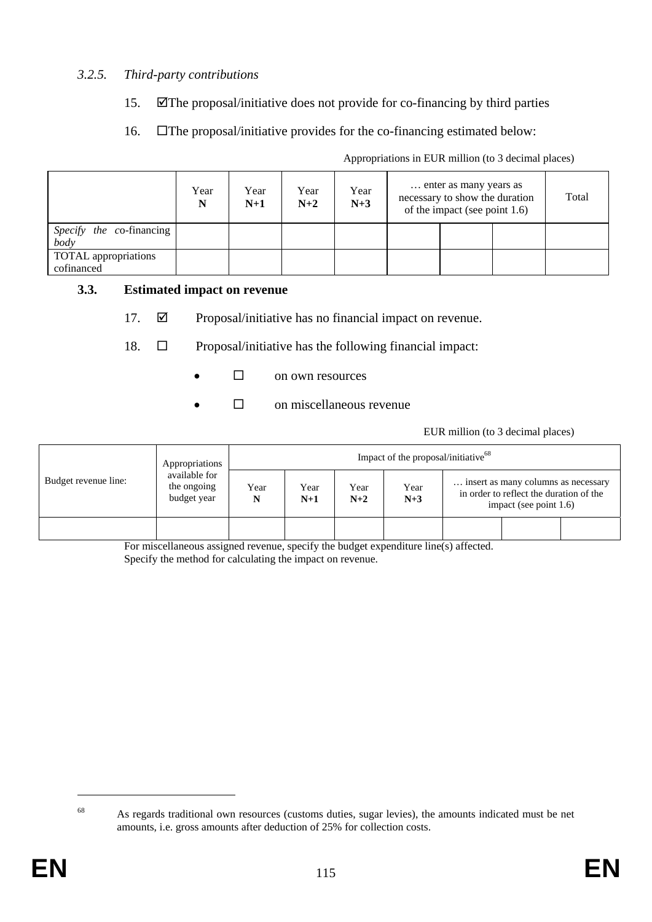# *3.2.5. Third-party contributions*

- 15.  $\Box$  The proposal/initiative does not provide for co-financing by third parties
- 16. The proposal/initiative provides for the co-financing estimated below:

Appropriations in EUR million (to 3 decimal places)

|                                            | Year<br>N | Year<br>$N+1$ | Year<br>$N+2$ | Year<br>$N+3$ | enter as many years as<br>necessary to show the duration<br>of the impact (see point $1.6$ ) | Total |  |
|--------------------------------------------|-----------|---------------|---------------|---------------|----------------------------------------------------------------------------------------------|-------|--|
| <i>the co-financing</i><br>Specify<br>body |           |               |               |               |                                                                                              |       |  |
| <b>TOTAL</b> appropriations<br>cofinanced  |           |               |               |               |                                                                                              |       |  |

# **3.3. Estimated impact on revenue**

17.  $\boxtimes$  Proposal/initiative has no financial impact on revenue.

18.  $\Box$  Proposal/initiative has the following financial impact:

- $\square$  on own resources
- $\Box$  on miscellaneous revenue

EUR million (to 3 decimal places)

| Budget revenue line: | Appropriations<br>available for<br>the ongoing<br>budget year | Impact of the proposal/initiative <sup>68</sup> |               |               |               |  |                                                                                                             |  |  |  |  |  |  |
|----------------------|---------------------------------------------------------------|-------------------------------------------------|---------------|---------------|---------------|--|-------------------------------------------------------------------------------------------------------------|--|--|--|--|--|--|
|                      |                                                               | Year<br>N                                       | Year<br>$N+1$ | Year<br>$N+2$ | Year<br>$N+3$ |  | insert as many columns as necessary<br>in order to reflect the duration of the<br>impact (see point $1.6$ ) |  |  |  |  |  |  |
|                      |                                                               |                                                 |               |               |               |  |                                                                                                             |  |  |  |  |  |  |

For miscellaneous assigned revenue, specify the budget expenditure line(s) affected.

Specify the method for calculating the impact on revenue.

<u>.</u>

<sup>68</sup> As regards traditional own resources (customs duties, sugar levies), the amounts indicated must be net amounts, i.e. gross amounts after deduction of 25% for collection costs.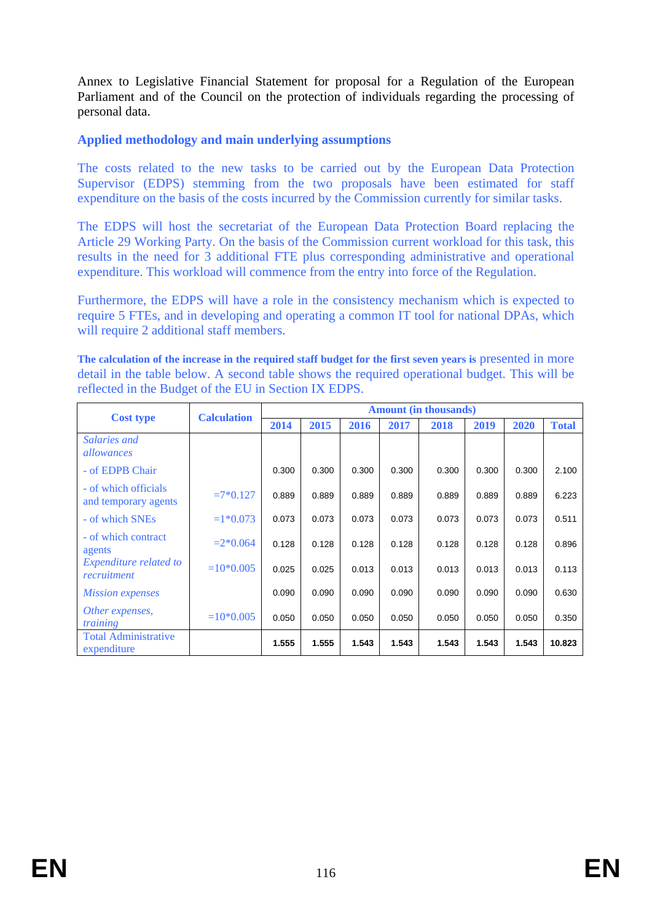Annex to Legislative Financial Statement for proposal for a Regulation of the European Parliament and of the Council on the protection of individuals regarding the processing of personal data.

## **Applied methodology and main underlying assumptions**

The costs related to the new tasks to be carried out by the European Data Protection Supervisor (EDPS) stemming from the two proposals have been estimated for staff expenditure on the basis of the costs incurred by the Commission currently for similar tasks.

The EDPS will host the secretariat of the European Data Protection Board replacing the Article 29 Working Party. On the basis of the Commission current workload for this task, this results in the need for 3 additional FTE plus corresponding administrative and operational expenditure. This workload will commence from the entry into force of the Regulation.

Furthermore, the EDPS will have a role in the consistency mechanism which is expected to require 5 FTEs, and in developing and operating a common IT tool for national DPAs, which will require 2 additional staff members.

**The calculation of the increase in the required staff budget for the first seven years is** presented in more detail in the table below. A second table shows the required operational budget. This will be reflected in the Budget of the EU in Section IX EDPS.

|                                              | <b>Calculation</b> | <b>Amount (in thousands)</b> |       |       |       |       |       |       |              |  |  |  |  |  |
|----------------------------------------------|--------------------|------------------------------|-------|-------|-------|-------|-------|-------|--------------|--|--|--|--|--|
| <b>Cost type</b>                             |                    | 2014                         | 2015  | 2016  | 2017  | 2018  | 2019  | 2020  | <b>Total</b> |  |  |  |  |  |
| Salaries and<br>allowances                   |                    |                              |       |       |       |       |       |       |              |  |  |  |  |  |
| - of EDPB Chair                              |                    | 0.300                        | 0.300 | 0.300 | 0.300 | 0.300 | 0.300 | 0.300 | 2.100        |  |  |  |  |  |
| - of which officials<br>and temporary agents | $=7*0.127$         | 0.889                        | 0.889 | 0.889 | 0.889 | 0.889 | 0.889 | 0.889 | 6.223        |  |  |  |  |  |
| - of which SNEs                              | $=1*0.073$         | 0.073                        | 0.073 | 0.073 | 0.073 | 0.073 | 0.073 | 0.073 | 0.511        |  |  |  |  |  |
| - of which contract<br>agents                | $=2*0.064$         | 0.128                        | 0.128 | 0.128 | 0.128 | 0.128 | 0.128 | 0.128 | 0.896        |  |  |  |  |  |
| <i>Expenditure related to</i><br>recruitment | $=10*0.005$        | 0.025                        | 0.025 | 0.013 | 0.013 | 0.013 | 0.013 | 0.013 | 0.113        |  |  |  |  |  |
| <b>Mission</b> expenses                      |                    | 0.090                        | 0.090 | 0.090 | 0.090 | 0.090 | 0.090 | 0.090 | 0.630        |  |  |  |  |  |
| Other expenses,<br>training                  | $=10*0.005$        | 0.050                        | 0.050 | 0.050 | 0.050 | 0.050 | 0.050 | 0.050 | 0.350        |  |  |  |  |  |
| <b>Total Administrative</b><br>expenditure   |                    | 1.555                        | 1.555 | 1.543 | 1.543 | 1.543 | 1.543 | 1.543 | 10.823       |  |  |  |  |  |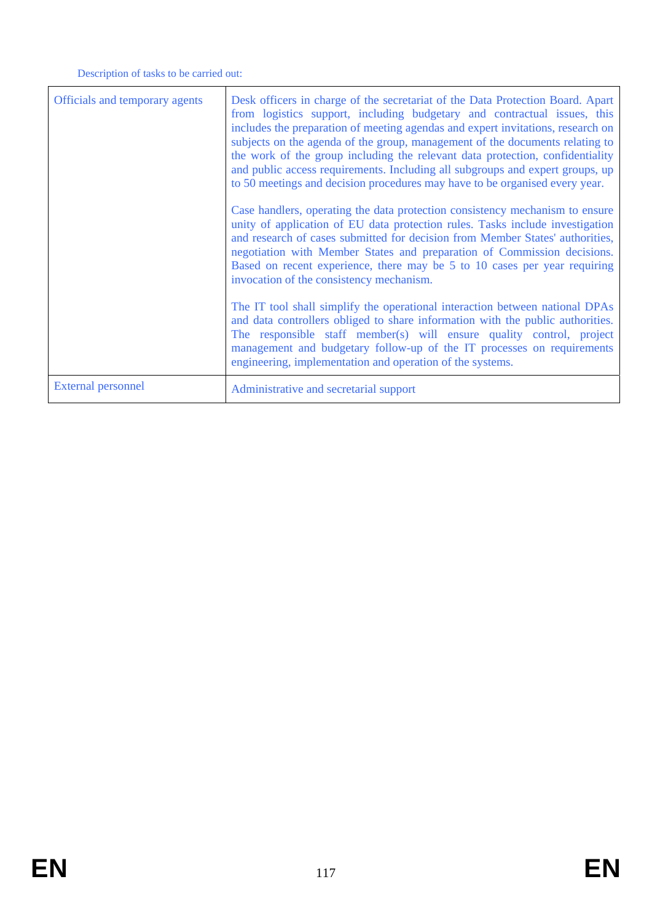Description of tasks to be carried out:

| Officials and temporary agents | Desk officers in charge of the secretariat of the Data Protection Board. Apart<br>from logistics support, including budgetary and contractual issues, this<br>includes the preparation of meeting agendas and expert invitations, research on<br>subjects on the agenda of the group, management of the documents relating to<br>the work of the group including the relevant data protection, confidentiality<br>and public access requirements. Including all subgroups and expert groups, up<br>to 50 meetings and decision procedures may have to be organised every year. |
|--------------------------------|--------------------------------------------------------------------------------------------------------------------------------------------------------------------------------------------------------------------------------------------------------------------------------------------------------------------------------------------------------------------------------------------------------------------------------------------------------------------------------------------------------------------------------------------------------------------------------|
|                                | Case handlers, operating the data protection consistency mechanism to ensure<br>unity of application of EU data protection rules. Tasks include investigation<br>and research of cases submitted for decision from Member States' authorities,<br>negotiation with Member States and preparation of Commission decisions.<br>Based on recent experience, there may be 5 to 10 cases per year requiring<br>invocation of the consistency mechanism.                                                                                                                             |
|                                | The IT tool shall simplify the operational interaction between national DPAs<br>and data controllers obliged to share information with the public authorities.<br>The responsible staff member(s) will ensure quality control, project<br>management and budgetary follow-up of the IT processes on requirements<br>engineering, implementation and operation of the systems.                                                                                                                                                                                                  |
| <b>External personnel</b>      | Administrative and secretarial support                                                                                                                                                                                                                                                                                                                                                                                                                                                                                                                                         |